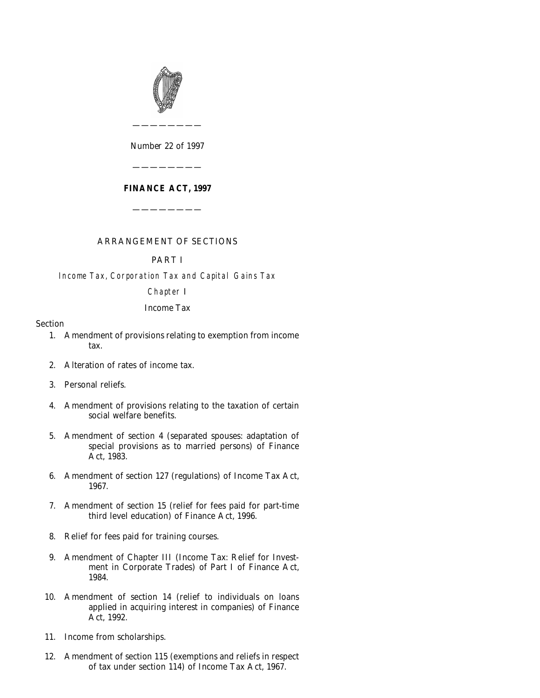

*Number* 22 *of* 1997

————————

# **FINANCE ACT, 1997**

————————

————————

# ARRANGEMENT OF SECTIONS

# PART I

Income Tax, Corporation Tax and Capital Gains Tax

Chapter I

# *Income Tax*

# Section

- [1. Amendment of provisions relating to exemption from income](#page-12-0) tax.
- [2. Alteration of rates of income tax.](#page-13-0)
- [3. Personal reliefs.](#page-13-0)
- [4. Amendment of provisions relating to the taxation of certain](#page-14-0) social welfare benefits.
- [5. Amendment of section 4 \(separated spouses: adaptation of](#page-15-0) special provisions as to married persons) of Finance Act, 1983.
- [6. Amendment of section 127 \(regulations\) of Income Tax Act,](#page-15-0) 1967.
- [7. Amendment of section 15 \(relief for fees paid for part-time](#page-16-0) third level education) of Finance Act, 1996.
- [8. Relief for fees paid for training courses.](#page-17-0)
- [9. Amendment of Chapter III \(Income Tax: Relief for Invest](#page-20-0)ment in Corporate Trades) of Part I of Finance Act, 1984.
- [10. Amendment of section 14 \(relief to individuals on loans](#page-21-0) applied in acquiring interest in companies) of Finance Act, 1992.
- [11. Income from scholarships.](#page-22-0)
- [12. Amendment of section 115 \(exemptions and reliefs in respect](#page-23-0) of tax under section 114) of Income Tax Act, 1967.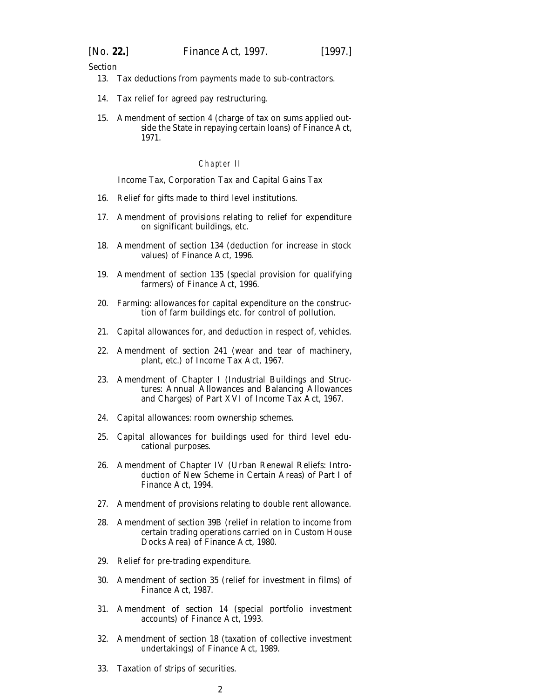- [13. Tax deductions from payments made to sub-contractors.](#page-24-0)
- [14. Tax relief for agreed pay restructuring.](#page-25-0)
- [15. Amendment of section 4 \(charge of tax on sums applied out](#page-29-0)side the State in repaying certain loans) of Finance Act, 1971.

#### Chapter II

#### *Income Tax, Corporation Tax and Capital Gains Tax*

- [16. Relief for gifts made to third level institutions.](#page-29-0)
- [17. Amendment of provisions relating to relief for expenditure](#page-32-0) on significant buildings, etc.
- [18. Amendment of section 134 \(deduction for increase in stock](#page-39-0) values) of Finance Act, 1996.
- [19. Amendment of section 135 \(special provision for qualifying](#page-39-0) farmers) of Finance Act, 1996.
- [20. Farming: allowances for capital expenditure on the construc](#page-39-0)tion of farm buildings etc. for control of pollution.
- [21. Capital allowances for, and deduction in respect of, vehicles.](#page-42-0)
- [22. Amendment of section 241 \(wear and tear of machinery,](#page-42-0) plant, etc.) of Income Tax Act, 1967.
- [23. Amendment of Chapter I \(Industrial Buildings and Struc](#page-43-0)tures: Annual Allowances and Balancing Allowances and Charges) of Part XVI of Income Tax Act, 1967.
- [24. Capital allowances: room ownership schemes.](#page-43-0)
- [25. Capital allowances for buildings used for third level edu](#page-44-0)cational purposes.
- [26. Amendment of Chapter IV \(Urban Renewal Reliefs: Intro](#page-46-0)duction of New Scheme in Certain Areas) of Part I of Finance Act, 1994.
- [27. Amendment of provisions relating to double rent allowance.](#page-49-0)
- [28. Amendment of section 39B \(relief in relation to income from](#page-49-0) certain trading operations carried on in Custom House Docks Area) of Finance Act, 1980.
- [29. Relief for pre-trading expenditure.](#page-50-0)
- [30. Amendment of section 35 \(relief for investment in films\) of](#page-51-0) Finance Act, 1987.
- [31. Amendment of section 14 \(special portfolio investment](#page-53-0) accounts) of Finance Act, 1993.
- [32. Amendment of section 18 \(taxation of collective investment](#page-54-0) undertakings) of Finance Act, 1989.
- [33. Taxation of strips of securities.](#page-54-0)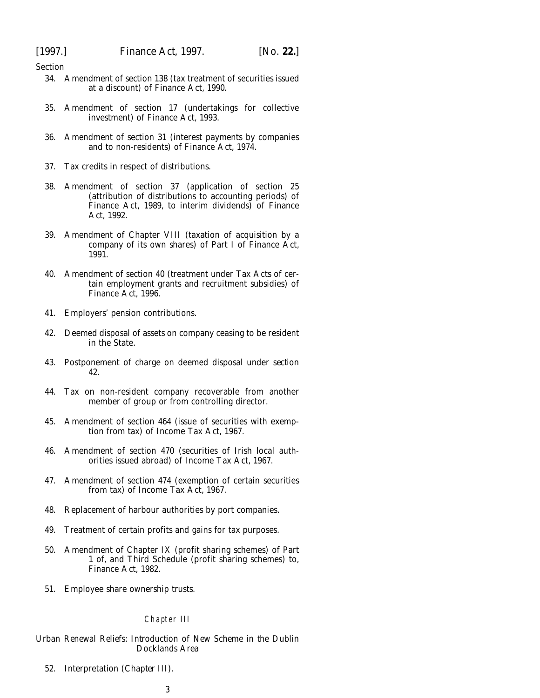- [34. Amendment of section 138 \(tax treatment of securities issued](#page-56-0) at a discount) of Finance Act, 1990.
- [35. Amendment of section 17 \(undertakings for collective](#page-56-0) investment) of Finance Act, 1993.
- [36. Amendment of section 31 \(interest payments by companies](#page-57-0) and to non-residents) of Finance Act, 1974.
- [37. Tax credits in respect of distributions.](#page-57-0)
- [38. Amendment of section 37 \(application of section 25](#page-58-0) (attribution of distributions to accounting periods) of Finance Act, 1989, to interim dividends) of Finance Act, 1992.
- [39. Amendment of Chapter VIII \(taxation of acquisition by a](#page-58-0) company of its own shares) of Part I of Finance Act, 1991.
- [40. Amendment of section 40 \(treatment under Tax Acts of cer](#page-58-0)tain employment grants and recruitment subsidies) of Finance Act, 1996.
- [41. Employers' pension contributions.](#page-59-0)
- [42. Deemed disposal of assets on company ceasing to be resident](#page-61-0) in the State.
- [43. Postponement of charge on deemed disposal under](#page-63-0) *section 42.*
- [44. Tax on non-resident company recoverable from another](#page-64-0) member of group or from controlling director.
- [45. Amendment of section 464 \(issue of securities with exemp](#page-65-0)tion from tax) of Income Tax Act, 1967.
- [46. Amendment of section 470 \(securities of Irish local auth](#page-66-0)orities issued abroad) of Income Tax Act, 1967.
- [47. Amendment of section 474 \(exemption of certain securities](#page-66-0) from tax) of Income Tax Act, 1967.
- [48. Replacement of harbour authorities by port companies.](#page-66-0)
- [49. Treatment of certain profits and gains for tax purposes.](#page-66-0)
- [50. Amendment of Chapter IX \(profit sharing schemes\) of Part](#page-66-0) 1 of, and Third Schedule (profit sharing schemes) to, Finance Act, 1982.
- [51. Employee share ownership trusts.](#page-69-0)

#### Chapter III

*Urban Renewal Reliefs: Introduction of New Scheme in the Dublin Docklands Area*

[52. Interpretation \(](#page-71-0)*Chapter III*).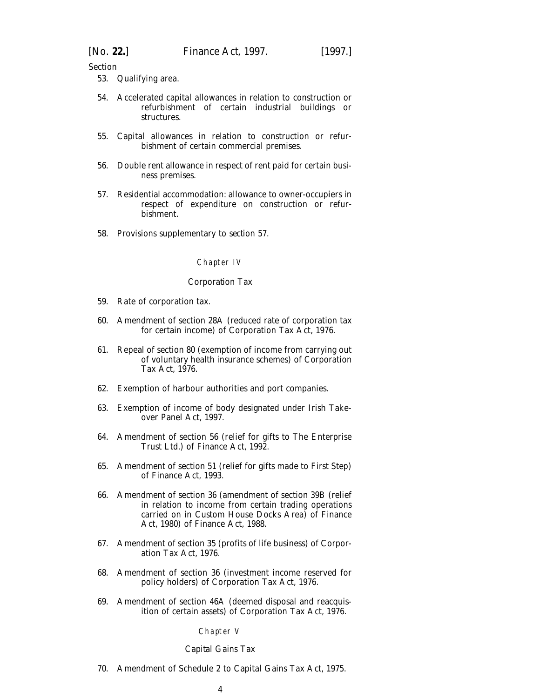[53. Qualifying area.](#page-71-0)

- [54. Accelerated capital allowances in relation to construction or](#page-72-0) refurbishment of certain industrial buildings or structures.
- [55. Capital allowances in relation to construction or refur](#page-73-0)bishment of certain commercial premises.
- [56. Double rent allowance in respect of rent paid for certain busi](#page-76-0)ness premises.
- [57. Residential accommodation: allowance to owner-occupiers in](#page-80-0) respect of expenditure on construction or refurbishment.
- [58. Provisions supplementary to](#page-81-0) *section 57.*

#### Chapter IV

#### *Corporation Tax*

- [59. Rate of corporation tax.](#page-83-0)
- [60. Amendment of section 28A \(reduced rate of corporation tax](#page-84-0) for certain income) of Corporation Tax Act, 1976.
- [61. Repeal of section 80 \(exemption of income from carrying out](#page-84-0) of voluntary health insurance schemes) of Corporation Tax Act, 1976.
- [62. Exemption of harbour authorities and port companies.](#page-85-0)
- [63. Exemption of income of body designated under Irish Take](#page-86-0)over Panel Act, 1997.
- [64. Amendment of section 56 \(relief for gifts to The Enterprise](#page-86-0) Trust Ltd.) of Finance Act, 1992.
- [65. Amendment of section 51 \(relief for gifts made to First Step\)](#page-87-0) of Finance Act, 1993.
- [66. Amendment of section 36 \(amendment of section 39B \(relief](#page-87-0) in relation to income from certain trading operations carried on in Custom House Docks Area) of Finance Act, 1980) of Finance Act, 1988.
- [67. Amendment of section 35 \(profits of life business\) of Corpor](#page-88-0)ation Tax Act, 1976.
- [68. Amendment of section 36 \(investment income reserved for](#page-89-0) policy holders) of Corporation Tax Act, 1976.
- [69. Amendment of section 46A \(deemed disposal and reacquis](#page-90-0)ition of certain assets) of Corporation Tax Act, 1976.

# Chapter V

#### *Capital Gains Tax*

[70. Amendment of Schedule 2 to Capital Gains Tax Act, 1975.](#page-90-0)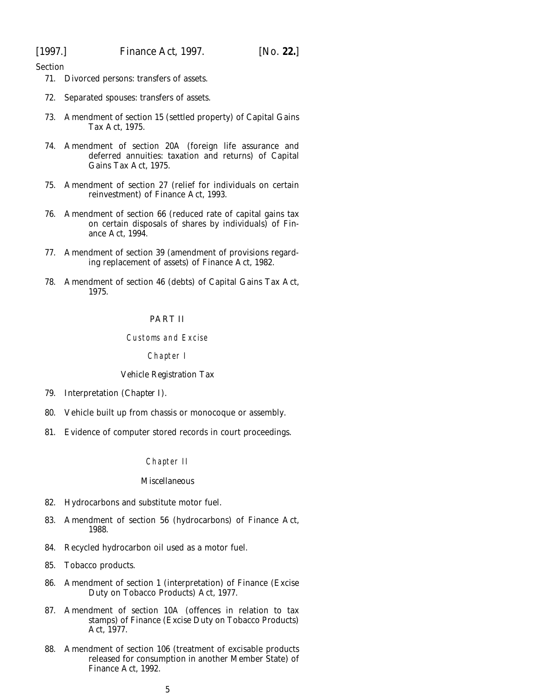- [71. Divorced persons: transfers of assets.](#page-92-0)
- [72. Separated spouses: transfers of assets.](#page-93-0)
- [73. Amendment of section 15 \(settled property\) of Capital Gains](#page-94-0) Tax Act, 1975.
- [74. Amendment of section 20A \(foreign life assurance and](#page-94-0) deferred annuities: taxation and returns) of Capital Gains Tax Act, 1975.
- [75. Amendment of section 27 \(relief for individuals on certain](#page-95-0) reinvestment) of Finance Act, 1993.
- [76. Amendment of section 66 \(reduced rate of capital gains tax](#page-96-0) on certain disposals of shares by individuals) of Finance Act, 1994.
- [77. Amendment of section 39 \(amendment of provisions regard](#page-96-0)ing replacement of assets) of Finance Act, 1982.
- [78. Amendment of section 46 \(debts\) of Capital Gains Tax Act,](#page-97-0) 1975.

### PART II

#### Customs and Excise

#### Chapter I

#### *Vehicle Registration Tax*

- [79. Interpretation \(](#page-97-0)*Chapter I*).
- [80. Vehicle built up from chassis or monocoque or assembly.](#page-97-0)
- [81. Evidence of computer stored records in court proceedings.](#page-98-0)

#### Chapter II

# *Miscellaneous*

- [82. Hydrocarbons and substitute motor fuel.](#page-99-0)
- [83. Amendment of section 56 \(hydrocarbons\) of Finance Act,](#page-100-0) 1988.
- [84. Recycled hydrocarbon oil used as a motor fuel.](#page-101-0)
- [85. Tobacco products.](#page-101-0)
- [86. Amendment of section 1 \(interpretation\) of Finance \(Excise](#page-101-0) Duty on Tobacco Products) Act, 1977.
- [87. Amendment of section 10A \(offences in relation to tax](#page-103-0) stamps) of Finance (Excise Duty on Tobacco Products) Act, 1977.
- [88. Amendment of section 106 \(treatment of excisable products](#page-104-0) released for consumption in another Member State) of Finance Act, 1992.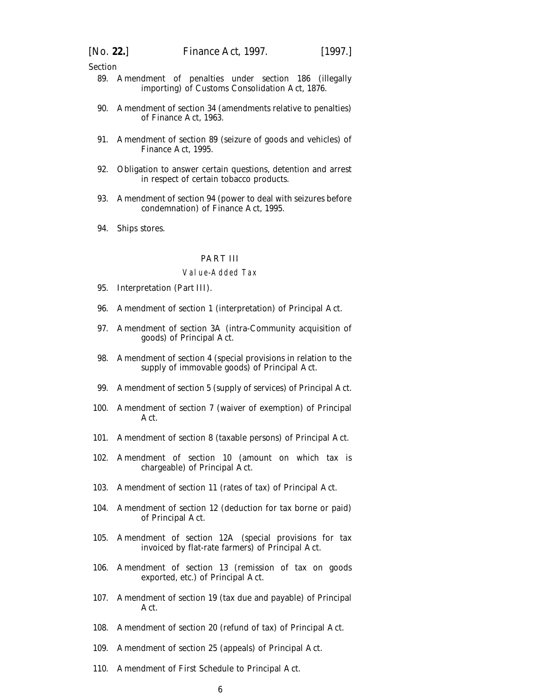- [89. Amendment of penalties under section 186 \(illegally](#page-104-0) importing) of Customs Consolidation Act, 1876.
- [90. Amendment of section 34 \(amendments relative to penalties\)](#page-104-0) of Finance Act, 1963.
- [91. Amendment of section 89 \(seizure of goods and vehicles\) of](#page-105-0) Finance Act, 1995.
- [92. Obligation to answer certain questions, detention and arrest](#page-105-0) in respect of certain tobacco products.
- [93. Amendment of section 94 \(power to deal with seizures before](#page-106-0) condemnation) of Finance Act, 1995.
- [94. Ships stores.](#page-106-0)

#### PART III

#### Value-Added Tax

- [95. Interpretation \(](#page-106-0)*Part III*).
- [96. Amendment of section 1 \(interpretation\) of Principal Act.](#page-106-0)
- [97. Amendment of section 3A \(intra-Community acquisition of](#page-107-0) goods) of Principal Act.
- [98. Amendment of section 4 \(special provisions in relation to the](#page-107-0) supply of immovable goods) of Principal Act.
- [99. Amendment of section 5 \(supply of services\) of Principal Act.](#page-110-0)
- [100. Amendment of section 7 \(waiver of exemption\) of Principal](#page-110-0) Act.
- [101. Amendment of section 8 \(taxable persons\) of Principal Act.](#page-111-0)
- [102. Amendment of section 10 \(amount on which tax is](#page-111-0) chargeable) of Principal Act.
- [103. Amendment of section 11 \(rates of tax\) of Principal Act.](#page-113-0)
- [104. Amendment of section 12 \(deduction for tax borne or paid\)](#page-113-0) of Principal Act.
- [105. Amendment of section 12A \(special provisions for tax](#page-114-0) invoiced by flat-rate farmers) of Principal Act.
- [106. Amendment of section 13 \(remission of tax on goods](#page-114-0) exported, etc.) of Principal Act.
- [107. Amendment of section 19 \(tax due and payable\) of Principal](#page-116-0) Act.
- [108. Amendment of section 20 \(refund of tax\) of Principal Act.](#page-116-0)
- [109. Amendment of section 25 \(appeals\) of Principal Act.](#page-116-0)
- [110. Amendment of First Schedule to Principal Act.](#page-116-0)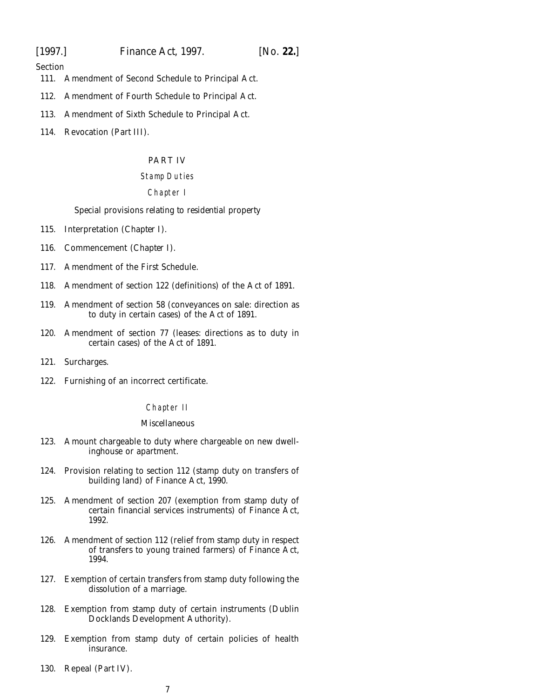[1997.] *Finance Act,* 1997. [*No.* **22.**]

Section

- [111. Amendment of Second Schedule to Principal Act.](#page-116-0)
- [112. Amendment of Fourth Schedule to Principal Act.](#page-117-0)
- [113. Amendment of Sixth Schedule to Principal Act.](#page-117-0)
- [114. Revocation \(](#page-117-0)*Part III*).

# PART IV

# Stamp Duties

# Chapter I

# *Special provisions relating to residential property*

- [115. Interpretation \(](#page-118-0)*Chapter I*).
- [116. Commencement \(](#page-118-0)*Chapter I*).
- [117. Amendment of the First Schedule.](#page-118-0)
- [118. Amendment of section 122 \(definitions\) of the Act of 1891.](#page-118-0)
- [119. Amendment of section 58 \(conveyances on sale: direction as](#page-119-0) to duty in certain cases) of the Act of 1891.
- [120. Amendment of section 77 \(leases: directions as to duty in](#page-120-0) certain cases) of the Act of 1891.
- [121. Surcharges.](#page-120-0)
- [122. Furnishing of an incorrect certificate.](#page-122-0)

# Chapter II

#### *Miscellaneous*

- [123. Amount chargeable to duty where chargeable on new dwell](#page-122-0)inghouse or apartment.
- [124. Provision relating to section 112 \(stamp duty on transfers of](#page-122-0) building land) of Finance Act, 1990.
- [125. Amendment of section 207 \(exemption from stamp duty of](#page-122-0) certain financial services instruments) of Finance Act, 1992.
- [126. Amendment of section 112 \(relief from stamp duty in respect](#page-123-0) of transfers to young trained farmers) of Finance Act, 1994.
- [127. Exemption of certain transfers from stamp duty following the](#page-123-0) dissolution of a marriage.
- [128. Exemption from stamp duty of certain instruments \(Dublin](#page-123-0) Docklands Development Authority).
- [129. Exemption from stamp duty of certain policies of health](#page-123-0) insurance.
- [130. Repeal \(](#page-123-0)*Part IV*).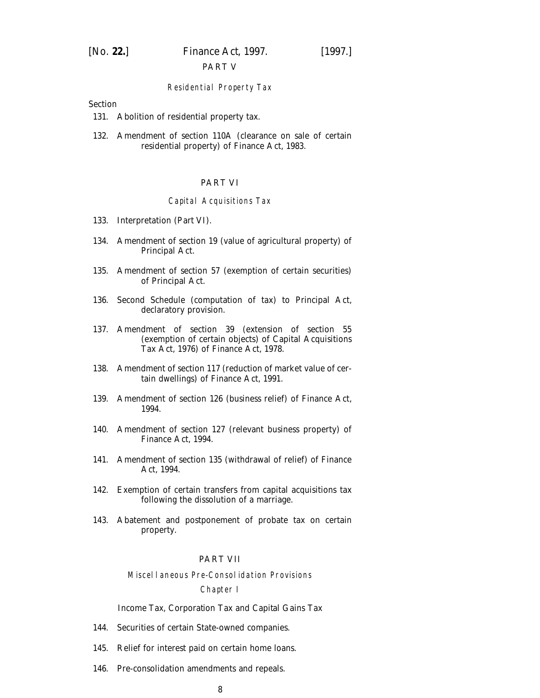# PART V

#### Residential Property Tax

# Section

- [131. Abolition of residential property tax.](#page-124-0)
- [132. Amendment of section 110A \(clearance on sale of certain](#page-124-0) residential property) of Finance Act, 1983.

# PART VI

#### Capital Acquisitions Tax

- [133. Interpretation \(](#page-124-0)*Part VI*).
- [134. Amendment of section 19 \(value of agricultural property\) of](#page-124-0) Principal Act.
- [135. Amendment of section 57 \(exemption of certain securities\)](#page-124-0) of Principal Act.
- [136. Second Schedule \(computation of tax\) to Principal Act,](#page-124-0) declaratory provision.
- [137. Amendment of section 39 \(extension of section 55](#page-125-0) (exemption of certain objects) of Capital Acquisitions Tax Act, 1976) of Finance Act, 1978.
- [138. Amendment of section 117 \(reduction of market value of cer](#page-126-0)tain dwellings) of Finance Act, 1991.
- [139. Amendment of section 126 \(business relief\) of Finance Act,](#page-126-0) 1994.
- [140. Amendment of section 127 \(relevant business property\) of](#page-126-0) Finance Act, 1994.
- [141. Amendment of section 135 \(withdrawal of relief\) of Finance](#page-127-0) Act, 1994.
- [142. Exemption of certain transfers from capital acquisitions tax](#page-127-0) following the dissolution of a marriage.
- [143. Abatement and postponement of probate tax on certain](#page-128-0) property.

# PART VII

#### Miscellaneous Pre-Consolidation Provisions

#### Chapter I

#### *Income Tax, Corporation Tax and Capital Gains Tax*

- [144. Securities of certain State-owned companies.](#page-128-0)
- [145. Relief for interest paid on certain home loans.](#page-129-0)
- [146. Pre-consolidation amendments and repeals.](#page-133-0)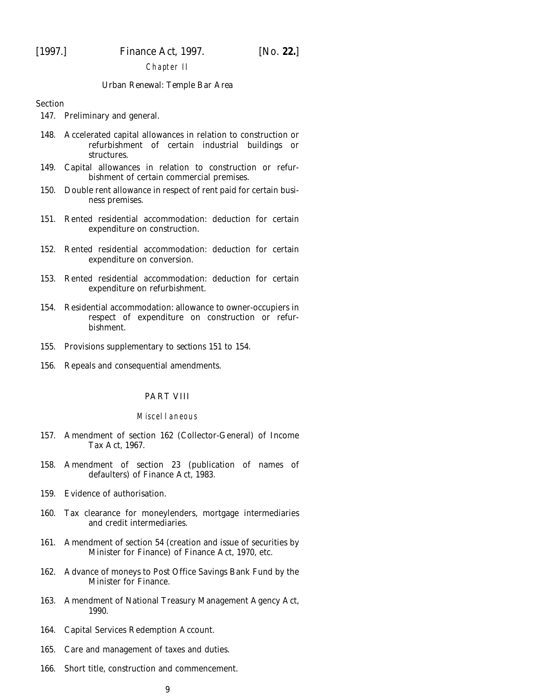#### Chapter II

#### *Urban Renewal: Temple Bar Area*

Section

- [147. Preliminary and general.](#page-134-0)
- [148. Accelerated capital allowances in relation to construction or](#page-134-0) refurbishment of certain industrial buildings or structures.
- [149. Capital allowances in relation to construction or refur](#page-136-0)bishment of certain commercial premises.
- [150. Double rent allowance in respect of rent paid for certain busi](#page-139-0)ness premises.
- [151. Rented residential accommodation: deduction for certain](#page-142-0) expenditure on construction.
- [152. Rented residential accommodation: deduction for certain](#page-145-0) expenditure on conversion.
- [153. Rented residential accommodation: deduction for certain](#page-149-0) expenditure on refurbishment.
- [154. Residential accommodation: allowance to owner-occupiers in](#page-153-0) respect of expenditure on construction or refurbishment.
- [155. Provisions supplementary to](#page-155-0) *sections 151* to *154*.
- [156. Repeals and consequential amendments.](#page-158-0)

#### PART VIII

#### Miscellaneous

- [157. Amendment of section 162 \(Collector-General\) of Income](#page-158-0) Tax Act, 1967.
- [158. Amendment of section 23 \(publication of names of](#page-158-0) defaulters) of Finance Act, 1983.
- [159. Evidence of authorisation.](#page-159-0)
- [160. Tax clearance for moneylenders, mortgage intermediaries](#page-160-0) and credit intermediaries.
- [161. Amendment of section 54 \(creation and issue of securities by](#page-167-0) Minister for Finance) of Finance Act, 1970, etc.
- [162. Advance of moneys to Post Office Savings Bank Fund by the](#page-167-0) Minister for Finance.
- [163. Amendment of National Treasury Management Agency Act,](#page-167-0) 1990.
- [164. Capital Services Redemption Account.](#page-168-0)
- [165. Care and management of taxes and duties.](#page-169-0)
- [166. Short title, construction and commencement.](#page-169-0)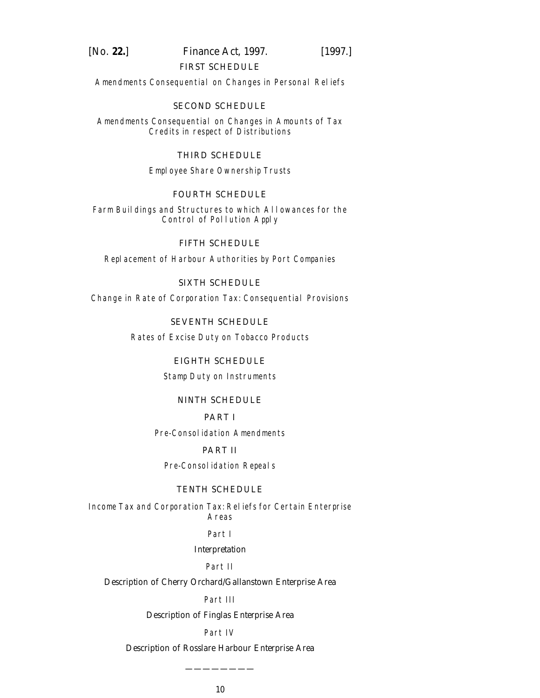# [*No.* **22.**] *Finance Act,* 1997. [1997.]

# [FIRST SCHEDULE](#page-171-0)

Amendments Consequential on Changes in Personal Reliefs

# [SECOND SCHEDULE](#page-172-0)

Amendments Consequential on Changes in Amounts of Tax Credits in respect of Distributions

# [THIRD SCHEDULE](#page-173-0)

Employee Share Ownership Trusts

# [FOURTH SCHEDULE](#page-184-0)

Farm Buildings and Structures to which Allowances for the Control of Pollution Apply

[FIFTH SCHEDULE](#page-185-0) Replacement of Harbour Authorities by Port Companies

[SIXTH SCHEDULE](#page-187-0)

Change in Rate of Corporation Tax: Consequential Provisions

[SEVENTH SCHEDULE](#page-189-0) Rates of Excise Duty on Tobacco Products

# [EIGHTH SCHEDULE](#page-190-0)

Stamp Duty on Instruments

# [NINTH SCHEDULE](#page-198-0)

# PART I

Pre-Consolidation Amendments

# PART II

Pre-Consolidation Repeals

# [TENTH SCHEDULE](#page-216-0)

Income Tax and Corporation Tax: Reliefs for Certain Enterprise Areas

Part I

# *Interpretation*

# Part II

*Description of Cherry Orchard/Gallanstown Enterprise Area*

## Part III

*Description of Finglas Enterprise Area*

# Part IV

*Description of Rosslare Harbour Enterprise Area*

————————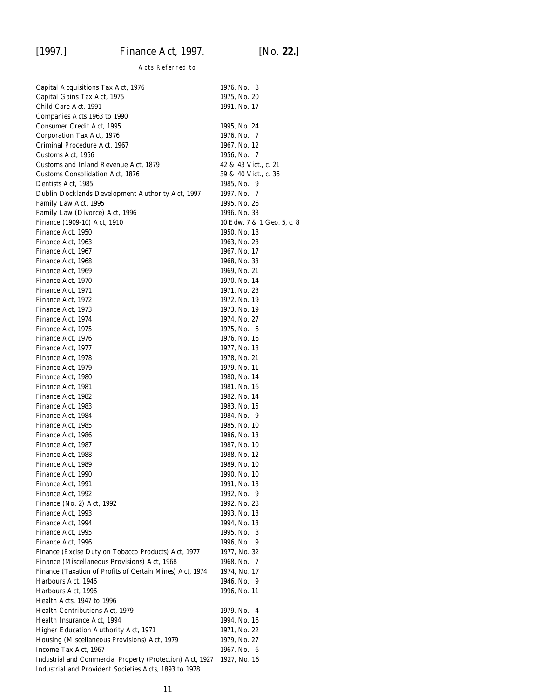# Acts Referred to

| Capital Acquisitions Tax Act, 1976                        | 1976, No. 8                |
|-----------------------------------------------------------|----------------------------|
| Capital Gains Tax Act, 1975                               | 1975, No. 20               |
| Child Care Act, 1991                                      | 1991, No. 17               |
| Companies Acts 1963 to 1990                               |                            |
| Consumer Credit Act, 1995                                 | 1995, No. 24               |
| Corporation Tax Act, 1976                                 | 1976, No. 7                |
| Criminal Procedure Act, 1967                              | 1967, No. 12               |
| Customs Act, 1956                                         | 1956, No. 7                |
| Customs and Inland Revenue Act, 1879                      | 42 & 43 Vict., c. 21       |
| <b>Customs Consolidation Act, 1876</b>                    | 39 & 40 Vict., c. 36       |
| Dentists Act, 1985                                        | 1985, No. 9                |
| Dublin Docklands Development Authority Act, 1997          | 1997, No. 7                |
| Family Law Act, 1995                                      | 1995, No. 26               |
| Family Law (Divorce) Act, 1996                            | 1996, No. 33               |
|                                                           |                            |
| Finance (1909-10) Act, 1910                               | 10 Edw. 7 & 1 Geo. 5, c. 8 |
| Finance Act, 1950                                         | 1950, No. 18               |
| Finance Act, 1963                                         | 1963, No. 23               |
| Finance Act, 1967                                         | 1967, No. 17               |
| Finance Act, 1968                                         | 1968, No. 33               |
| Finance Act, 1969                                         | 1969, No. 21               |
| Finance Act, 1970                                         | 1970, No. 14               |
| Finance Act, 1971                                         | 1971, No. 23               |
| Finance Act, 1972                                         | 1972, No. 19               |
| Finance Act, 1973                                         | 1973, No. 19               |
| Finance Act, 1974                                         | 1974, No. 27               |
| Finance Act, 1975                                         | 1975, No. 6                |
| Finance Act, 1976                                         | 1976, No. 16               |
| Finance Act, 1977                                         | 1977, No. 18               |
| Finance Act, 1978                                         | 1978, No. 21               |
| Finance Act, 1979                                         | 1979, No. 11               |
| Finance Act, 1980                                         | 1980, No. 14               |
| Finance Act, 1981                                         | 1981, No. 16               |
|                                                           |                            |
| Finance Act, 1982                                         | 1982, No. 14               |
| Finance Act, 1983                                         | 1983, No. 15               |
| Finance Act, 1984                                         | 1984, No. 9                |
| Finance Act, 1985                                         | 1985, No. 10               |
| Finance Act, 1986                                         | 1986, No. 13               |
| Finance Act, 1987                                         | 1987, No. 10               |
| Finance Act, 1988                                         | 1988, No. 12               |
| Finance Act, 1989                                         | 1989, No. 10               |
| Finance Act, 1990                                         | 1990. No. 10               |
| Finance Act, 1991                                         | 1991, No. 13               |
| Finance Act, 1992                                         | 1992, No. 9                |
| Finance (No. 2) Act, 1992                                 | 1992, No. 28               |
| Finance Act, 1993                                         | 1993, No. 13               |
| Finance Act, 1994                                         | 1994, No. 13               |
| Finance Act, 1995                                         | 1995, No. 8                |
| Finance Act, 1996                                         | 1996, No. 9                |
| Finance (Excise Duty on Tobacco Products) Act, 1977       | 1977, No. 32               |
| Finance (Miscellaneous Provisions) Act, 1968              | 1968, No. 7                |
| Finance (Taxation of Profits of Certain Mines) Act, 1974  | 1974, No. 17               |
|                                                           |                            |
| Harbours Act, 1946                                        | 1946, No. 9                |
| Harbours Act, 1996                                        | 1996, No. 11               |
| Health Acts, 1947 to 1996                                 |                            |
| Health Contributions Act, 1979                            | 1979, No. 4                |
| Health Insurance Act, 1994                                | 1994, No. 16               |
| Higher Education Authority Act, 1971                      | 1971, No. 22               |
| Housing (Miscellaneous Provisions) Act, 1979              | 1979, No. 27               |
| Income Tax Act, 1967                                      | 1967, No. 6                |
| Industrial and Commercial Property (Protection) Act, 1927 | 1927, No. 16               |
| Industrial and Provident Societies Acts, 1893 to 1978     |                            |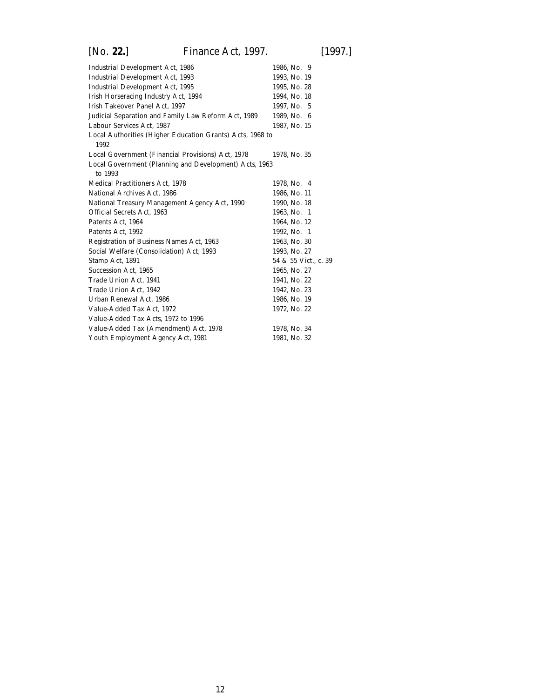| <b>Industrial Development Act, 1986</b>                           | 1986, No. 9          |
|-------------------------------------------------------------------|----------------------|
| Industrial Development Act, 1993                                  | 1993, No. 19         |
| <b>Industrial Development Act, 1995</b>                           | 1995, No. 28         |
| Irish Horseracing Industry Act, 1994                              | 1994, No. 18         |
| Irish Takeover Panel Act, 1997                                    | 1997, No. 5          |
| Judicial Separation and Family Law Reform Act, 1989               | 1989, No. 6          |
| Labour Services Act, 1987                                         | 1987, No. 15         |
| Local Authorities (Higher Education Grants) Acts, 1968 to<br>1992 |                      |
| Local Government (Financial Provisions) Act, 1978                 | 1978, No. 35         |
| Local Government (Planning and Development) Acts, 1963            |                      |
| to 1993                                                           |                      |
| <b>Medical Practitioners Act, 1978</b>                            | 1978, No. 4          |
| National Archives Act, 1986                                       | 1986, No. 11         |
| National Treasury Management Agency Act, 1990                     | 1990, No. 18         |
| Official Secrets Act, 1963                                        | 1963, No. 1          |
| Patents Act, 1964                                                 | 1964, No. 12         |
| Patents Act, 1992                                                 | 1992, No. 1          |
| Registration of Business Names Act, 1963                          | 1963, No. 30         |
| Social Welfare (Consolidation) Act, 1993                          | 1993, No. 27         |
| Stamp Act, 1891                                                   | 54 & 55 Vict., c. 39 |
| <b>Succession Act, 1965</b>                                       | 1965, No. 27         |
| Trade Union Act, 1941                                             | 1941, No. 22         |
| Trade Union Act, 1942                                             | 1942, No. 23         |
| Urban Renewal Act, 1986                                           | 1986, No. 19         |
| Value-Added Tax Act, 1972                                         | 1972, No. 22         |
| Value-Added Tax Acts, 1972 to 1996                                |                      |
| Value-Added Tax (Amendment) Act, 1978                             | 1978, No. 34         |
| Youth Employment Agency Act, 1981                                 | 1981, No. 32         |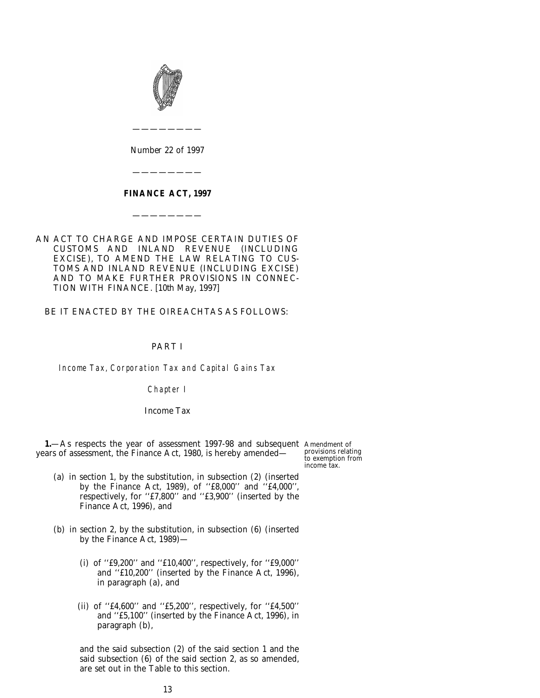<span id="page-12-0"></span>

*Number* 22 *of* 1997

————————

————————

# **FINANCE ACT, 1997**

————————

# AN ACT TO CHARGE AND IMPOSE CERTAIN DUTIES OF CUSTOMS AND INLAND REVENUE (INCLUDING EXCISE), TO AMEND THE LAW RELATING TO CUS-TOMS AND INLAND REVENUE (INCLUDING EXCISE) AND TO MAKE FURTHER PROVISIONS IN CONNEC-TION WITH FINANCE. [10*th May,* 1997]

BE IT ENACTED BY THE OIREACHTAS AS FOLLOWS:

# PART I

Income Tax, Corporation Tax and Capital Gains Tax

# Chapter I

#### *Income Tax*

**1.**—As respects the year of assessment 1997-98 and subsequent Amendment of years of assessment, the Finance Act, 1980, is hereby amended—

provisions relating to exemption from income tax.

- (*a*) in section 1, by the substitution, in subsection (2) (inserted by the Finance Act, 1989), of ''£8,000'' and ''£4,000'', respectively, for ''£7,800'' and ''£3,900'' (inserted by the Finance Act, 1996), and
- (*b*) in section 2, by the substitution, in subsection (6) (inserted by the Finance Act, 1989)—
	- (i) of ''£9,200'' and ''£10,400'', respectively, for ''£9,000'' and ''£10,200'' (inserted by the Finance Act, 1996), in paragraph (*a*), and
	- (ii) of ''£4,600'' and ''£5,200'', respectively, for ''£4,500'' and ''£5,100'' (inserted by the Finance Act, 1996), in paragraph (*b*),

and the said subsection (2) of the said section 1 and the said subsection (6) of the said section 2, as so amended, are set out in the Table to this section.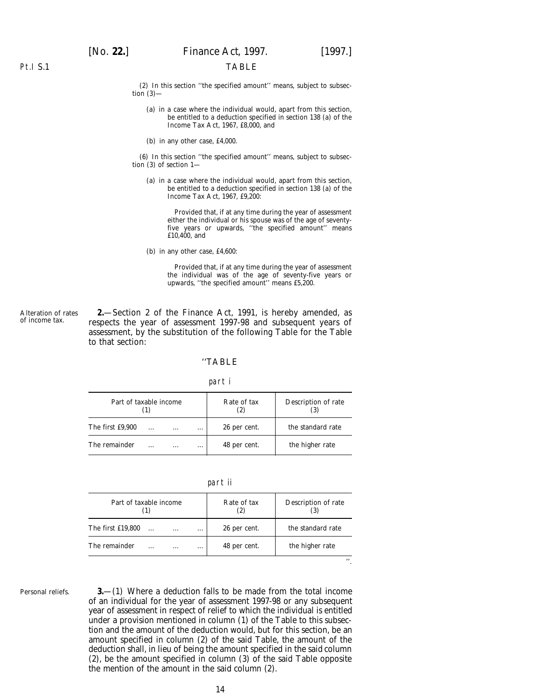#### TABLE

(2) In this section ''the specified amount'' means, subject to subsection  $(3)$ —

- (*a*) in a case where the individual would, apart from this section, be entitled to a deduction specified in section 138 (*a*) of the Income Tax Act, 1967, £8,000, and
- (*b*) in any other case, £4,000.

(6) In this section ''the specified amount'' means, subject to subsection (3) of section 1—

(*a*) in a case where the individual would, apart from this section, be entitled to a deduction specified in section 138 (*a*) of the Income Tax Act, 1967, £9,200:

Provided that, if at any time during the year of assessment either the individual or his spouse was of the age of seventyfive years or upwards, ''the specified amount'' means £10,400, and

(*b*) in any other case, £4,600:

Provided that, if at any time during the year of assessment the individual was of the age of seventy-five years or upwards, ''the specified amount'' means £5,200.

**2.**—Section 2 of the Finance Act, 1991, is hereby amended, as respects the year of assessment 1997-98 and subsequent years of assessment, by the substitution of the following Table for the Table to that section:

#### ''TABLE

#### part i

| Part of taxable income |           |          |          | Rate of tax  | Description of rate |
|------------------------|-----------|----------|----------|--------------|---------------------|
| The first £9,900       | $\ddotsc$ | $\cdots$ | $\cdots$ | 26 per cent. | the standard rate   |
| The remainder          |           | .        | $\cdots$ | 48 per cent. | the higher rate     |

part ii

| Part of taxable income |           |          |          | Rate of tax  | Description of rate |
|------------------------|-----------|----------|----------|--------------|---------------------|
| The first £19,800      | $\ddotsc$ | $\cdots$ | $\cdots$ | 26 per cent. | the standard rate   |
| The remainder          |           |          | $\cdots$ | 48 per cent. | the higher rate     |
|                        |           |          |          |              |                     |

Personal reliefs.

Alteration of rates of income tax.

> **3.**—(1) Where a deduction falls to be made from the total income of an individual for the year of assessment 1997-98 or any subsequent year of assessment in respect of relief to which the individual is entitled under a provision mentioned in *column (1)* of the Table to this subsection and the amount of the deduction would, but for this section, be an amount specified in *column (2)* of the said Table, the amount of the deduction shall, in lieu of being the amount specified in the said *column (2)*, be the amount specified in *column (3)* of the said Table opposite the mention of the amount in the said *column (2).*

<span id="page-13-0"></span>Pt.I S.1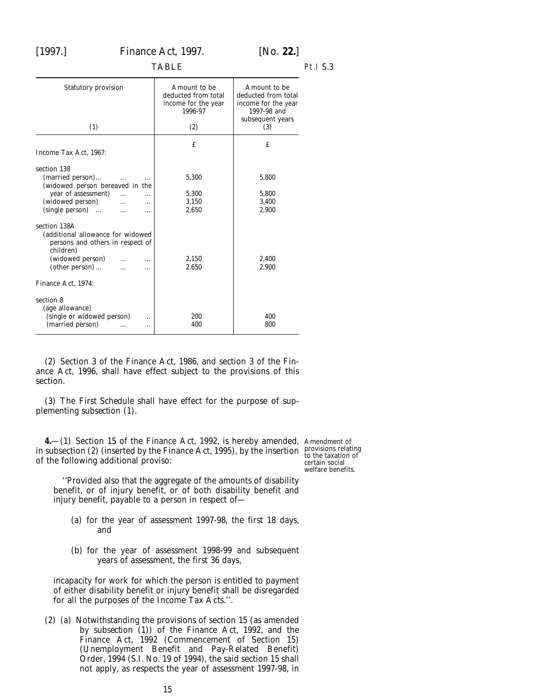<span id="page-14-0"></span>

Pt.I S.3

| <b>Statutory provision</b>                                                                                                                                                                         | Amount to be<br>deducted from total<br>income for the year<br>1996-97 | Amount to be<br>deducted from total<br>income for the year<br>1997-98 and<br>subsequent years |
|----------------------------------------------------------------------------------------------------------------------------------------------------------------------------------------------------|-----------------------------------------------------------------------|-----------------------------------------------------------------------------------------------|
| (1)                                                                                                                                                                                                | (2)                                                                   | (3)                                                                                           |
| Income Tax Act. 1967:                                                                                                                                                                              | £                                                                     | £                                                                                             |
| section 138<br>(married person)<br>(widowed person bereaved in the<br>year of assessment)<br>$\cdots$<br>(widowed person)<br>$\cdots$<br>.<br>(single person)<br>.                                 | 5,300<br>5,300<br>3,150<br>2,650                                      | 5,800<br>5,800<br>3,400<br>2,900                                                              |
| section 138A<br>(additional allowance for widowed<br>persons and others in respect of<br>children)<br>(widowed person)<br>$\cdots$<br>$\left( \text{other person} \right) \dots$<br>$\ddotsc$<br>. | 2,150<br>2,650                                                        | 2,400<br>2,900                                                                                |
| Finance Act, 1974:                                                                                                                                                                                 |                                                                       |                                                                                               |
| section 8<br>(age allowance)<br>(single or widowed person)<br>.<br>(married person)<br>.                                                                                                           | 200<br>400                                                            | 400<br>800                                                                                    |

(2) Section 3 of the Finance Act, 1986, and section 3 of the Finance Act, 1996, shall have effect subject to the provisions of this section.

(3) The *First Schedule* shall have effect for the purpose of supplementing *subsection (1).*

**4.**—(1) Section 15 of the Finance Act, 1992, is hereby amended, Amendment of in subsection (2) (inserted by the Finance Act, 1995), by the insertion provisions relating to the taxation of of the following additional proviso:

certain social welfare benefits.

''Provided also that the aggregate of the amounts of disability benefit, or of injury benefit, or of both disability benefit and injury benefit, payable to a person in respect of—

- (*a*) for the year of assessment 1997-98, the first 18 days, and
- (*b*) for the year of assessment 1998-99 and subsequent years of assessment, the first 36 days,

incapacity for work for which the person is entitled to payment of either disability benefit or injury benefit shall be disregarded for all the purposes of the Income Tax Acts.''.

(2) (*a*) Notwithstanding the provisions of section 15 (as amended by *subsection (1)*) of the Finance Act, 1992, and the Finance Act, 1992 (Commencement of Section 15) (Unemployment Benefit and Pay-Related Benefit) Order, 1994 (S.I. No. 19 of 1994), the said section 15 shall not apply, as respects the year of assessment 1997-98, in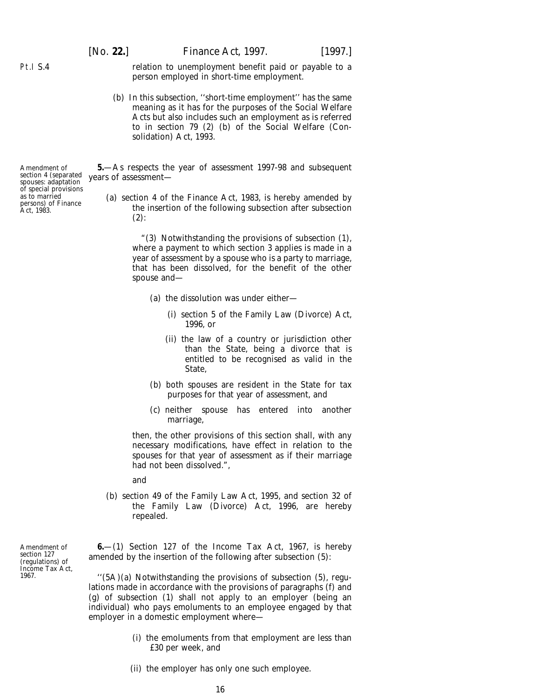relation to unemployment benefit paid or payable to a person employed in short-time employment.

(*b*) In this subsection, ''short-time employment'' has the same meaning as it has for the purposes of the Social Welfare Acts but also includes such an employment as is referred to in section 79 (2) (*b*) of the Social Welfare (Consolidation) Act, 1993.

**5.**—As respects the year of assessment 1997-98 and subsequent years of assessment—

(*a*) section 4 of the Finance Act, 1983, is hereby amended by the insertion of the following subsection after subsection  $(2)$ :

> "(3) Notwithstanding the provisions of subsection (1), where a payment to which section 3 applies is made in a year of assessment by a spouse who is a party to marriage, that has been dissolved, for the benefit of the other spouse and—

- (*a*) the dissolution was under either—
	- (i) section 5 of the Family Law (Divorce) Act, 1996, or
	- (ii) the law of a country or jurisdiction other than the State, being a divorce that is entitled to be recognised as valid in the State,
- (*b*) both spouses are resident in the State for tax purposes for that year of assessment, and
- (*c*) neither spouse has entered into another marriage,

then, the other provisions of this section shall, with any necessary modifications, have effect in relation to the spouses for that year of assessment as if their marriage had not been dissolved.",

and

(*b*) section 49 of the Family Law Act, 1995, and section 32 of the Family Law (Divorce) Act, 1996, are hereby repealed.

**6.**—(1) Section 127 of the Income Tax Act, 1967, is hereby amended by the insertion of the following after subsection (5):

''(5A)(*a*) Notwithstanding the provisions of subsection (5), regulations made in accordance with the provisions of paragraphs (*f*) and (*g*) of subsection (1) shall not apply to an employer (being an individual) who pays emoluments to an employee engaged by that employer in a domestic employment where—

- (i) the emoluments from that employment are less than £30 per week, and
- (ii) the employer has only one such employee.

Amendment of section 4 (separated spouses: adaptation of special provisions as to married persons) of Finance Act, 1983.

<span id="page-15-0"></span>Pt.I S.4

Amendment of section 127 (regulations) of Income Tax Act, 1967.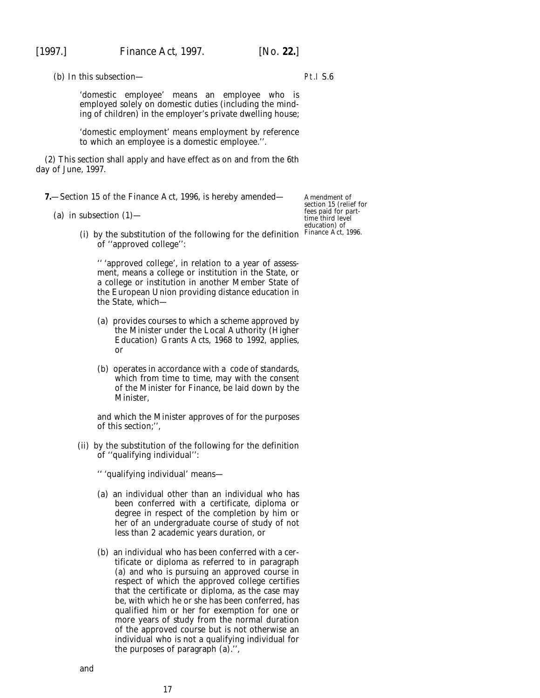<span id="page-16-0"></span>

Pt.I S.6

(*b*) In this subsection—

'domestic employee' means an employee who is employed solely on domestic duties (including the minding of children) in the employer's private dwelling house;

'domestic employment' means employment by reference to which an employee is a domestic employee.''.

(2) This section shall apply and have effect as on and from the 6th day of June, 1997.

**7.**—Section 15 of the Finance Act, 1996, is hereby amended—

(*a*) in subsection  $(1)$ —

(i) by the substitution of the following for the definition of ''approved college'':

'' 'approved college', in relation to a year of assessment, means a college or institution in the State, or a college or institution in another Member State of the European Union providing distance education in the State, which—

- (*a*) provides courses to which a scheme approved by the Minister under the Local Authority (Higher Education) Grants Acts, 1968 to 1992, applies, or
- (*b*) operates in accordance with a code of standards, which from time to time, may with the consent of the Minister for Finance, be laid down by the Minister,

and which the Minister approves of for the purposes of this section;'',

(ii) by the substitution of the following for the definition of ''qualifying individual'':

'' 'qualifying individual' means—

- (*a*) an individual other than an individual who has been conferred with a certificate, diploma or degree in respect of the completion by him or her of an undergraduate course of study of not less than 2 academic years duration, or
- (*b*) an individual who has been conferred with a certificate or diploma as referred to in paragraph (*a*) and who is pursuing an approved course in respect of which the approved college certifies that the certificate or diploma, as the case may be, with which he or she has been conferred, has qualified him or her for exemption for one or more years of study from the normal duration of the approved course but is not otherwise an individual who is not a qualifying individual for the purposes of paragraph (*a*).'',

Amendment of section 15 (relief for fees paid for parttime third level education) of Finance Act, 1996.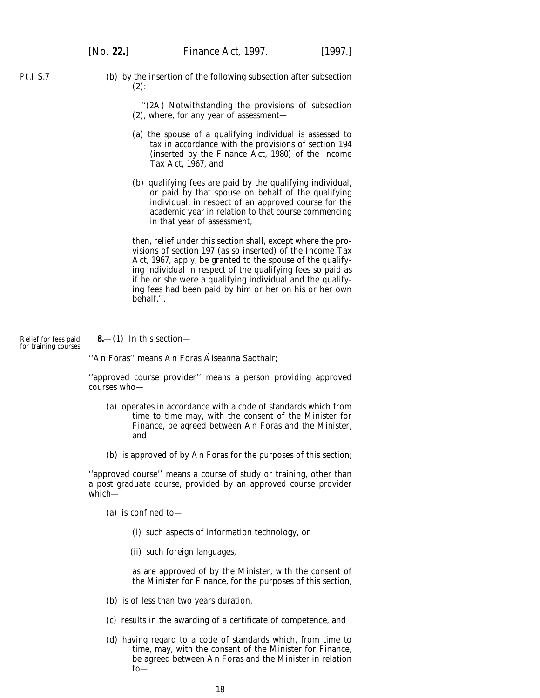<span id="page-17-0"></span>Pt.I S.7

(*b*) by the insertion of the following subsection after subsection  $(2)$ :

> ''(2A) Notwithstanding the provisions of subsection (2), where, for any year of assessment—

- (*a*) the spouse of a qualifying individual is assessed to tax in accordance with the provisions of section 194 (inserted by the Finance Act, 1980) of the Income Tax Act, 1967, and
- (*b*) qualifying fees are paid by the qualifying individual, or paid by that spouse on behalf of the qualifying individual, in respect of an approved course for the academic year in relation to that course commencing in that year of assessment,

then, relief under this section shall, except where the provisions of section 197 (as so inserted) of the Income Tax Act, 1967, apply, be granted to the spouse of the qualifying individual in respect of the qualifying fees so paid as if he or she were a qualifying individual and the qualifying fees had been paid by him or her on his or her own behalf.''.

Relief for fees paid for training courses. **8.**—(1) In this section—

"An Foras" means An Foras Áiseanna Saothair;

''approved course provider'' means a person providing approved courses who—

- (*a*) operates in accordance with a code of standards which from time to time may, with the consent of the Minister for Finance, be agreed between An Foras and the Minister, and
- (*b*) is approved of by An Foras for the purposes of this section;

''approved course'' means a course of study or training, other than a post graduate course, provided by an approved course provider which—

- (*a*) is confined to—
	- (i) such aspects of information technology, or
	- (ii) such foreign languages,

as are approved of by the Minister, with the consent of the Minister for Finance, for the purposes of this section,

- (*b*) is of less than two years duration,
- (*c*) results in the awarding of a certificate of competence, and
- (*d*) having regard to a code of standards which, from time to time, may, with the consent of the Minister for Finance, be agreed between An Foras and the Minister in relation to—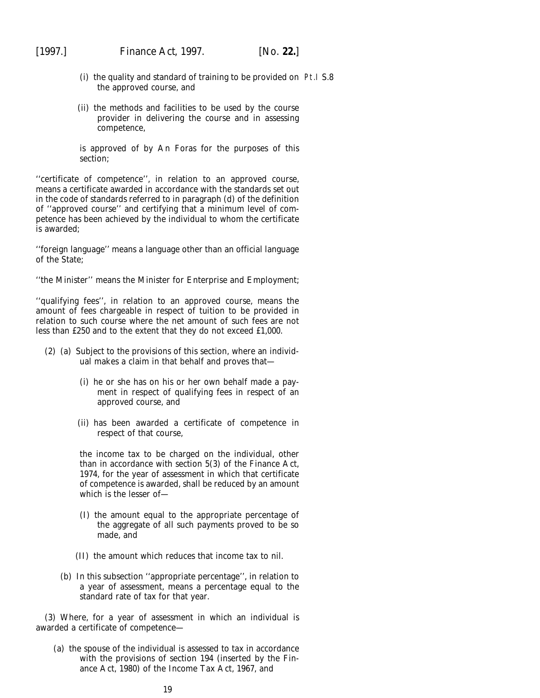- (i) the quality and standard of training to be provided on Pt.I S.8the approved course, and
- (ii) the methods and facilities to be used by the course provider in delivering the course and in assessing competence,

is approved of by An Foras for the purposes of this section;

''certificate of competence'', in relation to an approved course, means a certificate awarded in accordance with the standards set out in the code of standards referred to in *paragraph (d)* of the definition of ''approved course'' and certifying that a minimum level of competence has been achieved by the individual to whom the certificate is awarded;

''foreign language'' means a language other than an official language of the State;

''the Minister'' means the Minister for Enterprise and Employment;

''qualifying fees'', in relation to an approved course, means the amount of fees chargeable in respect of tuition to be provided in relation to such course where the net amount of such fees are not less than £250 and to the extent that they do not exceed £1,000.

- (2) (*a*) Subject to the provisions of this section, where an individual makes a claim in that behalf and proves that—
	- (i) he or she has on his or her own behalf made a payment in respect of qualifying fees in respect of an approved course, and
	- (ii) has been awarded a certificate of competence in respect of that course,

the income tax to be charged on the individual, other than in accordance with section 5(3) of the Finance Act, 1974, for the year of assessment in which that certificate of competence is awarded, shall be reduced by an amount which is the lesser of—

- (I) the amount equal to the appropriate percentage of the aggregate of all such payments proved to be so made, and
- (II) the amount which reduces that income tax to nil.
- (*b*) In this subsection ''appropriate percentage'', in relation to a year of assessment, means a percentage equal to the standard rate of tax for that year.

(3) Where, for a year of assessment in which an individual is awarded a certificate of competence—

(*a*) the spouse of the individual is assessed to tax in accordance with the provisions of section 194 (inserted by the Finance Act, 1980) of the Income Tax Act, 1967, and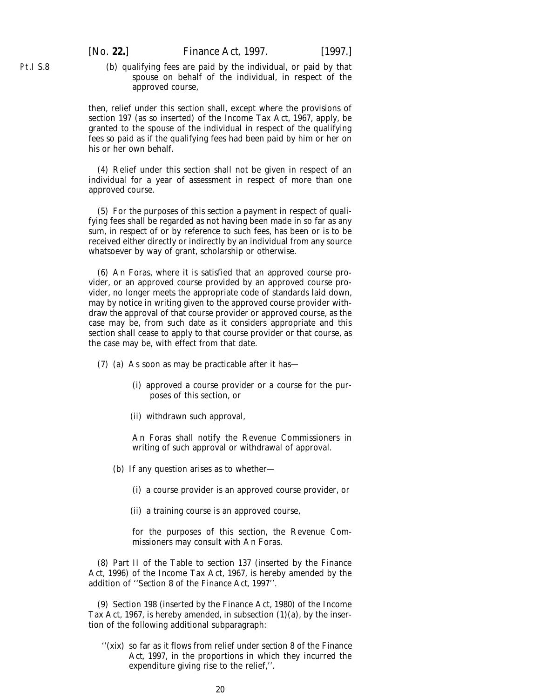(*b*) qualifying fees are paid by the individual, or paid by that spouse on behalf of the individual, in respect of the approved course,

then, relief under this section shall, except where the provisions of section 197 (as so inserted) of the Income Tax Act, 1967, apply, be granted to the spouse of the individual in respect of the qualifying fees so paid as if the qualifying fees had been paid by him or her on his or her own behalf.

(4) Relief under this section shall not be given in respect of an individual for a year of assessment in respect of more than one approved course.

(5) For the purposes of this section a payment in respect of qualifying fees shall be regarded as not having been made in so far as any sum, in respect of or by reference to such fees, has been or is to be received either directly or indirectly by an individual from any source whatsoever by way of grant, scholarship or otherwise.

(6) An Foras, where it is satisfied that an approved course provider, or an approved course provided by an approved course provider, no longer meets the appropriate code of standards laid down, may by notice in writing given to the approved course provider withdraw the approval of that course provider or approved course, as the case may be, from such date as it considers appropriate and this section shall cease to apply to that course provider or that course, as the case may be, with effect from that date.

- (7) (*a*) As soon as may be practicable after it has—
	- (i) approved a course provider or a course for the purposes of this section, or
	- (ii) withdrawn such approval,

An Foras shall notify the Revenue Commissioners in writing of such approval or withdrawal of approval.

- (*b*) If any question arises as to whether—
	- (i) a course provider is an approved course provider, or
	- (ii) a training course is an approved course,

for the purposes of this section, the Revenue Commissioners may consult with An Foras.

(8) Part II of the Table to section 137 (inserted by the Finance Act, 1996) of the Income Tax Act, 1967, is hereby amended by the addition of ''*Section 8* of the *Finance Act, 1997*''.

(9) Section 198 (inserted by the Finance Act, 1980) of the Income Tax Act, 1967, is hereby amended, in subsection  $(1)(a)$ , by the insertion of the following additional subparagraph:

''(xix) so far as it flows from relief under *section 8* of the *Finance Act, 1997*, in the proportions in which they incurred the expenditure giving rise to the relief,''.

Pt.I S.8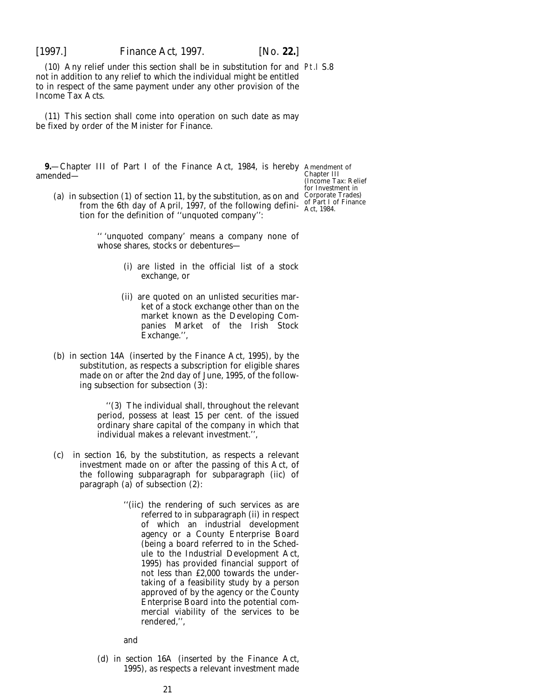<span id="page-20-0"></span>

(10) Any relief under this section shall be in substitution for and Pt.I S.8 not in addition to any relief to which the individual might be entitled to in respect of the same payment under any other provision of the Income Tax Acts.

(11) This section shall come into operation on such date as may be fixed by order of the Minister for Finance.

**9.**—Chapter III of Part I of the Finance Act, 1984, is hereby Amendment of amended—

Chapter III (Income Tax: Relief for Investment in

(*a*) in subsection (1) of section 11, by the substitution, as on and Corporate Trades) from the 6th day of April, 1997, of the following defini-<br>
Act, 1984. tion for the definition of ''unquoted company'':

> '' 'unquoted company' means a company none of whose shares, stocks or debentures—

- (i) are listed in the official list of a stock exchange, or
- (ii) are quoted on an unlisted securities market of a stock exchange other than on the market known as the Developing Companies Market of the Irish Stock Exchange.'',
- (*b*) in section 14A (inserted by the Finance Act, 1995), by the substitution, as respects a subscription for eligible shares made on or after the 2nd day of June, 1995, of the following subsection for subsection (3):

''(3) The individual shall, throughout the relevant period, possess at least 15 per cent. of the issued ordinary share capital of the company in which that individual makes a relevant investment.'',

- (*c*) in section 16, by the substitution, as respects a relevant investment made on or after the passing of this Act, of the following subparagraph for subparagraph (ii*c*) of paragraph (*a*) of subsection (2):
	- ''(ii*c*) the rendering of such services as are referred to in subparagraph (ii) in respect of which an industrial development agency or a County Enterprise Board (being a board referred to in the Schedule to the Industrial Development Act, 1995) has provided financial support of not less than £2,000 towards the undertaking of a feasibility study by a person approved of by the agency or the County Enterprise Board into the potential commercial viability of the services to be rendered,'',

and

(*d*) in section 16A (inserted by the Finance Act, 1995), as respects a relevant investment made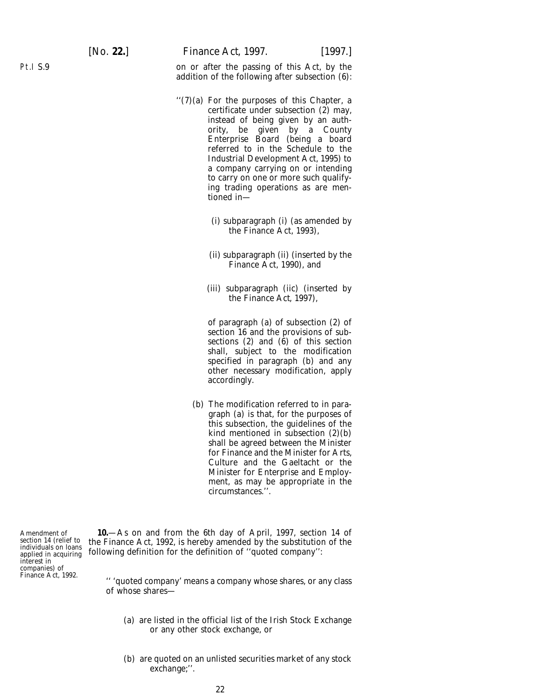on or after the passing of this Act, by the addition of the following after subsection (6):

- ''(7)(*a*) For the purposes of this Chapter, a certificate under subsection (2) may, instead of being given by an authority, be given by a County Enterprise Board (being a board referred to in the Schedule to the Industrial Development Act, 1995) to a company carrying on or intending to carry on one or more such qualifying trading operations as are mentioned in—
	- (i) subparagraph (i) (as amended by the Finance Act, 1993),
	- (ii) subparagraph (ii) (inserted by the Finance Act, 1990), and
	- (iii) subparagraph (ii*c*) (inserted by the *Finance Act, 1997*),

of paragraph (*a*) of subsection (2) of section 16 and the provisions of subsections (2) and (6) of this section shall, subject to the modification specified in paragraph (*b*) and any other necessary modification, apply accordingly.

(*b*) The modification referred to in paragraph (*a*) is that, for the purposes of this subsection, the guidelines of the kind mentioned in subsection (2)(*b*) shall be agreed between the Minister for Finance and the Minister for Arts, Culture and the Gaeltacht or the Minister for Enterprise and Employment, as may be appropriate in the circumstances.''.

Amendment of section 14 (relief to individuals on loans applied in acquiring interest in companies) of Finance Act, 1992.

**10.**—As on and from the 6th day of April, 1997, section 14 of the Finance Act, 1992, is hereby amended by the substitution of the following definition for the definition of ''quoted company'':

'' 'quoted company' means a company whose shares, or any class of whose shares—

- (*a*) are listed in the official list of the Irish Stock Exchange or any other stock exchange, or
- (*b*) are quoted on an unlisted securities market of any stock exchange;''.

<span id="page-21-0"></span>Pt.I S.9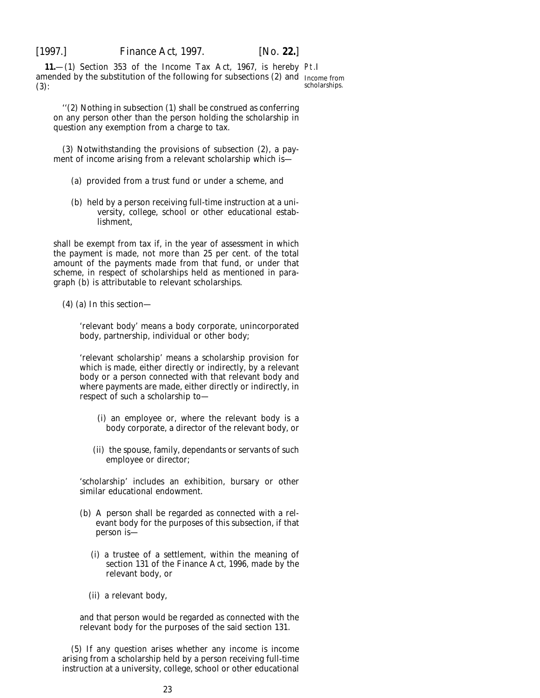<span id="page-22-0"></span>

**11.**—(1) Section 353 of the Income Tax Act, 1967, is hereby Pt.I amended by the substitution of the following for subsections (2) and Income from (3):

scholarships.

''(2) Nothing in subsection (1) shall be construed as conferring on any person other than the person holding the scholarship in question any exemption from a charge to tax.

(3) Notwithstanding the provisions of subsection (2), a payment of income arising from a relevant scholarship which is—

- (*a*) provided from a trust fund or under a scheme, and
- (*b*) held by a person receiving full-time instruction at a university, college, school or other educational establishment,

shall be exempt from tax if, in the year of assessment in which the payment is made, not more than 25 per cent. of the total amount of the payments made from that fund, or under that scheme, in respect of scholarships held as mentioned in paragraph (*b*) is attributable to relevant scholarships.

(4) (*a*) In this section—

'relevant body' means a body corporate, unincorporated body, partnership, individual or other body;

'relevant scholarship' means a scholarship provision for which is made, either directly or indirectly, by a relevant body or a person connected with that relevant body and where payments are made, either directly or indirectly, in respect of such a scholarship to—

- (i) an employee or, where the relevant body is a body corporate, a director of the relevant body, or
- (ii) the spouse, family, dependants or servants of such employee or director;

'scholarship' includes an exhibition, bursary or other similar educational endowment.

- (*b*) A person shall be regarded as connected with a relevant body for the purposes of this subsection, if that person is—
	- (i) a trustee of a settlement, within the meaning of section 131 of the Finance Act, 1996, made by the relevant body, or
	- (ii) a relevant body,

and that person would be regarded as connected with the relevant body for the purposes of the said section 131.

(5) If any question arises whether any income is income arising from a scholarship held by a person receiving full-time instruction at a university, college, school or other educational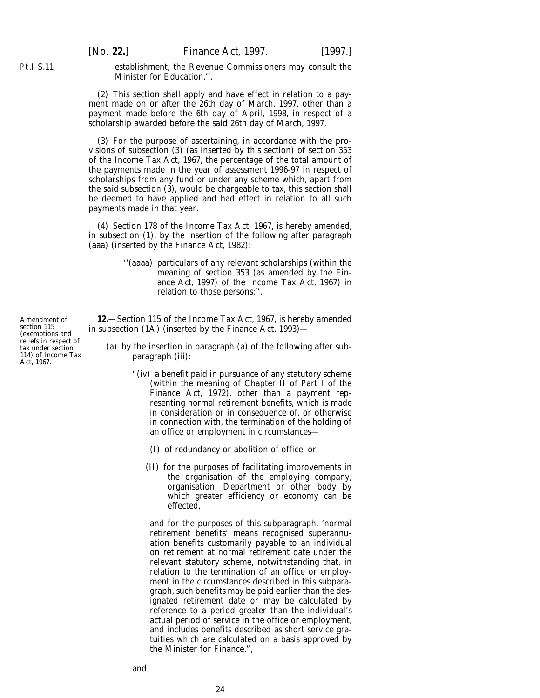[*No.* **22.**] *Finance Act,* 1997. [1997.]

establishment, the Revenue Commissioners may consult the Minister for Education.''.

(2) This section shall apply and have effect in relation to a payment made on or after the 26th day of March, 1997, other than a payment made before the 6th day of April, 1998, in respect of a scholarship awarded before the said 26th day of March, 1997.

(3) For the purpose of ascertaining, in accordance with the provisions of subsection (3) (as inserted by this section) of section 353 of the Income Tax Act, 1967, the percentage of the total amount of the payments made in the year of assessment 1996-97 in respect of scholarships from any fund or under any scheme which, apart from the said subsection (3), would be chargeable to tax, this section shall be deemed to have applied and had effect in relation to all such payments made in that year.

(4) Section 178 of the Income Tax Act, 1967, is hereby amended, in subsection (1), by the insertion of the following after paragraph (*aaa*) (inserted by the Finance Act, 1982):

> ''(*aaaa*) particulars of any relevant scholarships (within the meaning of section 353 (as amended by the *Finance Act, 1997)* of the Income Tax Act, 1967) in relation to those persons;''.

**12.**—Section 115 of the Income Tax Act, 1967, is hereby amended in subsection (1A) (inserted by the Finance Act, 1993)-

- (*a*) by the insertion in paragraph (*a*) of the following after subparagraph (iii):
	- "(iv) a benefit paid in pursuance of any statutory scheme (within the meaning of Chapter II of Part I of the Finance Act, 1972), other than a payment representing normal retirement benefits, which is made in consideration or in consequence of, or otherwise in connection with, the termination of the holding of an office or employment in circumstances—
		- (I) of redundancy or abolition of office, or
		- (II) for the purposes of facilitating improvements in the organisation of the employing company, organisation, Department or other body by which greater efficiency or economy can be effected,

and for the purposes of this subparagraph, 'normal retirement benefits' means recognised superannuation benefits customarily payable to an individual on retirement at normal retirement date under the relevant statutory scheme, notwithstanding that, in relation to the termination of an office or employment in the circumstances described in this subparagraph, such benefits may be paid earlier than the designated retirement date or may be calculated by reference to a period greater than the individual's actual period of service in the office or employment, and includes benefits described as short service gratuities which are calculated on a basis approved by the Minister for Finance.",

Amendment of section 115 (exemptions and reliefs in respect of tax under section 114) of Income Tax Act, 1967.

<span id="page-23-0"></span>Pt.I S.11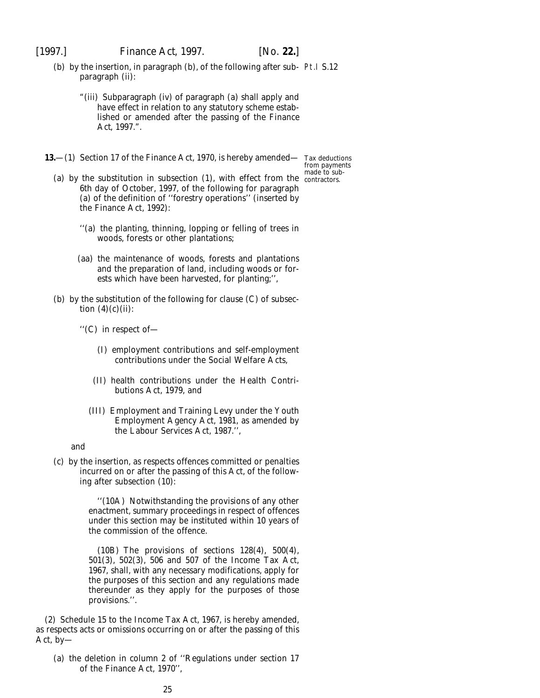<span id="page-24-0"></span>

- (*b*) by the insertion, in paragraph (*b*), of the following after sub-Pt.I S.12 paragraph (ii):
	- "(iii) Subparagraph (iv) of paragraph (*a*) shall apply and have effect in relation to any statutory scheme established or amended after the passing of the *Finance Act, 1997*.".
- **13.**—(1) Section 17 of the Finance Act, 1970, is hereby amended— Tax deductions

from payments made to sub-

- (a) by the substitution in subsection (1), with effect from the contractors. 6th day of October, 1997, of the following for paragraph (*a*) of the definition of ''forestry operations'' (inserted by the Finance Act, 1992):
	- ''(*a*) the planting, thinning, lopping or felling of trees in woods, forests or other plantations;
	- (*aa*) the maintenance of woods, forests and plantations and the preparation of land, including woods or forests which have been harvested, for planting;'',
- (*b*) by the substitution of the following for clause (C) of subsection  $(4)(c)(ii)$ :
	- ''(C) in respect of—
		- (I) employment contributions and self-employment contributions under the Social Welfare Acts,
		- (II) health contributions under the Health Contributions Act, 1979, and
		- (III) Employment and Training Levy under the Youth Employment Agency Act, 1981, as amended by the Labour Services Act, 1987.'',

and

(*c*) by the insertion, as respects offences committed or penalties incurred on or after the passing of this Act, of the following after subsection (10):

> ''(10A) Notwithstanding the provisions of any other enactment, summary proceedings in respect of offences under this section may be instituted within 10 years of the commission of the offence.

> (10B) The provisions of sections 128(4), 500(4), 501(3), 502(3), 506 and 507 of the Income Tax Act, 1967, shall, with any necessary modifications, apply for the purposes of this section and any regulations made thereunder as they apply for the purposes of those provisions.''.

(2) Schedule 15 to the Income Tax Act, 1967, is hereby amended, as respects acts or omissions occurring on or after the passing of this Act, by—

(*a*) the deletion in column 2 of ''Regulations under section 17 of the Finance Act, 1970'',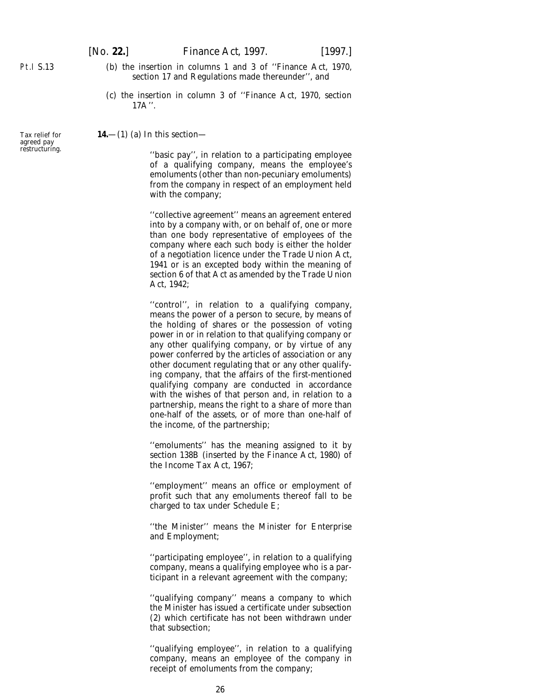- (*b*) the insertion in columns 1 and 3 of ''Finance Act, 1970, section 17 and Regulations made thereunder'', and
- (*c*) the insertion in column 3 of ''Finance Act, 1970, section  $17A$ ".

**14.**—(1) (*a*) In this section—

''basic pay'', in relation to a participating employee of a qualifying company, means the employee's emoluments (other than non-pecuniary emoluments) from the company in respect of an employment held with the company;

''collective agreement'' means an agreement entered into by a company with, or on behalf of, one or more than one body representative of employees of the company where each such body is either the holder of a negotiation licence under the Trade Union Act, 1941 or is an excepted body within the meaning of section 6 of that Act as amended by the Trade Union Act, 1942;

''control'', in relation to a qualifying company, means the power of a person to secure, by means of the holding of shares or the possession of voting power in or in relation to that qualifying company or any other qualifying company, or by virtue of any power conferred by the articles of association or any other document regulating that or any other qualifying company, that the affairs of the first-mentioned qualifying company are conducted in accordance with the wishes of that person and, in relation to a partnership, means the right to a share of more than one-half of the assets, or of more than one-half of the income, of the partnership;

''emoluments'' has the meaning assigned to it by section 138B (inserted by the Finance Act, 1980) of the Income Tax Act, 1967;

''employment'' means an office or employment of profit such that any emoluments thereof fall to be charged to tax under Schedule E;

''the Minister'' means the Minister for Enterprise and Employment;

''participating employee'', in relation to a qualifying company, means a qualifying employee who is a participant in a relevant agreement with the company;

''qualifying company'' means a company to which the Minister has issued a certificate under *subsection (2)* which certificate has not been withdrawn under that subsection;

''qualifying employee'', in relation to a qualifying company, means an employee of the company in receipt of emoluments from the company;

Tax relief for agreed pay restructuring.

<span id="page-25-0"></span>Pt.I S.13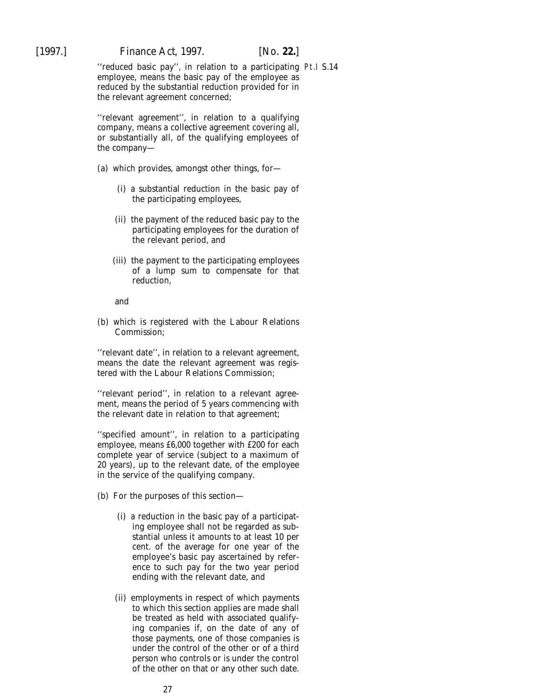''reduced basic pay'', in relation to a participating Pt.I S.14employee, means the basic pay of the employee as reduced by the substantial reduction provided for in the relevant agreement concerned;

''relevant agreement'', in relation to a qualifying company, means a collective agreement covering all, or substantially all, of the qualifying employees of the company—

- (*a*) which provides, amongst other things, for—
	- (i) a substantial reduction in the basic pay of the participating employees,
	- (ii) the payment of the reduced basic pay to the participating employees for the duration of the relevant period, and
	- (iii) the payment to the participating employees of a lump sum to compensate for that reduction,

and

(*b*) which is registered with the Labour Relations Commission;

''relevant date'', in relation to a relevant agreement, means the date the relevant agreement was registered with the Labour Relations Commission;

''relevant period'', in relation to a relevant agreement, means the period of 5 years commencing with the relevant date in relation to that agreement;

''specified amount'', in relation to a participating employee, means £6,000 together with £200 for each complete year of service (subject to a maximum of 20 years), up to the relevant date, of the employee in the service of the qualifying company.

- (*b*) For the purposes of this section—
	- (i) a reduction in the basic pay of a participating employee shall not be regarded as substantial unless it amounts to at least 10 per cent. of the average for one year of the employee's basic pay ascertained by reference to such pay for the two year period ending with the relevant date, and
	- (ii) employments in respect of which payments to which this section applies are made shall be treated as held with associated qualifying companies if, on the date of any of those payments, one of those companies is under the control of the other or of a third person who controls or is under the control of the other on that or any other such date.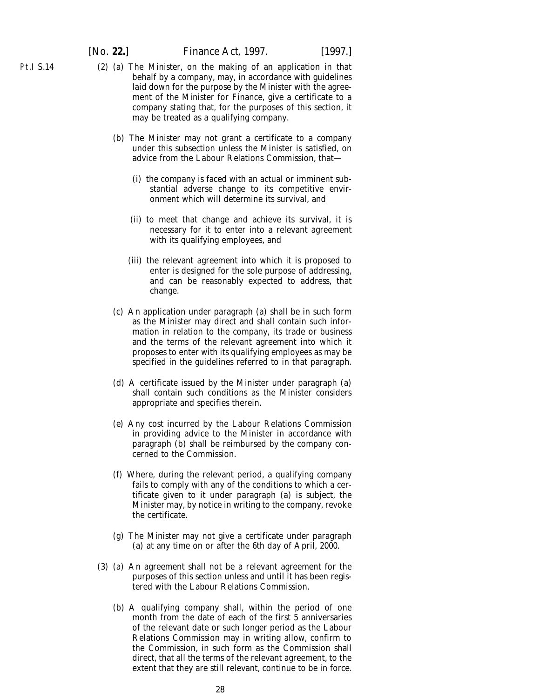- (2) (*a*) The Minister, on the making of an application in that behalf by a company, may, in accordance with guidelines laid down for the purpose by the Minister with the agreement of the Minister for Finance, give a certificate to a company stating that, for the purposes of this section, it may be treated as a qualifying company.
	- (*b*) The Minister may not grant a certificate to a company under this subsection unless the Minister is satisfied, on advice from the Labour Relations Commission, that—
		- (i) the company is faced with an actual or imminent substantial adverse change to its competitive environment which will determine its survival, and
		- (ii) to meet that change and achieve its survival, it is necessary for it to enter into a relevant agreement with its qualifying employees, and
		- (iii) the relevant agreement into which it is proposed to enter is designed for the sole purpose of addressing, and can be reasonably expected to address, that change.
	- (*c*) An application under *paragraph (a)* shall be in such form as the Minister may direct and shall contain such information in relation to the company, its trade or business and the terms of the relevant agreement into which it proposes to enter with its qualifying employees as may be specified in the guidelines referred to in that paragraph.
	- (*d*) A certificate issued by the Minister under *paragraph (a)* shall contain such conditions as the Minister considers appropriate and specifies therein.
	- (*e*) Any cost incurred by the Labour Relations Commission in providing advice to the Minister in accordance with *paragraph (b)* shall be reimbursed by the company concerned to the Commission.
	- (*f*) Where, during the relevant period, a qualifying company fails to comply with any of the conditions to which a certificate given to it under *paragraph (a)* is subject, the Minister may, by notice in writing to the company, revoke the certificate.
	- (*g*) The Minister may not give a certificate under *paragraph (a)* at any time on or after the 6th day of April, 2000.
- (3) (*a*) An agreement shall not be a relevant agreement for the purposes of this section unless and until it has been registered with the Labour Relations Commission.
	- (*b*) A qualifying company shall, within the period of one month from the date of each of the first 5 anniversaries of the relevant date or such longer period as the Labour Relations Commission may in writing allow, confirm to the Commission, in such form as the Commission shall direct, that all the terms of the relevant agreement, to the extent that they are still relevant, continue to be in force.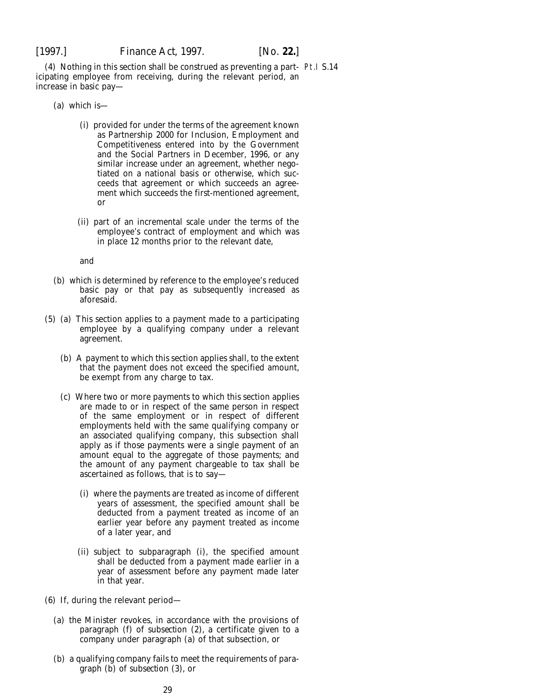(4) Nothing in this section shall be construed as preventing a part-Pt.I S.14icipating employee from receiving, during the relevant period, an increase in basic pay—

- (*a*) which is—
	- (i) provided for under the terms of the agreement known as Partnership 2000 for Inclusion, Employment and Competitiveness entered into by the Government and the Social Partners in December, 1996, or any similar increase under an agreement, whether negotiated on a national basis or otherwise, which succeeds that agreement or which succeeds an agreement which succeeds the first-mentioned agreement, or
	- (ii) part of an incremental scale under the terms of the employee's contract of employment and which was in place 12 months prior to the relevant date,

and

- (*b*) which is determined by reference to the employee's reduced basic pay or that pay as subsequently increased as aforesaid.
- (5) (*a*) This section applies to a payment made to a participating employee by a qualifying company under a relevant agreement.
	- (*b*) A payment to which this section applies shall, to the extent that the payment does not exceed the specified amount, be exempt from any charge to tax.
	- (*c*) Where two or more payments to which this section applies are made to or in respect of the same person in respect of the same employment or in respect of different employments held with the same qualifying company or an associated qualifying company, this subsection shall apply as if those payments were a single payment of an amount equal to the aggregate of those payments; and the amount of any payment chargeable to tax shall be ascertained as follows, that is to say—
		- (i) where the payments are treated as income of different years of assessment, the specified amount shall be deducted from a payment treated as income of an earlier year before any payment treated as income of a later year, and
		- (ii) subject to *subparagraph (i)*, the specified amount shall be deducted from a payment made earlier in a year of assessment before any payment made later in that year.
- (6) If, during the relevant period—
	- (*a*) the Minister revokes, in accordance with the provisions of *paragraph (f)* of *subsection (2)*, a certificate given to a company under *paragraph (a)* of that subsection, or
	- (*b*) a qualifying company fails to meet the requirements of *paragraph (b)* of *subsection (3)*, or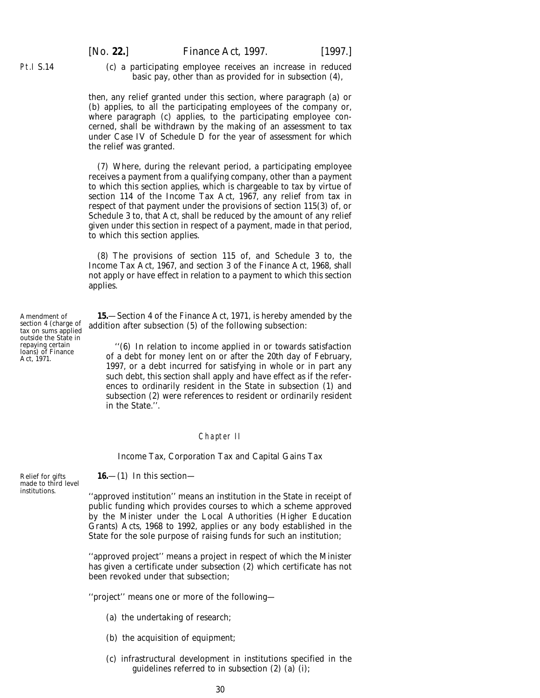<span id="page-29-0"></span>(*c*) a participating employee receives an increase in reduced basic pay, other than as provided for in *subsection (4)*,

then, any relief granted under this section, where *paragraph (a)* or *(b)* applies, to all the participating employees of the company or, where *paragraph (c)* applies, to the participating employee concerned, shall be withdrawn by the making of an assessment to tax under Case IV of Schedule D for the year of assessment for which the relief was granted.

(7) Where, during the relevant period, a participating employee receives a payment from a qualifying company, other than a payment to which this section applies, which is chargeable to tax by virtue of section 114 of the Income Tax Act, 1967, any relief from tax in respect of that payment under the provisions of section 115(3) of, or Schedule 3 to, that Act, shall be reduced by the amount of any relief given under this section in respect of a payment, made in that period, to which this section applies.

(8) The provisions of section 115 of, and Schedule 3 to, the Income Tax Act, 1967, and section 3 of the Finance Act, 1968, shall not apply or have effect in relation to a payment to which this section applies.

**15.**—Section 4 of the Finance Act, 1971, is hereby amended by the addition after subsection (5) of the following subsection:

''(6) In relation to income applied in or towards satisfaction of a debt for money lent on or after the 20th day of February, 1997, or a debt incurred for satisfying in whole or in part any such debt, this section shall apply and have effect as if the references to ordinarily resident in the State in subsection (1) and subsection (2) were references to resident or ordinarily resident in the State.''.

#### Chapter II

*Income Tax, Corporation Tax and Capital Gains Tax*

#### **16.**—(1) In this section—

''approved institution'' means an institution in the State in receipt of public funding which provides courses to which a scheme approved by the Minister under the Local Authorities (Higher Education Grants) Acts, 1968 to 1992, applies or any body established in the State for the sole purpose of raising funds for such an institution;

''approved project'' means a project in respect of which the Minister has given a certificate under *subsection (2)* which certificate has not been revoked under that subsection;

''project'' means one or more of the following—

- (*a*) the undertaking of research;
- (*b*) the acquisition of equipment;
- (*c*) infrastructural development in institutions specified in the guidelines referred to in *subsection (2) (a) (i)*;

Amendment of section 4 (charge of tax on sums applied outside the State in repaying certain loans) of Finance Act, 1971.

Relief for gifts made to third level institutions.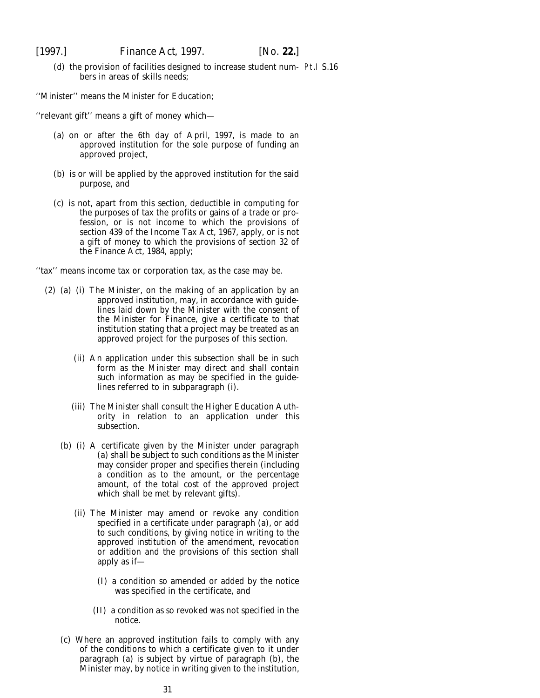(d) the provision of facilities designed to increase student num- Pt.I S.16 bers in areas of skills needs;

''Minister'' means the Minister for Education;

''relevant gift'' means a gift of money which—

- (*a*) on or after the 6th day of April, 1997, is made to an approved institution for the sole purpose of funding an approved project,
- (*b*) is or will be applied by the approved institution for the said purpose, and
- (*c*) is not, apart from this section, deductible in computing for the purposes of tax the profits or gains of a trade or profession, or is not income to which the provisions of section 439 of the Income Tax Act, 1967, apply, or is not a gift of money to which the provisions of section 32 of the Finance Act, 1984, apply;

''tax'' means income tax or corporation tax, as the case may be.

- (2) (*a*) (i) The Minister, on the making of an application by an approved institution, may, in accordance with guidelines laid down by the Minister with the consent of the Minister for Finance, give a certificate to that institution stating that a project may be treated as an approved project for the purposes of this section.
	- (ii) An application under this subsection shall be in such form as the Minister may direct and shall contain such information as may be specified in the guidelines referred to in *subparagraph (i)*.
	- (iii) The Minister shall consult the Higher Education Authority in relation to an application under this subsection.
	- (*b*) (i) A certificate given by the Minister under *paragraph (a)* shall be subject to such conditions as the Minister may consider proper and specifies therein (including a condition as to the amount, or the percentage amount, of the total cost of the approved project which shall be met by relevant gifts).
		- (ii) The Minister may amend or revoke any condition specified in a certificate under *paragraph (a)*, or add to such conditions, by giving notice in writing to the approved institution of the amendment, revocation or addition and the provisions of this section shall apply as if—
			- (I) a condition so amended or added by the notice was specified in the certificate, and
			- (II) a condition as so revoked was not specified in the notice.
	- (*c*) Where an approved institution fails to comply with any of the conditions to which a certificate given to it under *paragraph (a)* is subject by virtue of *paragraph (b)*, the Minister may, by notice in writing given to the institution,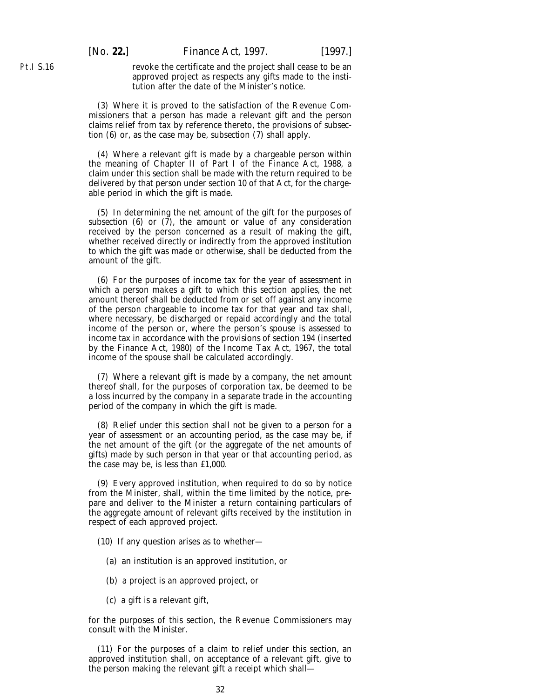[*No.* **22.**] *Finance Act,* 1997. [1997.]

revoke the certificate and the project shall cease to be an approved project as respects any gifts made to the institution after the date of the Minister's notice.

(3) Where it is proved to the satisfaction of the Revenue Commissioners that a person has made a relevant gift and the person claims relief from tax by reference thereto, the provisions of *subsection (6)* or, as the case may be, *subsection (7)* shall apply.

(4) Where a relevant gift is made by a chargeable person within the meaning of Chapter II of Part I of the Finance Act, 1988, a claim under this section shall be made with the return required to be delivered by that person under section 10 of that Act, for the chargeable period in which the gift is made.

(5) In determining the net amount of the gift for the purposes of *subsection (6)* or *(7)*, the amount or value of any consideration received by the person concerned as a result of making the gift, whether received directly or indirectly from the approved institution to which the gift was made or otherwise, shall be deducted from the amount of the gift.

(6) For the purposes of income tax for the year of assessment in which a person makes a gift to which this section applies, the net amount thereof shall be deducted from or set off against any income of the person chargeable to income tax for that year and tax shall, where necessary, be discharged or repaid accordingly and the total income of the person or, where the person's spouse is assessed to income tax in accordance with the provisions of section 194 (inserted by the Finance Act, 1980) of the Income Tax Act, 1967, the total income of the spouse shall be calculated accordingly.

(7) Where a relevant gift is made by a company, the net amount thereof shall, for the purposes of corporation tax, be deemed to be a loss incurred by the company in a separate trade in the accounting period of the company in which the gift is made.

(8) Relief under this section shall not be given to a person for a year of assessment or an accounting period, as the case may be, if the net amount of the gift (or the aggregate of the net amounts of gifts) made by such person in that year or that accounting period, as the case may be, is less than £1,000.

(9) Every approved institution, when required to do so by notice from the Minister, shall, within the time limited by the notice, prepare and deliver to the Minister a return containing particulars of the aggregate amount of relevant gifts received by the institution in respect of each approved project.

- (10) If any question arises as to whether—
	- (*a*) an institution is an approved institution, or
	- (*b*) a project is an approved project, or
	- (*c*) a gift is a relevant gift,

for the purposes of this section, the Revenue Commissioners may consult with the Minister.

(11) For the purposes of a claim to relief under this section, an approved institution shall, on acceptance of a relevant gift, give to the person making the relevant gift a receipt which shall—

Pt.I S.16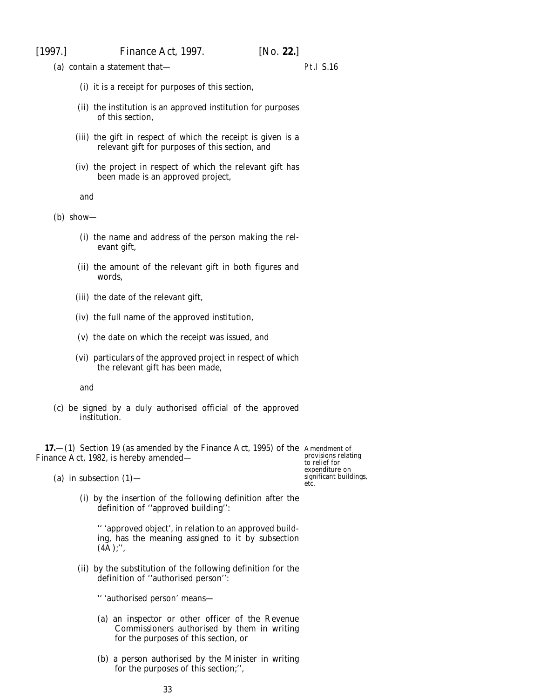<span id="page-32-0"></span>(*a*) contain a statement that—

### Pt.I S.16

- (i) it is a receipt for purposes of this section,
- (ii) the institution is an approved institution for purposes of this section,
- (iii) the gift in respect of which the receipt is given is a relevant gift for purposes of this section, and
- (iv) the project in respect of which the relevant gift has been made is an approved project,

and

(*b*) show—

- (i) the name and address of the person making the relevant gift,
- (ii) the amount of the relevant gift in both figures and words,
- (iii) the date of the relevant gift,
- (iv) the full name of the approved institution,
- (v) the date on which the receipt was issued, and
- (vi) particulars of the approved project in respect of which the relevant gift has been made,

and

(*c*) be signed by a duly authorised official of the approved institution.

**17.**—(1) Section 19 (as amended by the Finance Act, 1995) of the Amendment of Finance Act, 1982, is hereby amended—

provisions relating to relief for expenditure on significant buildings, etc.

- (*a*) in subsection  $(1)$ 
	- (i) by the insertion of the following definition after the definition of ''approved building'':

'' 'approved object', in relation to an approved building, has the meaning assigned to it by subsection  $(4A);$ ",

(ii) by the substitution of the following definition for the definition of ''authorised person'':

'' 'authorised person' means—

- (*a*) an inspector or other officer of the Revenue Commissioners authorised by them in writing for the purposes of this section, or
- (*b*) a person authorised by the Minister in writing for the purposes of this section;'',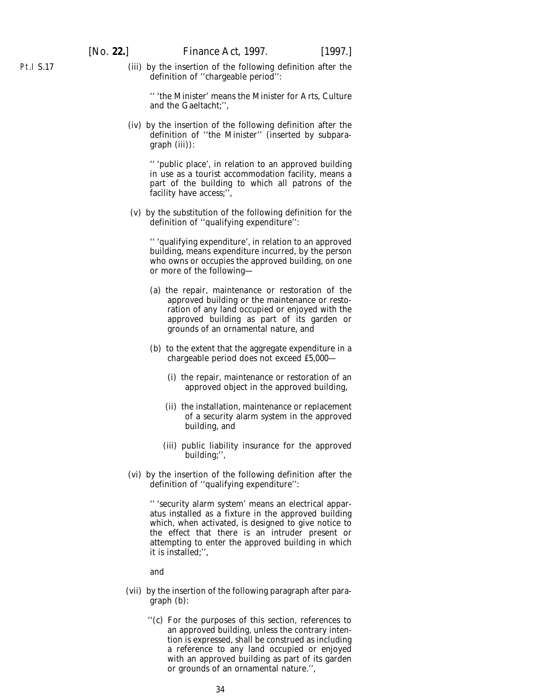Pt.I S.17

(iii) by the insertion of the following definition after the definition of ''chargeable period'':

'' 'the Minister' means the Minister for Arts, Culture and the Gaeltacht;'',

(iv) by the insertion of the following definition after the definition of ''the Minister'' (inserted by *subparagraph (iii)*):

'' 'public place', in relation to an approved building in use as a tourist accommodation facility, means a part of the building to which all patrons of the facility have access;'',

(v) by the substitution of the following definition for the definition of ''qualifying expenditure'':

'' 'qualifying expenditure', in relation to an approved building, means expenditure incurred, by the person who owns or occupies the approved building, on one or more of the following—

- (*a*) the repair, maintenance or restoration of the approved building or the maintenance or restoration of any land occupied or enjoyed with the approved building as part of its garden or grounds of an ornamental nature, and
- (*b*) to the extent that the aggregate expenditure in a chargeable period does not exceed £5,000—
	- (i) the repair, maintenance or restoration of an approved object in the approved building,
	- (ii) the installation, maintenance or replacement of a security alarm system in the approved building, and
	- (iii) public liability insurance for the approved building;'',
- (vi) by the insertion of the following definition after the definition of ''qualifying expenditure'':

'' 'security alarm system' means an electrical apparatus installed as a fixture in the approved building which, when activated, is designed to give notice to the effect that there is an intruder present or attempting to enter the approved building in which it is installed;'',

and

- (vii) by the insertion of the following paragraph after paragraph (*b*):
	- ''(*c*) For the purposes of this section, references to an approved building, unless the contrary intention is expressed, shall be construed as including a reference to any land occupied or enjoyed with an approved building as part of its garden or grounds of an ornamental nature.'',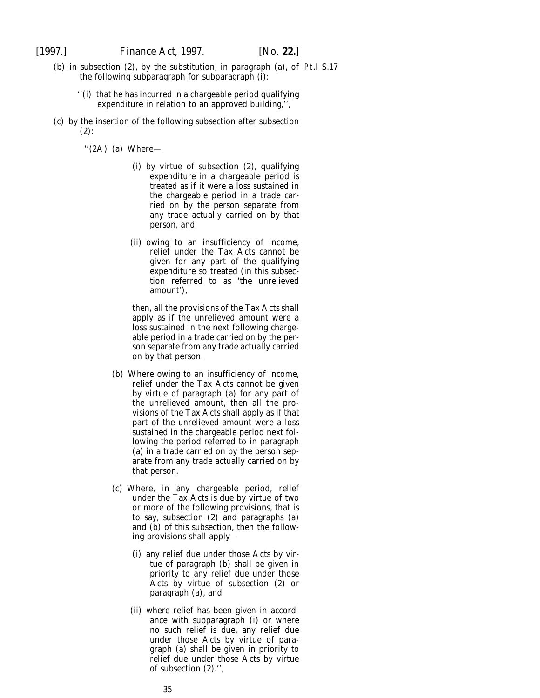- (*b*) in subsection (2), by the substitution, in paragraph (*a*), of Pt.I S.17the following subparagraph for subparagraph (i):
	- ''(i) that he has incurred in a chargeable period qualifying expenditure in relation to an approved building,'',
- (*c*) by the insertion of the following subsection after subsection (2):

''(2A) (*a*) Where—

- (i) by virtue of subsection (2), qualifying expenditure in a chargeable period is treated as if it were a loss sustained in the chargeable period in a trade carried on by the person separate from any trade actually carried on by that person, and
- (ii) owing to an insufficiency of income, relief under the Tax Acts cannot be given for any part of the qualifying expenditure so treated (in this subsection referred to as 'the unrelieved amount'),

then, all the provisions of the Tax Acts shall apply as if the unrelieved amount were a loss sustained in the next following chargeable period in a trade carried on by the person separate from any trade actually carried on by that person.

- (*b*) Where owing to an insufficiency of income, relief under the Tax Acts cannot be given by virtue of paragraph (*a*) for any part of the unrelieved amount, then all the provisions of the Tax Acts shall apply as if that part of the unrelieved amount were a loss sustained in the chargeable period next following the period referred to in paragraph (*a*) in a trade carried on by the person separate from any trade actually carried on by that person.
- (*c*) Where, in any chargeable period, relief under the Tax Acts is due by virtue of two or more of the following provisions, that is to say, subsection (2) and paragraphs (*a*) and (*b*) of this subsection, then the following provisions shall apply—
	- (i) any relief due under those Acts by virtue of paragraph (*b*) shall be given in priority to any relief due under those Acts by virtue of subsection (2) or paragraph (*a*), and
	- (ii) where relief has been given in accordance with subparagraph (i) or where no such relief is due, any relief due under those Acts by virtue of paragraph (*a*) shall be given in priority to relief due under those Acts by virtue of subsection (2).'',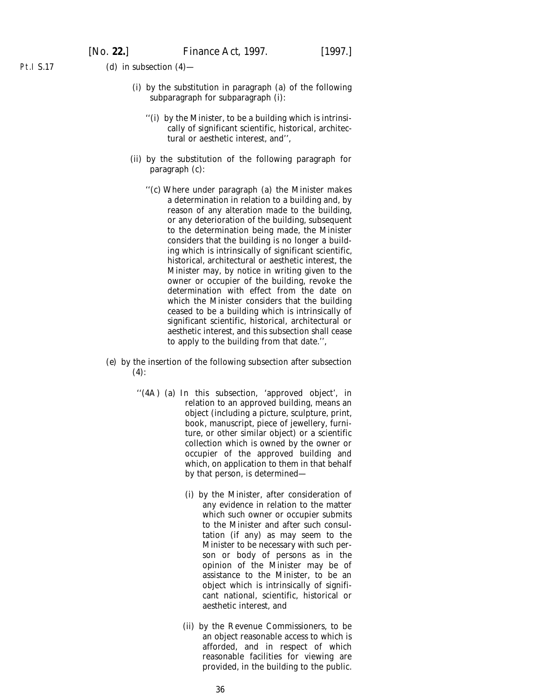Pt.I S.17 (*d*) in subsection (4)—

- (i) by the substitution in paragraph (*a*) of the following subparagraph for subparagraph (i):
	- ''(i) by the Minister, to be a building which is intrinsically of significant scientific, historical, architectural or aesthetic interest, and'',
- (ii) by the substitution of the following paragraph for paragraph (*c*):
	- ''(c) Where under paragraph (*a*) the Minister makes a determination in relation to a building and, by reason of any alteration made to the building, or any deterioration of the building, subsequent to the determination being made, the Minister considers that the building is no longer a building which is intrinsically of significant scientific, historical, architectural or aesthetic interest, the Minister may, by notice in writing given to the owner or occupier of the building, revoke the determination with effect from the date on which the Minister considers that the building ceased to be a building which is intrinsically of significant scientific, historical, architectural or aesthetic interest, and this subsection shall cease to apply to the building from that date.'',
- (*e*) by the insertion of the following subsection after subsection  $(4)$ :
	- ''(4A) (*a*) In this subsection, 'approved object', in relation to an approved building, means an object (including a picture, sculpture, print, book, manuscript, piece of jewellery, furniture, or other similar object) or a scientific collection which is owned by the owner or occupier of the approved building and which, on application to them in that behalf by that person, is determined—
		- (i) by the Minister, after consideration of any evidence in relation to the matter which such owner or occupier submits to the Minister and after such consultation (if any) as may seem to the Minister to be necessary with such person or body of persons as in the opinion of the Minister may be of assistance to the Minister, to be an object which is intrinsically of significant national, scientific, historical or aesthetic interest, and
		- (ii) by the Revenue Commissioners, to be an object reasonable access to which is afforded, and in respect of which reasonable facilities for viewing are provided, in the building to the public.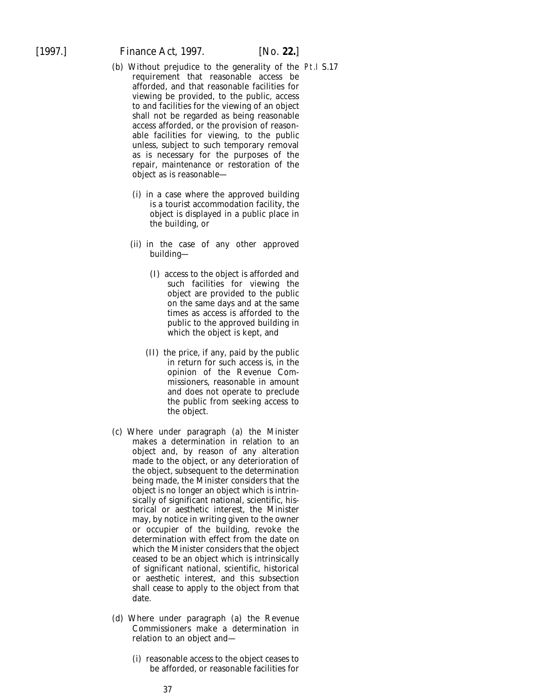[1997.] *Finance Act,* 1997. [*No.* **22.**]

- (*b*) Without prejudice to the generality of the Pt.I S.17requirement that reasonable access be afforded, and that reasonable facilities for viewing be provided, to the public, access to and facilities for the viewing of an object shall not be regarded as being reasonable access afforded, or the provision of reasonable facilities for viewing, to the public unless, subject to such temporary removal as is necessary for the purposes of the repair, maintenance or restoration of the object as is reasonable—
	- (i) in a case where the approved building is a tourist accommodation facility, the object is displayed in a public place in the building, or
	- (ii) in the case of any other approved building—
		- (I) access to the object is afforded and such facilities for viewing the object are provided to the public on the same days and at the same times as access is afforded to the public to the approved building in which the object is kept, and
		- (II) the price, if any, paid by the public in return for such access is, in the opinion of the Revenue Commissioners, reasonable in amount and does not operate to preclude the public from seeking access to the object.
- (*c*) Where under paragraph (*a*) the Minister makes a determination in relation to an object and, by reason of any alteration made to the object, or any deterioration of the object, subsequent to the determination being made, the Minister considers that the object is no longer an object which is intrinsically of significant national, scientific, historical or aesthetic interest, the Minister may, by notice in writing given to the owner or occupier of the building, revoke the determination with effect from the date on which the Minister considers that the object ceased to be an object which is intrinsically of significant national, scientific, historical or aesthetic interest, and this subsection shall cease to apply to the object from that date.
- (*d*) Where under paragraph (*a*) the Revenue Commissioners make a determination in relation to an object and—
	- (i) reasonable access to the object ceases to be afforded, or reasonable facilities for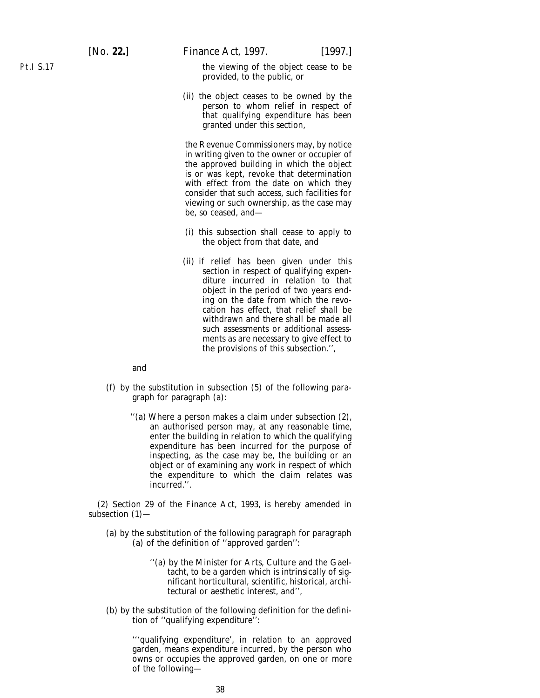the viewing of the object cease to be provided, to the public, or

(ii) the object ceases to be owned by the person to whom relief in respect of that qualifying expenditure has been granted under this section,

the Revenue Commissioners may, by notice in writing given to the owner or occupier of the approved building in which the object is or was kept, revoke that determination with effect from the date on which they consider that such access, such facilities for viewing or such ownership, as the case may be, so ceased, and—

- (i) this subsection shall cease to apply to the object from that date, and
- (ii) if relief has been given under this section in respect of qualifying expenditure incurred in relation to that object in the period of two years ending on the date from which the revocation has effect, that relief shall be withdrawn and there shall be made all such assessments or additional assessments as are necessary to give effect to the provisions of this subsection.'',

and

- (*f*) by the substitution in subsection (5) of the following paragraph for paragraph (*a*):
	- ''(*a*) Where a person makes a claim under subsection (2), an authorised person may, at any reasonable time, enter the building in relation to which the qualifying expenditure has been incurred for the purpose of inspecting, as the case may be, the building or an object or of examining any work in respect of which the expenditure to which the claim relates was incurred.''.

(2) Section 29 of the Finance Act, 1993, is hereby amended in subsection (1)—

- (*a*) by the substitution of the following paragraph for paragraph (*a*) of the definition of ''approved garden'':
	- ''(*a*) by the Minister for Arts, Culture and the Gaeltacht, to be a garden which is intrinsically of significant horticultural, scientific, historical, architectural or aesthetic interest, and'',
- (*b*) by the substitution of the following definition for the definition of ''qualifying expenditure'':

'''qualifying expenditure', in relation to an approved garden, means expenditure incurred, by the person who owns or occupies the approved garden, on one or more of the following—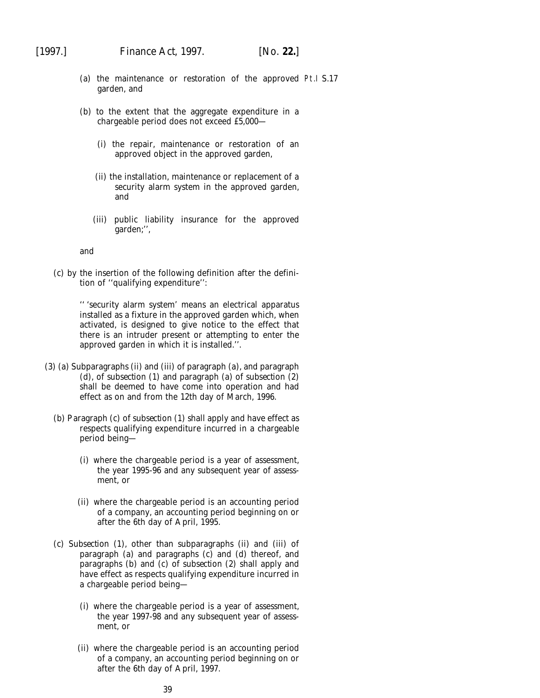- (*a*) the maintenance or restoration of the approved Pt.I S.17garden, and
- (*b*) to the extent that the aggregate expenditure in a chargeable period does not exceed £5,000—
	- (i) the repair, maintenance or restoration of an approved object in the approved garden,
	- (ii) the installation, maintenance or replacement of a security alarm system in the approved garden, and
	- (iii) public liability insurance for the approved garden;'',

and

(*c*) by the insertion of the following definition after the definition of ''qualifying expenditure'':

> '' 'security alarm system' means an electrical apparatus installed as a fixture in the approved garden which, when activated, is designed to give notice to the effect that there is an intruder present or attempting to enter the approved garden in which it is installed.''.

- (3) (*a*) *Subparagraphs (ii)* and *(iii)* of *paragraph (a)*, and *paragraph (d)*, of *subsection (1)* and *paragraph (a)* of *subsection (2)* shall be deemed to have come into operation and had effect as on and from the 12th day of March, 1996.
	- (*b*) *Paragraph (c)* of *subsection (1)* shall apply and have effect as respects qualifying expenditure incurred in a chargeable period being—
		- (i) where the chargeable period is a year of assessment, the year 1995-96 and any subsequent year of assessment, or
		- (ii) where the chargeable period is an accounting period of a company, an accounting period beginning on or after the 6th day of April, 1995.
	- (*c*) *Subsection (1)*, other than *subparagraphs (ii)* and *(iii)* of *paragraph (a)* and *paragraphs (c)* and *(d)* thereof, and *paragraphs (b)* and *(c)* of *subsection (2)* shall apply and have effect as respects qualifying expenditure incurred in a chargeable period being—
		- (i) where the chargeable period is a year of assessment, the year 1997-98 and any subsequent year of assessment, or
		- (ii) where the chargeable period is an accounting period of a company, an accounting period beginning on or after the 6th day of April, 1997.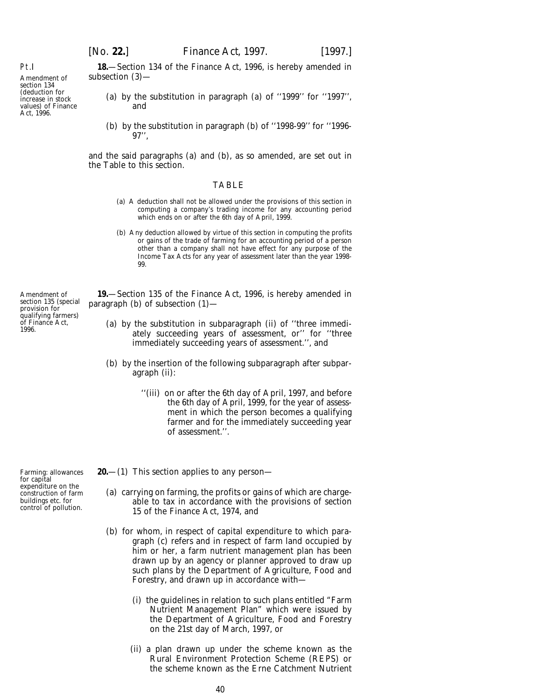**18.**—Section 134 of the Finance Act, 1996, is hereby amended in subsection (3)—

- (*a*) by the substitution in paragraph (*a*) of ''1999'' for ''1997'', and
- (*b*) by the substitution in paragraph (*b*) of ''1998-99'' for ''1996- 97'',

and the said paragraphs (*a*) and (*b*), as so amended, are set out in the Table to this section.

#### TABLE

- (*a*) A deduction shall not be allowed under the provisions of this section in computing a company's trading income for any accounting period which ends on or after the 6th day of April, 1999.
- (*b*) Any deduction allowed by virtue of this section in computing the profits or gains of the trade of farming for an accounting period of a person other than a company shall not have effect for any purpose of the Income Tax Acts for any year of assessment later than the year 1998- 99.

**19.**—Section 135 of the Finance Act, 1996, is hereby amended in paragraph (*b*) of subsection (1)—

- (*a*) by the substitution in subparagraph (ii) of ''three immediately succeeding years of assessment, or'' for ''three immediately succeeding years of assessment.'', and
- (*b*) by the insertion of the following subparagraph after subparagraph (ii):
	- ''(iii) on or after the 6th day of April, 1997, and before the 6th day of April, 1999, for the year of assessment in which the person becomes a qualifying farmer and for the immediately succeeding year of assessment.''.
- **20.**—(1) This section applies to any person—
	- (*a*) carrying on farming, the profits or gains of which are chargeable to tax in accordance with the provisions of section 15 of the Finance Act, 1974, and
	- (*b*) for whom, in respect of capital expenditure to which *paragraph (c)* refers and in respect of farm land occupied by him or her, a farm nutrient management plan has been drawn up by an agency or planner approved to draw up such plans by the Department of Agriculture, Food and Forestry, and drawn up in accordance with—
		- (i) the guidelines in relation to such plans entitled "Farm Nutrient Management Plan" which were issued by the Department of Agriculture, Food and Forestry on the 21st day of March, 1997, or
		- (ii) a plan drawn up under the scheme known as the Rural Environment Protection Scheme (REPS) or the scheme known as the Erne Catchment Nutrient

Amendment of section 135 (special provision for qualifying farmers) of Finance Act, 1996.

Farming: allowances for capital expenditure on the construction of farm buildings etc. for control of pollution.

values) of Finance

Pt.I

Amendment of section 134 (deduction for increase in stock

Act, 1996.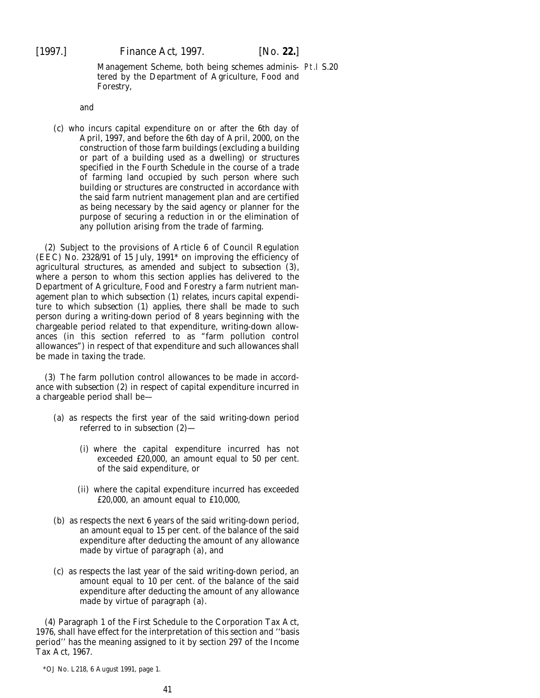Management Scheme, both being schemes adminis-Pt.I S.20tered by the Department of Agriculture, Food and Forestry,

and

(*c*) who incurs capital expenditure on or after the 6th day of April, 1997, and before the 6th day of April, 2000, on the construction of those farm buildings (excluding a building or part of a building used as a dwelling) or structures specified in the *Fourth Schedule* in the course of a trade of farming land occupied by such person where such building or structures are constructed in accordance with the said farm nutrient management plan and are certified as being necessary by the said agency or planner for the purpose of securing a reduction in or the elimination of any pollution arising from the trade of farming.

(2) Subject to the provisions of Article 6 of Council Regulation (EEC) No. 2328/91 of 15 July, 1991\* on improving the efficiency of agricultural structures, as amended and subject to *subsection (3)*, where a person to whom this section applies has delivered to the Department of Agriculture, Food and Forestry a farm nutrient management plan to which *subsection (1)* relates, incurs capital expenditure to which *subsection (1)* applies, there shall be made to such person during a writing-down period of 8 years beginning with the chargeable period related to that expenditure, writing-down allowances (in this section referred to as "farm pollution control allowances") in respect of that expenditure and such allowances shall be made in taxing the trade.

(3) The farm pollution control allowances to be made in accordance with *subsection (2)* in respect of capital expenditure incurred in a chargeable period shall be—

- (*a*) as respects the first year of the said writing-down period referred to in *subsection (2)*—
	- (i) where the capital expenditure incurred has not exceeded £20,000, an amount equal to 50 per cent. of the said expenditure, or
	- (ii) where the capital expenditure incurred has exceeded  $£20,000$ , an amount equal to  $£10,000$ ,
- (*b*) as respects the next 6 years of the said writing-down period, an amount equal to 15 per cent. of the balance of the said expenditure after deducting the amount of any allowance made by virtue of *paragraph (a)*, and
- (*c*) as respects the last year of the said writing-down period, an amount equal to 10 per cent. of the balance of the said expenditure after deducting the amount of any allowance made by virtue of *paragraph (a).*

(4) Paragraph 1 of the First Schedule to the Corporation Tax Act, 1976, shall have effect for the interpretation of this section and ''basis period'' has the meaning assigned to it by section 297 of the Income Tax Act, 1967.

\*OJ No. L218, 6 August 1991, page 1.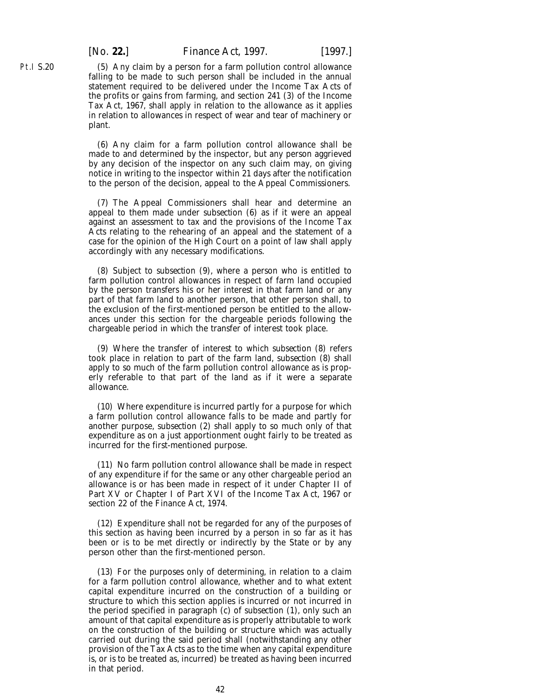(5) Any claim by a person for a farm pollution control allowance falling to be made to such person shall be included in the annual statement required to be delivered under the Income Tax Acts of the profits or gains from farming, and section 241 (3) of the Income Tax Act, 1967, shall apply in relation to the allowance as it applies in relation to allowances in respect of wear and tear of machinery or plant.

(6) Any claim for a farm pollution control allowance shall be made to and determined by the inspector, but any person aggrieved by any decision of the inspector on any such claim may, on giving notice in writing to the inspector within 21 days after the notification to the person of the decision, appeal to the Appeal Commissioners.

(7) The Appeal Commissioners shall hear and determine an appeal to them made under *subsection (6)* as if it were an appeal against an assessment to tax and the provisions of the Income Tax Acts relating to the rehearing of an appeal and the statement of a case for the opinion of the High Court on a point of law shall apply accordingly with any necessary modifications.

(8) Subject to *subsection (9)*, where a person who is entitled to farm pollution control allowances in respect of farm land occupied by the person transfers his or her interest in that farm land or any part of that farm land to another person, that other person shall, to the exclusion of the first-mentioned person be entitled to the allowances under this section for the chargeable periods following the chargeable period in which the transfer of interest took place.

(9) Where the transfer of interest to which *subsection (8)* refers took place in relation to part of the farm land, *subsection (8)* shall apply to so much of the farm pollution control allowance as is properly referable to that part of the land as if it were a separate allowance.

(10) Where expenditure is incurred partly for a purpose for which a farm pollution control allowance falls to be made and partly for another purpose, *subsection (2)* shall apply to so much only of that expenditure as on a just apportionment ought fairly to be treated as incurred for the first-mentioned purpose.

(11) No farm pollution control allowance shall be made in respect of any expenditure if for the same or any other chargeable period an allowance is or has been made in respect of it under Chapter II of Part XV or Chapter I of Part XVI of the Income Tax Act, 1967 or section 22 of the Finance Act, 1974.

(12) Expenditure shall not be regarded for any of the purposes of this section as having been incurred by a person in so far as it has been or is to be met directly or indirectly by the State or by any person other than the first-mentioned person.

(13) For the purposes only of determining, in relation to a claim for a farm pollution control allowance, whether and to what extent capital expenditure incurred on the construction of a building or structure to which this section applies is incurred or not incurred in the period specified in *paragraph (c)* of *subsection (1)*, only such an amount of that capital expenditure as is properly attributable to work on the construction of the building or structure which was actually carried out during the said period shall (notwithstanding any other provision of the Tax Acts as to the time when any capital expenditure is, or is to be treated as, incurred) be treated as having been incurred in that period.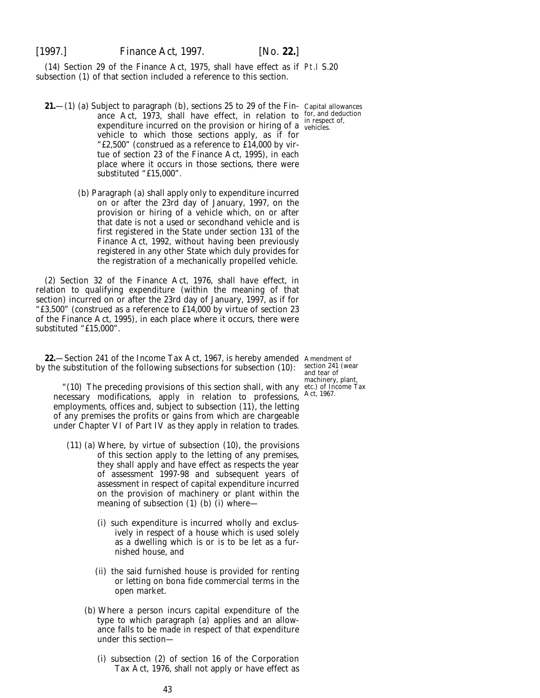[1997.] *Finance Act,* 1997. [*No.* **22.**]

(14) Section 29 of the Finance Act, 1975, shall have effect as if Pt.I S.20 subsection (1) of that section included a reference to this section.

- **21.**—(1) (*a*) Subject to *paragraph (b)*, sections 25 to 29 of the Fin-Capital allowances ance Act, 1973, shall have effect, in relation to for, and deduction comparitives incurred on the precision on higher of a in respect of, expenditure incurred on the provision or hiring of a weblicles. vehicle to which those sections apply, as if for "£2,500" (construed as a reference to £14,000 by virtue of section 23 of the Finance Act, 1995), in each place where it occurs in those sections, there were substituted "£15,000".
	- (*b*) *Paragraph (a)* shall apply only to expenditure incurred on or after the 23rd day of January, 1997, on the provision or hiring of a vehicle which, on or after that date is not a used or secondhand vehicle and is first registered in the State under section 131 of the Finance Act, 1992, without having been previously registered in any other State which duly provides for the registration of a mechanically propelled vehicle.

(2) Section 32 of the Finance Act, 1976, shall have effect, in relation to qualifying expenditure (within the meaning of that section) incurred on or after the 23rd day of January, 1997, as if for "£3,500" (construed as a reference to £14,000 by virtue of section 23 of the Finance Act, 1995), in each place where it occurs, there were substituted "£15,000".

**22.**—Section 241 of the Income Tax Act, 1967, is hereby amended Amendment of by the substitution of the following subsections for subsection (10):

"(10) The preceding provisions of this section shall, with any necessary modifications, apply in relation to professions, employments, offices and, subject to subsection (11), the letting of any premises the profits or gains from which are chargeable under Chapter VI of Part IV as they apply in relation to trades.

- (11) (*a*) Where, by virtue of subsection (10), the provisions of this section apply to the letting of any premises, they shall apply and have effect as respects the year of assessment 1997-98 and subsequent years of assessment in respect of capital expenditure incurred on the provision of machinery or plant within the meaning of subsection (1) (*b*) (i) where—
	- (i) such expenditure is incurred wholly and exclusively in respect of a house which is used solely as a dwelling which is or is to be let as a furnished house, and
	- (ii) the said furnished house is provided for renting or letting on *bona fide* commercial terms in the open market.
	- (*b*) Where a person incurs capital expenditure of the type to which paragraph (*a*) applies and an allowance falls to be made in respect of that expenditure under this section—
		- (i) subsection (2) of section 16 of the Corporation Tax Act, 1976, shall not apply or have effect as

section 241 (wear and tear of machinery, plant, etc.) of Income Tax Act, 1967.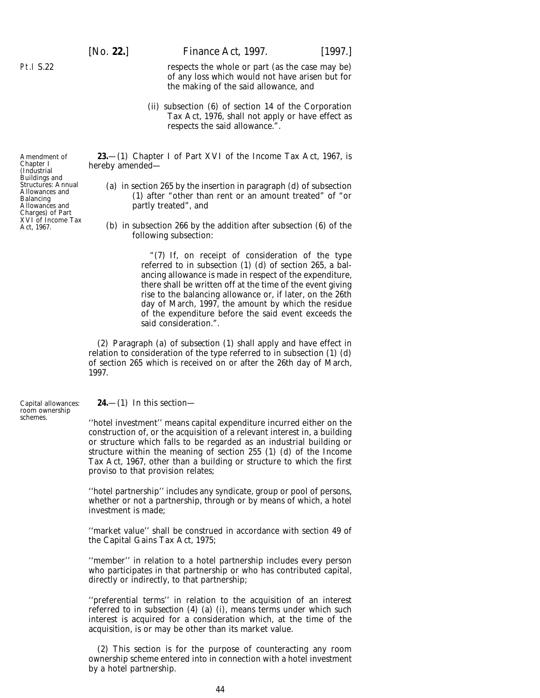[*No.* **22.**] *Finance Act,* 1997. [1997.]

respects the whole or part (as the case may be) of any loss which would not have arisen but for the making of the said allowance, and

(ii) subsection (6) of section 14 of the Corporation Tax Act, 1976, shall not apply or have effect as respects the said allowance.".

**23.**—(1) Chapter I of Part XVI of the Income Tax Act, 1967, is hereby amended—

- (*a*) in section 265 by the insertion in paragraph (*d*) of subsection (1) after "other than rent or an amount treated" of "or partly treated", and
- (*b*) in subsection 266 by the addition after subsection (6) of the following subsection:

"(7) If, on receipt of consideration of the type referred to in subsection (1) (*d*) of section 265, a balancing allowance is made in respect of the expenditure, there shall be written off at the time of the event giving rise to the balancing allowance or, if later, on the 26th day of March, 1997, the amount by which the residue of the expenditure before the said event exceeds the said consideration.".

(2) *Paragraph (a)* of *subsection (1)* shall apply and have effect in relation to consideration of the type referred to in subsection (1) (*d*) of section 265 which is received on or after the 26th day of March, 1997.

Capital allowances: room ownership schemes.

**24.**—(1) In this section—

''hotel investment'' means capital expenditure incurred either on the construction of, or the acquisition of a relevant interest in, a building or structure which falls to be regarded as an industrial building or structure within the meaning of section 255 (1) (*d*) of the Income Tax Act, 1967, other than a building or structure to which the first proviso to that provision relates;

''hotel partnership'' includes any syndicate, group or pool of persons, whether or not a partnership, through or by means of which, a hotel investment is made;

''market value'' shall be construed in accordance with section 49 of the Capital Gains Tax Act, 1975;

''member'' in relation to a hotel partnership includes every person who participates in that partnership or who has contributed capital, directly or indirectly, to that partnership;

''preferential terms'' in relation to the acquisition of an interest referred to in *subsection (4) (a) (i)*, means terms under which such interest is acquired for a consideration which, at the time of the acquisition, is or may be other than its market value.

(2) This section is for the purpose of counteracting any room ownership scheme entered into in connection with a hotel investment by a hotel partnership.

Amendment of Chapter I (Industrial

Buildings and Structures: Annual Allowances and Balancing Allowances and Charges) of Part XVI of Income Tax Act, 1967.

Pt.I S.22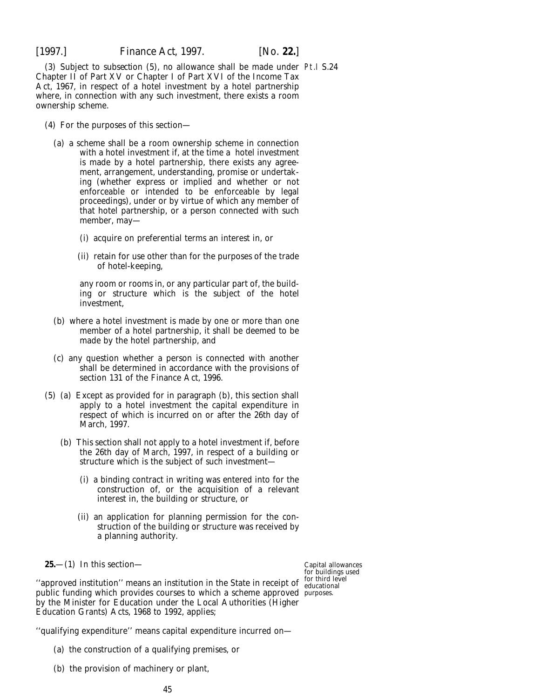(3) Subject to *subsection (5)*, no allowance shall be made under Pt.I S.24 Chapter II of Part XV or Chapter I of Part XVI of the Income Tax Act, 1967, in respect of a hotel investment by a hotel partnership where, in connection with any such investment, there exists a room ownership scheme.

- (4) For the purposes of this section—
	- (*a*) a scheme shall be a room ownership scheme in connection with a hotel investment if, at the time a hotel investment is made by a hotel partnership, there exists any agreement, arrangement, understanding, promise or undertaking (whether express or implied and whether or not enforceable or intended to be enforceable by legal proceedings), under or by virtue of which any member of that hotel partnership, or a person connected with such member, may—
		- (i) acquire on preferential terms an interest in, or
		- (ii) retain for use other than for the purposes of the trade of hotel-keeping,

any room or rooms in, or any particular part of, the building or structure which is the subject of the hotel investment,

- (*b*) where a hotel investment is made by one or more than one member of a hotel partnership, it shall be deemed to be made by the hotel partnership, and
- (*c*) any question whether a person is connected with another shall be determined in accordance with the provisions of section 131 of the Finance Act, 1996.
- (5) (*a*) Except as provided for in *paragraph (b)*, this section shall apply to a hotel investment the capital expenditure in respect of which is incurred on or after the 26th day of March, 1997.
	- (*b*) This section shall not apply to a hotel investment if, before the 26th day of March, 1997, in respect of a building or structure which is the subject of such investment—
		- (i) a binding contract in writing was entered into for the construction of, or the acquisition of a relevant interest in, the building or structure, or
		- (ii) an application for planning permission for the construction of the building or structure was received by a planning authority.

**25.**—(1) In this section—

"approved institution" means an institution in the State in receipt of educational public funding which provides courses to which a scheme approved purposes.by the Minister for Education under the Local Authorities (Higher Education Grants) Acts, 1968 to 1992, applies;

Capital allowances for buildings used for third level

''qualifying expenditure'' means capital expenditure incurred on—

- (*a*) the construction of a qualifying premises, or
- (*b*) the provision of machinery or plant,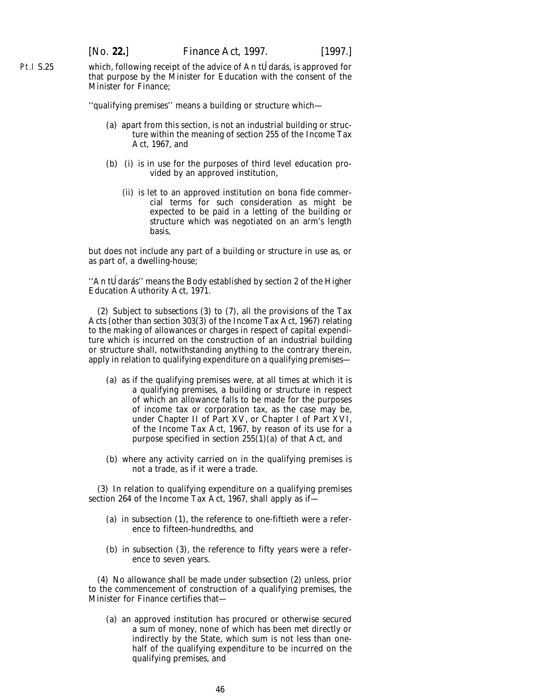which, following receipt of the advice of An tU $d$  darás, is approved for that purpose by the Minister for Education with the consent of the Minister for Finance;

''qualifying premises'' means a building or structure which—

- (*a*) apart from this section, is not an industrial building or structure within the meaning of section 255 of the Income Tax Act, 1967, and
- (*b*) (i) is in use for the purposes of third level education provided by an approved institution,
	- (ii) is let to an approved institution on *bona fide* commercial terms for such consideration as might be expected to be paid in a letting of the building or structure which was negotiated on an arm's length basis,

but does not include any part of a building or structure in use as, or as part of, a dwelling-house;

"An tÚdarás" means the Body established by section 2 of the Higher Education Authority Act, 1971.

(2) Subject to *subsections (3)* to *(7)*, all the provisions of the Tax Acts (other than section 303(3) of the Income Tax Act, 1967) relating to the making of allowances or charges in respect of capital expenditure which is incurred on the construction of an industrial building or structure shall, notwithstanding anything to the contrary therein, apply in relation to qualifying expenditure on a qualifying premises—

- (*a*) as if the qualifying premises were, at all times at which it is a qualifying premises, a building or structure in respect of which an allowance falls to be made for the purposes of income tax or corporation tax, as the case may be, under Chapter II of Part XV, or Chapter I of Part XVI, of the Income Tax Act, 1967, by reason of its use for a purpose specified in section 255(1)(*a*) of that Act, and
- (*b*) where any activity carried on in the qualifying premises is not a trade, as if it were a trade.

(3) In relation to qualifying expenditure on a qualifying premises section 264 of the Income Tax Act, 1967, shall apply as if—

- (*a*) in subsection (1), the reference to one-fiftieth were a reference to fifteen-hundredths, and
- (*b*) in subsection (3), the reference to fifty years were a reference to seven years.

(4) No allowance shall be made under *subsection (2)* unless, prior to the commencement of construction of a qualifying premises, the Minister for Finance certifies that—

(*a*) an approved institution has procured or otherwise secured a sum of money, none of which has been met directly or indirectly by the State, which sum is not less than onehalf of the qualifying expenditure to be incurred on the qualifying premises, and

Pt.I S.25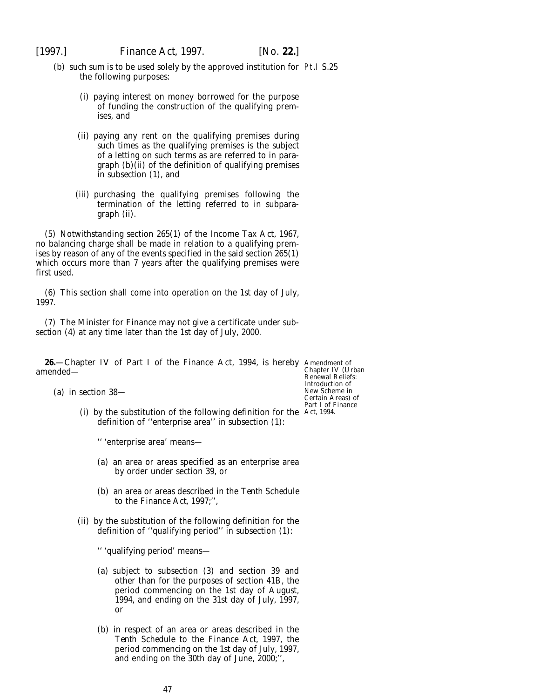[1997.] *Finance Act,* 1997. [*No.* **22.**]

- (*b*) such sum is to be used solely by the approved institution for Pt.I S.25 the following purposes:
	- (i) paying interest on money borrowed for the purpose of funding the construction of the qualifying premises, and
	- (ii) paying any rent on the qualifying premises during such times as the qualifying premises is the subject of a letting on such terms as are referred to in *paragraph (b)(ii)* of the definition of qualifying premises in *subsection (1)*, and
	- (iii) purchasing the qualifying premises following the termination of the letting referred to in *subparagraph (ii)*.

(5) Notwithstanding section 265(1) of the Income Tax Act, 1967, no balancing charge shall be made in relation to a qualifying premises by reason of any of the events specified in the said section 265(1) which occurs more than 7 years after the qualifying premises were first used.

(6) This section shall come into operation on the 1st day of July, 1997.

(7) The Minister for Finance may not give a certificate under *subsection (4)* at any time later than the 1st day of July, 2000.

**26.**—Chapter IV of Part I of the Finance Act, 1994, is hereby Amendment of chapter IV (Urban amended—

(*a*) in section 38—

(i) by the substitution of the following definition for the Act, 1994.definition of ''enterprise area'' in subsection (1):

'' 'enterprise area' means—

- (*a*) an area or areas specified as an enterprise area by order under section 39, or
- (*b*) an area or areas described in the *Tenth Schedule* to the *Finance Act, 1997*;'',
- (ii) by the substitution of the following definition for the definition of ''qualifying period'' in subsection (1):

'' 'qualifying period' means—

- (*a*) subject to subsection (3) and section 39 and other than for the purposes of section 41B, the period commencing on the 1st day of August, 1994, and ending on the 31st day of July, 1997, or
- (*b*) in respect of an area or areas described in the *Tenth Schedule* to the *Finance Act, 1997*, the period commencing on the 1st day of July, 1997, and ending on the 30th day of June, 2000;'',

Renewal Reliefs: Introduction of New Scheme in Certain Areas) of Part I of Finance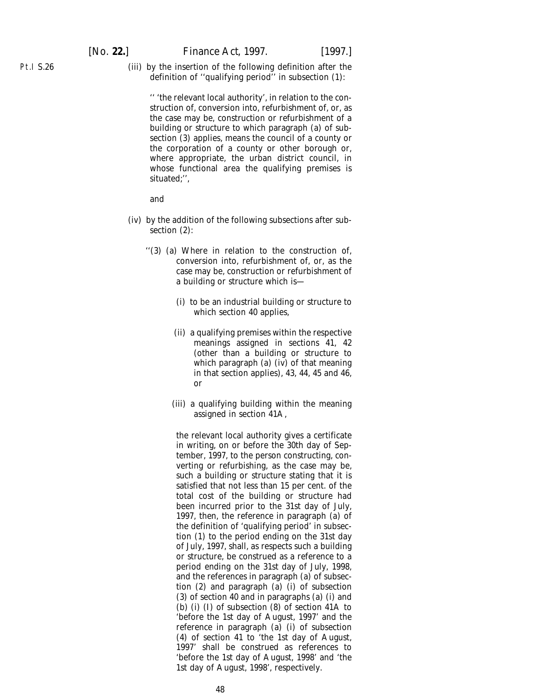[*No.* **22.**] *Finance Act,* 1997. [1997.]

Pt.I S.26

(iii) by the insertion of the following definition after the definition of ''qualifying period'' in subsection (1):

'' 'the relevant local authority', in relation to the construction of, conversion into, refurbishment of, or, as the case may be, construction or refurbishment of a building or structure to which paragraph (*a*) of subsection (3) applies, means the council of a county or the corporation of a county or other borough or, where appropriate, the urban district council, in whose functional area the qualifying premises is situated;'',

and

- (iv) by the addition of the following subsections after subsection (2):
	- ''(3) (*a*) Where in relation to the construction of, conversion into, refurbishment of, or, as the case may be, construction or refurbishment of a building or structure which is—
		- (i) to be an industrial building or structure to which section 40 applies,
		- (ii) a qualifying premises within the respective meanings assigned in sections 41, 42 (other than a building or structure to which paragraph (*a*) (iv) of that meaning in that section applies), 43, 44, 45 and 46, or
		- (iii) a qualifying building within the meaning assigned in section 41A,

the relevant local authority gives a certificate in writing, on or before the 30th day of September, 1997, to the person constructing, converting or refurbishing, as the case may be, such a building or structure stating that it is satisfied that not less than 15 per cent. of the total cost of the building or structure had been incurred prior to the 31st day of July, 1997, then, the reference in paragraph (*a*) of the definition of 'qualifying period' in subsection (1) to the period ending on the 31st day of July, 1997, shall, as respects such a building or structure, be construed as a reference to a period ending on the 31st day of July, 1998, and the references in paragraph (*a*) of subsection (2) and paragraph (*a*) (i) of subsection (3) of section 40 and in paragraphs (*a*) (i) and (*b*) (i) (I) of subsection (8) of section 41A to 'before the 1st day of August, 1997' and the reference in paragraph (*a*) (i) of subsection (4) of section 41 to 'the 1st day of August, 1997' shall be construed as references to 'before the 1st day of August, 1998' and 'the 1st day of August, 1998', respectively.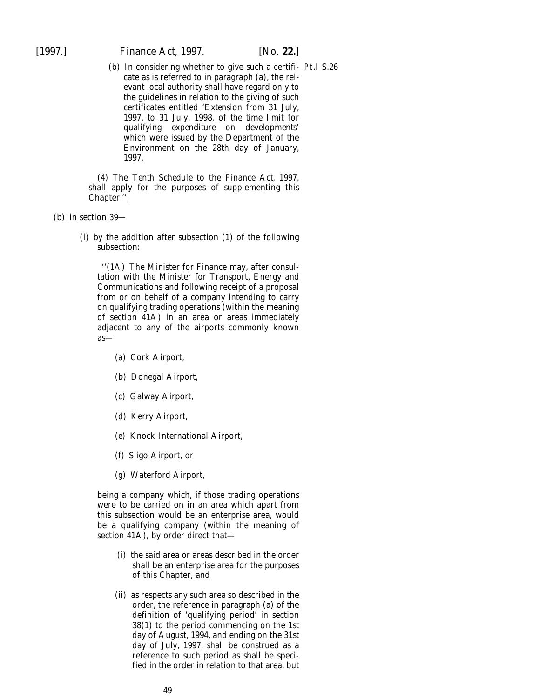[1997.] *Finance Act,* 1997. [*No.* **22.**]

(b) In considering whether to give such a certifi- Pt.I S.26 cate as is referred to in paragraph (*a*), the relevant local authority shall have regard only to the guidelines in relation to the giving of such certificates entitled *'Extension from 31 July, 1997, to 31 July, 1998, of the time limit for qualifying expenditure on developments'* which were issued by the Department of the Environment on the 28th day of January, 1997.

(4) The *Tenth Schedule* to the *Finance Act, 1997*, shall apply for the purposes of supplementing this Chapter.'',

- (*b*) in section 39—
	- (i) by the addition after subsection (1) of the following subsection:

''(1A) The Minister for Finance may, after consultation with the Minister for Transport, Energy and Communications and following receipt of a proposal from or on behalf of a company intending to carry on qualifying trading operations (within the meaning of section 41A) in an area or areas immediately adjacent to any of the airports commonly known as—

- (*a*) Cork Airport,
- (*b*) Donegal Airport,
- (*c*) Galway Airport,
- (*d*) Kerry Airport,
- (*e*) Knock International Airport,
- (*f*) Sligo Airport, or
- (*g*) Waterford Airport,

being a company which, if those trading operations were to be carried on in an area which apart from this subsection would be an enterprise area, would be a qualifying company (within the meaning of section 41A), by order direct that—

- (i) the said area or areas described in the order shall be an enterprise area for the purposes of this Chapter, and
- (ii) as respects any such area so described in the order, the reference in paragraph (*a*) of the definition of 'qualifying period' in section 38(1) to the period commencing on the 1st day of August, 1994, and ending on the 31st day of July, 1997, shall be construed as a reference to such period as shall be specified in the order in relation to that area, but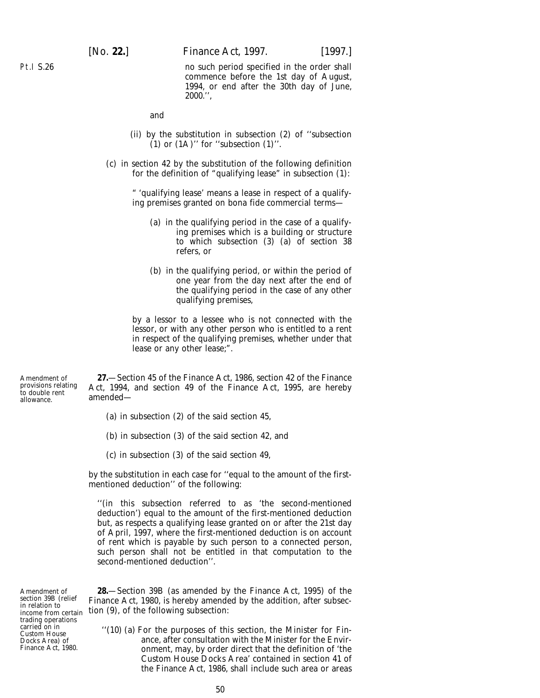no such period specified in the order shall commence before the 1st day of August, 1994, or end after the 30th day of June, 2000.'',

and

- (ii) by the substitution in subsection (2) of ''subsection  $(1)$  or  $(1)$ " for "subsection  $(1)$ ".
- (*c*) in section 42 by the substitution of the following definition for the definition of "qualifying lease" in subsection (1):

" 'qualifying lease' means a lease in respect of a qualifying premises granted on *bona fide* commercial terms—

- (*a*) in the qualifying period in the case of a qualifying premises which is a building or structure to which subsection (3) (*a*) of section 38 refers, or
- (*b*) in the qualifying period, or within the period of one year from the day next after the end of the qualifying period in the case of any other qualifying premises,

by a lessor to a lessee who is not connected with the lessor, or with any other person who is entitled to a rent in respect of the qualifying premises, whether under that lease or any other lease;".

Amendment of provisions relating to double rent allowance.

**27.**—Section 45 of the Finance Act, 1986, section 42 of the Finance Act, 1994, and section 49 of the Finance Act, 1995, are hereby amended—

- (*a*) in subsection (2) of the said section 45,
- (*b*) in subsection (3) of the said section 42, and
- (*c*) in subsection (3) of the said section 49,

by the substitution in each case for ''equal to the amount of the firstmentioned deduction'' of the following:

''(in this subsection referred to as 'the second-mentioned deduction') equal to the amount of the first-mentioned deduction but, as respects a qualifying lease granted on or after the 21st day of April, 1997, where the first-mentioned deduction is on account of rent which is payable by such person to a connected person, such person shall not be entitled in that computation to the second-mentioned deduction''.

Amendment of section 39B (relief in relation to income from certain trading operations carried on in Custom House Docks Area) of Finance Act, 1980.

**28.**—Section 39B (as amended by the Finance Act, 1995) of the Finance Act, 1980, is hereby amended by the addition, after subsection (9), of the following subsection:

''(10) (*a*) For the purposes of this section, the Minister for Finance, after consultation with the Minister for the Environment, may, by order direct that the definition of 'the Custom House Docks Area' contained in section 41 of the Finance Act, 1986, shall include such area or areas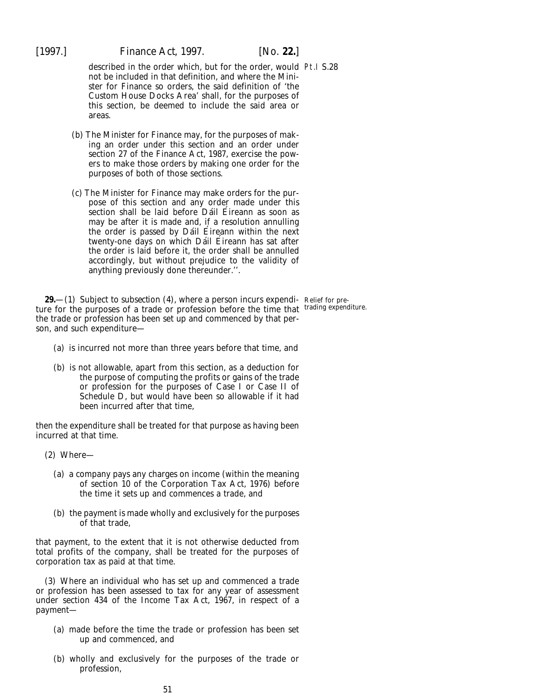[1997.] *Finance Act,* 1997. [*No.* **22.**]

described in the order which, but for the order, would Pt.I S.28 not be included in that definition, and where the Minister for Finance so orders, the said definition of 'the Custom House Docks Area' shall, for the purposes of this section, be deemed to include the said area or areas.

- (*b*) The Minister for Finance may, for the purposes of making an order under this section and an order under section 27 of the Finance Act, 1987, exercise the powers to make those orders by making one order for the purposes of both of those sections.
- (*c*) The Minister for Finance may make orders for the purpose of this section and any order made under this section shall be laid before Dáil Éireann as soon as may be after it is made and, if a resolution annulling the order is passed by Dáil Éireann within the next twenty-one days on which Dáil Éireann has sat after the order is laid before it, the order shall be annulled accordingly, but without prejudice to the validity of anything previously done thereunder.''.

**29.**—(1) Subject to *subsection (4)*, where a person incurs expendi- Relief for preture for the purposes of a trade or profession before the time that trading expenditure. the trade or profession has been set up and commenced by that person, and such expenditure—

- (*a*) is incurred not more than three years before that time, and
- (*b*) is not allowable, apart from this section, as a deduction for the purpose of computing the profits or gains of the trade or profession for the purposes of Case I or Case II of Schedule D, but would have been so allowable if it had been incurred after that time,

then the expenditure shall be treated for that purpose as having been incurred at that time.

- (2) Where—
	- (*a*) a company pays any charges on income (within the meaning of section 10 of the Corporation Tax Act, 1976) before the time it sets up and commences a trade, and
	- (*b*) the payment is made wholly and exclusively for the purposes of that trade,

that payment, to the extent that it is not otherwise deducted from total profits of the company, shall be treated for the purposes of corporation tax as paid at that time.

(3) Where an individual who has set up and commenced a trade or profession has been assessed to tax for any year of assessment under section 434 of the Income Tax Act, 1967, in respect of a payment—

- (*a*) made before the time the trade or profession has been set up and commenced, and
- (*b*) wholly and exclusively for the purposes of the trade or profession,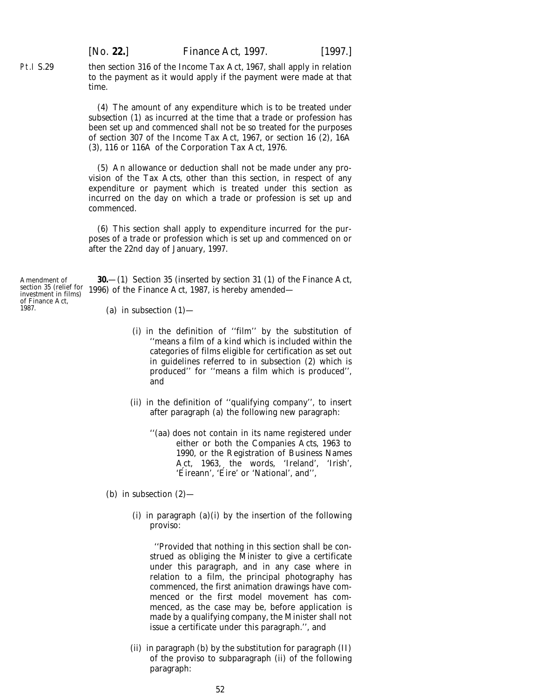[*No.* **22.**] *Finance Act,* 1997. [1997.]

then section 316 of the Income Tax Act, 1967, shall apply in relation to the payment as it would apply if the payment were made at that time.

(4) The amount of any expenditure which is to be treated under *subsection (1)* as incurred at the time that a trade or profession has been set up and commenced shall not be so treated for the purposes of section 307 of the Income Tax Act, 1967, or section 16 (2), 16A (3), 116 or 116A of the Corporation Tax Act, 1976.

(5) An allowance or deduction shall not be made under any provision of the Tax Acts, other than this section, in respect of any expenditure or payment which is treated under this section as incurred on the day on which a trade or profession is set up and commenced.

(6) This section shall apply to expenditure incurred for the purposes of a trade or profession which is set up and commenced on or after the 22nd day of January, 1997.

**30.**—(1) Section 35 (inserted by section 31 (1) of the Finance Act, 1996) of the Finance Act, 1987, is hereby amended—

- (*a*) in subsection  $(1)$ 
	- (i) in the definition of ''film'' by the substitution of ''means a film of a kind which is included within the categories of films eligible for certification as set out in guidelines referred to in subsection (2) which is produced'' for ''means a film which is produced'', and
	- (ii) in the definition of ''qualifying company'', to insert after paragraph (*a*) the following new paragraph:
		- ''(*aa*) does not contain in its name registered under either or both the Companies Acts, 1963 to 1990, or the Registration of Business Names Act, 1963, the words, 'Ireland', 'Irish', 'Éireann', 'Éire' or 'National', and'',
- (*b*) in subsection (2)—
	- (i) in paragraph  $(a)(i)$  by the insertion of the following proviso:

''Provided that nothing in this section shall be construed as obliging the Minister to give a certificate under this paragraph, and in any case where in relation to a film, the principal photography has commenced, the first animation drawings have commenced or the first model movement has commenced, as the case may be, before application is made by a qualifying company, the Minister shall not issue a certificate under this paragraph.'', and

(ii) in paragraph (*b*) by the substitution for paragraph (II) of the proviso to subparagraph (ii) of the following paragraph:

Amendment of section 35 (relief for investment in films) of Finance Act, 1987.

Pt.I S.29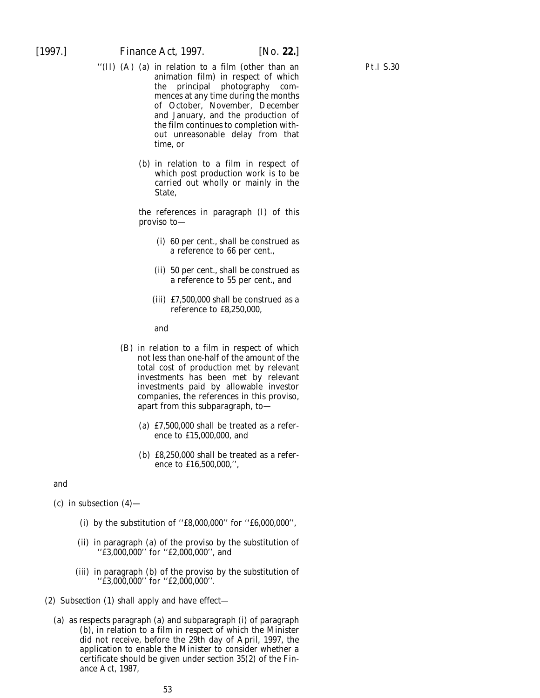- ''(II) (A) (*a*) in relation to a film (other than an animation film) in respect of which the principal photography commences at any time during the months of October, November, December and January, and the production of the film continues to completion without unreasonable delay from that time, or
	- (*b*) in relation to a film in respect of which post production work is to be carried out wholly or mainly in the State,

the references in paragraph (I) of this proviso to—

- (i) 60 per cent., shall be construed as a reference to 66 per cent.,
- (ii) 50 per cent., shall be construed as a reference to 55 per cent., and
- (iii) £7,500,000 shall be construed as a reference to £8,250,000,

and

- (B) in relation to a film in respect of which not less than one-half of the amount of the total cost of production met by relevant investments has been met by relevant investments paid by allowable investor companies, the references in this proviso, apart from this subparagraph, to—
	- (*a*) £7,500,000 shall be treated as a reference to £15,000,000, and
	- (*b*) £8,250,000 shall be treated as a reference to £16,500,000,'',

and

 $(c)$  in subsection  $(4)$ —

- (i) by the substitution of ''£8,000,000'' for ''£6,000,000'',
- (ii) in paragraph (*a*) of the proviso by the substitution of ''£3,000,000'' for ''£2,000,000'', and
- (iii) in paragraph (*b*) of the proviso by the substitution of ''£3,000,000'' for ''£2,000,000''.
- (2) *Subsection (1)* shall apply and have effect—
	- (*a*) as respects *paragraph (a)* and *subparagraph (i)* of *paragraph (b)*, in relation to a film in respect of which the Minister did not receive, before the 29th day of April, 1997, the application to enable the Minister to consider whether a certificate should be given under section 35(2) of the Finance Act, 1987,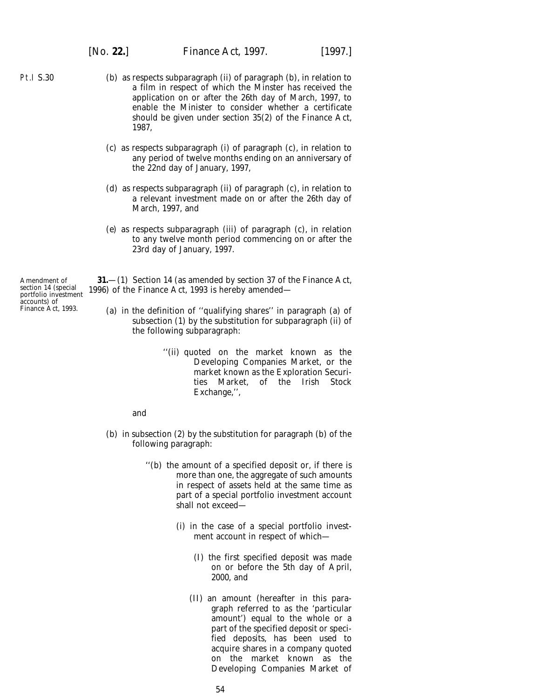Pt.I S.30

- (*b*) as respects *subparagraph (ii)* of *paragraph (b)*, in relation to a film in respect of which the Minster has received the application on or after the 26th day of March, 1997, to enable the Minister to consider whether a certificate should be given under section 35(2) of the Finance Act, 1987,
- (*c*) as respects *subparagraph (i)* of *paragraph (c)*, in relation to any period of twelve months ending on an anniversary of the 22nd day of January, 1997,
- (*d*) as respects *subparagraph (ii)* of *paragraph (c)*, in relation to a relevant investment made on or after the 26th day of March, 1997, and
- (*e*) as respects *subparagraph (iii)* of *paragraph (c)*, in relation to any twelve month period commencing on or after the 23rd day of January, 1997.

**31.**—(1) Section 14 (as amended by section 37 of the Finance Act, 1996) of the Finance Act, 1993 is hereby amended—

- (*a*) in the definition of ''qualifying shares'' in paragraph (*a*) of subsection (1) by the substitution for subparagraph (ii) of the following subparagraph:
	- ''(ii) quoted on the market known as the Developing Companies Market, or the market known as the Exploration Securities Market, of the Irish Stock Exchange,'',

and

- (*b*) in subsection (2) by the substitution for paragraph (*b*) of the following paragraph:
	- ''(*b*) the amount of a specified deposit or, if there is more than one, the aggregate of such amounts in respect of assets held at the same time as part of a special portfolio investment account shall not exceed—
		- (i) in the case of a special portfolio investment account in respect of which—
			- (I) the first specified deposit was made on or before the 5th day of April, 2000, and
			- (II) an amount (hereafter in this paragraph referred to as the 'particular amount') equal to the whole or a part of the specified deposit or specified deposits, has been used to acquire shares in a company quoted on the market known as the Developing Companies Market of

Amendment of section 14 (special portfolio investment accounts) of Finance Act, 1993.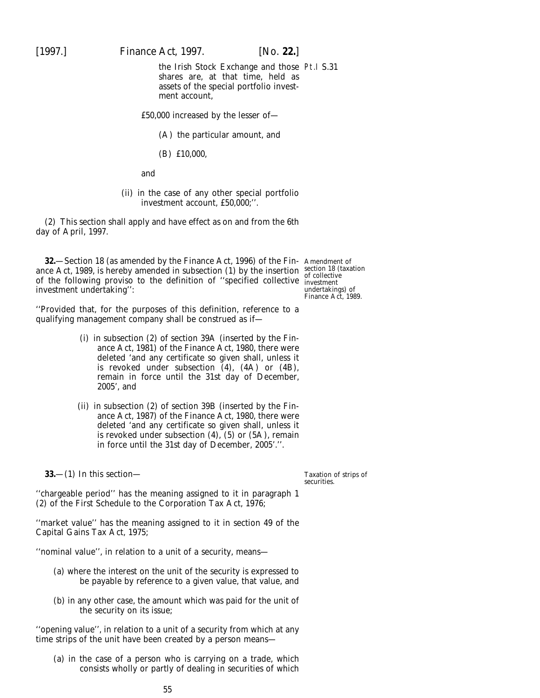[1997.] *Finance Act,* 1997. [*No.* **22.**]

the Irish Stock Exchange and those Pt.I S.31 shares are, at that time, held as assets of the special portfolio investment account,

£50,000 increased by the lesser of—

(A) the particular amount, and

(B) £10,000,

and

(ii) in the case of any other special portfolio investment account, £50,000;''.

(2) This section shall apply and have effect as on and from the 6th day of April, 1997.

**32.**—Section 18 (as amended by the Finance Act, 1996) of the Fin-Amendment of ance Act, 1989, is hereby amended in subsection (1) by the insertion section 18 (taxation of the following proviso to the definition of "specified collective investment" investment undertaking'':

undertakings) of Finance Act, 1989.

''Provided that, for the purposes of this definition, reference to a qualifying management company shall be construed as if—

- (i) in subsection (2) of section 39A (inserted by the Finance Act, 1981) of the Finance Act, 1980, there were deleted 'and any certificate so given shall, unless it is revoked under subsection (4), (4A) or (4B), remain in force until the 31st day of December, 2005', and
- (ii) in subsection (2) of section 39B (inserted by the Finance Act, 1987) of the Finance Act, 1980, there were deleted 'and any certificate so given shall, unless it is revoked under subsection  $(4)$ ,  $(5)$  or  $(5A)$ , remain in force until the 31st day of December, 2005'.''.

**33.**—(1) In this section—

Taxation of strips of securities.

''chargeable period'' has the meaning assigned to it in paragraph 1 (2) of the First Schedule to the Corporation Tax Act, 1976;

''market value'' has the meaning assigned to it in section 49 of the Capital Gains Tax Act, 1975;

''nominal value'', in relation to a unit of a security, means—

- (*a*) where the interest on the unit of the security is expressed to be payable by reference to a given value, that value, and
- (*b*) in any other case, the amount which was paid for the unit of the security on its issue;

''opening value'', in relation to a unit of a security from which at any time strips of the unit have been created by a person means—

(*a*) in the case of a person who is carrying on a trade, which consists wholly or partly of dealing in securities of which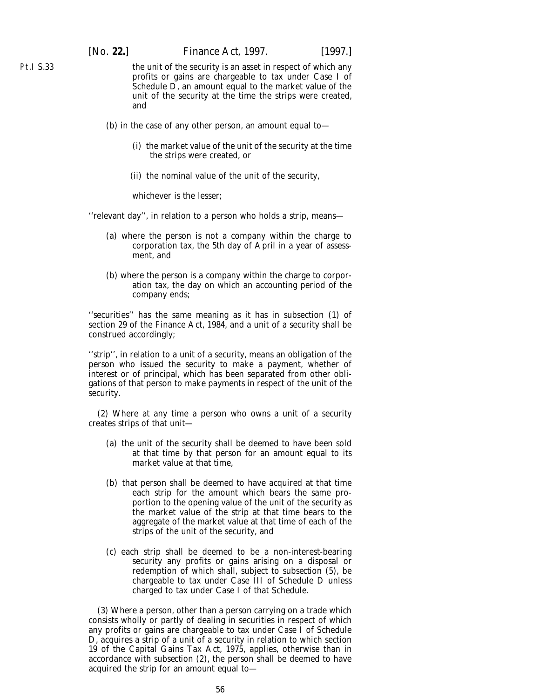Pt.I S.33

the unit of the security is an asset in respect of which any profits or gains are chargeable to tax under Case I of Schedule D, an amount equal to the market value of the unit of the security at the time the strips were created, and

- (*b*) in the case of any other person, an amount equal to—
	- (i) the market value of the unit of the security at the time the strips were created, or
	- (ii) the nominal value of the unit of the security,

whichever is the lesser;

''relevant day'', in relation to a person who holds a strip, means—

- (*a*) where the person is not a company within the charge to corporation tax, the 5th day of April in a year of assessment, and
- (*b*) where the person is a company within the charge to corporation tax, the day on which an accounting period of the company ends;

''securities'' has the same meaning as it has in subsection (1) of section 29 of the Finance Act, 1984, and a unit of a security shall be construed accordingly;

''strip'', in relation to a unit of a security, means an obligation of the person who issued the security to make a payment, whether of interest or of principal, which has been separated from other obligations of that person to make payments in respect of the unit of the security.

(2) Where at any time a person who owns a unit of a security creates strips of that unit—

- (*a*) the unit of the security shall be deemed to have been sold at that time by that person for an amount equal to its market value at that time,
- (*b*) that person shall be deemed to have acquired at that time each strip for the amount which bears the same proportion to the opening value of the unit of the security as the market value of the strip at that time bears to the aggregate of the market value at that time of each of the strips of the unit of the security, and
- (*c*) each strip shall be deemed to be a non-interest-bearing security any profits or gains arising on a disposal or redemption of which shall, subject to *subsection (5)*, be chargeable to tax under Case III of Schedule D unless charged to tax under Case I of that Schedule.

(3) Where a person, other than a person carrying on a trade which consists wholly or partly of dealing in securities in respect of which any profits or gains are chargeable to tax under Case I of Schedule D, acquires a strip of a unit of a security in relation to which section 19 of the Capital Gains Tax Act, 1975, applies, otherwise than in accordance with *subsection (2)*, the person shall be deemed to have acquired the strip for an amount equal to—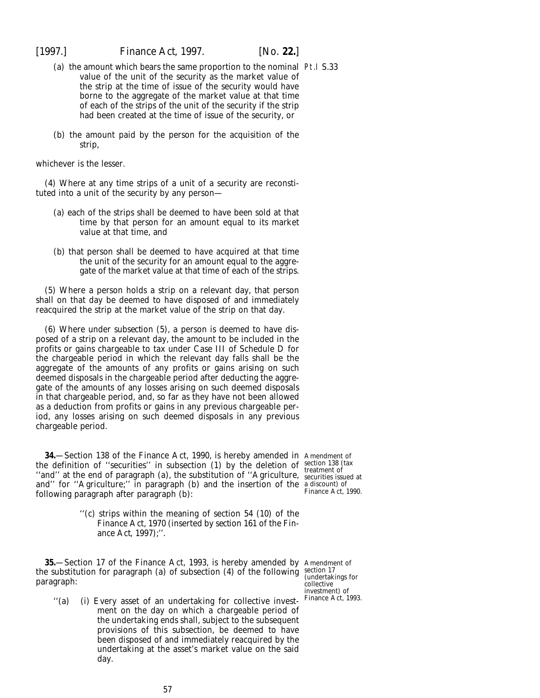- (*a*) the amount which bears the same proportion to the nominal Pt.I S.33 value of the unit of the security as the market value of the strip at the time of issue of the security would have borne to the aggregate of the market value at that time of each of the strips of the unit of the security if the strip had been created at the time of issue of the security, or
- (*b*) the amount paid by the person for the acquisition of the strip,

whichever is the lesser.

(4) Where at any time strips of a unit of a security are reconstituted into a unit of the security by any person—

- (*a*) each of the strips shall be deemed to have been sold at that time by that person for an amount equal to its market value at that time, and
- (*b*) that person shall be deemed to have acquired at that time the unit of the security for an amount equal to the aggregate of the market value at that time of each of the strips.

(5) Where a person holds a strip on a relevant day, that person shall on that day be deemed to have disposed of and immediately reacquired the strip at the market value of the strip on that day.

(6) Where under *subsection (5)*, a person is deemed to have disposed of a strip on a relevant day, the amount to be included in the profits or gains chargeable to tax under Case III of Schedule D for the chargeable period in which the relevant day falls shall be the aggregate of the amounts of any profits or gains arising on such deemed disposals in the chargeable period after deducting the aggregate of the amounts of any losses arising on such deemed disposals in that chargeable period, and, so far as they have not been allowed as a deduction from profits or gains in any previous chargeable period, any losses arising on such deemed disposals in any previous chargeable period.

**34.**—Section 138 of the Finance Act, 1990, is hereby amended in Amendment of the definition of ''securities'' in subsection (1) by the deletion of ''and'' at the end of paragraph (*a*), the substitution of ''Agriculture, and'' for ''Agriculture;'' in paragraph (*b*) and the insertion of the a discount) of Finance Act, 1990. following paragraph after paragraph (*b*):

> ''(*c*) strips within the meaning of section 54 (10) of the Finance Act, 1970 (inserted by *section 161* of the *Finance Act, 1997*);''.

**35.**—Section 17 of the Finance Act, 1993, is hereby amended by Amendment of the substitution for paragraph (*a*) of subsection (4) of the following section 17 paragraph:

section 138 (tax treatment of securities issued at

(undertakings for collective investment) of Finance Act, 1993.

''(*a*) (i) Every asset of an undertaking for collective investment on the day on which a chargeable period of the undertaking ends shall, subject to the subsequent provisions of this subsection, be deemed to have been disposed of and immediately reacquired by the undertaking at the asset's market value on the said day.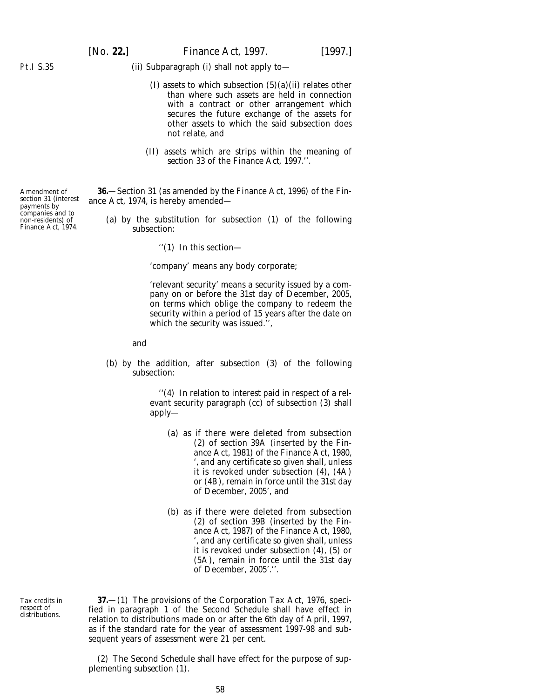[*No.* **22.**] *Finance Act,* 1997. [1997.]

#### (ii) Subparagraph (i) shall not apply to—

- (I) assets to which subsection  $(5)(a)$ (ii) relates other than where such assets are held in connection with a contract or other arrangement which secures the future exchange of the assets for other assets to which the said subsection does not relate, and
- (II) assets which are strips within the meaning of *section 33* of the *Finance Act, 1997*.''.

**36.**—Section 31 (as amended by the Finance Act, 1996) of the Finance Act, 1974, is hereby amended—

- (*a*) by the substitution for subsection (1) of the following subsection:
	- ''(1) In this section—

'company' means any body corporate;

'relevant security' means a security issued by a company on or before the 31st day of December, 2005, on terms which oblige the company to redeem the security within a period of 15 years after the date on which the security was issued.'',

and

(*b*) by the addition, after subsection (3) of the following subsection:

> ''(4) In relation to interest paid in respect of a relevant security paragraph (*cc*) of subsection (3) shall apply—

- (*a*) as if there were deleted from subsection (2) of section 39A (inserted by the Finance Act, 1981) of the Finance Act, 1980, ', and any certificate so given shall, unless it is revoked under subsection (4), (4A) or (4B), remain in force until the 31st day of December, 2005', and
- (*b*) as if there were deleted from subsection (2) of section 39B (inserted by the Finance Act, 1987) of the Finance Act, 1980, ', and any certificate so given shall, unless it is revoked under subsection (4), (5) or (5A), remain in force until the 31st day of December, 2005'.''.

Tax credits in respect of distributions.

**37.**—(1) The provisions of the Corporation Tax Act, 1976, specified in *paragraph 1* of the *Second Schedule* shall have effect in relation to distributions made on or after the 6th day of April, 1997, as if the standard rate for the year of assessment 1997-98 and subsequent years of assessment were 21 per cent.

(2) The *Second Schedule* shall have effect for the purpose of supplementing *subsection (1).*

Amendment of section 31 (interest payments by companies and to non-residents) of Finance Act, 1974.

Pt.I S.35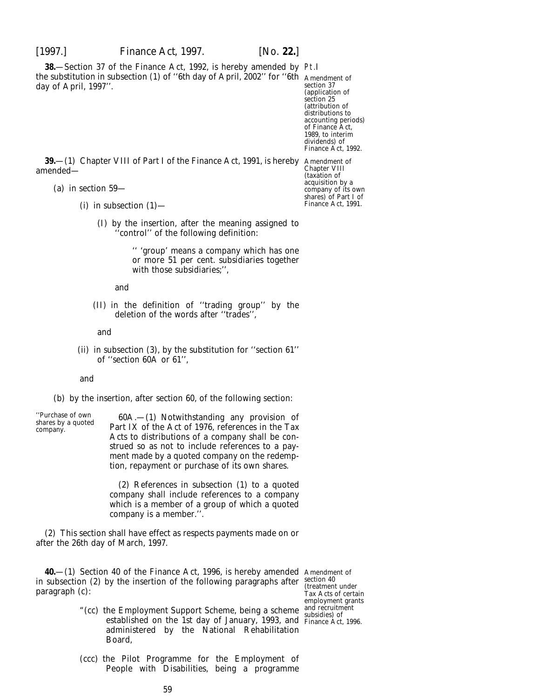**38.**—Section 37 of the Finance Act, 1992, is hereby amended by Pt.I the substitution in subsection (1) of ''6th day of April, 2002'' for ''6th Amendment of day of April, 1997''.

section 37 (application of section 25 (attribution of distributions to accounting periods) of Finance Act, 1989, to interim dividends) of

**39.**—(1) Chapter VIII of Part I of the Finance Act, 1991, is hereby Amendment of amended—

- (*a*) in section 59—
	- (i) in subsection  $(1)$ 
		- (I) by the insertion, after the meaning assigned to 'control'' of the following definition:

'' 'group' means a company which has one or more 51 per cent. subsidiaries together with those subsidiaries;'',

and

(II) in the definition of ''trading group'' by the deletion of the words after ''trades'',

and

(ii) in subsection (3), by the substitution for ''section 61'' of ''section 60A or 61'',

and

#### (*b*) by the insertion, after section 60, of the following section:

''Purchase of own 60A.—(1) Notwithstanding any provision of shares by a quoted Part IX of the Act of 1976, references in the Tax Acts to distributions of a company shall be construed so as not to include references to a payment made by a quoted company on the redemption, repayment or purchase of its own shares.

> (2) References in subsection (1) to a quoted company shall include references to a company which is a member of a group of which a quoted company is a member.''.

(2) This section shall have effect as respects payments made on or after the 26th day of March, 1997.

**40.**—(1) Section 40 of the Finance Act, 1996, is hereby amended Amendment of in subsection (2) by the insertion of the following paragraphs after paragraph (*c*):

- "(*cc*) the Employment Support Scheme, being a scheme established on the 1st day of January, 1993, and administered by the National Rehabilitation Board,
- (*ccc*) the Pilot Programme for the Employment of People with Disabilities, being a programme

section 40 (treatment under Tax Acts of certain employment grants and recruitment subsidies) of Finance Act, 1996.

Finance Act, 1992. Chapter VIII (taxation of acquisition by a company of its own shares) of Part I of Finance Act, 1991.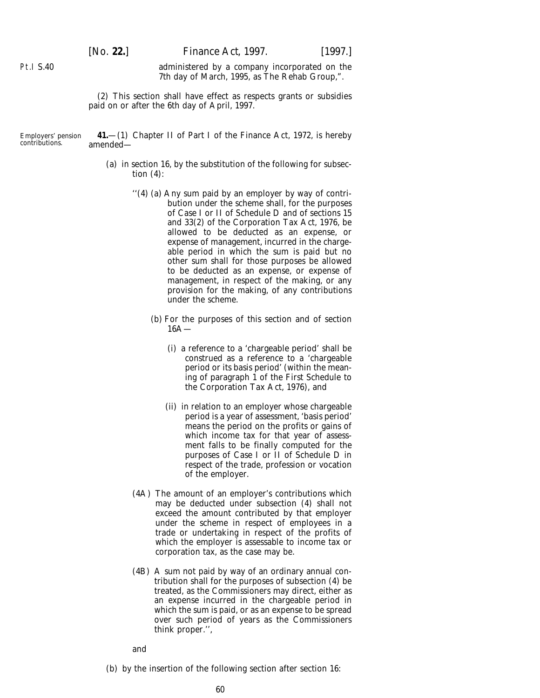administered by a company incorporated on the 7th day of March, 1995, as The Rehab Group,".

(2) This section shall have effect as respects grants or subsidies paid on or after the 6th day of April, 1997.

Employers' pension contributions. **41.**—(1) Chapter II of Part I of the Finance Act, 1972, is hereby amended—

- (*a*) in section 16, by the substitution of the following for subsection (4):
	- ''(4) (*a*) Any sum paid by an employer by way of contribution under the scheme shall, for the purposes of Case I or II of Schedule D and of sections 15 and 33(2) of the Corporation Tax Act, 1976, be allowed to be deducted as an expense, or expense of management, incurred in the chargeable period in which the sum is paid but no other sum shall for those purposes be allowed to be deducted as an expense, or expense of management, in respect of the making, or any provision for the making, of any contributions under the scheme.
		- (*b*) For the purposes of this section and of section  $16\Delta$ 
			- (i) a reference to a 'chargeable period' shall be construed as a reference to a 'chargeable period or its basis period' (within the meaning of paragraph  $\overline{1}$  of the First Schedule to the Corporation Tax Act, 1976), and
			- (ii) in relation to an employer whose chargeable period is a year of assessment, 'basis period' means the period on the profits or gains of which income tax for that year of assessment falls to be finally computed for the purposes of Case I or II of Schedule D in respect of the trade, profession or vocation of the employer.
	- (4A) The amount of an employer's contributions which may be deducted under subsection (4) shall not exceed the amount contributed by that employer under the scheme in respect of employees in a trade or undertaking in respect of the profits of which the employer is assessable to income tax or corporation tax, as the case may be.
	- (4B) A sum not paid by way of an ordinary annual contribution shall for the purposes of subsection (4) be treated, as the Commissioners may direct, either as an expense incurred in the chargeable period in which the sum is paid, or as an expense to be spread over such period of years as the Commissioners think proper.'',

and

(*b*) by the insertion of the following section after section 16:

Pt.I S.40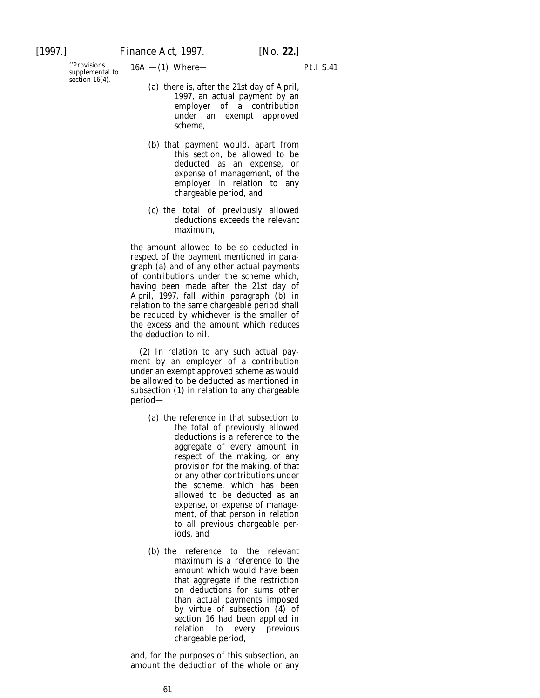"Provisions  $16A$ .—(1) Where—<br>supplemental to section  $16(4)$ .

- (*a*) there is, after the 21st day of April, 1997, an actual payment by an employer of a contribution under an exempt approved scheme,
- (*b*) that payment would, apart from this section, be allowed to be deducted as an expense, or expense of management, of the employer in relation to any chargeable period, and
- (*c*) the total of previously allowed deductions exceeds the relevant maximum,

the amount allowed to be so deducted in respect of the payment mentioned in paragraph (*a*) and of any other actual payments of contributions under the scheme which, having been made after the 21st day of April, 1997, fall within paragraph (*b*) in relation to the same chargeable period shall be reduced by whichever is the smaller of the excess and the amount which reduces the deduction to nil.

(2) In relation to any such actual payment by an employer of a contribution under an exempt approved scheme as would be allowed to be deducted as mentioned in subsection (1) in relation to any chargeable period—

- (*a*) the reference in that subsection to the total of previously allowed deductions is a reference to the aggregate of every amount in respect of the making, or any provision for the making, of that or any other contributions under the scheme, which has been allowed to be deducted as an expense, or expense of management, of that person in relation to all previous chargeable periods, and
- (*b*) the reference to the relevant maximum is a reference to the amount which would have been that aggregate if the restriction on deductions for sums other than actual payments imposed by virtue of subsection (4) of section 16 had been applied in relation to every previous chargeable period,

and, for the purposes of this subsection, an amount the deduction of the whole or any

Pt.I S.41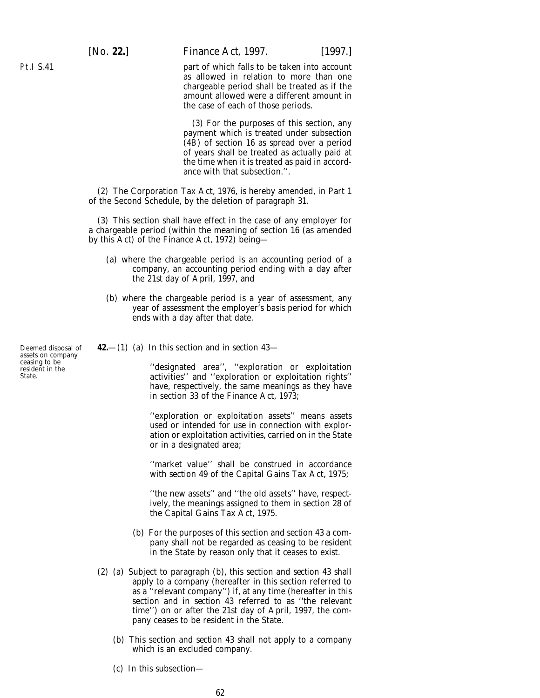[*No.* **22.**] *Finance Act,* 1997. [1997.]

part of which falls to be taken into account as allowed in relation to more than one chargeable period shall be treated as if the amount allowed were a different amount in the case of each of those periods.

(3) For the purposes of this section, any payment which is treated under subsection (4B) of section 16 as spread over a period of years shall be treated as actually paid at the time when it is treated as paid in accordance with that subsection.''.

(2) The Corporation Tax Act, 1976, is hereby amended, in Part 1 of the Second Schedule, by the deletion of paragraph 31.

(3) This section shall have effect in the case of any employer for a chargeable period (within the meaning of section 16 (as amended by this Act) of the Finance Act, 1972) being—

- (*a*) where the chargeable period is an accounting period of a company, an accounting period ending with a day after the 21st day of April, 1997, and
- (*b*) where the chargeable period is a year of assessment, any year of assessment the employer's basis period for which ends with a day after that date.
- **42.**—(1) (*a*) In this section and in *section 43*—

''designated area'', ''exploration or exploitation activities'' and ''exploration or exploitation rights'' have, respectively, the same meanings as they have in section 33 of the Finance Act, 1973;

''exploration or exploitation assets'' means assets used or intended for use in connection with exploration or exploitation activities, carried on in the State or in a designated area;

''market value'' shall be construed in accordance with section 49 of the Capital Gains Tax Act, 1975;

''the new assets'' and ''the old assets'' have, respectively, the meanings assigned to them in section 28 of the Capital Gains Tax Act, 1975.

- (*b*) For the purposes of this section and *section 43* a company shall not be regarded as ceasing to be resident in the State by reason only that it ceases to exist.
- (2) (*a*) Subject to *paragraph (b)*, this section and *section 43* shall apply to a company (hereafter in this section referred to as a ''relevant company'') if, at any time (hereafter in this section and in *section 43* referred to as ''the relevant time'') on or after the 21st day of April, 1997, the company ceases to be resident in the State.
	- (*b*) This section and *section 43* shall not apply to a company which is an excluded company.
	- (*c*) In this subsection—

Deemed disposal of assets on company ceasing to be resident in the State.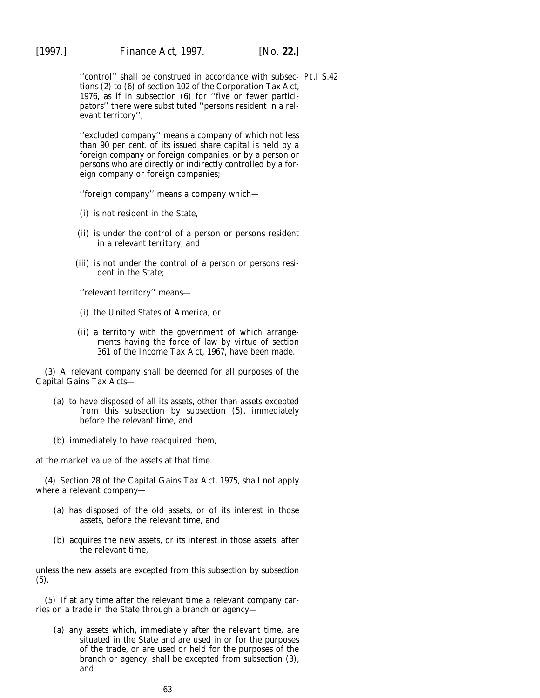"control" shall be construed in accordance with subsec- Pt.I S.42 tions (2) to (6) of section 102 of the Corporation Tax Act, 1976, as if in subsection (6) for ''five or fewer participators'' there were substituted ''persons resident in a relevant territory'';

''excluded company'' means a company of which not less than 90 per cent. of its issued share capital is held by a foreign company or foreign companies, or by a person or persons who are directly or indirectly controlled by a foreign company or foreign companies;

''foreign company'' means a company which—

- (i) is not resident in the State,
- (ii) is under the control of a person or persons resident in a relevant territory, and
- (iii) is not under the control of a person or persons resident in the State;

''relevant territory'' means—

- (i) the United States of America, or
- (ii) a territory with the government of which arrangements having the force of law by virtue of section 361 of the Income Tax Act, 1967, have been made.

(3) A relevant company shall be deemed for all purposes of the Capital Gains Tax Acts—

- (*a*) to have disposed of all its assets, other than assets excepted from this subsection by *subsection (5)*, immediately before the relevant time, and
- (*b*) immediately to have reacquired them,

at the market value of the assets at that time.

(4) Section 28 of the Capital Gains Tax Act, 1975, shall not apply where a relevant company—

- (*a*) has disposed of the old assets, or of its interest in those assets, before the relevant time, and
- (*b*) acquires the new assets, or its interest in those assets, after the relevant time,

unless the new assets are excepted from this subsection by *subsection (5)*.

(5) If at any time after the relevant time a relevant company carries on a trade in the State through a branch or agency—

(*a*) any assets which, immediately after the relevant time, are situated in the State and are used in or for the purposes of the trade, or are used or held for the purposes of the branch or agency, shall be excepted from *subsection (3)*, and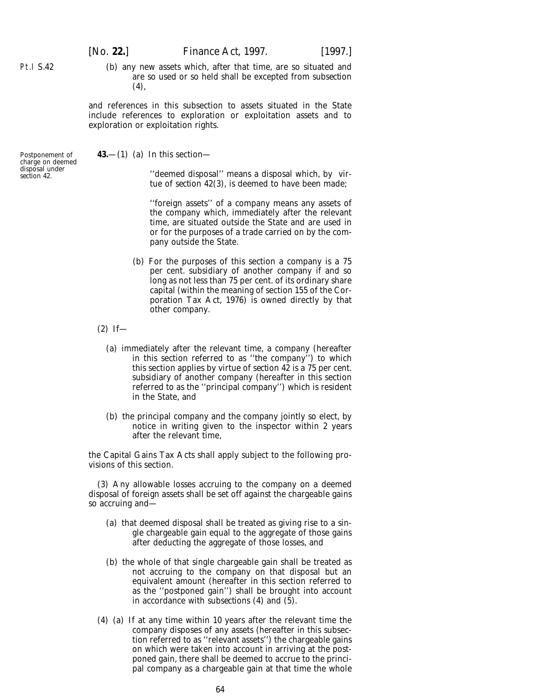[*No.* **22.**] *Finance Act,* 1997. [1997.]

- Pt.I S.42
- (*b*) any new assets which, after that time, are so situated and are so used or so held shall be excepted from *subsection (4)*,

and references in this subsection to assets situated in the State include references to exploration or exploitation assets and to exploration or exploitation rights.

Postponement of charge on deemed disposal under *section 42*.

**43.**—(1) (*a*) In this section—

''deemed disposal'' means a disposal which, by virtue of *section 42(3)*, is deemed to have been made;

''foreign assets'' of a company means any assets of the company which, immediately after the relevant time, are situated outside the State and are used in or for the purposes of a trade carried on by the company outside the State.

- (*b*) For the purposes of this section a company is a 75 per cent. subsidiary of another company if and so long as not less than 75 per cent. of its ordinary share capital (within the meaning of section 155 of the Corporation Tax Act, 1976) is owned directly by that other company.
- $(2)$  If-
	- (*a*) immediately after the relevant time, a company (hereafter in this section referred to as ''the company'') to which this section applies by virtue of *section 42* is a 75 per cent. subsidiary of another company (hereafter in this section referred to as the "principal company") which is resident in the State, and
	- (*b*) the principal company and the company jointly so elect, by notice in writing given to the inspector within 2 years after the relevant time,

the Capital Gains Tax Acts shall apply subject to the following provisions of this section.

(3) Any allowable losses accruing to the company on a deemed disposal of foreign assets shall be set off against the chargeable gains so accruing and—

- (*a*) that deemed disposal shall be treated as giving rise to a single chargeable gain equal to the aggregate of those gains after deducting the aggregate of those losses, and
- (*b*) the whole of that single chargeable gain shall be treated as not accruing to the company on that disposal but an equivalent amount (hereafter in this section referred to as the ''postponed gain'') shall be brought into account in accordance with *subsections (4)* and *(5)*.
- (4) (*a*) If at any time within 10 years after the relevant time the company disposes of any assets (hereafter in this subsection referred to as ''relevant assets'') the chargeable gains on which were taken into account in arriving at the postponed gain, there shall be deemed to accrue to the principal company as a chargeable gain at that time the whole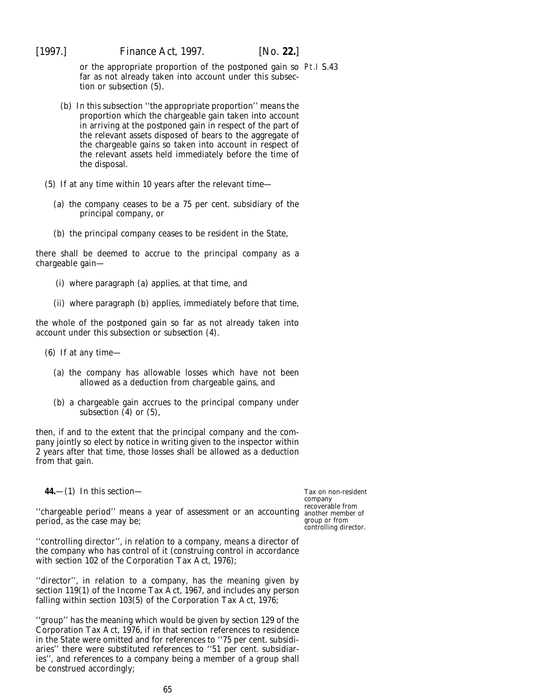or the appropriate proportion of the postponed gain so Pt.I S.43 far as not already taken into account under this subsection or *subsection (5)*.

- (*b*) In this subsection ''the appropriate proportion'' means the proportion which the chargeable gain taken into account in arriving at the postponed gain in respect of the part of the relevant assets disposed of bears to the aggregate of the chargeable gains so taken into account in respect of the relevant assets held immediately before the time of the disposal.
- (5) If at any time within 10 years after the relevant time—
	- (*a*) the company ceases to be a 75 per cent. subsidiary of the principal company, or
	- (*b*) the principal company ceases to be resident in the State,

there shall be deemed to accrue to the principal company as a chargeable gain—

- (i) where *paragraph (a)* applies, at that time, and
- (ii) where *paragraph (b)* applies, immediately before that time,

the whole of the postponed gain so far as not already taken into account under this subsection or *subsection (4)*.

- (6) If at any time—
	- (*a*) the company has allowable losses which have not been allowed as a deduction from chargeable gains, and
	- (*b*) a chargeable gain accrues to the principal company under *subsection (4)* or *(5)*,

then, if and to the extent that the principal company and the company jointly so elect by notice in writing given to the inspector within 2 years after that time, those losses shall be allowed as a deduction from that gain.

**44.**—(1) In this section—

Tax on non-resident company recoverable from group or from controlling director.

''chargeable period'' means a year of assessment or an accounting another member of period, as the case may be;

''controlling director'', in relation to a company, means a director of the company who has control of it (construing control in accordance with section 102 of the Corporation Tax Act, 1976);

''director'', in relation to a company, has the meaning given by section 119(1) of the Income Tax Act, 1967, and includes any person falling within section 103(5) of the Corporation Tax Act, 1976;

''group'' has the meaning which would be given by section 129 of the Corporation Tax Act, 1976, if in that section references to residence in the State were omitted and for references to ''75 per cent. subsidiaries'' there were substituted references to ''51 per cent. subsidiaries'', and references to a company being a member of a group shall be construed accordingly;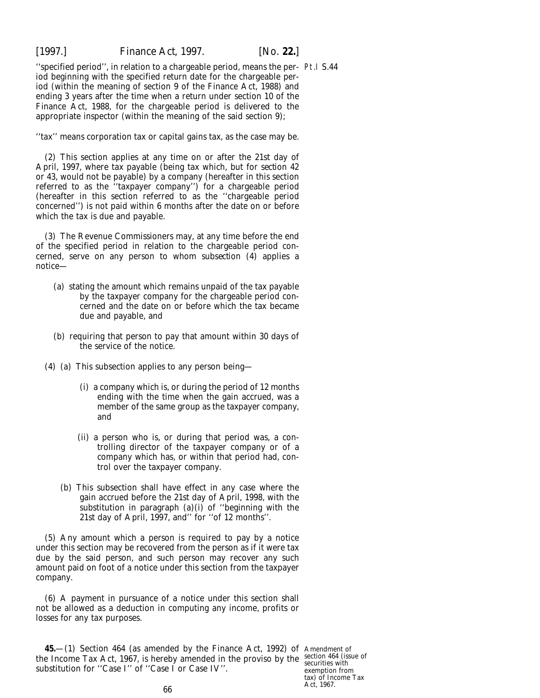''specified period'', in relation to a chargeable period, means the per-Pt.I S.44 iod beginning with the specified return date for the chargeable period (within the meaning of section 9 of the Finance Act, 1988) and ending 3 years after the time when a return under section 10 of the Finance Act, 1988, for the chargeable period is delivered to the appropriate inspector (within the meaning of the said section 9);

''tax'' means corporation tax or capital gains tax, as the case may be.

(2) This section applies at any time on or after the 21st day of April, 1997, where tax payable (being tax which, but for *section 42* or *43*, would not be payable) by a company (hereafter in this section referred to as the ''taxpayer company'') for a chargeable period (hereafter in this section referred to as the ''chargeable period concerned'') is not paid within 6 months after the date on or before which the tax is due and payable.

(3) The Revenue Commissioners may, at any time before the end of the specified period in relation to the chargeable period concerned, serve on any person to whom *subsection (4)* applies a notice—

- (*a*) stating the amount which remains unpaid of the tax payable by the taxpayer company for the chargeable period concerned and the date on or before which the tax became due and payable, and
- (*b*) requiring that person to pay that amount within 30 days of the service of the notice.
- (4) (*a*) This subsection applies to any person being—
	- (i) a company which is, or during the period of 12 months ending with the time when the gain accrued, was a member of the same group as the taxpayer company, and
	- (ii) a person who is, or during that period was, a controlling director of the taxpayer company or of a company which has, or within that period had, control over the taxpayer company.
	- (*b*) This subsection shall have effect in any case where the gain accrued before the 21st day of April, 1998, with the substitution in *paragraph (a)(i)* of ''beginning with the 21st day of April, 1997, and'' for ''of 12 months''.

(5) Any amount which a person is required to pay by a notice under this section may be recovered from the person as if it were tax due by the said person, and such person may recover any such amount paid on foot of a notice under this section from the taxpayer company.

(6) A payment in pursuance of a notice under this section shall not be allowed as a deduction in computing any income, profits or losses for any tax purposes.

**45.**—(1) Section 464 (as amended by the Finance Act, 1992) of Amendment of the Income Tax Act, 1967, is hereby amended in the proviso by the section 464 (issue of substitution for "Case I" of "Case I or Case IV".

exemption from tax) of Income Tax Act, 1967.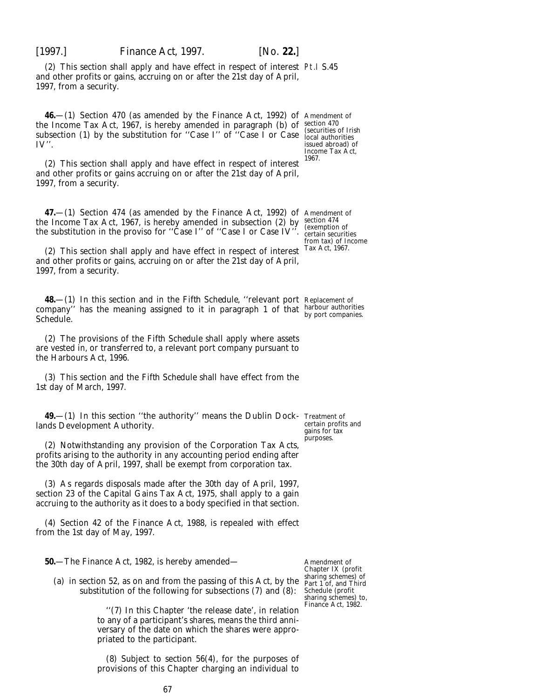(2) This section shall apply and have effect in respect of interest Pt.I S.45 and other profits or gains, accruing on or after the 21st day of April, 1997, from a security.

**46.**—(1) Section 470 (as amended by the Finance Act, 1992) of Amendment of the Income Tax Act, 1967, is hereby amended in paragraph  $(b)$  of section 470 subsection (1) by the substitution for "Case I" of "Case I or Case  $\frac{1}{\sqrt{1-\frac{1}{\sqrt{1-\frac{1}{\sqrt{1-\frac{1}{\sqrt{1-\frac{1}{\sqrt{1-\frac{1}{\sqrt{1-\frac{1}{\sqrt{1-\frac{1}{\sqrt{1-\frac{1}{\sqrt{1-\frac{1}{\sqrt{1-\frac{1}{\sqrt{1-\frac{1}{\sqrt{1-\frac{1}{\sqrt{1-\frac{1}{\sqrt{1-\frac{1}{\sqrt{1-\frac{1}{\sqrt{1-\frac{1}{\sqrt{1$ IV''.

(2) This section shall apply and have effect in respect of interest and other profits or gains accruing on or after the 21st day of April, 1997, from a security.

**47.**—(1) Section 474 (as amended by the Finance Act, 1992) of Amendment of the Income Tax Act, 1967, is hereby amended in subsection (2) by the substitution in the proviso for ''Case I'' of ''Case I or Case IV''.

(2) This section shall apply and have effect in respect of interest and other profits or gains, accruing on or after the 21st day of April, 1997, from a security.

**48.**—(1) In this section and in the *Fifth Schedule*, ''relevant port Replacement of company'' has the meaning assigned to it in *paragraph 1* of that harbour authorities by port companies. Schedule.

(2) The provisions of the *Fifth Schedule* shall apply where assets are vested in, or transferred to, a relevant port company pursuant to the Harbours Act, 1996.

(3) This section and the *Fifth Schedule* shall have effect from the 1st day of March, 1997.

**49.**—(1) In this section ''the authority'' means the Dublin Dock-Treatment of lands Development Authority.

(2) Notwithstanding any provision of the Corporation Tax Acts, profits arising to the authority in any accounting period ending after the 30th day of April, 1997, shall be exempt from corporation tax.

(3) As regards disposals made after the 30th day of April, 1997, section 23 of the Capital Gains Tax Act, 1975, shall apply to a gain accruing to the authority as it does to a body specified in that section.

(4) Section 42 of the Finance Act, 1988, is repealed with effect from the 1st day of May, 1997.

**50.**—The Finance Act, 1982, is hereby amended—

(*a*) in section 52, as on and from the passing of this Act, by the substitution of the following for subsections (7) and (8):

> ''(7) In this Chapter 'the release date', in relation to any of a participant's shares, means the third anniversary of the date on which the shares were appropriated to the participant.

> (8) Subject to section 56(4), for the purposes of provisions of this Chapter charging an individual to

Amendment of Chapter IX (profit sharing schemes) of Part 1 of, and Third Schedule (profit sharing schemes) to, Finance Act, 1982.

(securities of Irish issued abroad) of Income Tax Act, 1967.

section 474 (exemption of certain securities from tax) of Income Tax Act, 1967.

certain profits and gains for tax purposes.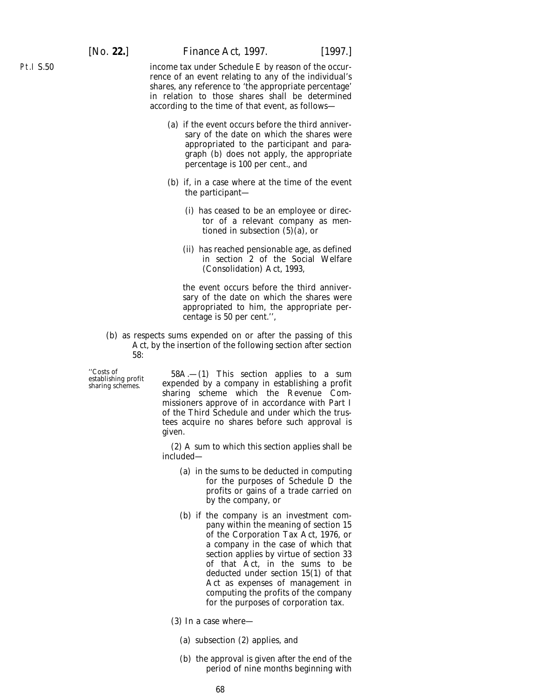income tax under Schedule E by reason of the occurrence of an event relating to any of the individual's shares, any reference to 'the appropriate percentage' in relation to those shares shall be determined according to the time of that event, as follows—

- (*a*) if the event occurs before the third anniversary of the date on which the shares were appropriated to the participant and paragraph (*b*) does not apply, the appropriate percentage is 100 per cent., and
- (*b*) if, in a case where at the time of the event the participant—
	- (i) has ceased to be an employee or director of a relevant company as mentioned in subsection (5)(*a*), or
	- (ii) has reached pensionable age, as defined in section 2 of the Social Welfare (Consolidation) Act, 1993,

the event occurs before the third anniversary of the date on which the shares were appropriated to him, the appropriate percentage is 50 per cent.'',

(*b*) as respects sums expended on or after the passing of this Act, by the insertion of the following section after section 58:

''Costs of 58A.—(1) This section applies to a sum establishing profit expended by a company in establishing a profit sharing schemes. sharing scheme which the Revenue Commissioners approve of in accordance with Part I of the Third Schedule and under which the trustees acquire no shares before such approval is given.

> (2) A sum to which this section applies shall be included—

- (*a*) in the sums to be deducted in computing for the purposes of Schedule D the profits or gains of a trade carried on by the company, or
- (*b*) if the company is an investment company within the meaning of section 15 of the Corporation Tax Act, 1976, or a company in the case of which that section applies by virtue of section 33 of that Act, in the sums to be deducted under section 15(1) of that Act as expenses of management in computing the profits of the company for the purposes of corporation tax.

(3) In a case where—

- (*a*) subsection (2) applies, and
- (*b*) the approval is given after the end of the period of nine months beginning with

Pt.I S.50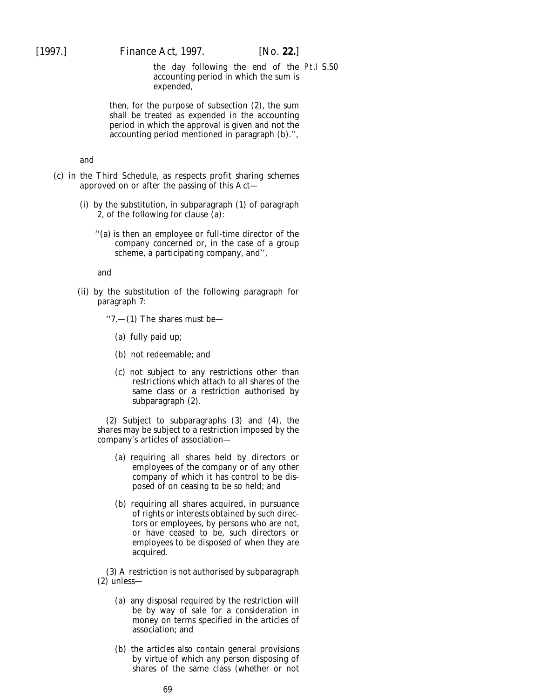the day following the end of the Pt.I S.50accounting period in which the sum is expended,

then, for the purpose of subsection (2), the sum shall be treated as expended in the accounting period in which the approval is given and not the accounting period mentioned in paragraph (*b*).'',

### and

- (*c*) in the Third Schedule, as respects profit sharing schemes approved on or after the passing of this Act—
	- (i) by the substitution, in subparagraph (1) of paragraph 2, of the following for clause (*a*):
		- ''(*a*) is then an employee or full-time director of the company concerned or, in the case of a group scheme, a participating company, and'',

and

- (ii) by the substitution of the following paragraph for paragraph 7:
	- ''7.—(1) The shares must be—
		- (*a*) fully paid up;
		- (*b*) not redeemable; and
		- (*c*) not subject to any restrictions other than restrictions which attach to all shares of the same class or a restriction authorised by subparagraph (2).

(2) Subject to subparagraphs (3) and (4), the shares may be subject to a restriction imposed by the company's articles of association—

- (*a*) requiring all shares held by directors or employees of the company or of any other company of which it has control to be disposed of on ceasing to be so held; and
- (*b*) requiring all shares acquired, in pursuance of rights or interests obtained by such directors or employees, by persons who are not, or have ceased to be, such directors or employees to be disposed of when they are acquired.

(3) A restriction is not authorised by subparagraph (2) unless—

- (*a*) any disposal required by the restriction will be by way of sale for a consideration in money on terms specified in the articles of association; and
- (*b*) the articles also contain general provisions by virtue of which any person disposing of shares of the same class (whether or not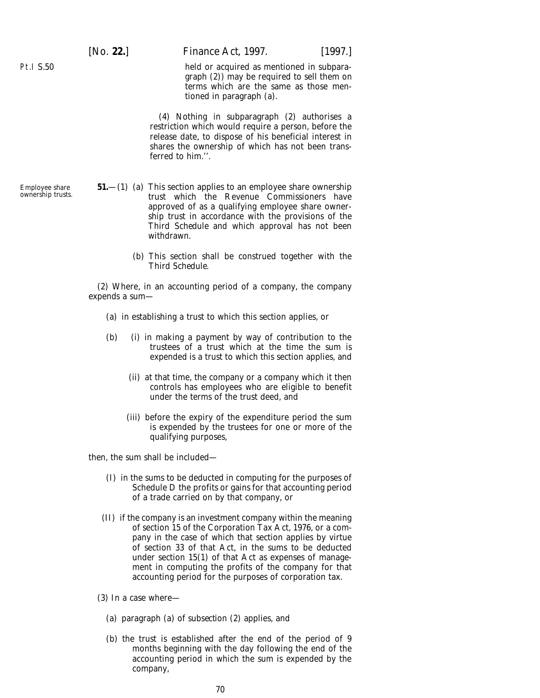Pt.I S.50

Employee share ownership trusts. [*No.* **22.**] *Finance Act,* 1997. [1997.]

held or acquired as mentioned in subparagraph (2)) may be required to sell them on terms which are the same as those mentioned in paragraph (*a*).

(4) Nothing in subparagraph (2) authorises a restriction which would require a person, before the release date, to dispose of his beneficial interest in shares the ownership of which has not been transferred to him.''.

- **51.**—(1) (*a*) This section applies to an employee share ownership trust which the Revenue Commissioners have approved of as a qualifying employee share ownership trust in accordance with the provisions of the *Third Schedule* and which approval has not been withdrawn.
	- (*b*) This section shall be construed together with the *Third Schedule*.

(2) Where, in an accounting period of a company, the company expends a sum—

- (*a*) in establishing a trust to which this section applies, or
- (*b*) (i) in making a payment by way of contribution to the trustees of a trust which at the time the sum is expended is a trust to which this section applies, and
	- (ii) at that time, the company or a company which it then controls has employees who are eligible to benefit under the terms of the trust deed, and
	- (iii) before the expiry of the expenditure period the sum is expended by the trustees for one or more of the qualifying purposes,

then, the sum shall be included—

- (I) in the sums to be deducted in computing for the purposes of Schedule D the profits or gains for that accounting period of a trade carried on by that company, or
- (II) if the company is an investment company within the meaning of section 15 of the Corporation Tax Act, 1976, or a company in the case of which that section applies by virtue of section 33 of that Act, in the sums to be deducted under section 15(1) of that Act as expenses of management in computing the profits of the company for that accounting period for the purposes of corporation tax.
- (3) In a case where—
	- (*a*) *paragraph (a)* of *subsection (2)* applies, and
	- (*b*) the trust is established after the end of the period of 9 months beginning with the day following the end of the accounting period in which the sum is expended by the company,

70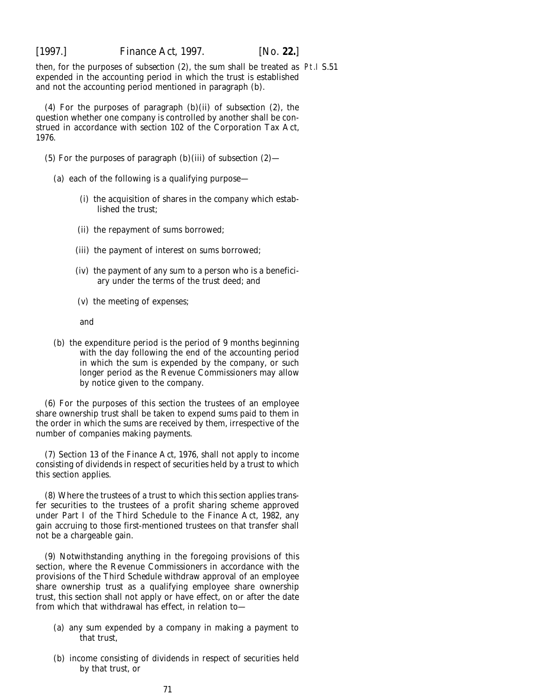then, for the purposes of *subsection (2)*, the sum shall be treated as Pt.I S.51expended in the accounting period in which the trust is established and not the accounting period mentioned in *paragraph (b)*.

(4) For the purposes of *paragraph (b)(ii)* of *subsection (2)*, the question whether one company is controlled by another shall be construed in accordance with section 102 of the Corporation Tax Act, 1976.

- (5) For the purposes of *paragraph (b)(iii)* of *subsection (2)*
	- (*a*) each of the following is a qualifying purpose—
		- (i) the acquisition of shares in the company which established the trust;
		- (ii) the repayment of sums borrowed;
		- (iii) the payment of interest on sums borrowed;
		- (iv) the payment of any sum to a person who is a beneficiary under the terms of the trust deed; and
		- (v) the meeting of expenses;

and

(*b*) the expenditure period is the period of 9 months beginning with the day following the end of the accounting period in which the sum is expended by the company, or such longer period as the Revenue Commissioners may allow by notice given to the company.

(6) For the purposes of this section the trustees of an employee share ownership trust shall be taken to expend sums paid to them in the order in which the sums are received by them, irrespective of the number of companies making payments.

(7) Section 13 of the Finance Act, 1976, shall not apply to income consisting of dividends in respect of securities held by a trust to which this section applies.

(8) Where the trustees of a trust to which this section applies transfer securities to the trustees of a profit sharing scheme approved under Part I of the Third Schedule to the Finance Act, 1982, any gain accruing to those first-mentioned trustees on that transfer shall not be a chargeable gain.

(9) Notwithstanding anything in the foregoing provisions of this section, where the Revenue Commissioners in accordance with the provisions of the *Third Schedule* withdraw approval of an employee share ownership trust as a qualifying employee share ownership trust, this section shall not apply or have effect, on or after the date from which that withdrawal has effect, in relation to—

- (*a*) any sum expended by a company in making a payment to that trust,
- (*b*) income consisting of dividends in respect of securities held by that trust, or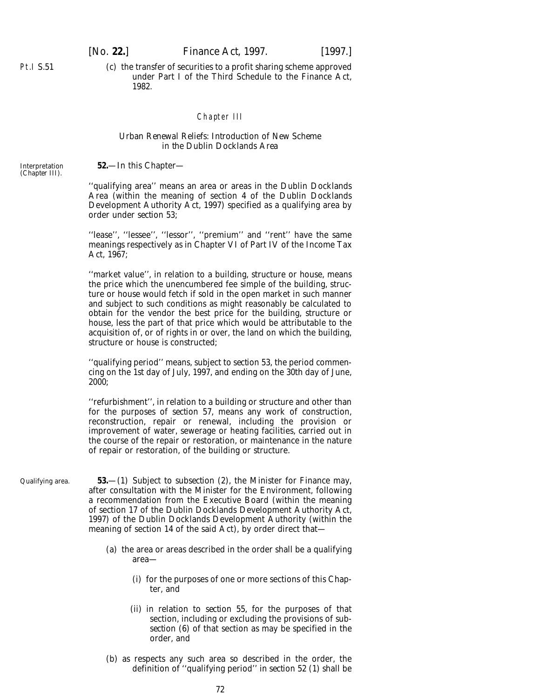(*c*) the transfer of securities to a profit sharing scheme approved under Part I of the Third Schedule to the Finance Act, 1982.

# Chapter III

## *Urban Renewal Reliefs: Introduction of New Scheme in the Dublin Docklands Area*

**52.**—In this Chapter—

Interpretation (*Chapter III*).

Pt.I S.51

''qualifying area'' means an area or areas in the Dublin Docklands Area (within the meaning of section 4 of the Dublin Docklands Development Authority Act, 1997) specified as a qualifying area by order under *section 53*;

"lease", "lessee", "lessor", "premium" and "rent" have the same meanings respectively as in Chapter VI of Part IV of the Income Tax Act, 1967;

''market value'', in relation to a building, structure or house, means the price which the unencumbered fee simple of the building, structure or house would fetch if sold in the open market in such manner and subject to such conditions as might reasonably be calculated to obtain for the vendor the best price for the building, structure or house, less the part of that price which would be attributable to the acquisition of, or of rights in or over, the land on which the building, structure or house is constructed;

''qualifying period'' means, subject to *section 53*, the period commencing on the 1st day of July, 1997, and ending on the 30th day of June, 2000;

''refurbishment'', in relation to a building or structure and other than for the purposes of *section 57*, means any work of construction, reconstruction, repair or renewal, including the provision or improvement of water, sewerage or heating facilities, carried out in the course of the repair or restoration, or maintenance in the nature of repair or restoration, of the building or structure.

Qualifying area.

**53.**—(1) Subject to *subsection (2)*, the Minister for Finance may, after consultation with the Minister for the Environment, following a recommendation from the Executive Board (within the meaning of section 17 of the Dublin Docklands Development Authority Act, 1997) of the Dublin Docklands Development Authority (within the meaning of section 14 of the said Act), by order direct that—

- (*a*) the area or areas described in the order shall be a qualifying area—
	- (i) for the purposes of one or more sections of this Chapter, and
	- (ii) in relation to *section 55*, for the purposes of that section, including or excluding the provisions of *subsection (6)* of that section as may be specified in the order, and
- (*b*) as respects any such area so described in the order, the definition of ''qualifying period'' in *section 52 (1)* shall be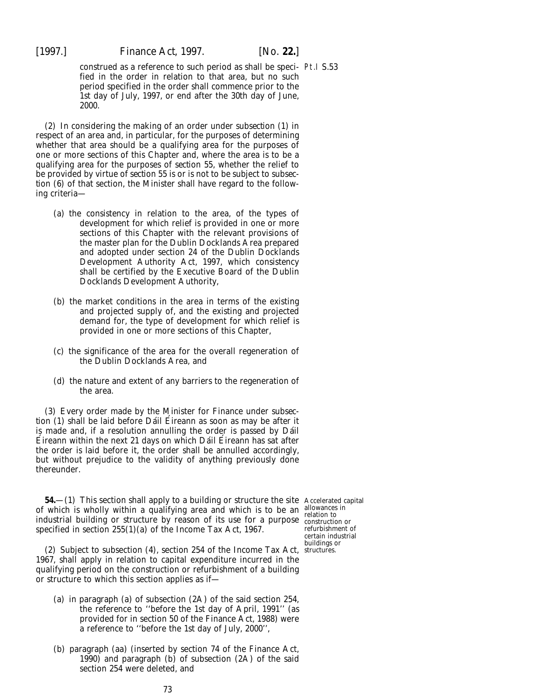construed as a reference to such period as shall be speci-Pt.I S.53 fied in the order in relation to that area, but no such period specified in the order shall commence prior to the 1st day of July, 1997, or end after the 30th day of June, 2000.

(2) In considering the making of an order under *subsection (1)* in respect of an area and, in particular, for the purposes of determining whether that area should be a qualifying area for the purposes of one or more sections of this Chapter and, where the area is to be a qualifying area for the purposes of *section 55*, whether the relief to be provided by virtue of *section 55* is or is not to be subject to *subsection (6)* of that section, the Minister shall have regard to the following criteria—

- (*a*) the consistency in relation to the area, of the types of development for which relief is provided in one or more sections of this Chapter with the relevant provisions of the master plan for the Dublin Docklands Area prepared and adopted under section 24 of the Dublin Docklands Development Authority Act, 1997, which consistency shall be certified by the Executive Board of the Dublin Docklands Development Authority,
- (*b*) the market conditions in the area in terms of the existing and projected supply of, and the existing and projected demand for, the type of development for which relief is provided in one or more sections of this Chapter,
- (*c*) the significance of the area for the overall regeneration of the Dublin Docklands Area, and
- (*d*) the nature and extent of any barriers to the regeneration of the area.

(3) Every order made by the Minister for Finance under *subsection (1)* shall be laid before Dáil Éireann as soon as may be after it is made and, if a resolution annulling the order is passed by Dáil Éireann within the next 21 days on which Dáil Éireann has sat after the order is laid before it, the order shall be annulled accordingly, but without prejudice to the validity of anything previously done thereunder.

**54.**—(1) This section shall apply to a building or structure the site Accelerated capital of which is wholly within a qualifying area and which is to be an allowances in industrial building or structure by reason of its use for a purpose construction or specified in section 255(1)(*a*) of the Income Tax Act, 1967.

(2) Subject to subsection (4), section 254 of the Income Tax Act, structures.1967, shall apply in relation to capital expenditure incurred in the qualifying period on the construction or refurbishment of a building or structure to which this section applies as if—

- (*a*) in paragraph (*a*) of subsection (2A) of the said section 254, the reference to ''before the 1st day of April, 1991'' (as provided for in section 50 of the Finance Act, 1988) were a reference to ''before the 1st day of July, 2000'',
- (*b*) paragraph (*aa*) (inserted by section 74 of the Finance Act, 1990) and paragraph (*b*) of subsection (2A) of the said section 254 were deleted, and

refurbishment of certain industrial buildings or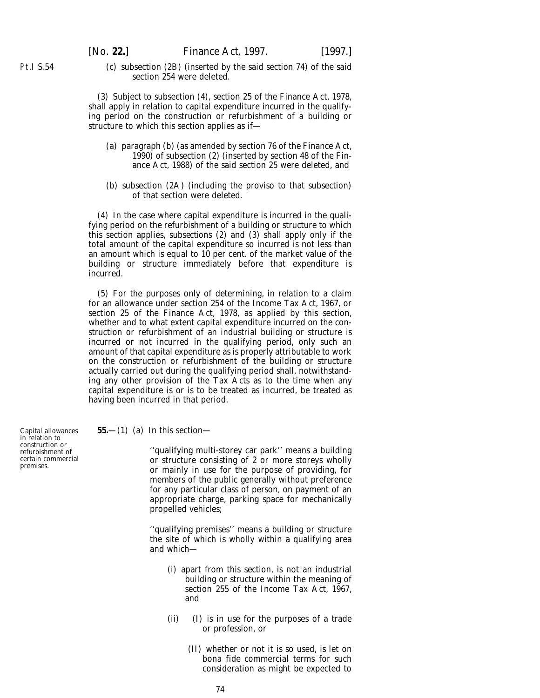Pt.I S.54

(*c*) subsection (2B) (inserted by the said section 74) of the said section 254 were deleted.

(3) Subject to subsection (4), section 25 of the Finance Act, 1978, shall apply in relation to capital expenditure incurred in the qualifying period on the construction or refurbishment of a building or structure to which this section applies as if—

- (*a*) paragraph (*b*) (as amended by section 76 of the Finance Act, 1990) of subsection (2) (inserted by section 48 of the Finance Act, 1988) of the said section 25 were deleted, and
- (*b*) subsection (2A) (including the proviso to that subsection) of that section were deleted.

(4) In the case where capital expenditure is incurred in the qualifying period on the refurbishment of a building or structure to which this section applies, *subsections (2)* and *(3)* shall apply only if the total amount of the capital expenditure so incurred is not less than an amount which is equal to 10 per cent. of the market value of the building or structure immediately before that expenditure is incurred.

(5) For the purposes only of determining, in relation to a claim for an allowance under section 254 of the Income Tax Act, 1967, or section 25 of the Finance Act, 1978, as applied by this section, whether and to what extent capital expenditure incurred on the construction or refurbishment of an industrial building or structure is incurred or not incurred in the qualifying period, only such an amount of that capital expenditure as is properly attributable to work on the construction or refurbishment of the building or structure actually carried out during the qualifying period shall, notwithstanding any other provision of the Tax Acts as to the time when any capital expenditure is or is to be treated as incurred, be treated as having been incurred in that period.

Capital allowances in relation to construction or refurbishment of

certain commercial premises.

**55.**—(1) (*a*) In this section—

''qualifying multi-storey car park'' means a building or structure consisting of 2 or more storeys wholly or mainly in use for the purpose of providing, for members of the public generally without preference for any particular class of person, on payment of an appropriate charge, parking space for mechanically propelled vehicles;

''qualifying premises'' means a building or structure the site of which is wholly within a qualifying area and which—

- (i) apart from this section, is not an industrial building or structure within the meaning of section 255 of the Income Tax Act, 1967, and
- (ii) (I) is in use for the purposes of a trade or profession, or
	- (II) whether or not it is so used, is let on *bona fide* commercial terms for such consideration as might be expected to

74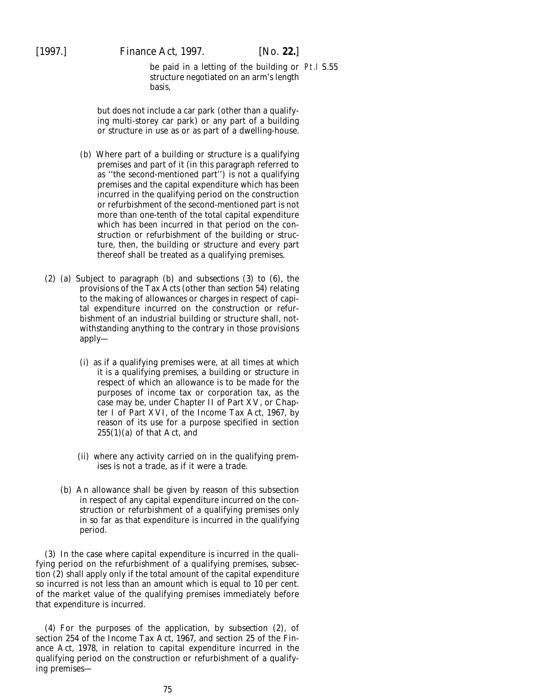# [1997.] *Finance Act,* 1997. [*No.* **22.**]

be paid in a letting of the building or Pt.I S.55structure negotiated on an arm's length basis,

but does not include a car park (other than a qualifying multi-storey car park) or any part of a building or structure in use as or as part of a dwelling-house.

- (*b*) Where part of a building or structure is a qualifying premises and part of it (in this paragraph referred to as ''the second-mentioned part'') is not a qualifying premises and the capital expenditure which has been incurred in the qualifying period on the construction or refurbishment of the second-mentioned part is not more than one-tenth of the total capital expenditure which has been incurred in that period on the construction or refurbishment of the building or structure, then, the building or structure and every part thereof shall be treated as a qualifying premises.
- (2) (*a*) Subject to *paragraph (b)* and *subsections (3)* to *(6)*, the provisions of the Tax Acts (other than *section 54*) relating to the making of allowances or charges in respect of capital expenditure incurred on the construction or refurbishment of an industrial building or structure shall, notwithstanding anything to the contrary in those provisions apply—
	- (i) as if a qualifying premises were, at all times at which it is a qualifying premises, a building or structure in respect of which an allowance is to be made for the purposes of income tax or corporation tax, as the case may be, under Chapter II of Part XV, or Chapter I of Part XVI, of the Income Tax Act, 1967, by reason of its use for a purpose specified in section 255(1)(*a*) of that Act, and
	- (ii) where any activity carried on in the qualifying premises is not a trade, as if it were a trade.
	- (*b*) An allowance shall be given by reason of this subsection in respect of any capital expenditure incurred on the construction or refurbishment of a qualifying premises only in so far as that expenditure is incurred in the qualifying period.

(3) In the case where capital expenditure is incurred in the qualifying period on the refurbishment of a qualifying premises, *subsection (2)* shall apply only if the total amount of the capital expenditure so incurred is not less than an amount which is equal to 10 per cent. of the market value of the qualifying premises immediately before that expenditure is incurred.

(4) For the purposes of the application, by *subsection (2)*, of section 254 of the Income Tax Act, 1967, and section 25 of the Finance Act, 1978, in relation to capital expenditure incurred in the qualifying period on the construction or refurbishment of a qualifying premises—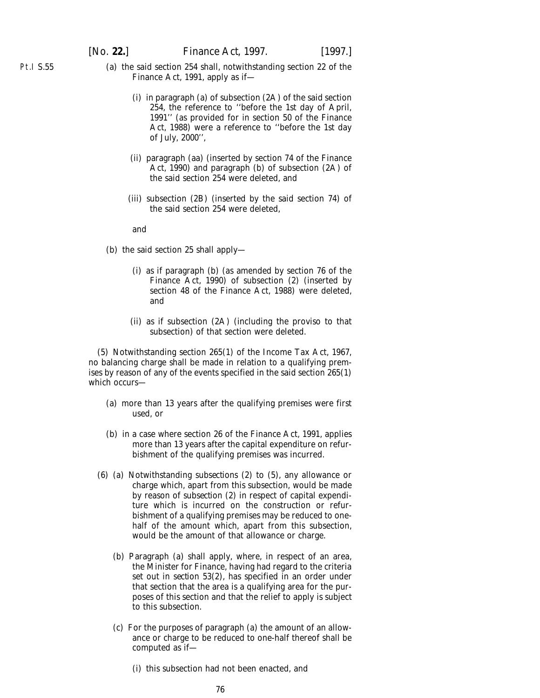- (*a*) the said section 254 shall, notwithstanding section 22 of the Finance Act, 1991, apply as if—
	- (i) in paragraph (*a*) of subsection (2A) of the said section 254, the reference to ''before the 1st day of April, 1991'' (as provided for in section 50 of the Finance Act, 1988) were a reference to ''before the 1st day of July, 2000'',
	- (ii) paragraph (*aa*) (inserted by section 74 of the Finance Act, 1990) and paragraph (*b*) of subsection (2A) of the said section 254 were deleted, and
	- (iii) subsection (2B) (inserted by the said section 74) of the said section 254 were deleted,

and

- (*b*) the said section 25 shall apply—
	- (i) as if paragraph (*b*) (as amended by section 76 of the Finance Act, 1990) of subsection (2) (inserted by section 48 of the Finance Act, 1988) were deleted, and
	- (ii) as if subsection (2A) (including the proviso to that subsection) of that section were deleted.

(5) Notwithstanding section 265(1) of the Income Tax Act, 1967, no balancing charge shall be made in relation to a qualifying premises by reason of any of the events specified in the said section 265(1) which occurs—

- (*a*) more than 13 years after the qualifying premises were first used, or
- (*b*) in a case where section 26 of the Finance Act, 1991, applies more than 13 years after the capital expenditure on refurbishment of the qualifying premises was incurred.
- (6) (*a*) Notwithstanding *subsections (2)* to *(5)*, any allowance or charge which, apart from this subsection, would be made by reason of *subsection (2)* in respect of capital expenditure which is incurred on the construction or refurbishment of a qualifying premises may be reduced to onehalf of the amount which, apart from this subsection, would be the amount of that allowance or charge.
	- (*b*) *Paragraph (a)* shall apply, where, in respect of an area, the Minister for Finance, having had regard to the criteria set out in *section 53(2)*, has specified in an order under that section that the area is a qualifying area for the purposes of this section and that the relief to apply is subject to this subsection.
	- (*c*) For the purposes of *paragraph (a)* the amount of an allowance or charge to be reduced to one-half thereof shall be computed as if—
		- (i) this subsection had not been enacted, and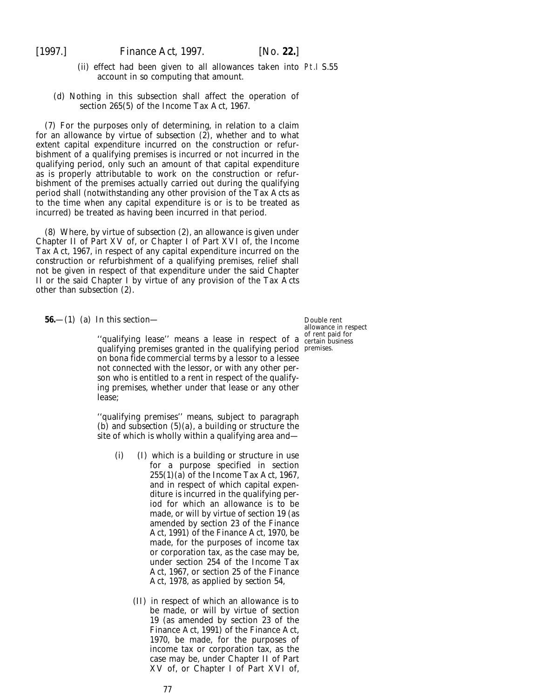- (ii) effect had been given to all allowances taken into Pt.I S.55 account in so computing that amount.
- (*d*) Nothing in this subsection shall affect the operation of section 265(5) of the Income Tax Act, 1967.

(7) For the purposes only of determining, in relation to a claim for an allowance by virtue of *subsection (2)*, whether and to what extent capital expenditure incurred on the construction or refurbishment of a qualifying premises is incurred or not incurred in the qualifying period, only such an amount of that capital expenditure as is properly attributable to work on the construction or refurbishment of the premises actually carried out during the qualifying period shall (notwithstanding any other provision of the Tax Acts as to the time when any capital expenditure is or is to be treated as incurred) be treated as having been incurred in that period.

(8) Where, by virtue of *subsection (2)*, an allowance is given under Chapter II of Part XV of, or Chapter I of Part XVI of, the Income Tax Act, 1967, in respect of any capital expenditure incurred on the construction or refurbishment of a qualifying premises, relief shall not be given in respect of that expenditure under the said Chapter II or the said Chapter I by virtue of any provision of the Tax Acts other than *subsection (2)*.

**56.**—(1) (*a*) In this section—

''qualifying lease'' means a lease in respect of a certain business qualifying premises granted in the qualifying period premises.on *bona fide* commercial terms by a lessor to a lessee not connected with the lessor, or with any other person who is entitled to a rent in respect of the qualifying premises, whether under that lease or any other lease;

''qualifying premises'' means, subject to *paragraph (b)* and *subsection (5)(a)*, a building or structure the site of which is wholly within a qualifying area and—

- (i) (I) which is a building or structure in use for a purpose specified in section 255(1)(*a*) of the Income Tax Act, 1967, and in respect of which capital expenditure is incurred in the qualifying period for which an allowance is to be made, or will by virtue of section 19 (as amended by section 23 of the Finance Act, 1991) of the Finance Act, 1970, be made, for the purposes of income tax or corporation tax, as the case may be, under section 254 of the Income Tax Act, 1967, or section 25 of the Finance Act, 1978, as applied by *section 54*,
	- (II) in respect of which an allowance is to be made, or will by virtue of section 19 (as amended by section 23 of the Finance Act, 1991) of the Finance Act, 1970, be made, for the purposes of income tax or corporation tax, as the case may be, under Chapter II of Part XV of, or Chapter I of Part XVI of,

Double rent allowance in respect of rent paid for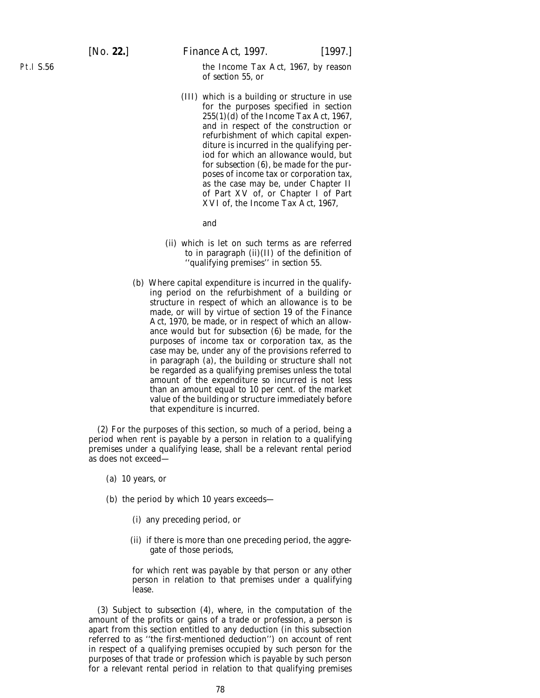the Income Tax Act, 1967, by reason of *section 55*, or

(III) which is a building or structure in use for the purposes specified in section 255(1)(*d*) of the Income Tax Act, 1967, and in respect of the construction or refurbishment of which capital expenditure is incurred in the qualifying period for which an allowance would, but for *subsection (6)*, be made for the purposes of income tax or corporation tax, as the case may be, under Chapter II of Part XV of, or Chapter I of Part XVI of, the Income Tax Act, 1967,

and

- (ii) which is let on such terms as are referred to in *paragraph (ii)(II)* of the definition of ''qualifying premises'' in *section 55*.
- (*b*) Where capital expenditure is incurred in the qualifying period on the refurbishment of a building or structure in respect of which an allowance is to be made, or will by virtue of section 19 of the Finance Act, 1970, be made, or in respect of which an allowance would but for *subsection (6)* be made, for the purposes of income tax or corporation tax, as the case may be, under any of the provisions referred to in *paragraph (a)*, the building or structure shall not be regarded as a qualifying premises unless the total amount of the expenditure so incurred is not less than an amount equal to 10 per cent. of the market value of the building or structure immediately before that expenditure is incurred.

(2) For the purposes of this section, so much of a period, being a period when rent is payable by a person in relation to a qualifying premises under a qualifying lease, shall be a relevant rental period as does not exceed—

- (*a*) 10 years, or
- (*b*) the period by which 10 years exceeds—
	- (i) any preceding period, or
	- (ii) if there is more than one preceding period, the aggregate of those periods,

for which rent was payable by that person or any other person in relation to that premises under a qualifying lease.

(3) Subject to *subsection (4)*, where, in the computation of the amount of the profits or gains of a trade or profession, a person is apart from this section entitled to any deduction (in this subsection referred to as ''the first-mentioned deduction'') on account of rent in respect of a qualifying premises occupied by such person for the purposes of that trade or profession which is payable by such person for a relevant rental period in relation to that qualifying premises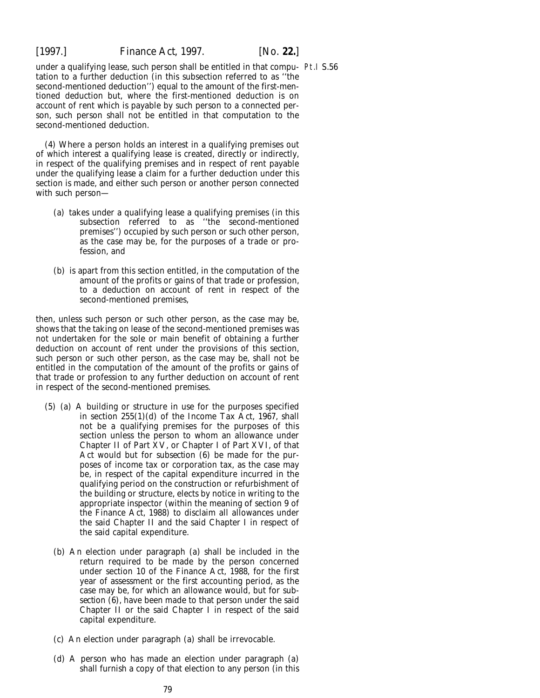under a qualifying lease, such person shall be entitled in that compu-Pt.I S.56tation to a further deduction (in this subsection referred to as ''the second-mentioned deduction'') equal to the amount of the first-mentioned deduction but, where the first-mentioned deduction is on account of rent which is payable by such person to a connected person, such person shall not be entitled in that computation to the second-mentioned deduction.

(4) Where a person holds an interest in a qualifying premises out of which interest a qualifying lease is created, directly or indirectly, in respect of the qualifying premises and in respect of rent payable under the qualifying lease a claim for a further deduction under this section is made, and either such person or another person connected with such person—

- (*a*) takes under a qualifying lease a qualifying premises (in this subsection referred to as ''the second-mentioned premises'') occupied by such person or such other person, as the case may be, for the purposes of a trade or profession, and
- (*b*) is apart from this section entitled, in the computation of the amount of the profits or gains of that trade or profession, to a deduction on account of rent in respect of the second-mentioned premises,

then, unless such person or such other person, as the case may be, shows that the taking on lease of the second-mentioned premises was not undertaken for the sole or main benefit of obtaining a further deduction on account of rent under the provisions of this section, such person or such other person, as the case may be, shall not be entitled in the computation of the amount of the profits or gains of that trade or profession to any further deduction on account of rent in respect of the second-mentioned premises.

- (5) (*a*) A building or structure in use for the purposes specified in section  $255(1)(d)$  of the Income Tax Act, 1967, shall not be a qualifying premises for the purposes of this section unless the person to whom an allowance under Chapter II of Part XV, or Chapter I of Part XVI, of that Act would but for *subsection (6)* be made for the purposes of income tax or corporation tax, as the case may be, in respect of the capital expenditure incurred in the qualifying period on the construction or refurbishment of the building or structure, elects by notice in writing to the appropriate inspector (within the meaning of section 9 of the Finance Act, 1988) to disclaim all allowances under the said Chapter II and the said Chapter I in respect of the said capital expenditure.
	- (*b*) An election under *paragraph (a)* shall be included in the return required to be made by the person concerned under section 10 of the Finance Act, 1988, for the first year of assessment or the first accounting period, as the case may be, for which an allowance would, but for *subsection (6)*, have been made to that person under the said Chapter II or the said Chapter I in respect of the said capital expenditure.
	- (*c*) An election under *paragraph (a)* shall be irrevocable.
	- (*d*) A person who has made an election under *paragraph (a)* shall furnish a copy of that election to any person (in this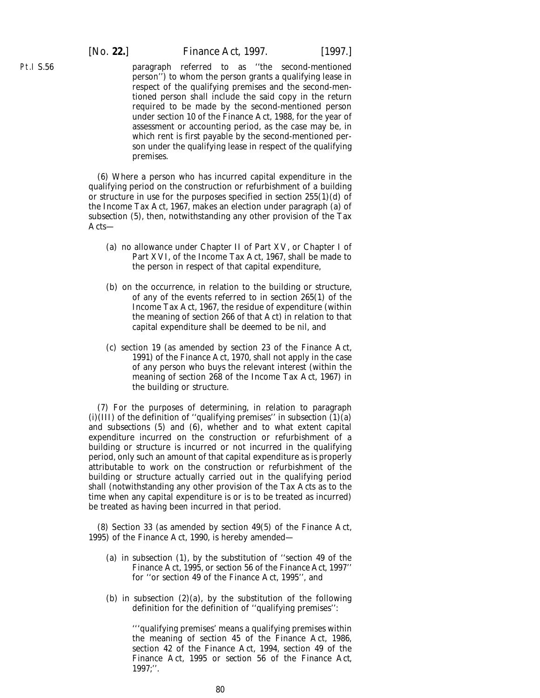Pt.I S.56

paragraph referred to as ''the second-mentioned person'') to whom the person grants a qualifying lease in respect of the qualifying premises and the second-mentioned person shall include the said copy in the return required to be made by the second-mentioned person under section 10 of the Finance Act, 1988, for the year of assessment or accounting period, as the case may be, in which rent is first payable by the second-mentioned person under the qualifying lease in respect of the qualifying premises.

(6) Where a person who has incurred capital expenditure in the qualifying period on the construction or refurbishment of a building or structure in use for the purposes specified in section 255(1)(*d*) of the Income Tax Act, 1967, makes an election under *paragraph (a)* of *subsection (5)*, then, notwithstanding any other provision of the Tax Acts—

- (*a*) no allowance under Chapter II of Part XV, or Chapter I of Part XVI, of the Income Tax Act, 1967, shall be made to the person in respect of that capital expenditure,
- (*b*) on the occurrence, in relation to the building or structure, of any of the events referred to in section 265(1) of the Income Tax Act, 1967, the residue of expenditure (within the meaning of section 266 of that Act) in relation to that capital expenditure shall be deemed to be nil, and
- (*c*) section 19 (as amended by section 23 of the Finance Act, 1991) of the Finance Act, 1970, shall not apply in the case of any person who buys the relevant interest (within the meaning of section 268 of the Income Tax Act, 1967) in the building or structure.

(7) For the purposes of determining, in relation to *paragraph*  $(i)(III)$  of the definition of "qualifying premises" in *subsection*  $(I)(a)$ and *subsections (5)* and *(6)*, whether and to what extent capital expenditure incurred on the construction or refurbishment of a building or structure is incurred or not incurred in the qualifying period, only such an amount of that capital expenditure as is properly attributable to work on the construction or refurbishment of the building or structure actually carried out in the qualifying period shall (notwithstanding any other provision of the Tax Acts as to the time when any capital expenditure is or is to be treated as incurred) be treated as having been incurred in that period.

(8) Section 33 (as amended by section 49(5) of the Finance Act, 1995) of the Finance Act, 1990, is hereby amended—

- (*a*) in subsection (1), by the substitution of ''section 49 of the Finance Act, 1995, or *section 56* of the *Finance Act, 1997*'' for ''or section 49 of the Finance Act, 1995'', and
- (*b*) in subsection  $(2)(a)$ , by the substitution of the following definition for the definition of ''qualifying premises'':

'''qualifying premises' means a qualifying premises within the meaning of section 45 of the Finance Act, 1986, section 42 of the Finance Act, 1994, section 49 of the Finance Act, 1995 or *section 56* of the *Finance Act, 1997*;''.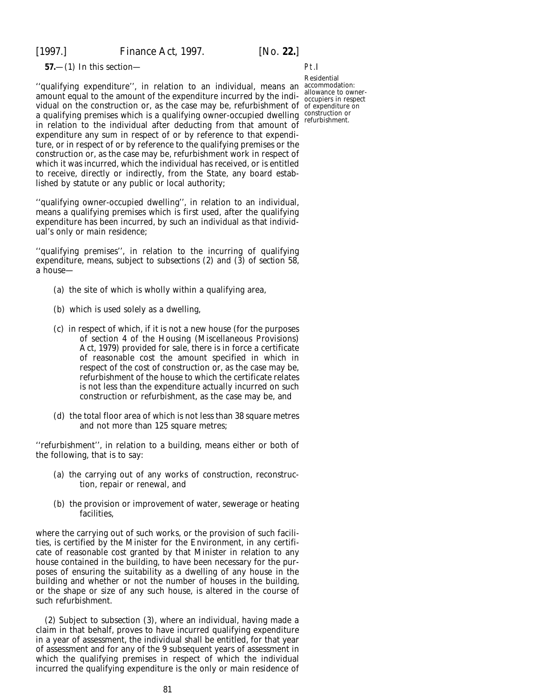**57.**—(1) In this section—

''qualifying expenditure'', in relation to an individual, means an accommodation: amount equal to the amount of the expenditure incurred by the indiamount equal to the amount of the expenditure incurred by the mui-<br>vidual on the construction or, as the case may be, refurbishment of of expenditure on a qualifying premises which is a qualifying owner-occupied dwelling construction or in relation to the individual after deducting from that amount of expenditure any sum in respect of or by reference to that expenditure, or in respect of or by reference to the qualifying premises or the construction or, as the case may be, refurbishment work in respect of which it was incurred, which the individual has received, or is entitled to receive, directly or indirectly, from the State, any board established by statute or any public or local authority;

''qualifying owner-occupied dwelling'', in relation to an individual, means a qualifying premises which is first used, after the qualifying expenditure has been incurred, by such an individual as that individual's only or main residence;

''qualifying premises'', in relation to the incurring of qualifying expenditure, means, subject to *subsections (2)* and *(3)* of *section 58*, a house—

- (*a*) the site of which is wholly within a qualifying area,
- (*b*) which is used solely as a dwelling,
- (*c*) in respect of which, if it is not a new house (for the purposes of section 4 of the Housing (Miscellaneous Provisions) Act, 1979) provided for sale, there is in force a certificate of reasonable cost the amount specified in which in respect of the cost of construction or, as the case may be, refurbishment of the house to which the certificate relates is not less than the expenditure actually incurred on such construction or refurbishment, as the case may be, and
- (*d*) the total floor area of which is not less than 38 square metres and not more than 125 square metres;

''refurbishment'', in relation to a building, means either or both of the following, that is to say:

- (*a*) the carrying out of any works of construction, reconstruction, repair or renewal, and
- (*b*) the provision or improvement of water, sewerage or heating facilities,

where the carrying out of such works, or the provision of such facilities, is certified by the Minister for the Environment, in any certificate of reasonable cost granted by that Minister in relation to any house contained in the building, to have been necessary for the purposes of ensuring the suitability as a dwelling of any house in the building and whether or not the number of houses in the building, or the shape or size of any such house, is altered in the course of such refurbishment.

(2) Subject to *subsection (3)*, where an individual, having made a claim in that behalf, proves to have incurred qualifying expenditure in a year of assessment, the individual shall be entitled, for that year of assessment and for any of the 9 subsequent years of assessment in which the qualifying premises in respect of which the individual incurred the qualifying expenditure is the only or main residence of

Pt.I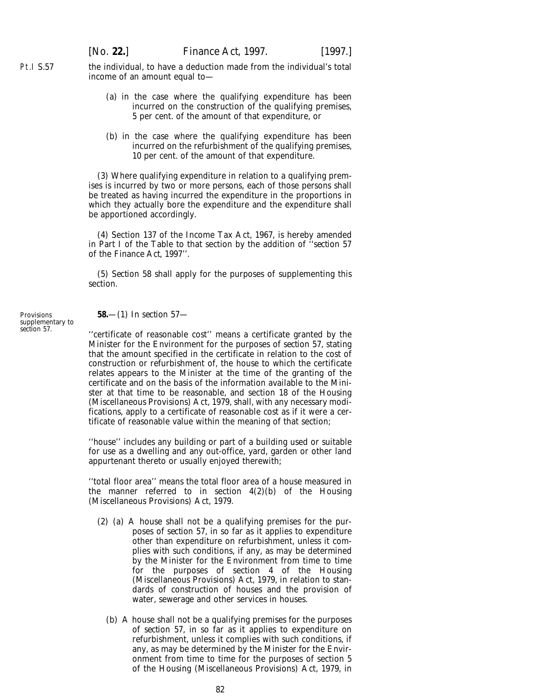Pt.I S.57 the individual, to have a deduction made from the individual's total income of an amount equal to—

- (*a*) in the case where the qualifying expenditure has been incurred on the construction of the qualifying premises, 5 per cent. of the amount of that expenditure, or
- (*b*) in the case where the qualifying expenditure has been incurred on the refurbishment of the qualifying premises, 10 per cent. of the amount of that expenditure.

(3) Where qualifying expenditure in relation to a qualifying premises is incurred by two or more persons, each of those persons shall be treated as having incurred the expenditure in the proportions in which they actually bore the expenditure and the expenditure shall be apportioned accordingly.

(4) Section 137 of the Income Tax Act, 1967, is hereby amended in Part I of the Table to that section by the addition of ''*section 57* of the *Finance Act, 1997*''.

(5) *Section 58* shall apply for the purposes of supplementing this section.

**Provisions** supplementary to *section 57*. **58.**—(1) In *section 57*—

"certificate of reasonable cost" means a certificate granted by the Minister for the Environment for the purposes of *section 57*, stating that the amount specified in the certificate in relation to the cost of construction or refurbishment of, the house to which the certificate relates appears to the Minister at the time of the granting of the certificate and on the basis of the information available to the Minister at that time to be reasonable, and section 18 of the Housing (Miscellaneous Provisions) Act, 1979, shall, with any necessary modifications, apply to a certificate of reasonable cost as if it were a certificate of reasonable value within the meaning of that section;

''house'' includes any building or part of a building used or suitable for use as a dwelling and any out-office, yard, garden or other land appurtenant thereto or usually enjoyed therewith;

''total floor area'' means the total floor area of a house measured in the manner referred to in section  $4(2)(b)$  of the Housing (Miscellaneous Provisions) Act, 1979.

- (2) (*a*) A house shall not be a qualifying premises for the purposes of *section 57*, in so far as it applies to expenditure other than expenditure on refurbishment, unless it complies with such conditions, if any, as may be determined by the Minister for the Environment from time to time for the purposes of section 4 of the Housing (Miscellaneous Provisions) Act, 1979, in relation to standards of construction of houses and the provision of water, sewerage and other services in houses.
	- (*b*) A house shall not be a qualifying premises for the purposes of *section 57*, in so far as it applies to expenditure on refurbishment, unless it complies with such conditions, if any, as may be determined by the Minister for the Environment from time to time for the purposes of section 5 of the Housing (Miscellaneous Provisions) Act, 1979, in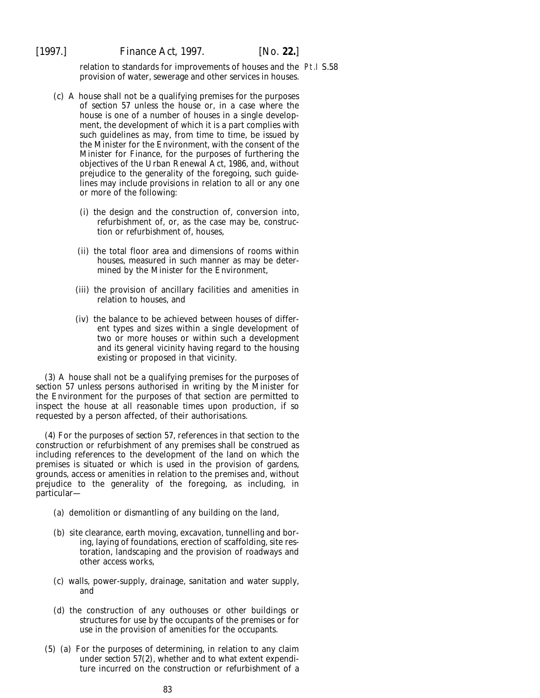relation to standards for improvements of houses and the Pt.I S.58provision of water, sewerage and other services in houses.

- (*c*) A house shall not be a qualifying premises for the purposes of *section 57* unless the house or, in a case where the house is one of a number of houses in a single development, the development of which it is a part complies with such guidelines as may, from time to time, be issued by the Minister for the Environment, with the consent of the Minister for Finance, for the purposes of furthering the objectives of the Urban Renewal Act, 1986, and, without prejudice to the generality of the foregoing, such guidelines may include provisions in relation to all or any one or more of the following:
	- (i) the design and the construction of, conversion into, refurbishment of, or, as the case may be, construction or refurbishment of, houses,
	- (ii) the total floor area and dimensions of rooms within houses, measured in such manner as may be determined by the Minister for the Environment,
	- (iii) the provision of ancillary facilities and amenities in relation to houses, and
	- (iv) the balance to be achieved between houses of different types and sizes within a single development of two or more houses or within such a development and its general vicinity having regard to the housing existing or proposed in that vicinity.

(3) A house shall not be a qualifying premises for the purposes of *section 57* unless persons authorised in writing by the Minister for the Environment for the purposes of that section are permitted to inspect the house at all reasonable times upon production, if so requested by a person affected, of their authorisations.

(4) For the purposes of *section 57*, references in that section to the construction or refurbishment of any premises shall be construed as including references to the development of the land on which the premises is situated or which is used in the provision of gardens, grounds, access or amenities in relation to the premises and, without prejudice to the generality of the foregoing, as including, in particular—

- (*a*) demolition or dismantling of any building on the land,
- (*b*) site clearance, earth moving, excavation, tunnelling and boring, laying of foundations, erection of scaffolding, site restoration, landscaping and the provision of roadways and other access works,
- (*c*) walls, power-supply, drainage, sanitation and water supply, and
- (*d*) the construction of any outhouses or other buildings or structures for use by the occupants of the premises or for use in the provision of amenities for the occupants.
- (5) (*a*) For the purposes of determining, in relation to any claim under *section 57(2)*, whether and to what extent expenditure incurred on the construction or refurbishment of a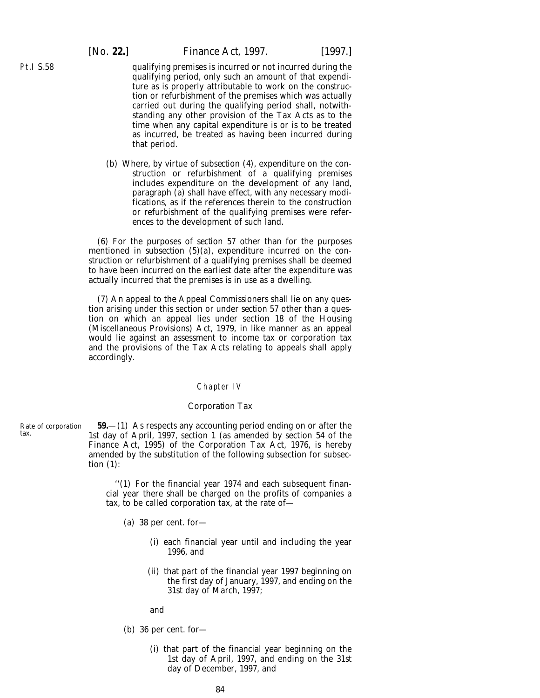Pt.I S.58

qualifying premises is incurred or not incurred during the qualifying period, only such an amount of that expenditure as is properly attributable to work on the construction or refurbishment of the premises which was actually carried out during the qualifying period shall, notwithstanding any other provision of the Tax Acts as to the time when any capital expenditure is or is to be treated as incurred, be treated as having been incurred during that period.

(*b*) Where, by virtue of *subsection (4)*, expenditure on the construction or refurbishment of a qualifying premises includes expenditure on the development of any land, *paragraph (a)* shall have effect, with any necessary modifications, as if the references therein to the construction or refurbishment of the qualifying premises were references to the development of such land.

(6) For the purposes of *section 57* other than for the purposes mentioned in *subsection (5)(a)*, expenditure incurred on the construction or refurbishment of a qualifying premises shall be deemed to have been incurred on the earliest date after the expenditure was actually incurred that the premises is in use as a dwelling.

(7) An appeal to the Appeal Commissioners shall lie on any question arising under this section or under *section 57* other than a question on which an appeal lies under section 18 of the Housing (Miscellaneous Provisions) Act, 1979, in like manner as an appeal would lie against an assessment to income tax or corporation tax and the provisions of the Tax Acts relating to appeals shall apply accordingly.

#### Chapter IV

#### *Corporation Tax*

**59.**—(1) As respects any accounting period ending on or after the 1st day of April, 1997, section 1 (as amended by section 54 of the Finance Act, 1995) of the Corporation Tax Act, 1976, is hereby amended by the substitution of the following subsection for subsection (1):

> ''(1) For the financial year 1974 and each subsequent financial year there shall be charged on the profits of companies a tax, to be called corporation tax, at the rate of—

- (*a*) 38 per cent. for—
	- (i) each financial year until and including the year 1996, and
	- (ii) that part of the financial year 1997 beginning on the first day of January, 1997, and ending on the 31st day of March, 1997;

and

- (*b*) 36 per cent. for—
	- (i) that part of the financial year beginning on the 1st day of April, 1997, and ending on the 31st day of December, 1997, and

Rate of corporation tax.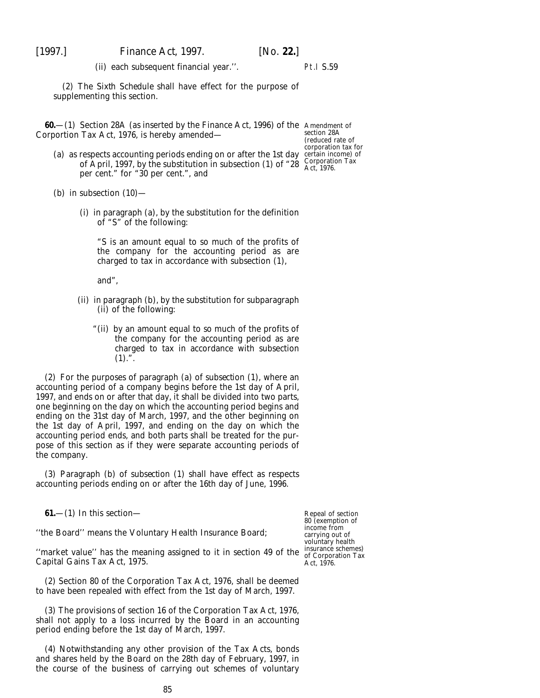(ii) each subsequent financial year.''.

Pt.I S.59

(2) The *Sixth Schedule* shall have effect for the purpose of supplementing this section.

**60.**—(1) Section 28A (as inserted by the Finance Act, 1996) of the Amendment of Corportion Tax Act, 1976, is hereby amended—

section 28A (reduced rate of corporation tax for certain income) of Corporation Tax Act, 1976.

- (*a*) as respects accounting periods ending on or after the 1st day of April, 1997, by the substitution in subsection (1) of "28 per cent." for "30 per cent.", and
- (*b*) in subsection  $(10)$ 
	- (i) in paragraph (*a*), by the substitution for the definition of "S" of the following:

"S is an amount equal to so much of the profits of the company for the accounting period as are charged to tax in accordance with subsection (1),

and",

- (ii) in paragraph (*b*), by the substitution for subparagraph (ii) of the following:
	- "(ii) by an amount equal to so much of the profits of the company for the accounting period as are charged to tax in accordance with subsection  $(1).$ ".

(2) For the purposes of *paragraph (a)* of *subsection (1)*, where an accounting period of a company begins before the 1st day of April, 1997, and ends on or after that day, it shall be divided into two parts, one beginning on the day on which the accounting period begins and ending on the 31st day of March, 1997, and the other beginning on the 1st day of April, 1997, and ending on the day on which the accounting period ends, and both parts shall be treated for the purpose of this section as if they were separate accounting periods of the company.

(3) *Paragraph (b)* of *subsection (1)* shall have effect as respects accounting periods ending on or after the 16th day of June, 1996.

**61.**—(1) In this section—

''the Board'' means the Voluntary Health Insurance Board;

"market value" has the meaning assigned to it in section 49 of the  $\frac{\text{insurance schemes}}{\text{of Convention Tax}}$ Capital Gains Tax Act, 1975.

(2) Section 80 of the Corporation Tax Act, 1976, shall be deemed to have been repealed with effect from the 1st day of March, 1997.

(3) The provisions of section 16 of the Corporation Tax Act, 1976, shall not apply to a loss incurred by the Board in an accounting period ending before the 1st day of March, 1997.

(4) Notwithstanding any other provision of the Tax Acts, bonds and shares held by the Board on the 28th day of February, 1997, in the course of the business of carrying out schemes of voluntary

Repeal of section 80 (exemption of income from carrying out of voluntary health of Corporation Tax Act, 1976.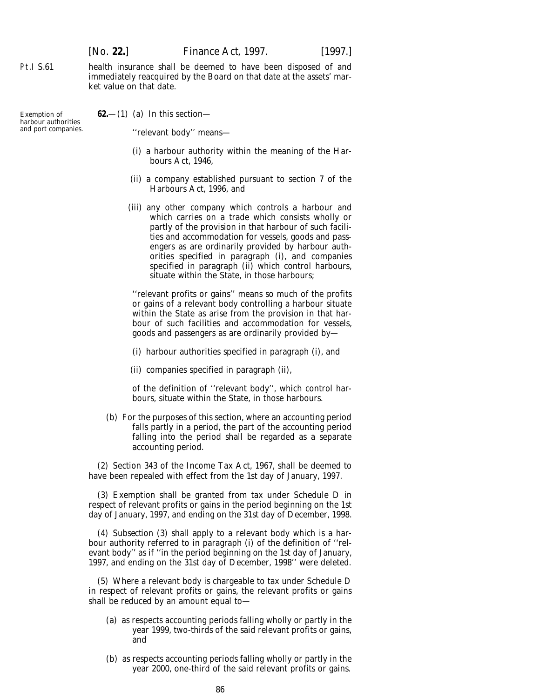health insurance shall be deemed to have been disposed of and immediately reacquired by the Board on that date at the assets' market value on that date.

Exemption of harbour authorities and port companies.

Pt.I S.61

**62.**—(1) (*a*) In this section—

''relevant body'' means—

- (i) a harbour authority within the meaning of the Harbours Act, 1946,
- (ii) a company established pursuant to section 7 of the Harbours Act, 1996, and
- (iii) any other company which controls a harbour and which carries on a trade which consists wholly or partly of the provision in that harbour of such facilities and accommodation for vessels, goods and passengers as are ordinarily provided by harbour authorities specified in *paragraph (i)*, and companies specified in *paragraph (ii)* which control harbours, situate within the State, in those harbours;

''relevant profits or gains'' means so much of the profits or gains of a relevant body controlling a harbour situate within the State as arise from the provision in that harbour of such facilities and accommodation for vessels, goods and passengers as are ordinarily provided by—

(i) harbour authorities specified in *paragraph (i)*, and

(ii) companies specified in *paragraph (ii)*,

of the definition of ''relevant body'', which control harbours, situate within the State, in those harbours.

(*b*) For the purposes of this section, where an accounting period falls partly in a period, the part of the accounting period falling into the period shall be regarded as a separate accounting period.

(2) Section 343 of the Income Tax Act, 1967, shall be deemed to have been repealed with effect from the 1st day of January, 1997.

(3) Exemption shall be granted from tax under Schedule D in respect of relevant profits or gains in the period beginning on the 1st day of January, 1997, and ending on the 31st day of December, 1998.

(4) *Subsection (3)* shall apply to a relevant body which is a harbour authority referred to in *paragraph (i)* of the definition of ''relevant body'' as if ''in the period beginning on the 1st day of January, 1997, and ending on the 31st day of December, 1998'' were deleted.

(5) Where a relevant body is chargeable to tax under Schedule D in respect of relevant profits or gains, the relevant profits or gains shall be reduced by an amount equal to—

- (*a*) as respects accounting periods falling wholly or partly in the year 1999, two-thirds of the said relevant profits or gains, and
- (*b*) as respects accounting periods falling wholly or partly in the year 2000, one-third of the said relevant profits or gains.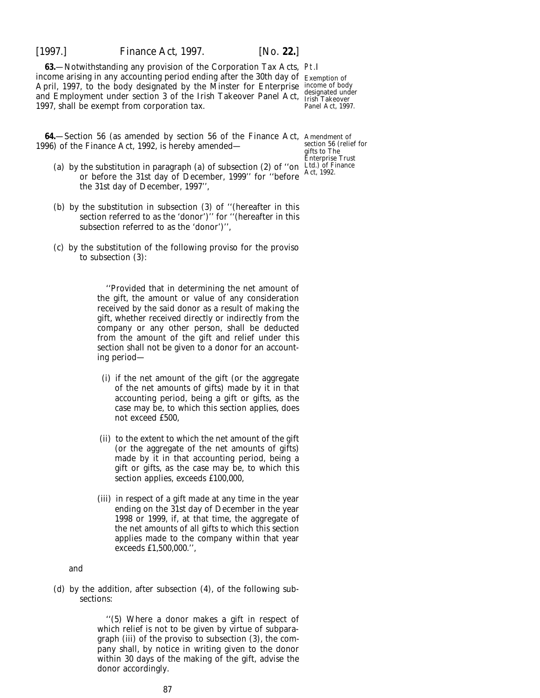[1997.] *Finance Act,* 1997. [*No.* **22.**]

**63.**—Notwithstanding any provision of the Corporation Tax Acts, Pt.I income arising in any accounting period ending after the 30th day of Exemption of April, 1997, to the body designated by the Minster for Enterprise and Employment under section 3 of the Irish Takeover Panel Act, 1997, shall be exempt from corporation tax.

income of body designated under Irish Takeover Panel Act, 1997.

**64.**—Section 56 (as amended by section 56 of the Finance Act, Amendment of 1996) of the Finance Act, 1992, is hereby amended—

- (*a*) by the substitution in paragraph (*a*) of subsection (2) of "on Ltd.) of Finance or before the 31st day of December, 1999'' for ''before the 31st day of December, 1997'',
- (*b*) by the substitution in subsection (3) of ''(hereafter in this section referred to as the 'donor')'' for ''(hereafter in this subsection referred to as the 'donor')'',
- (*c*) by the substitution of the following proviso for the proviso to subsection (3):

''Provided that in determining the net amount of the gift, the amount or value of any consideration received by the said donor as a result of making the gift, whether received directly or indirectly from the company or any other person, shall be deducted from the amount of the gift and relief under this section shall not be given to a donor for an accounting period—

- (i) if the net amount of the gift (or the aggregate of the net amounts of gifts) made by it in that accounting period, being a gift or gifts, as the case may be, to which this section applies, does not exceed £500,
- (ii) to the extent to which the net amount of the gift (or the aggregate of the net amounts of gifts) made by it in that accounting period, being a gift or gifts, as the case may be, to which this section applies, exceeds £100,000,
- (iii) in respect of a gift made at any time in the year ending on the 31st day of December in the year 1998 or 1999, if, at that time, the aggregate of the net amounts of all gifts to which this section applies made to the company within that year exceeds £1,500,000.'',

and

(*d*) by the addition, after subsection (4), of the following subsections:

> ''(5) Where a donor makes a gift in respect of which relief is not to be given by virtue of subparagraph (iii) of the proviso to subsection (3), the company shall, by notice in writing given to the donor within 30 days of the making of the gift, advise the donor accordingly.

section 56 (relief for gifts to The Enterprise Trust Act, 1992.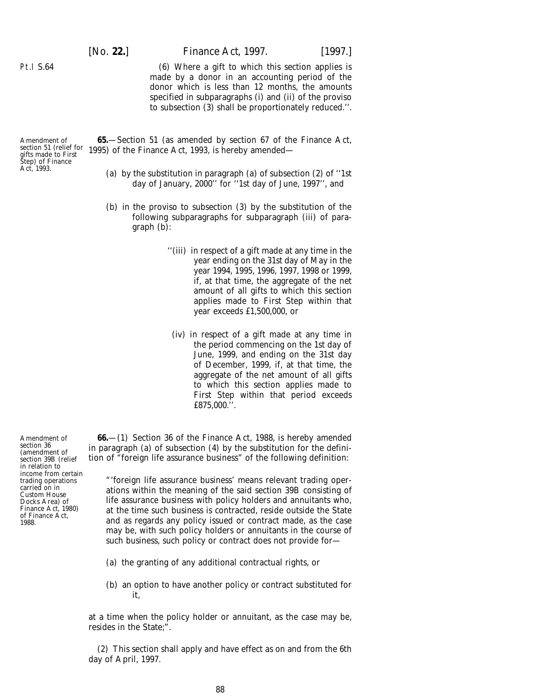[*No.* **22.**] *Finance Act,* 1997. [1997.]

(6) Where a gift to which this section applies is made by a donor in an accounting period of the donor which is less than 12 months, the amounts specified in subparagraphs (i) and (ii) of the proviso to subsection (3) shall be proportionately reduced.''.

Amendment of section 51 (relief for gifts made to First Step) of Finance Act, 1993.

Pt.I S.64

**65.**—Section 51 (as amended by section 67 of the Finance Act, 1995) of the Finance Act, 1993, is hereby amended—

- (*a*) by the substitution in paragraph (*a*) of subsection (2) of ''1st day of January, 2000'' for ''1st day of June, 1997'', and
- (*b*) in the proviso to subsection (3) by the substitution of the following subparagraphs for subparagraph (iii) of paragraph (*b*):
	- ''(iii) in respect of a gift made at any time in the year ending on the 31st day of May in the year 1994, 1995, 1996, 1997, 1998 or 1999, if, at that time, the aggregate of the net amount of all gifts to which this section applies made to First Step within that year exceeds £1,500,000, or
		- (iv) in respect of a gift made at any time in the period commencing on the 1st day of June, 1999, and ending on the 31st day of December, 1999, if, at that time, the aggregate of the net amount of all gifts to which this section applies made to First Step within that period exceeds £875,000.''.

**66.**—(1) Section 36 of the Finance Act, 1988, is hereby amended in paragraph (*a*) of subsection (4) by the substitution for the definition of "foreign life assurance business" of the following definition:

"'foreign life assurance business' means relevant trading operations within the meaning of the said section 39B consisting of life assurance business with policy holders and annuitants who, at the time such business is contracted, reside outside the State and as regards any policy issued or contract made, as the case may be, with such policy holders or annuitants in the course of such business, such policy or contract does not provide for—

- (*a*) the granting of any additional contractual rights, or
- (*b*) an option to have another policy or contract substituted for it,

at a time when the policy holder or annuitant, as the case may be, resides in the State;".

(2) This section shall apply and have effect as on and from the 6th day of April, 1997.

Amendment of section 36 (amendment of section 39B (relief in relation to income from certain trading operations carried on in Custom House Docks Area) of Finance Act, 1980) of Finance Act, 1988.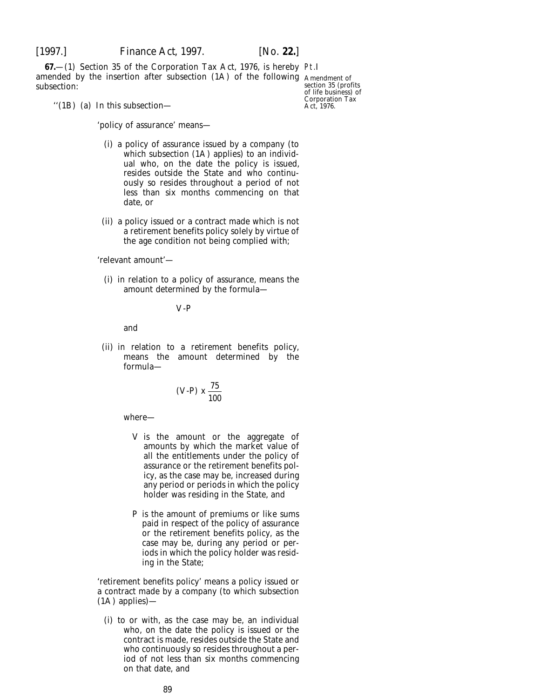**67.**—(1) Section 35 of the Corporation Tax Act, 1976, is hereby Pt.I amended by the insertion after subsection (1A) of the following Amendment of subsection:

section 35 (profits of life business) of Corporation Tax Act, 1976.

''(1B) (*a*) In this subsection—

'policy of assurance' means—

- (i) a policy of assurance issued by a company (to which subsection (1A) applies) to an individual who, on the date the policy is issued, resides outside the State and who continuously so resides throughout a period of not less than six months commencing on that date, or
- (ii) a policy issued or a contract made which is not a retirement benefits policy solely by virtue of the age condition not being complied with;

'relevant amount'—

(i) in relation to a policy of assurance, means the amount determined by the formula—

V-P

and

(ii) in relation to a retirement benefits policy, means the amount determined by the formula—

(V-P) 
$$
x \frac{75}{100}
$$

#### where—

- V is the amount or the aggregate of amounts by which the market value of all the entitlements under the policy of assurance or the retirement benefits policy, as the case may be, increased during any period or periods in which the policy holder was residing in the State, and
- P is the amount of premiums or like sums paid in respect of the policy of assurance or the retirement benefits policy, as the case may be, during any period or periods in which the policy holder was residing in the State;

'retirement benefits policy' means a policy issued or a contract made by a company (to which subsection (1A) applies)—

(i) to or with, as the case may be, an individual who, on the date the policy is issued or the contract is made, resides outside the State and who continuously so resides throughout a period of not less than six months commencing on that date, and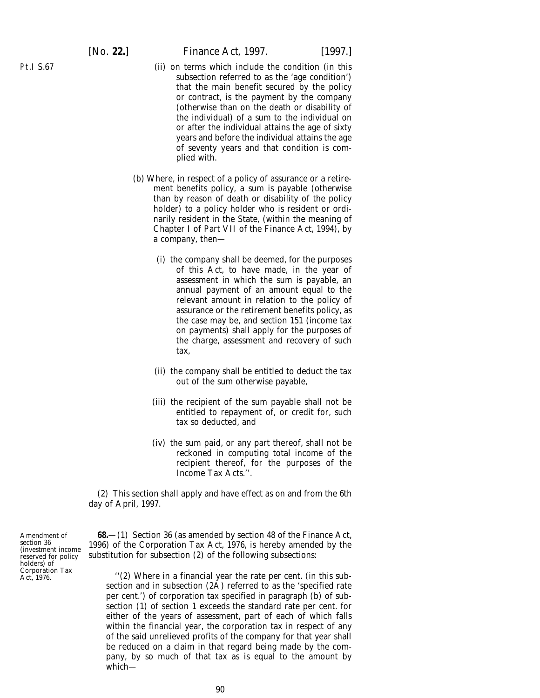Pt.I S.67

# [*No.* **22.**] *Finance Act,* 1997. [1997.]

- (ii) on terms which include the condition (in this subsection referred to as the 'age condition') that the main benefit secured by the policy or contract, is the payment by the company (otherwise than on the death or disability of the individual) of a sum to the individual on or after the individual attains the age of sixty years and before the individual attains the age of seventy years and that condition is complied with.
- (*b*) Where, in respect of a policy of assurance or a retirement benefits policy, a sum is payable (otherwise than by reason of death or disability of the policy holder) to a policy holder who is resident or ordinarily resident in the State, (within the meaning of Chapter I of Part VII of the Finance Act, 1994), by a company, then—
	- (i) the company shall be deemed, for the purposes of this Act, to have made, in the year of assessment in which the sum is payable, an annual payment of an amount equal to the relevant amount in relation to the policy of assurance or the retirement benefits policy, as the case may be, and section 151 (income tax on payments) shall apply for the purposes of the charge, assessment and recovery of such tax,
	- (ii) the company shall be entitled to deduct the tax out of the sum otherwise payable,
	- (iii) the recipient of the sum payable shall not be entitled to repayment of, or credit for, such tax so deducted, and
	- (iv) the sum paid, or any part thereof, shall not be reckoned in computing total income of the recipient thereof, for the purposes of the Income Tax Acts.''.

(2) This section shall apply and have effect as on and from the 6th day of April, 1997.

**68.**—(1) Section 36 (as amended by section 48 of the Finance Act, 1996) of the Corporation Tax Act, 1976, is hereby amended by the substitution for subsection (2) of the following subsections:

''(2) Where in a financial year the rate per cent. (in this subsection and in subsection (2A) referred to as the 'specified rate per cent.') of corporation tax specified in paragraph (*b*) of subsection (1) of section 1 exceeds the standard rate per cent. for either of the years of assessment, part of each of which falls within the financial year, the corporation tax in respect of any of the said unrelieved profits of the company for that year shall be reduced on a claim in that regard being made by the company, by so much of that tax as is equal to the amount by which—

Amendment of section 36 (investment income reserved for policy holders) of Corporation Tax Act, 1976.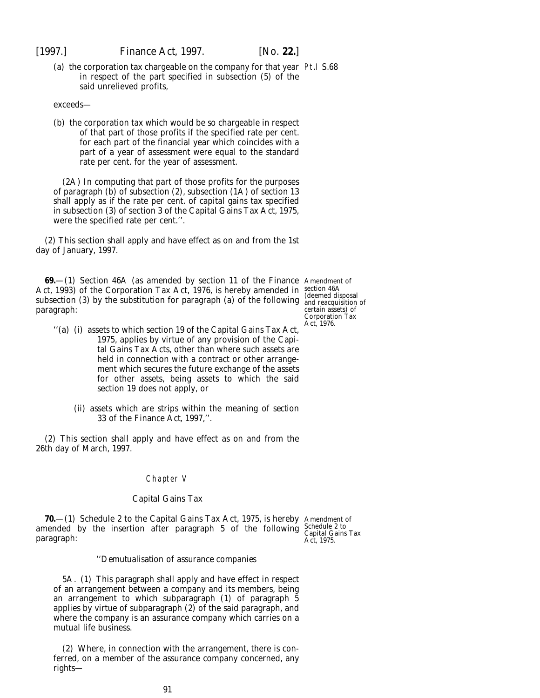(*a*) the corporation tax chargeable on the company for that year Pt.I S.68 in respect of the part specified in subsection (5) of the said unrelieved profits,

exceeds—

(*b*) the corporation tax which would be so chargeable in respect of that part of those profits if the specified rate per cent. for each part of the financial year which coincides with a part of a year of assessment were equal to the standard rate per cent. for the year of assessment.

(2A) In computing that part of those profits for the purposes of paragraph  $(b)$  of subsection  $(2)$ , subsection  $(1A)$  of section 13 shall apply as if the rate per cent. of capital gains tax specified in subsection (3) of section 3 of the Capital Gains Tax Act, 1975, were the specified rate per cent.''.

(2) This section shall apply and have effect as on and from the 1st day of January, 1997.

**69.**—(1) Section 46A (as amended by section 11 of the Finance Amendment of Act, 1993) of the Corporation Tax Act, 1976, is hereby amended in section 46A subsection (3) by the substitution for paragraph (*a*) of the following and reacquisition of paragraph:

- ''(*a*) (i) assets to which section 19 of the Capital Gains Tax Act, 1975, applies by virtue of any provision of the Capital Gains Tax Acts, other than where such assets are held in connection with a contract or other arrangement which secures the future exchange of the assets for other assets, being assets to which the said section 19 does not apply, or
	- (ii) assets which are strips within the meaning of *section 33* of the *Finance Act, 1997*,''.

(2) This section shall apply and have effect as on and from the 26th day of March, 1997.

# Chapter V

## *Capital Gains Tax*

**70.**—(1) Schedule 2 to the Capital Gains Tax Act, 1975, is hereby amended by the insertion after paragraph 5 of the following paragraph:

Amendment of Schedule 2 to Capital Gains Tax Act, 1975.

# ''*Demutualisation of assurance companies*

5A. (1) This paragraph shall apply and have effect in respect of an arrangement between a company and its members, being an arrangement to which subparagraph (1) of paragraph 5 applies by virtue of subparagraph (2) of the said paragraph, and where the company is an assurance company which carries on a mutual life business.

(2) Where, in connection with the arrangement, there is conferred, on a member of the assurance company concerned, any rights—

certain assets) of Corporation Tax Act, 1976.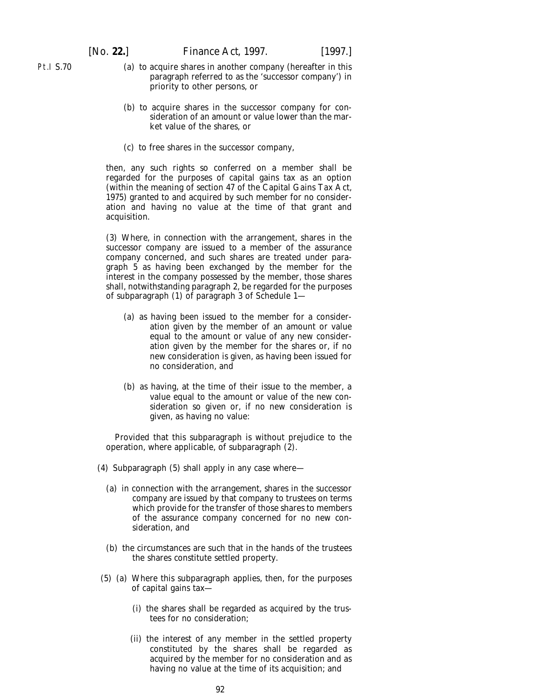- Pt.I S.70
- (*a*) to acquire shares in another company (hereafter in this paragraph referred to as the 'successor company') in priority to other persons, or
- (*b*) to acquire shares in the successor company for consideration of an amount or value lower than the market value of the shares, or
- (*c*) to free shares in the successor company,

then, any such rights so conferred on a member shall be regarded for the purposes of capital gains tax as an option (within the meaning of section 47 of the Capital Gains Tax Act, 1975) granted to and acquired by such member for no consideration and having no value at the time of that grant and acquisition.

(3) Where, in connection with the arrangement, shares in the successor company are issued to a member of the assurance company concerned, and such shares are treated under paragraph 5 as having been exchanged by the member for the interest in the company possessed by the member, those shares shall, notwithstanding paragraph 2, be regarded for the purposes of subparagraph (1) of paragraph 3 of Schedule 1—

- (*a*) as having been issued to the member for a consideration given by the member of an amount or value equal to the amount or value of any new consideration given by the member for the shares or, if no new consideration is given, as having been issued for no consideration, and
- (*b*) as having, at the time of their issue to the member, a value equal to the amount or value of the new consideration so given or, if no new consideration is given, as having no value:

Provided that this subparagraph is without prejudice to the operation, where applicable, of subparagraph  $(2)$ .

- (4) Subparagraph (5) shall apply in any case where—
	- (*a*) in connection with the arrangement, shares in the successor company are issued by that company to trustees on terms which provide for the transfer of those shares to members of the assurance company concerned for no new consideration, and
	- (*b*) the circumstances are such that in the hands of the trustees the shares constitute settled property.
- (5) (*a*) Where this subparagraph applies, then, for the purposes of capital gains tax—
	- (i) the shares shall be regarded as acquired by the trustees for no consideration;
	- (ii) the interest of any member in the settled property constituted by the shares shall be regarded as acquired by the member for no consideration and as having no value at the time of its acquisition; and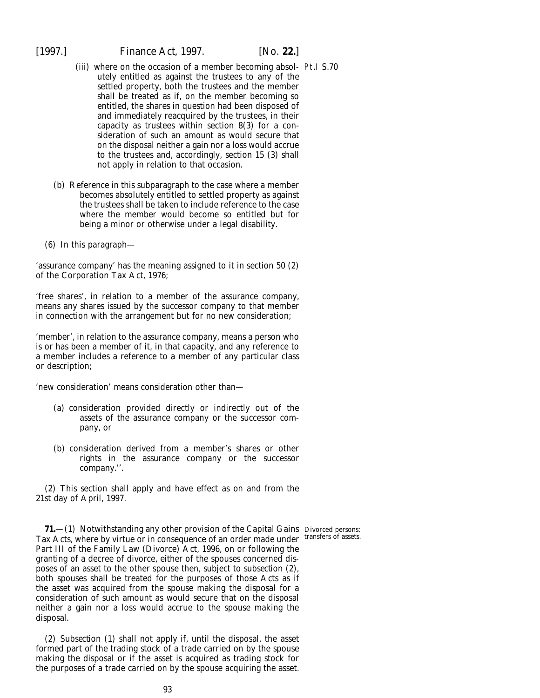- (iii) where on the occasion of a member becoming absol-Pt.I S.70 utely entitled as against the trustees to any of the settled property, both the trustees and the member shall be treated as if, on the member becoming so entitled, the shares in question had been disposed of and immediately reacquired by the trustees, in their capacity as trustees within section 8(3) for a consideration of such an amount as would secure that on the disposal neither a gain nor a loss would accrue to the trustees and, accordingly, section 15 (3) shall not apply in relation to that occasion.
- (*b*) Reference in this subparagraph to the case where a member becomes absolutely entitled to settled property as against the trustees shall be taken to include reference to the case where the member would become so entitled but for being a minor or otherwise under a legal disability.
- (6) In this paragraph—

'assurance company' has the meaning assigned to it in section 50 (2) of the Corporation Tax Act, 1976;

'free shares', in relation to a member of the assurance company, means any shares issued by the successor company to that member in connection with the arrangement but for no new consideration;

'member', in relation to the assurance company, means a person who is or has been a member of it, in that capacity, and any reference to a member includes a reference to a member of any particular class or description;

'new consideration' means consideration other than—

- (*a*) consideration provided directly or indirectly out of the assets of the assurance company or the successor company, or
- (*b*) consideration derived from a member's shares or other rights in the assurance company or the successor company.''.

(2) This section shall apply and have effect as on and from the 21st day of April, 1997.

**71.**—(1) Notwithstanding any other provision of the Capital Gains Divorced persons: Tax Acts, where by virtue or in consequence of an order made under transfers of assets. Part III of the Family Law (Divorce) Act, 1996, on or following the granting of a decree of divorce, either of the spouses concerned disposes of an asset to the other spouse then, subject to *subsection (2)*, both spouses shall be treated for the purposes of those Acts as if the asset was acquired from the spouse making the disposal for a consideration of such amount as would secure that on the disposal neither a gain nor a loss would accrue to the spouse making the disposal.

(2) *Subsection (1)* shall not apply if, until the disposal, the asset formed part of the trading stock of a trade carried on by the spouse making the disposal or if the asset is acquired as trading stock for the purposes of a trade carried on by the spouse acquiring the asset.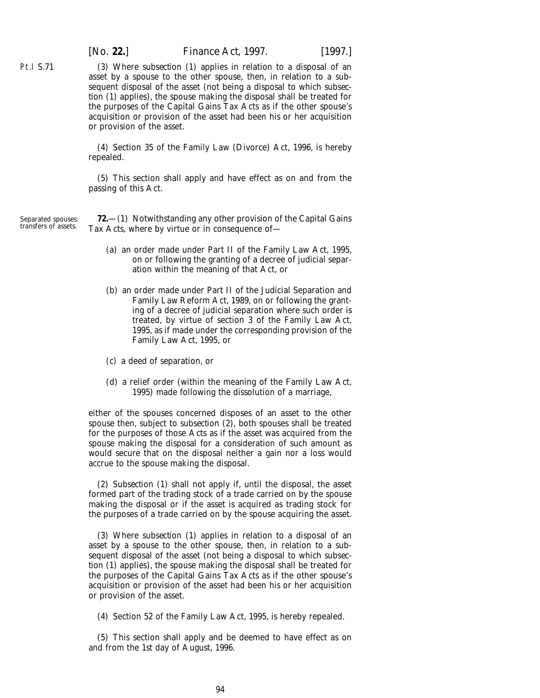Pt.I S.71

[*No.* **22.**] *Finance Act,* 1997. [1997.]

(3) Where *subsection (1)* applies in relation to a disposal of an asset by a spouse to the other spouse, then, in relation to a subsequent disposal of the asset (not being a disposal to which *subsection (1)* applies), the spouse making the disposal shall be treated for the purposes of the Capital Gains Tax Acts as if the other spouse's acquisition or provision of the asset had been his or her acquisition or provision of the asset.

(4) Section 35 of the Family Law (Divorce) Act, 1996, is hereby repealed.

(5) This section shall apply and have effect as on and from the passing of this Act.

Separated spouses: transfers of assets.

**72.**—(1) Notwithstanding any other provision of the Capital Gains Tax Acts, where by virtue or in consequence of—

- (*a*) an order made under Part II of the Family Law Act, 1995, on or following the granting of a decree of judicial separation within the meaning of that Act, or
- (*b*) an order made under Part II of the Judicial Separation and Family Law Reform Act, 1989, on or following the granting of a decree of judicial separation where such order is treated, by virtue of section 3 of the Family Law Act, 1995, as if made under the corresponding provision of the Family Law Act, 1995, or
- (*c*) a deed of separation, or
- (*d*) a relief order (within the meaning of the Family Law Act, 1995) made following the dissolution of a marriage,

either of the spouses concerned disposes of an asset to the other spouse then, subject to *subsection (2)*, both spouses shall be treated for the purposes of those Acts as if the asset was acquired from the spouse making the disposal for a consideration of such amount as would secure that on the disposal neither a gain nor a loss would accrue to the spouse making the disposal.

(2) *Subsection (1)* shall not apply if, until the disposal, the asset formed part of the trading stock of a trade carried on by the spouse making the disposal or if the asset is acquired as trading stock for the purposes of a trade carried on by the spouse acquiring the asset.

(3) Where *subsection (1)* applies in relation to a disposal of an asset by a spouse to the other spouse, then, in relation to a subsequent disposal of the asset (not being a disposal to which *subsection (1)* applies), the spouse making the disposal shall be treated for the purposes of the Capital Gains Tax Acts as if the other spouse's acquisition or provision of the asset had been his or her acquisition or provision of the asset.

(4) Section 52 of the Family Law Act, 1995, is hereby repealed.

(5) This section shall apply and be deemed to have effect as on and from the 1st day of August, 1996.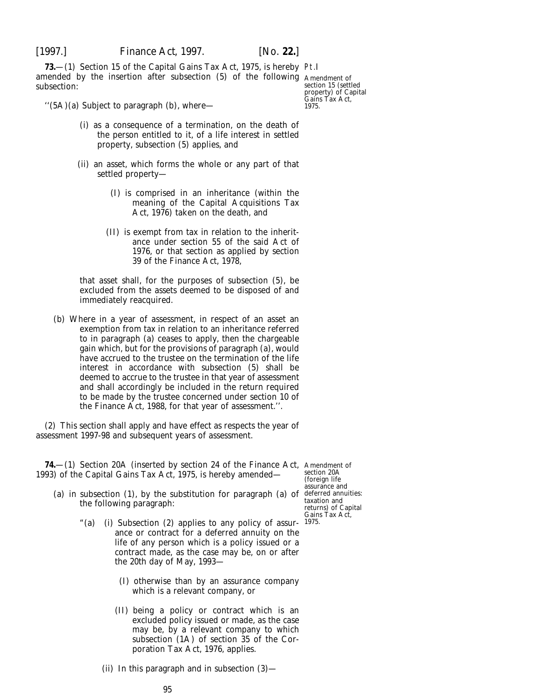**73.**—(1) Section 15 of the Capital Gains Tax Act, 1975, is hereby Pt.I amended by the insertion after subsection (5) of the following Amendment of subsection:

section 15 (settled property) of Capital Gains Tax Act, 1975.

''(5A)(*a*) Subject to paragraph (*b*), where—

- (i) as a consequence of a termination, on the death of the person entitled to it, of a life interest in settled property, subsection (5) applies, and
- (ii) an asset, which forms the whole or any part of that settled property—
	- (I) is comprised in an inheritance (within the meaning of the Capital Acquisitions Tax Act, 1976) taken on the death, and
	- (II) is exempt from tax in relation to the inheritance under section 55 of the said Act of 1976, or that section as applied by section 39 of the Finance Act, 1978,

that asset shall, for the purposes of subsection (5), be excluded from the assets deemed to be disposed of and immediately reacquired.

(*b*) Where in a year of assessment, in respect of an asset an exemption from tax in relation to an inheritance referred to in paragraph (*a*) ceases to apply, then the chargeable gain which, but for the provisions of paragraph (*a*), would have accrued to the trustee on the termination of the life interest in accordance with subsection (5) shall be deemed to accrue to the trustee in that year of assessment and shall accordingly be included in the return required to be made by the trustee concerned under section 10 of the Finance Act, 1988, for that year of assessment.''.

(2) This section shall apply and have effect as respects the year of assessment 1997-98 and subsequent years of assessment.

**74.**—(1) Section 20A (inserted by section 24 of the Finance Act, Amendment of 1993) of the Capital Gains Tax Act, 1975, is hereby amended—

- (*a*) in subsection (1), by the substitution for paragraph (*a*) of deferred annuities: the following paragraph:
	- "(*a*) (i) Subsection (2) applies to any policy of assur-1975.ance or contract for a deferred annuity on the life of any person which is a policy issued or a contract made, as the case may be, on or after the 20th day of May, 1993—
		- (I) otherwise than by an assurance company which is a relevant company, or
		- (II) being a policy or contract which is an excluded policy issued or made, as the case may be, by a relevant company to which subsection (1A) of section 35 of the Corporation Tax Act, 1976, applies.
		- (ii) In this paragraph and in subsection (3)—

section 20A (foreign life assurance and taxation and returns) of Capital Gains Tax Act,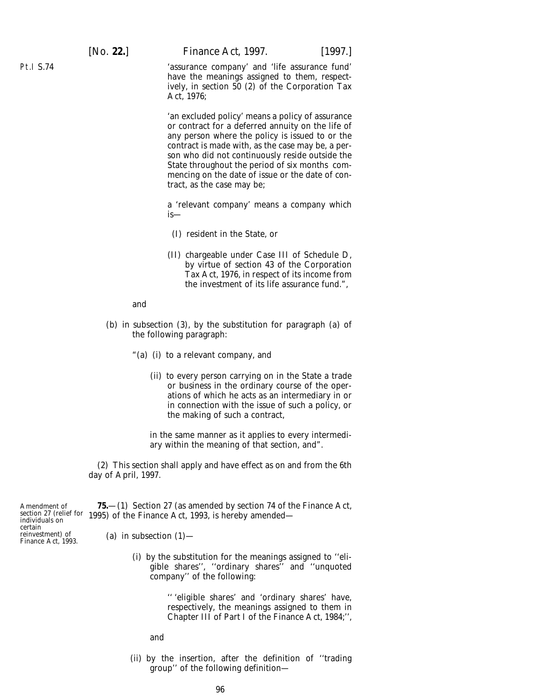[*No.* **22.**] *Finance Act,* 1997. [1997.]

'assurance company' and 'life assurance fund' have the meanings assigned to them, respectively, in section 50 (2) of the Corporation Tax Act, 1976;

'an excluded policy' means a policy of assurance or contract for a deferred annuity on the life of any person where the policy is issued to or the contract is made with, as the case may be, a person who did not continuously reside outside the State throughout the period of six months commencing on the date of issue or the date of contract, as the case may be;

a 'relevant company' means a company which is—

- (I) resident in the State, or
- (II) chargeable under Case III of Schedule D, by virtue of section 43 of the Corporation Tax Act, 1976, in respect of its income from the investment of its life assurance fund.",

and

- (*b*) in subsection (3), by the substitution for paragraph (*a*) of the following paragraph:
	- "(*a*) (i) to a relevant company, and
		- (ii) to every person carrying on in the State a trade or business in the ordinary course of the operations of which he acts as an intermediary in or in connection with the issue of such a policy, or the making of such a contract,

in the same manner as it applies to every intermediary within the meaning of that section, and".

(2) This section shall apply and have effect as on and from the 6th day of April, 1997.

Amendment of individuals on certain reinvestment) of Finance Act, 1993.

section 27 (relief for 1995) of the Finance Act, 1993, is hereby amended— **75.**—(1) Section 27 (as amended by section 74 of the Finance Act,

- (*a*) in subsection  $(1)$ 
	- (i) by the substitution for the meanings assigned to ''eligible shares'', ''ordinary shares'' and ''unquoted company'' of the following:

'' 'eligible shares' and 'ordinary shares' have, respectively, the meanings assigned to them in Chapter III of Part I of the Finance Act, 1984;'',

and

(ii) by the insertion, after the definition of ''trading group'' of the following definition—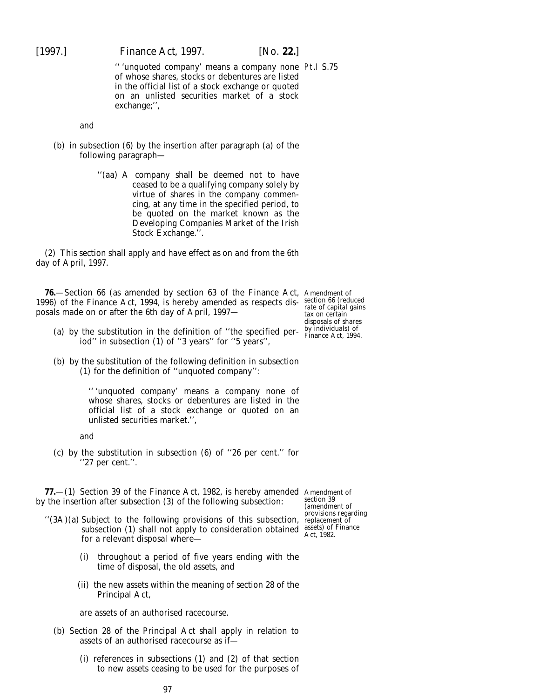[1997.] *Finance Act,* 1997. [*No.* **22.**]

'' 'unquoted company' means a company none Pt.I S.75 of whose shares, stocks or debentures are listed in the official list of a stock exchange or quoted on an unlisted securities market of a stock exchange;'',

and

- (*b*) in subsection (6) by the insertion after paragraph (*a*) of the following paragraph—
	- ''(*aa*) A company shall be deemed not to have ceased to be a qualifying company solely by virtue of shares in the company commencing, at any time in the specified period, to be quoted on the market known as the Developing Companies Market of the Irish Stock Exchange.''.

(2) This section shall apply and have effect as on and from the 6th day of April, 1997.

**76.**—Section 66 (as amended by section 63 of the Finance Act, Amendment of 1996) of the Finance Act, 1994, is hereby amended as respects dis-section 66 (reduced posals made on or after the 6th day of April, 1997—

- (*a*) by the substitution in the definition of "the specified per-by individuals) of  $\frac{1}{2}$ iod'' in subsection (1) of ''3 years'' for ''5 years'',
- (*b*) by the substitution of the following definition in subsection (1) for the definition of ''unquoted company'':

'' 'unquoted company' means a company none of whose shares, stocks or debentures are listed in the official list of a stock exchange or quoted on an unlisted securities market.'',

and

(*c*) by the substitution in subsection (6) of ''26 per cent.'' for ''27 per cent.''.

**77.**—(1) Section 39 of the Finance Act, 1982, is hereby amended Amendment of by the insertion after subsection (3) of the following subsection:

- ''(3A)(*a*) Subject to the following provisions of this subsection, subsection (1) shall not apply to consideration obtained assets) of Finance for a relevant disposal where— Act, 1982.
	- (i) throughout a period of five years ending with the time of disposal, the old assets, and
	- (ii) the new assets within the meaning of section 28 of the Principal Act,

are assets of an authorised racecourse.

- (*b*) Section 28 of the Principal Act shall apply in relation to assets of an authorised racecourse as if—
	- (i) references in subsections (1) and (2) of that section to new assets ceasing to be used for the purposes of

rate of capital gains tax on certain disposals of shares

section 39 (amendment of provisions regarding replacement of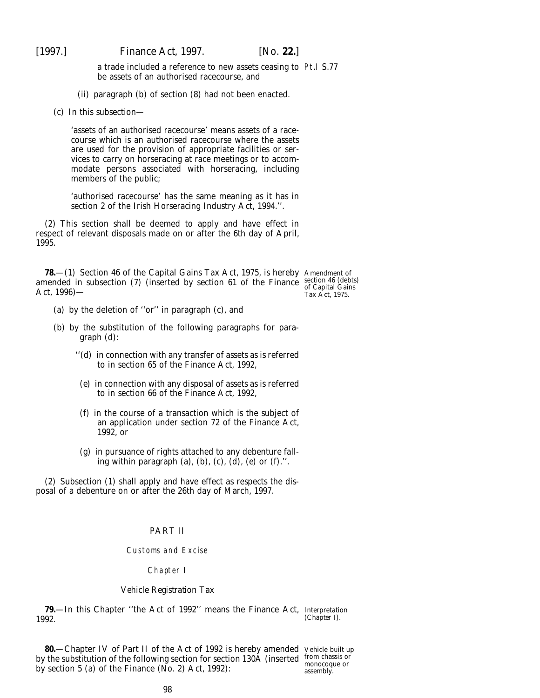a trade included a reference to new assets ceasing to Pt.I S.77 be assets of an authorised racecourse, and

(ii) paragraph (*b*) of section (8) had not been enacted.

(*c*) In this subsection—

'assets of an authorised racecourse' means assets of a racecourse which is an authorised racecourse where the assets are used for the provision of appropriate facilities or services to carry on horseracing at race meetings or to accommodate persons associated with horseracing, including members of the public;

'authorised racecourse' has the same meaning as it has in section 2 of the Irish Horseracing Industry Act, 1994.''.

(2) This section shall be deemed to apply and have effect in respect of relevant disposals made on or after the 6th day of April, 1995.

**78.** - (1) Section 46 of the Capital Gains Tax Act, 1975, is hereby Amendment of amended in subsection (7) (inserted by section 61 of the Finance section 46 (debts) Act, 1996)—

of Capital Gains Tax Act, 1975.

- (*a*) by the deletion of ''or'' in paragraph (*c*), and
- (*b*) by the substitution of the following paragraphs for paragraph (*d*):
	- ''(*d*) in connection with any transfer of assets as is referred to in section 65 of the Finance Act, 1992,
	- (*e*) in connection with any disposal of assets as is referred to in section 66 of the Finance Act, 1992,
	- (*f*) in the course of a transaction which is the subject of an application under section 72 of the Finance Act, 1992, or
	- (*g*) in pursuance of rights attached to any debenture falling within paragraph (*a*), (*b*), (*c*), (*d*), (*e*) or (*f*).''.

(2) Subsection (1) shall apply and have effect as respects the disposal of a debenture on or after the 26th day of March, 1997.

# PART II

#### Customs and Excise

## Chapter I

## *Vehicle Registration Tax*

**79.**—In this Chapter ''the Act of 1992'' means the Finance Act, Interpretation 1992. (*Chapter I*).

**80.**—Chapter IV of Part II of the Act of 1992 is hereby amended Vehicle built up by the substitution of the following section for section 130A (inserted from chassis or by section 5 (*a*) of the Finance (No. 2) Act, 1992):

monocoque or assembly.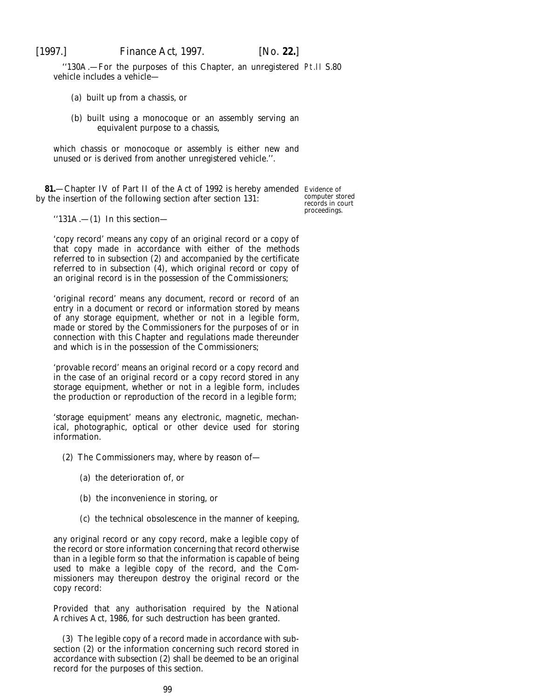"130A. - For the purposes of this Chapter, an unregistered Pt.II S.80 vehicle includes a vehicle—

- (*a*) built up from a chassis, or
- (*b*) built using a monocoque or an assembly serving an equivalent purpose to a chassis,

which chassis or monocoque or assembly is either new and unused or is derived from another unregistered vehicle.''.

**81.**—Chapter IV of Part II of the Act of 1992 is hereby amended Evidence of by the insertion of the following section after section 131:

computer stored records in court proceedings.

 $"131A. - (1)$  In this section-

'copy record' means any copy of an original record or a copy of that copy made in accordance with either of the methods referred to in subsection (2) and accompanied by the certificate referred to in subsection (4), which original record or copy of an original record is in the possession of the Commissioners;

'original record' means any document, record or record of an entry in a document or record or information stored by means of any storage equipment, whether or not in a legible form, made or stored by the Commissioners for the purposes of or in connection with this Chapter and regulations made thereunder and which is in the possession of the Commissioners;

'provable record' means an original record or a copy record and in the case of an original record or a copy record stored in any storage equipment, whether or not in a legible form, includes the production or reproduction of the record in a legible form;

'storage equipment' means any electronic, magnetic, mechanical, photographic, optical or other device used for storing information.

- (2) The Commissioners may, where by reason of—
	- (*a*) the deterioration of, or
	- (*b*) the inconvenience in storing, or
	- (*c*) the technical obsolescence in the manner of keeping,

any original record or any copy record, make a legible copy of the record or store information concerning that record otherwise than in a legible form so that the information is capable of being used to make a legible copy of the record, and the Commissioners may thereupon destroy the original record or the copy record:

Provided that any authorisation required by the National Archives Act, 1986, for such destruction has been granted.

(3) The legible copy of a record made in accordance with subsection (2) or the information concerning such record stored in accordance with subsection (2) shall be deemed to be an original record for the purposes of this section.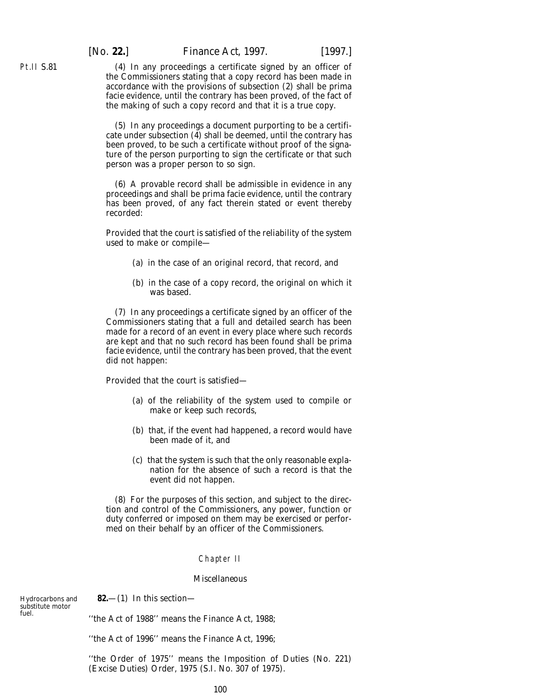(4) In any proceedings a certificate signed by an officer of the Commissioners stating that a copy record has been made in accordance with the provisions of subsection (2) shall be *prima facie* evidence, until the contrary has been proved, of the fact of the making of such a copy record and that it is a true copy.

(5) In any proceedings a document purporting to be a certificate under subsection (4) shall be deemed, until the contrary has been proved, to be such a certificate without proof of the signature of the person purporting to sign the certificate or that such person was a proper person to so sign.

(6) A provable record shall be admissible in evidence in any proceedings and shall be *prima facie* evidence, until the contrary has been proved, of any fact therein stated or event thereby recorded:

Provided that the court is satisfied of the reliability of the system used to make or compile—

- (*a*) in the case of an original record, that record, and
- (*b*) in the case of a copy record, the original on which it was based.

(7) In any proceedings a certificate signed by an officer of the Commissioners stating that a full and detailed search has been made for a record of an event in every place where such records are kept and that no such record has been found shall be *prima facie* evidence, until the contrary has been proved, that the event did not happen:

Provided that the court is satisfied—

- (*a*) of the reliability of the system used to compile or make or keep such records,
- (*b*) that, if the event had happened, a record would have been made of it, and
- (*c*) that the system is such that the only reasonable explanation for the absence of such a record is that the event did not happen.

(8) For the purposes of this section, and subject to the direction and control of the Commissioners, any power, function or duty conferred or imposed on them may be exercised or performed on their behalf by an officer of the Commissioners.

## Chapter II

#### *Miscellaneous*

Hydrocarbons and substitute motor fuel.

**82.**—(1) In this section—

''the Act of 1988'' means the Finance Act, 1988;

''the Act of 1996'' means the Finance Act, 1996;

''the Order of 1975'' means the Imposition of Duties (No. 221) (Excise Duties) Order, 1975 (S.I. No. 307 of 1975).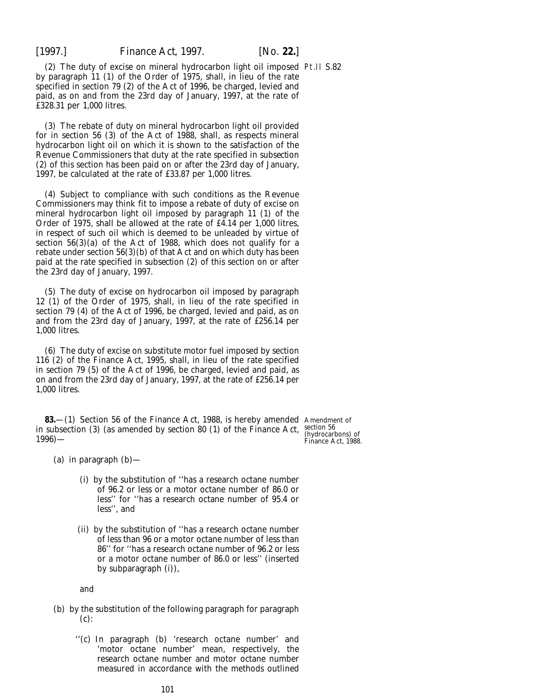(2) The duty of excise on mineral hydrocarbon light oil imposed Pt.II S.82 by paragraph 11 (1) of the Order of 1975, shall, in lieu of the rate specified in section 79 (2) of the Act of 1996, be charged, levied and paid, as on and from the 23rd day of January, 1997, at the rate of £328.31 per 1,000 litres.

(3) The rebate of duty on mineral hydrocarbon light oil provided for in section 56 (3) of the Act of 1988, shall, as respects mineral hydrocarbon light oil on which it is shown to the satisfaction of the Revenue Commissioners that duty at the rate specified in *subsection (2)* of this section has been paid on or after the 23rd day of January, 1997, be calculated at the rate of £33.87 per 1,000 litres.

(4) Subject to compliance with such conditions as the Revenue Commissioners may think fit to impose a rebate of duty of excise on mineral hydrocarbon light oil imposed by paragraph 11 (1) of the Order of 1975, shall be allowed at the rate of £4.14 per 1,000 litres, in respect of such oil which is deemed to be unleaded by virtue of section 56(3)(*a*) of the Act of 1988, which does not qualify for a rebate under section 56(3)(*b*) of that Act and on which duty has been paid at the rate specified in *subsection (2)* of this section on or after the 23rd day of January, 1997.

(5) The duty of excise on hydrocarbon oil imposed by paragraph 12 (1) of the Order of 1975, shall, in lieu of the rate specified in section 79 (4) of the Act of 1996, be charged, levied and paid, as on and from the 23rd day of January, 1997, at the rate of £256.14 per 1,000 litres.

(6) The duty of excise on substitute motor fuel imposed by section 116 (2) of the Finance Act, 1995, shall, in lieu of the rate specified in section 79 (5) of the Act of 1996, be charged, levied and paid, as on and from the 23rd day of January, 1997, at the rate of £256.14 per 1,000 litres.

**83.**—(1) Section 56 of the Finance Act, 1988, is hereby amended Amendment of in subsection (3) (as amended by section 80 (1) of the Finance Act, section 56  $1996$ )—

(hydrocarbons) of Finance Act, 1988.

(*a*) in paragraph (*b*)—

- (i) by the substitution of ''has a research octane number of 96.2 or less or a motor octane number of 86.0 or less'' for ''has a research octane number of 95.4 or less'', and
- (ii) by the substitution of ''has a research octane number of less than 96 or a motor octane number of less than 86'' for ''has a research octane number of 96.2 or less or a motor octane number of 86.0 or less'' (inserted by *subparagraph (i)*),

and

- (*b*) by the substitution of the following paragraph for paragraph (*c*):
	- ''(*c*) In paragraph (*b*) 'research octane number' and 'motor octane number' mean, respectively, the research octane number and motor octane number measured in accordance with the methods outlined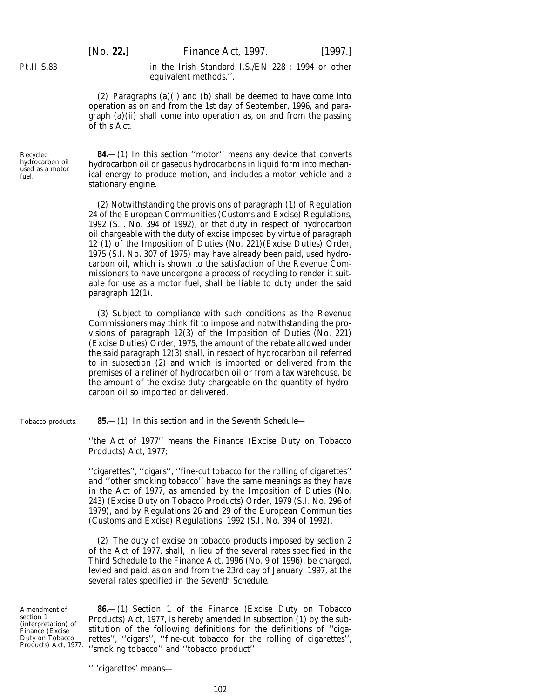[*No.* **22.**] *Finance Act,* 1997. [1997.]

in the Irish Standard I.S./EN 228 : 1994 or other equivalent methods.''.

(2) *Paragraphs (a)(i)* and *(b)* shall be deemed to have come into operation as on and from the 1st day of September, 1996, and *paragraph (a)(ii)* shall come into operation as, on and from the passing of this Act.

Recycled hydrocarbon oil used as a motor fuel.

Pt.II S.83

**84.**—(1) In this section ''motor'' means any device that converts hydrocarbon oil or gaseous hydrocarbons in liquid form into mechanical energy to produce motion, and includes a motor vehicle and a stationary engine.

(2) Notwithstanding the provisions of paragraph (1) of Regulation 24 of the European Communities (Customs and Excise) Regulations, 1992 (S.I. No. 394 of 1992), or that duty in respect of hydrocarbon oil chargeable with the duty of excise imposed by virtue of paragraph 12 (1) of the Imposition of Duties (No. 221)(Excise Duties) Order, 1975 (S.I. No. 307 of 1975) may have already been paid, used hydrocarbon oil, which is shown to the satisfaction of the Revenue Commissioners to have undergone a process of recycling to render it suitable for use as a motor fuel, shall be liable to duty under the said paragraph 12(1).

(3) Subject to compliance with such conditions as the Revenue Commissioners may think fit to impose and notwithstanding the provisions of paragraph 12(3) of the Imposition of Duties (No. 221) (Excise Duties) Order, 1975, the amount of the rebate allowed under the said paragraph 12(3) shall, in respect of hydrocarbon oil referred to in *subsection (2)* and which is imported or delivered from the premises of a refiner of hydrocarbon oil or from a tax warehouse, be the amount of the excise duty chargeable on the quantity of hydrocarbon oil so imported or delivered.

Tobacco products.

**85.**—(1) In this section and in the *Seventh Schedule—*

''the Act of 1977'' means the Finance (Excise Duty on Tobacco Products) Act, 1977;

''cigarettes'', ''cigars'', ''fine-cut tobacco for the rolling of cigarettes'' and ''other smoking tobacco'' have the same meanings as they have in the Act of 1977, as amended by the Imposition of Duties (No. 243) (Excise Duty on Tobacco Products) Order, 1979 (S.I. No. 296 of 1979), and by Regulations 26 and 29 of the European Communities (Customs and Excise) Regulations, 1992 (S.I. No. 394 of 1992).

(2) The duty of excise on tobacco products imposed by section 2 of the Act of 1977, shall, in lieu of the several rates specified in the Third Schedule to the Finance Act, 1996 (No. 9 of 1996), be charged, levied and paid, as on and from the 23rd day of January, 1997, at the several rates specified in the *Seventh Schedule.*

Amendment of section 1 (interpretation) of Finance (Excise Duty on Tobacco Products) Act, 1977.

**86.**—(1) Section 1 of the Finance (Excise Duty on Tobacco Products) Act, 1977, is hereby amended in subsection (1) by the substitution of the following definitions for the definitions of ''cigarettes'', ''cigars'', ''fine-cut tobacco for the rolling of cigarettes'', ''smoking tobacco'' and ''tobacco product'':

'' 'cigarettes' means—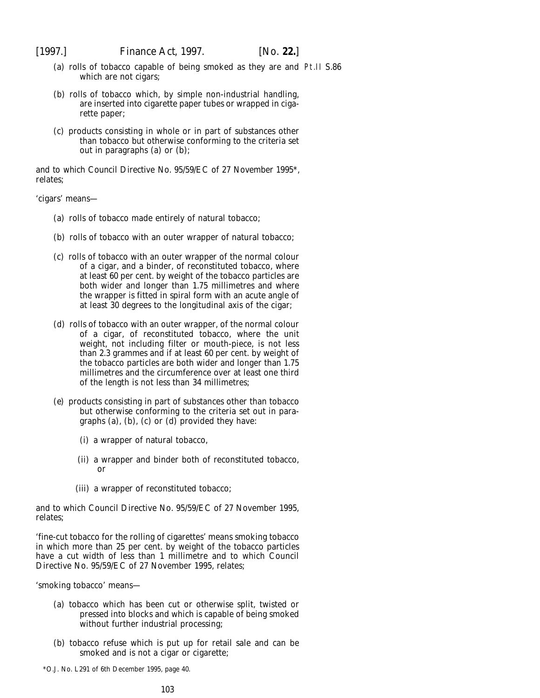- (*a*) rolls of tobacco capable of being smoked as they are and Pt.II S.86which are not cigars;
- (*b*) rolls of tobacco which, by simple non-industrial handling, are inserted into cigarette paper tubes or wrapped in cigarette paper;
- (*c*) products consisting in whole or in part of substances other than tobacco but otherwise conforming to the criteria set out in paragraphs (*a*) or (*b*);

and to which Council Directive No. 95/59/EC of 27 November 1995\*, relates;

'cigars' means—

- (*a*) rolls of tobacco made entirely of natural tobacco;
- (*b*) rolls of tobacco with an outer wrapper of natural tobacco;
- (*c*) rolls of tobacco with an outer wrapper of the normal colour of a cigar, and a binder, of reconstituted tobacco, where at least 60 per cent. by weight of the tobacco particles are both wider and longer than 1.75 millimetres and where the wrapper is fitted in spiral form with an acute angle of at least 30 degrees to the longitudinal axis of the cigar;
- (*d*) rolls of tobacco with an outer wrapper, of the normal colour of a cigar, of reconstituted tobacco, where the unit weight, not including filter or mouth-piece, is not less than 2.3 grammes and if at least 60 per cent. by weight of the tobacco particles are both wider and longer than 1.75 millimetres and the circumference over at least one third of the length is not less than 34 millimetres;
- (*e*) products consisting in part of substances other than tobacco but otherwise conforming to the criteria set out in paragraphs (*a*), (*b*), (*c*) or (*d*) provided they have:
	- (i) a wrapper of natural tobacco,
	- (ii) a wrapper and binder both of reconstituted tobacco, or
	- (iii) a wrapper of reconstituted tobacco;

and to which Council Directive No. 95/59/EC of 27 November 1995, relates;

'fine-cut tobacco for the rolling of cigarettes' means smoking tobacco in which more than 25 per cent. by weight of the tobacco particles have a cut width of less than 1 millimetre and to which Council Directive No. 95/59/EC of 27 November 1995, relates;

'smoking tobacco' means—

- (*a*) tobacco which has been cut or otherwise split, twisted or pressed into blocks and which is capable of being smoked without further industrial processing;
- (*b*) tobacco refuse which is put up for retail sale and can be smoked and is not a cigar or cigarette;

\*O.J. No. L291 of 6th December 1995, page 40.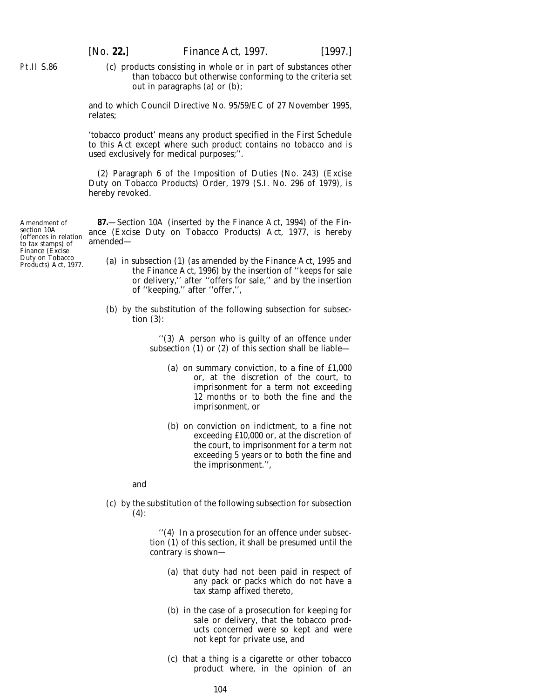(*c*) products consisting in whole or in part of substances other than tobacco but otherwise conforming to the criteria set out in paragraphs (*a*) or (*b*);

and to which Council Directive No. 95/59/EC of 27 November 1995, relates;

'tobacco product' means any product specified in the First Schedule to this Act except where such product contains no tobacco and is used exclusively for medical purposes;''.

(2) Paragraph 6 of the Imposition of Duties (No. 243) (Excise Duty on Tobacco Products) Order, 1979 (S.I. No. 296 of 1979), is hereby revoked.

**87.**—Section 10A (inserted by the Finance Act, 1994) of the Finance (Excise Duty on Tobacco Products) Act, 1977, is hereby amended—

- (*a*) in subsection (1) (as amended by the Finance Act, 1995 and the Finance Act, 1996) by the insertion of ''keeps for sale or delivery,'' after ''offers for sale,'' and by the insertion of ''keeping,'' after ''offer,'',
- (*b*) by the substitution of the following subsection for subsection (3):

''(3) A person who is guilty of an offence under subsection (1) or (2) of this section shall be liable—

- (*a*) on summary conviction, to a fine of £1,000 or, at the discretion of the court, to imprisonment for a term not exceeding 12 months or to both the fine and the imprisonment, or
- (*b*) on conviction on indictment, to a fine not exceeding £10,000 or, at the discretion of the court, to imprisonment for a term not exceeding 5 years or to both the fine and the imprisonment.'',

and

(*c*) by the substitution of the following subsection for subsection  $(4)$ :

> ''(4) In a prosecution for an offence under subsection (1) of this section, it shall be presumed until the contrary is shown—

- (*a*) that duty had not been paid in respect of any pack or packs which do not have a tax stamp affixed thereto,
- (*b*) in the case of a prosecution for keeping for sale or delivery, that the tobacco products concerned were so kept and were not kept for private use, and
- (*c*) that a thing is a cigarette or other tobacco product where, in the opinion of an

Amendment of section 10A (offences in relation to tax stamps) of Finance (Excise Duty on Tobacco Products) Act, 1977.

Pt.II S.86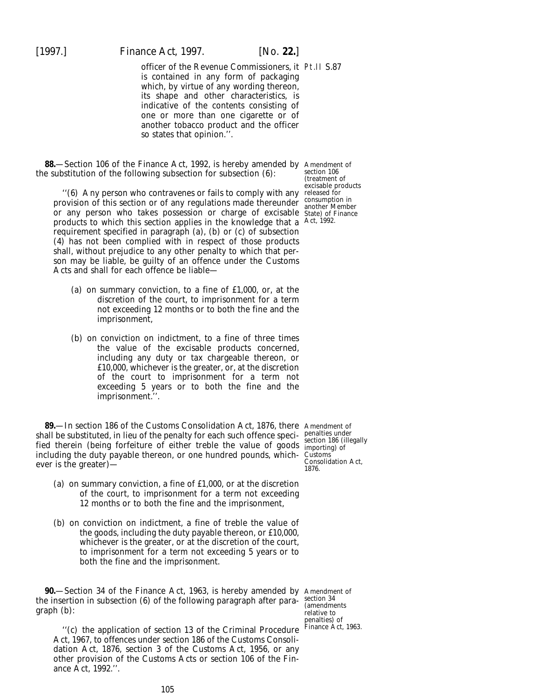[1997.] *Finance Act,* 1997. [*No.* **22.**]

officer of the Revenue Commissioners, it Pt.II S.87 is contained in any form of packaging which, by virtue of any wording thereon, its shape and other characteristics, is indicative of the contents consisting of one or more than one cigarette or of another tobacco product and the officer so states that opinion.''.

**88.**—Section 106 of the Finance Act, 1992, is hereby amended by Amendment of the substitution of the following subsection for subsection (6):

''(6) Any person who contravenes or fails to comply with any released for provision of this section or of any regulations made thereunder consumption in provision or this section or or any regulations made there under another Member<br>or any person who takes possession or charge of excisable State) of Finance products to which this section applies in the knowledge that a Act, 1992. requirement specified in paragraph (*a*), (*b*) or (*c*) of subsection (4) has not been complied with in respect of those products shall, without prejudice to any other penalty to which that person may be liable, be guilty of an offence under the Customs Acts and shall for each offence be liable—

- (*a*) on summary conviction, to a fine of £1,000, or, at the discretion of the court, to imprisonment for a term not exceeding 12 months or to both the fine and the imprisonment,
- (*b*) on conviction on indictment, to a fine of three times the value of the excisable products concerned, including any duty or tax chargeable thereon, or £10,000, whichever is the greater, or, at the discretion of the court to imprisonment for a term not exceeding 5 years or to both the fine and the imprisonment.''.

**89.**—In section 186 of the Customs Consolidation Act, 1876, there Amendment of shall be substituted, in lieu of the penalty for each such offence specified therein (being forfeiture of either treble the value of goods including the duty payable thereon, or one hundred pounds, whichever is the greater)—

- (*a*) on summary conviction, a fine of £1,000, or at the discretion of the court, to imprisonment for a term not exceeding 12 months or to both the fine and the imprisonment,
- (*b*) on conviction on indictment, a fine of treble the value of the goods, including the duty payable thereon, or £10,000, whichever is the greater, or at the discretion of the court, to imprisonment for a term not exceeding 5 years or to both the fine and the imprisonment.

**90.**—Section 34 of the Finance Act, 1963, is hereby amended by Amendment of the insertion in subsection (6) of the following paragraph after paragraph (*b*):

''(*c*) the application of section 13 of the Criminal Procedure Act, 1967, to offences under section 186 of the Customs Consolidation Act, 1876, section 3 of the Customs Act, 1956, or any other provision of the Customs Acts or section 106 of the Finance Act, 1992.''.

section 106 (treatment of excisable products

penalties under section 186 (illegally importing) of Customs Consolidation Act, 1876.

section 34 (amendments relative to penalties) of Finance Act, 1963.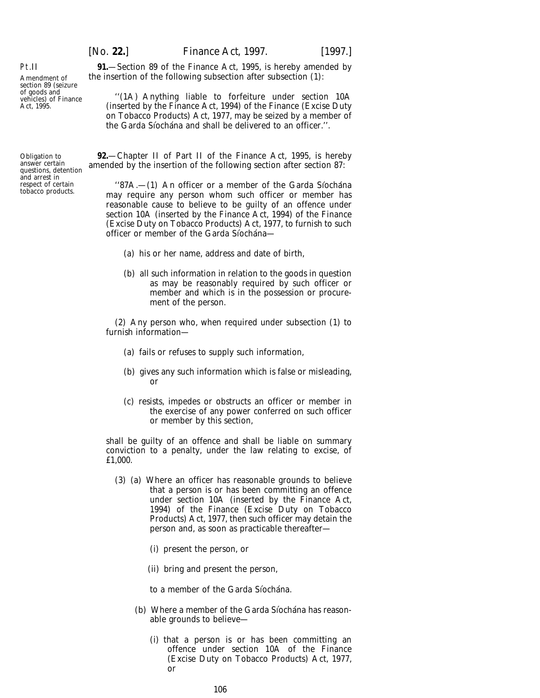Amendment of section 89 (seizure of goods and vehicles) of Finance Act, 1995.

Pt.II

Obligation to answer certain questions, detention and arrest in respect of certain tobacco products.

**91.**—Section 89 of the Finance Act, 1995, is hereby amended by the insertion of the following subsection after subsection (1):

''(1A) Anything liable to forfeiture under section 10A (inserted by the Finance Act, 1994) of the Finance (Excise Duty on Tobacco Products) Act, 1977, may be seized by a member of the Garda Siochana and shall be delivered to an officer.".

**92.**—Chapter II of Part II of the Finance Act, 1995, is hereby amended by the insertion of the following section after section 87:

" $87A$ ,  $- (1)$  An officer or a member of the Garda Siochana may require any person whom such officer or member has reasonable cause to believe to be guilty of an offence under section 10A (inserted by the Finance Act, 1994) of the Finance (Excise Duty on Tobacco Products) Act, 1977, to furnish to such officer or member of the Garda Síochána-

- (*a*) his or her name, address and date of birth,
- (*b*) all such information in relation to the goods in question as may be reasonably required by such officer or member and which is in the possession or procurement of the person.

(2) Any person who, when required under subsection (1) to furnish information—

- (*a*) fails or refuses to supply such information,
- (*b*) gives any such information which is false or misleading, or
- (*c*) resists, impedes or obstructs an officer or member in the exercise of any power conferred on such officer or member by this section,

shall be guilty of an offence and shall be liable on summary conviction to a penalty, under the law relating to excise, of £1,000.

- (3) (*a*) Where an officer has reasonable grounds to believe that a person is or has been committing an offence under section 10A (inserted by the Finance Act, 1994) of the Finance (Excise Duty on Tobacco Products) Act, 1977, then such officer may detain the person and, as soon as practicable thereafter—
	- (i) present the person, or
	- (ii) bring and present the person,
	- to a member of the Garda Síochána.
	- (*b*) Where a member of the Garda Síochána has reasonable grounds to believe—
		- (i) that a person is or has been committing an offence under section 10A of the Finance (Excise Duty on Tobacco Products) Act, 1977, or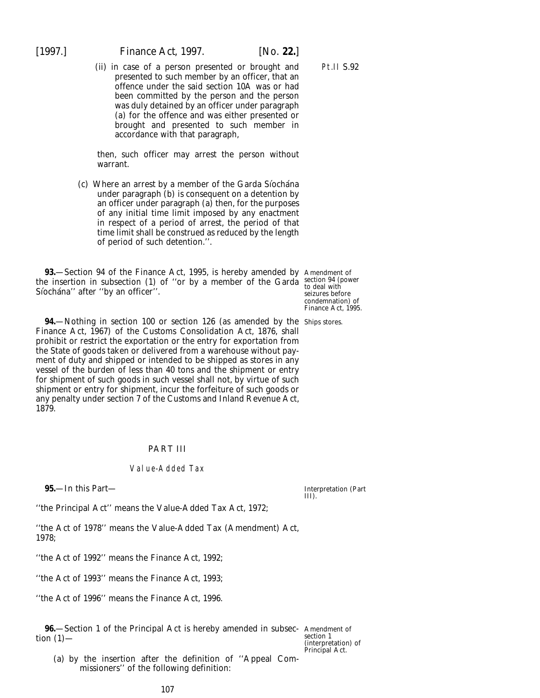(ii) in case of a person presented or brought and presented to such member by an officer, that an offence under the said section 10A was or had been committed by the person and the person was duly detained by an officer under paragraph (*a*) for the offence and was either presented or brought and presented to such member in accordance with that paragraph,

then, such officer may arrest the person without warrant.

(*c*) Where an arrest by a member of the Garda Siochána under paragraph (*b*) is consequent on a detention by an officer under paragraph (*a*) then, for the purposes of any initial time limit imposed by any enactment in respect of a period of arrest, the period of that time limit shall be construed as reduced by the length of period of such detention.''.

**93.**—Section 94 of the Finance Act, 1995, is hereby amended by Amendment of the insertion in subsection (1) of "or by a member of the Garda section 94 (power Síochána" after "by an officer".

**94.**—Nothing in section 100 or section 126 (as amended by the Ships stores. Finance Act, 1967) of the Customs Consolidation Act, 1876, shall prohibit or restrict the exportation or the entry for exportation from the State of goods taken or delivered from a warehouse without payment of duty and shipped or intended to be shipped as stores in any vessel of the burden of less than 40 tons and the shipment or entry for shipment of such goods in such vessel shall not, by virtue of such shipment or entry for shipment, incur the forfeiture of such goods or any penalty under section 7 of the Customs and Inland Revenue Act, 1879.

# PART III

## Value-Added Tax

**95.**—In this Part—

Interpretation (*Part III*).

''the Principal Act'' means the Value-Added Tax Act, 1972;

''the Act of 1978'' means the Value-Added Tax (Amendment) Act, 1978;

''the Act of 1992'' means the Finance Act, 1992;

''the Act of 1993'' means the Finance Act, 1993;

''the Act of 1996'' means the Finance Act, 1996.

**96.**—Section 1 of the Principal Act is hereby amended in subsec-Amendment of tion  $(1)$ —

section 1 (interpretation) of Principal Act.

(*a*) by the insertion after the definition of ''Appeal Commissioners'' of the following definition:

107

to deal with seizures before condemnation) of Finance Act, 1995.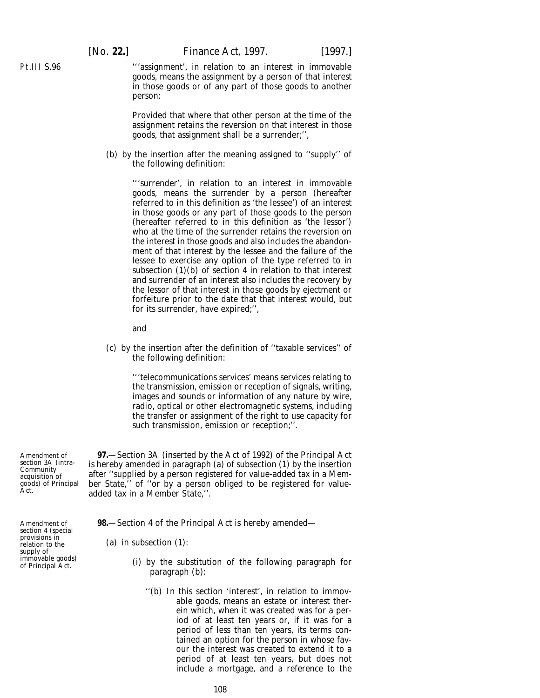[*No.* **22.**] *Finance Act,* 1997. [1997.]

'''assignment', in relation to an interest in immovable goods, means the assignment by a person of that interest in those goods or of any part of those goods to another person:

Provided that where that other person at the time of the assignment retains the reversion on that interest in those goods, that assignment shall be a surrender;'',

(*b*) by the insertion after the meaning assigned to ''supply'' of the following definition:

> '''surrender', in relation to an interest in immovable goods, means the surrender by a person (hereafter referred to in this definition as 'the lessee') of an interest in those goods or any part of those goods to the person (hereafter referred to in this definition as 'the lessor') who at the time of the surrender retains the reversion on the interest in those goods and also includes the abandonment of that interest by the lessee and the failure of the lessee to exercise any option of the type referred to in subsection  $(1)(b)$  of section 4 in relation to that interest and surrender of an interest also includes the recovery by the lessor of that interest in those goods by ejectment or forfeiture prior to the date that that interest would, but for its surrender, have expired;'',

and

(*c*) by the insertion after the definition of ''taxable services'' of the following definition:

> '''telecommunications services' means services relating to the transmission, emission or reception of signals, writing, images and sounds or information of any nature by wire, radio, optical or other electromagnetic systems, including the transfer or assignment of the right to use capacity for such transmission, emission or reception;''.

**97.**—Section 3A (inserted by the Act of 1992) of the Principal Act is hereby amended in paragraph (*a*) of subsection (1) by the insertion after ''supplied by a person registered for value-added tax in a Member State,'' of ''or by a person obliged to be registered for valueadded tax in a Member State,''.

**98.**—Section 4 of the Principal Act is hereby amended—

- (i) by the substitution of the following paragraph for paragraph (*b*):
	- ''(*b*) In this section 'interest', in relation to immovable goods, means an estate or interest therein which, when it was created was for a period of at least ten years or, if it was for a period of less than ten years, its terms contained an option for the person in whose favour the interest was created to extend it to a period of at least ten years, but does not include a mortgage, and a reference to the

Amendment of section 3A (intra-**Community** acquisition of goods) of Principal Act.

Amendment of section 4 (special provisions in relation to the supply of immovable goods) of Principal Act.

Pt.III S.96

<sup>(</sup>*a*) in subsection (1):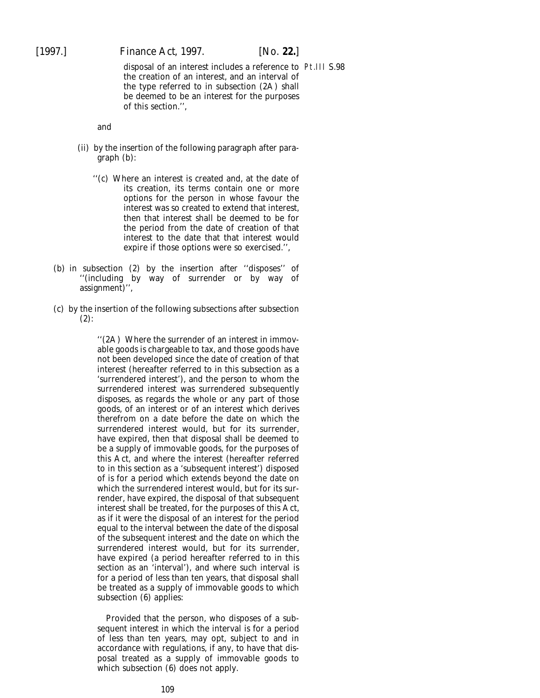[1997.] *Finance Act,* 1997. [*No.* **22.**]

disposal of an interest includes a reference to Pt.III S.98the creation of an interest, and an interval of the type referred to in subsection (2A) shall be deemed to be an interest for the purposes of this section.'',

and

- (ii) by the insertion of the following paragraph after paragraph (*b*):
	- ''(*c*) Where an interest is created and, at the date of its creation, its terms contain one or more options for the person in whose favour the interest was so created to extend that interest, then that interest shall be deemed to be for the period from the date of creation of that interest to the date that that interest would expire if those options were so exercised.'',
- (*b*) in subsection (2) by the insertion after ''disposes'' of '(including by way of surrender or by way of assignment)'',
- (*c*) by the insertion of the following subsections after subsection (2):

''(2A) Where the surrender of an interest in immovable goods is chargeable to tax, and those goods have not been developed since the date of creation of that interest (hereafter referred to in this subsection as a 'surrendered interest'), and the person to whom the surrendered interest was surrendered subsequently disposes, as regards the whole or any part of those goods, of an interest or of an interest which derives therefrom on a date before the date on which the surrendered interest would, but for its surrender, have expired, then that disposal shall be deemed to be a supply of immovable goods, for the purposes of this Act, and where the interest (hereafter referred to in this section as a 'subsequent interest') disposed of is for a period which extends beyond the date on which the surrendered interest would, but for its surrender, have expired, the disposal of that subsequent interest shall be treated, for the purposes of this Act, as if it were the disposal of an interest for the period equal to the interval between the date of the disposal of the subsequent interest and the date on which the surrendered interest would, but for its surrender, have expired (a period hereafter referred to in this section as an 'interval'), and where such interval is for a period of less than ten years, that disposal shall be treated as a supply of immovable goods to which subsection (6) applies:

Provided that the person, who disposes of a subsequent interest in which the interval is for a period of less than ten years, may opt, subject to and in accordance with regulations, if any, to have that disposal treated as a supply of immovable goods to which subsection (6) does not apply.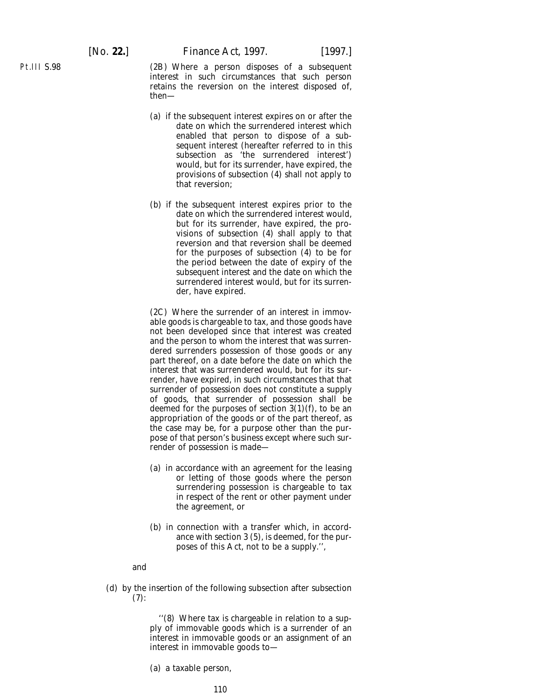Pt.III S.98

(2B) Where a person disposes of a subsequent interest in such circumstances that such person retains the reversion on the interest disposed of, then—

- (*a*) if the subsequent interest expires on or after the date on which the surrendered interest which enabled that person to dispose of a subsequent interest (hereafter referred to in this subsection as 'the surrendered interest') would, but for its surrender, have expired, the provisions of subsection (4) shall not apply to that reversion;
- (*b*) if the subsequent interest expires prior to the date on which the surrendered interest would, but for its surrender, have expired, the provisions of subsection (4) shall apply to that reversion and that reversion shall be deemed for the purposes of subsection (4) to be for the period between the date of expiry of the subsequent interest and the date on which the surrendered interest would, but for its surrender, have expired.

(2C) Where the surrender of an interest in immovable goods is chargeable to tax, and those goods have not been developed since that interest was created and the person to whom the interest that was surrendered surrenders possession of those goods or any part thereof, on a date before the date on which the interest that was surrendered would, but for its surrender, have expired, in such circumstances that that surrender of possession does not constitute a supply of goods, that surrender of possession shall be deemed for the purposes of section 3(1)(*f*), to be an appropriation of the goods or of the part thereof, as the case may be, for a purpose other than the purpose of that person's business except where such surrender of possession is made—

- (*a*) in accordance with an agreement for the leasing or letting of those goods where the person surrendering possession is chargeable to tax in respect of the rent or other payment under the agreement, or
- (*b*) in connection with a transfer which, in accordance with section 3 (5), is deemed, for the purposes of this Act, not to be a supply.'',

#### and

(*d*) by the insertion of the following subsection after subsection  $(7):$ 

> ''(8) Where tax is chargeable in relation to a supply of immovable goods which is a surrender of an interest in immovable goods or an assignment of an interest in immovable goods to—

(*a*) a taxable person,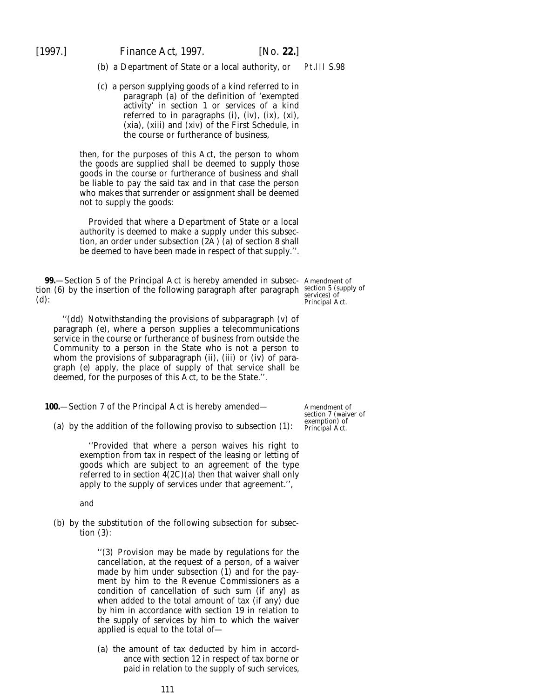(*b*) a Department of State or a local authority, or Pt.III S.98

(*c*) a person supplying goods of a kind referred to in paragraph (*a*) of the definition of 'exempted activity' in section 1 or services of a kind referred to in paragraphs (i), (iv), (ix), (xi), (xi*a*), (xiii) and (xiv) of the First Schedule, in the course or furtherance of business,

then, for the purposes of this Act, the person to whom the goods are supplied shall be deemed to supply those goods in the course or furtherance of business and shall be liable to pay the said tax and in that case the person who makes that surrender or assignment shall be deemed not to supply the goods:

Provided that where a Department of State or a local authority is deemed to make a supply under this subsection, an order under subsection (2A) (*a*) of section 8 shall be deemed to have been made in respect of that supply.''.

**99.**—Section 5 of the Principal Act is hereby amended in subsec- Amendment of tion (6) by the insertion of the following paragraph after paragraph section 5 (supply of (*d*): services) of Principal Act.

''(*dd*) Notwithstanding the provisions of subparagraph (*v*) of paragraph (*e*), where a person supplies a telecommunications service in the course or furtherance of business from outside the Community to a person in the State who is not a person to whom the provisions of subparagraph (ii), (iii) or (iv) of paragraph (*e*) apply, the place of supply of that service shall be

**100.**—Section 7 of the Principal Act is hereby amended—

deemed, for the purposes of this Act, to be the State.''.

(*a*) by the addition of the following proviso to subsection (1):

''Provided that where a person waives his right to exemption from tax in respect of the leasing or letting of goods which are subject to an agreement of the type referred to in section 4(2C)(*a*) then that waiver shall only apply to the supply of services under that agreement.'',

and

(*b*) by the substitution of the following subsection for subsection (3):

> ''(3) Provision may be made by regulations for the cancellation, at the request of a person, of a waiver made by him under subsection (1) and for the payment by him to the Revenue Commissioners as a condition of cancellation of such sum (if any) as when added to the total amount of tax (if any) due by him in accordance with section 19 in relation to the supply of services by him to which the waiver applied is equal to the total of—

> (*a*) the amount of tax deducted by him in accordance with section 12 in respect of tax borne or paid in relation to the supply of such services,

Amendment of

section 7 (waiver of exemption) of Principal Act.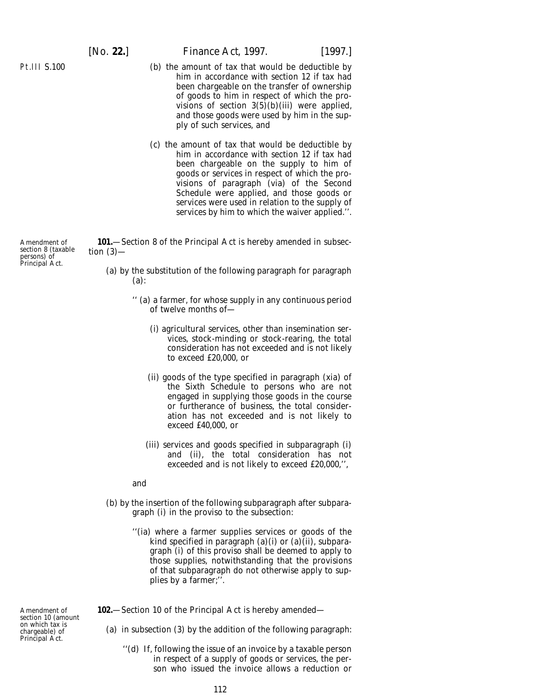## [*No.* **22.**] *Finance Act,* 1997. [1997.]

- (*b*) the amount of tax that would be deductible by him in accordance with section 12 if tax had been chargeable on the transfer of ownership of goods to him in respect of which the provisions of section  $3(5)(b)(iii)$  were applied, and those goods were used by him in the supply of such services, and
- (*c*) the amount of tax that would be deductible by him in accordance with section 12 if tax had been chargeable on the supply to him of goods or services in respect of which the provisions of paragraph (vi*a*) of the Second Schedule were applied, and those goods or services were used in relation to the supply of services by him to which the waiver applied.''.

**101.**—Section 8 of the Principal Act is hereby amended in subsection  $(3)$ —

- (*a*) by the substitution of the following paragraph for paragraph (*a*):
	- '' (*a*) a farmer, for whose supply in any continuous period of twelve months of—
		- (i) agricultural services, other than insemination services, stock-minding or stock-rearing, the total consideration has not exceeded and is not likely to exceed £20,000, or
		- (ii) goods of the type specified in paragraph (xi*a*) of the Sixth Schedule to persons who are not engaged in supplying those goods in the course or furtherance of business, the total consideration has not exceeded and is not likely to exceed £40,000, or
		- (iii) services and goods specified in subparagraph (i) and (ii), the total consideration has not exceeded and is not likely to exceed £20,000,'',

and

- (*b*) by the insertion of the following subparagraph after subparagraph (i) in the proviso to the subsection:
	- ''(i*a*) where a farmer supplies services or goods of the kind specified in paragraph (*a*)(i) or (*a*)(ii), subparagraph (i) of this proviso shall be deemed to apply to those supplies, notwithstanding that the provisions of that subparagraph do not otherwise apply to supplies by a farmer;''.

**102.**—Section 10 of the Principal Act is hereby amended—

Amendment of section 10 (amount on which tax is chargeable) of Principal Act.

- (*a*) in subsection (3) by the addition of the following paragraph:
	- ''(*d*) If, following the issue of an invoice by a taxable person in respect of a supply of goods or services, the person who issued the invoice allows a reduction or

Amendment of section 8 (taxable persons) of Principal Act.

Pt.III S.100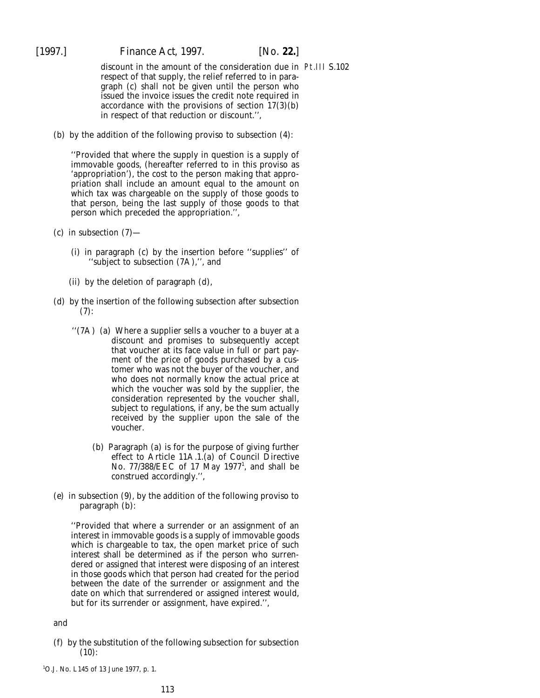discount in the amount of the consideration due in Pt.III S.102respect of that supply, the relief referred to in paragraph (*c*) shall not be given until the person who issued the invoice issues the credit note required in accordance with the provisions of section 17(3)(*b*) in respect of that reduction or discount.'',

(*b*) by the addition of the following proviso to subsection (4):

''Provided that where the supply in question is a supply of immovable goods, (hereafter referred to in this proviso as 'appropriation'), the cost to the person making that appropriation shall include an amount equal to the amount on which tax was chargeable on the supply of those goods to that person, being the last supply of those goods to that person which preceded the appropriation.'',

- (*c*) in subsection (7)—
	- (i) in paragraph (*c*) by the insertion before ''supplies'' of ''subject to subsection (7A),'', and
	- (ii) by the deletion of paragraph (*d*),
- (*d*) by the insertion of the following subsection after subsection  $(7):$ 
	- ''(7A) (*a*) Where a supplier sells a voucher to a buyer at a discount and promises to subsequently accept that voucher at its face value in full or part payment of the price of goods purchased by a customer who was not the buyer of the voucher, and who does not normally know the actual price at which the voucher was sold by the supplier, the consideration represented by the voucher shall, subject to regulations, if any, be the sum actually received by the supplier upon the sale of the voucher.
		- (*b*) Paragraph (*a*) is for the purpose of giving further effect to Article 11A.1.(*a*) of Council Directive No. 77/388/EEC of 17 May 1977<sup>1</sup>, and shall be construed accordingly.'',
- (*e*) in subsection (9), by the addition of the following proviso to paragraph (*b*):

''Provided that where a surrender or an assignment of an interest in immovable goods is a supply of immovable goods which is chargeable to tax, the open market price of such interest shall be determined as if the person who surrendered or assigned that interest were disposing of an interest in those goods which that person had created for the period between the date of the surrender or assignment and the date on which that surrendered or assigned interest would, but for its surrender or assignment, have expired.'',

and

(*f*) by the substitution of the following subsection for subsection (10):

<sup>1</sup> O.J. No. L145 of 13 June 1977, p. 1.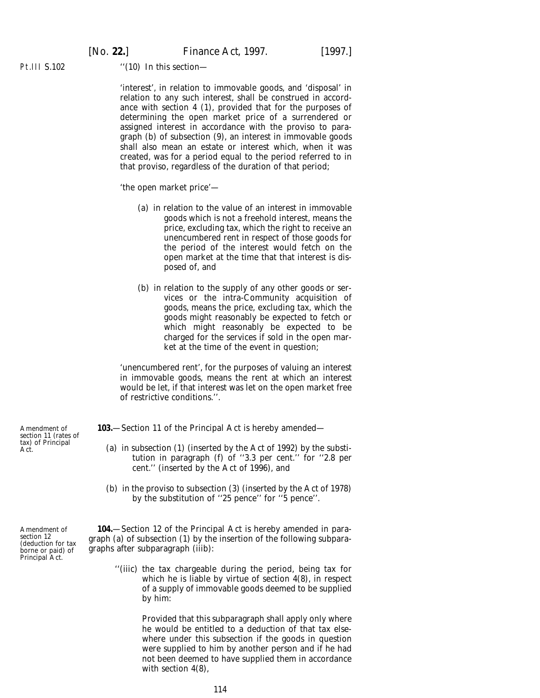[*No.* **22.**] *Finance Act,* 1997. [1997.]

Pt.III S.102

''(10) In this section—

'interest', in relation to immovable goods, and 'disposal' in relation to any such interest, shall be construed in accordance with section 4 (1), provided that for the purposes of determining the open market price of a surrendered or assigned interest in accordance with the proviso to paragraph (*b*) of subsection (9), an interest in immovable goods shall also mean an estate or interest which, when it was created, was for a period equal to the period referred to in that proviso, regardless of the duration of that period;

'the open market price'—

- (*a*) in relation to the value of an interest in immovable goods which is not a freehold interest, means the price, excluding tax, which the right to receive an unencumbered rent in respect of those goods for the period of the interest would fetch on the open market at the time that that interest is disposed of, and
- (*b*) in relation to the supply of any other goods or services or the intra-Community acquisition of goods, means the price, excluding tax, which the goods might reasonably be expected to fetch or which might reasonably be expected to be charged for the services if sold in the open market at the time of the event in question;

'unencumbered rent', for the purposes of valuing an interest in immovable goods, means the rent at which an interest would be let, if that interest was let on the open market free of restrictive conditions.''.

**103.**—Section 11 of the Principal Act is hereby amended—

- (*a*) in subsection (1) (inserted by the Act of 1992) by the substitution in paragraph (*f*) of ''3.3 per cent.'' for ''2.8 per cent.'' (inserted by the Act of 1996), and
- (*b*) in the proviso to subsection (3) (inserted by the Act of 1978) by the substitution of ''25 pence'' for ''5 pence''.

**104.**—Section 12 of the Principal Act is hereby amended in paragraph (*a*) of subsection (1) by the insertion of the following subparagraphs after subparagraph (iii*b*):

''(iii*c*) the tax chargeable during the period, being tax for which he is liable by virtue of section 4(8), in respect of a supply of immovable goods deemed to be supplied by him:

> Provided that this subparagraph shall apply only where he would be entitled to a deduction of that tax elsewhere under this subsection if the goods in question were supplied to him by another person and if he had not been deemed to have supplied them in accordance with section 4(8),

Amendment of section 11 (rates of tax) of Principal Act.

Amendment of section 12 (deduction for tax borne or paid) of Principal Act.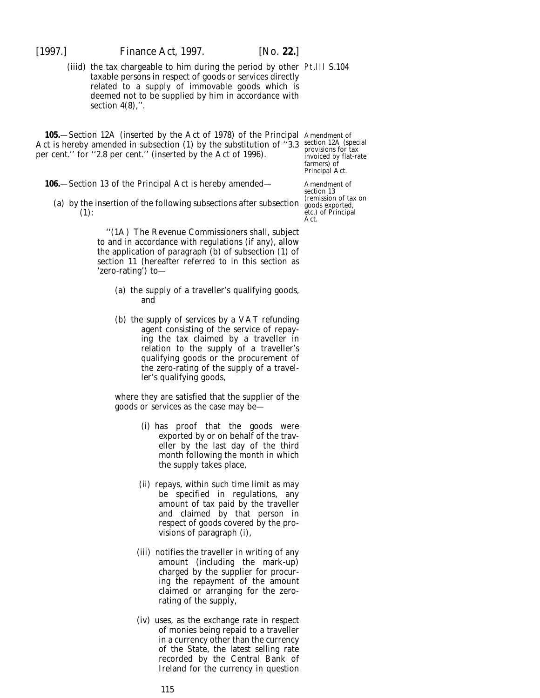[1997.] *Finance Act,* 1997. [*No.* **22.**]

(iiid) the tax chargeable to him during the period by other Pt.III S.104 taxable persons in respect of goods or services directly related to a supply of immovable goods which is deemed not to be supplied by him in accordance with section  $4(8)$ ,".

**105.**—Section 12A (inserted by the Act of 1978) of the Principal Amendment of Act is hereby amended in subsection (1) by the substitution of "3.3 section 12A (special per cent.'' for ''2.8 per cent.'' (inserted by the Act of 1996).

- **106.**—Section 13 of the Principal Act is hereby amended—
	- (*a*) by the insertion of the following subsections after subsection (1):

''(1A) The Revenue Commissioners shall, subject to and in accordance with regulations (if any), allow the application of paragraph (*b*) of subsection (1) of section 11 (hereafter referred to in this section as 'zero-rating') to—

- (*a*) the supply of a traveller's qualifying goods, and
- (*b*) the supply of services by a VAT refunding agent consisting of the service of repaying the tax claimed by a traveller in relation to the supply of a traveller's qualifying goods or the procurement of the zero-rating of the supply of a traveller's qualifying goods,

where they are satisfied that the supplier of the goods or services as the case may be—

- (i) has proof that the goods were exported by or on behalf of the traveller by the last day of the third month following the month in which the supply takes place,
- (ii) repays, within such time limit as may be specified in regulations, any amount of tax paid by the traveller and claimed by that person in respect of goods covered by the provisions of paragraph (i),
- (iii) notifies the traveller in writing of any amount (including the mark-up) charged by the supplier for procuring the repayment of the amount claimed or arranging for the zerorating of the supply,
- (iv) uses, as the exchange rate in respect of monies being repaid to a traveller in a currency other than the currency of the State, the latest selling rate recorded by the Central Bank of Ireland for the currency in question

provisions for tax invoiced by flat-rate farmers) of Principal Act.

Amendment of section 13 (remission of tax on goods exported, etc.) of Principal Act.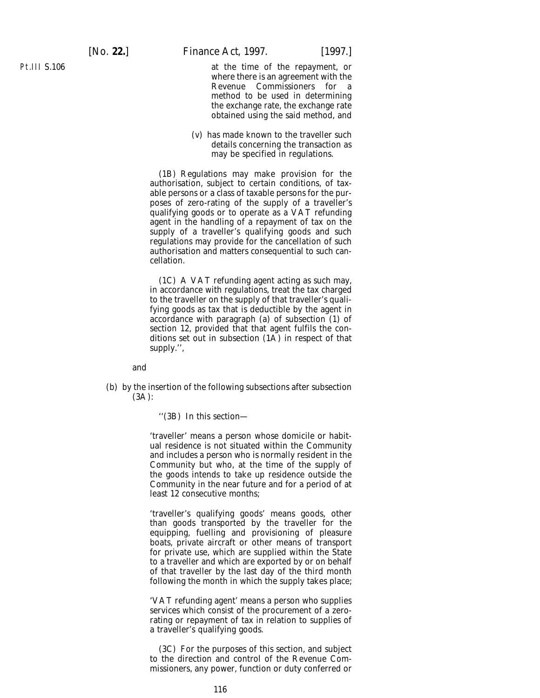Pt.III S.106

at the time of the repayment, or where there is an agreement with the Revenue Commissioners for a method to be used in determining the exchange rate, the exchange rate obtained using the said method, and

(v) has made known to the traveller such details concerning the transaction as may be specified in regulations.

(1B) Regulations may make provision for the authorisation, subject to certain conditions, of taxable persons or a class of taxable persons for the purposes of zero-rating of the supply of a traveller's qualifying goods or to operate as a VAT refunding agent in the handling of a repayment of tax on the supply of a traveller's qualifying goods and such regulations may provide for the cancellation of such authorisation and matters consequential to such cancellation.

(1C) A VAT refunding agent acting as such may, in accordance with regulations, treat the tax charged to the traveller on the supply of that traveller's qualifying goods as tax that is deductible by the agent in accordance with paragraph (*a*) of subsection (1) of section 12, provided that that agent fulfils the conditions set out in subsection  $(1\overline{A})$  in respect of that supply.'',

and

(*b*) by the insertion of the following subsections after subsection (3A):

''(3B) In this section—

'traveller' means a person whose domicile or habitual residence is not situated within the Community and includes a person who is normally resident in the Community but who, at the time of the supply of the goods intends to take up residence outside the Community in the near future and for a period of at least 12 consecutive months;

'traveller's qualifying goods' means goods, other than goods transported by the traveller for the equipping, fuelling and provisioning of pleasure boats, private aircraft or other means of transport for private use, which are supplied within the State to a traveller and which are exported by or on behalf of that traveller by the last day of the third month following the month in which the supply takes place;

'VAT refunding agent' means a person who supplies services which consist of the procurement of a zerorating or repayment of tax in relation to supplies of a traveller's qualifying goods.

(3C) For the purposes of this section, and subject to the direction and control of the Revenue Commissioners, any power, function or duty conferred or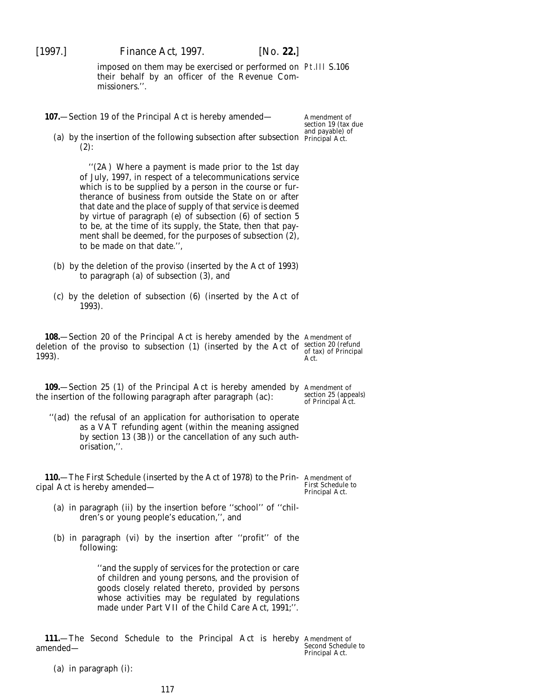imposed on them may be exercised or performed on Pt.III S.106 their behalf by an officer of the Revenue Commissioners.''.

**107.**—Section 19 of the Principal Act is hereby amended—

Amendment of section 19 (tax due and payable) of

(*a*) by the insertion of the following subsection after subsection Principal Act.  $(2)$ :

"(2A) Where a payment is made prior to the 1st day of July, 1997, in respect of a telecommunications service which is to be supplied by a person in the course or furtherance of business from outside the State on or after that date and the place of supply of that service is deemed by virtue of paragraph (*e*) of subsection (6) of section 5 to be, at the time of its supply, the State, then that payment shall be deemed, for the purposes of subsection (2), to be made on that date.'',

- (*b*) by the deletion of the proviso (inserted by the Act of 1993) to paragraph (*a*) of subsection (3), and
- (*c*) by the deletion of subsection (6) (inserted by the Act of 1993).

**108.**—Section 20 of the Principal Act is hereby amended by the Amendment of deletion of the proviso to subsection (1) (inserted by the Act of section 20 (refund 1993).

**109.**—Section 25 (1) of the Principal Act is hereby amended by Amendment of the insertion of the following paragraph after paragraph (*ac*):

''(*ad*) the refusal of an application for authorisation to operate as a VAT refunding agent (within the meaning assigned by section 13 (3B)) or the cancellation of any such authorisation,''.

**110.**—The First Schedule (inserted by the Act of 1978) to the Prin-Amendment of cipal Act is hereby amended—

First Schedule to Principal Act.

- (*a*) in paragraph (ii) by the insertion before ''school'' of ''children's or young people's education,'', and
- (*b*) in paragraph (vi) by the insertion after ''profit'' of the following:

''and the supply of services for the protection or care of children and young persons, and the provision of goods closely related thereto, provided by persons whose activities may be regulated by regulations made under Part VII of the Child Care Act, 1991;''.

**111.**—The Second Schedule to the Principal Act is hereby Amendment of amended—

Second Schedule to Principal Act.

(*a*) in paragraph (i):

of tax) of Principal

Act.

section 25 (appeals) of Principal Act.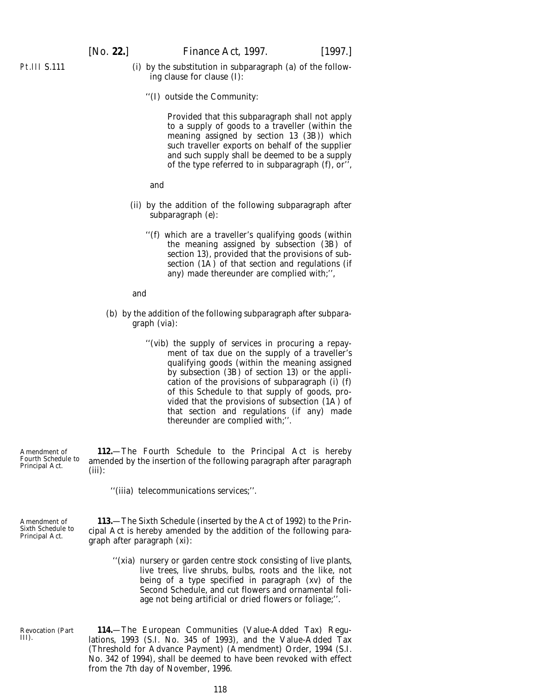- Pt.III S.111
- (i) by the substitution in subparagraph (*a*) of the following clause for clause (I):
	- ''(I) outside the Community:

Provided that this subparagraph shall not apply to a supply of goods to a traveller (within the meaning assigned by section 13 (3B)) which such traveller exports on behalf of the supplier and such supply shall be deemed to be a supply of the type referred to in subparagraph (*f*), or'',

and

- (ii) by the addition of the following subparagraph after subparagraph (*e*):
	- ''(*f*) which are a traveller's qualifying goods (within the meaning assigned by subsection (3B) of section 13), provided that the provisions of subsection (1A) of that section and regulations (if any) made thereunder are complied with;'',

and

- (*b*) by the addition of the following subparagraph after subparagraph (vi*a*):
	- "(vib) the supply of services in procuring a repayment of tax due on the supply of a traveller's qualifying goods (within the meaning assigned by subsection (3B) of section 13) or the application of the provisions of subparagraph (i) (*f*) of this Schedule to that supply of goods, provided that the provisions of subsection (1A) of that section and regulations (if any) made thereunder are complied with;''.

Amendment of Fourth Schedule to Principal Act. **112.**—The Fourth Schedule to the Principal Act is hereby amended by the insertion of the following paragraph after paragraph (iii):

''(iii*a*) telecommunications services;''.

Amendment of Sixth Schedule to Principal Act.

Revocation (*Part*

*III*).

**113.**—The Sixth Schedule (inserted by the Act of 1992) to the Principal Act is hereby amended by the addition of the following paragraph after paragraph (xi):

''(xi*a*) nursery or garden centre stock consisting of live plants, live trees, live shrubs, bulbs, roots and the like, not being of a type specified in paragraph (xv) of the Second Schedule, and cut flowers and ornamental foliage not being artificial or dried flowers or foliage;''.

**114.**—The European Communities (Value-Added Tax) Regulations, 1993 (S.I. No. 345 of 1993), and the Value-Added Tax (Threshold for Advance Payment) (Amendment) Order, 1994 (S.I. No. 342 of 1994), shall be deemed to have been revoked with effect from the 7th day of November, 1996.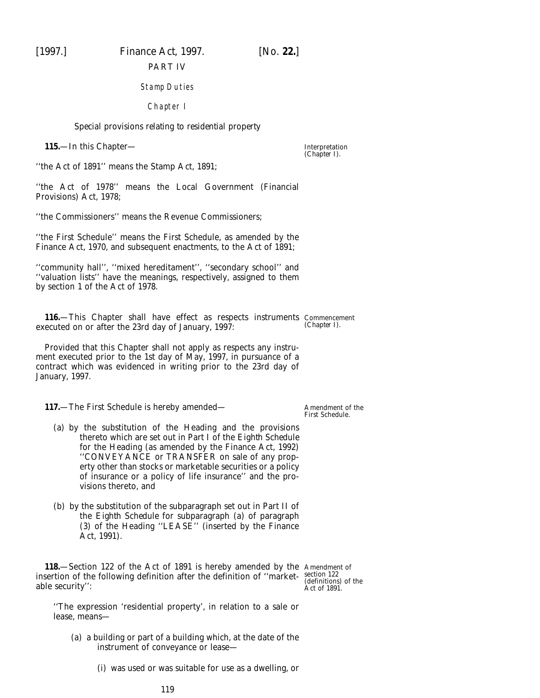[1997.] *Finance Act,* 1997. [*No.* **22.**]

PART IV

# Stamp Duties

Chapter I

### *Special provisions relating to residential property*

**115.**—In this Chapter—

Interpretation (*Chapter I*).

''the Act of 1891'' means the Stamp Act, 1891;

''the Act of 1978'' means the Local Government (Financial Provisions) Act, 1978;

''the Commissioners'' means the Revenue Commissioners;

''the First Schedule'' means the First Schedule, as amended by the Finance Act, 1970, and subsequent enactments, to the Act of 1891;

''community hall'', ''mixed hereditament'', ''secondary school'' and ''valuation lists'' have the meanings, respectively, assigned to them by section 1 of the Act of 1978.

**116.**—This Chapter shall have effect as respects instruments Commencement executed on or after the 23rd day of January, 1997: (*Chapter I*).

Provided that this Chapter shall not apply as respects any instrument executed prior to the 1st day of May, 1997, in pursuance of a contract which was evidenced in writing prior to the 23rd day of January, 1997.

**117.**—The First Schedule is hereby amended—

- (*a*) by the substitution of the Heading and the provisions thereto which are set out in Part I of the *Eighth Schedule* for the Heading (as amended by the Finance Act, 1992) ''CONVEYANCE or TRANSFER on sale of any property other than stocks or marketable securities or a policy of insurance or a policy of life insurance'' and the provisions thereto, and
- (*b*) by the substitution of the subparagraph set out in Part II of the *Eighth Schedule* for subparagraph (*a*) of paragraph (3) of the Heading ''LEASE'' (inserted by the Finance Act, 1991).

**118.**—Section 122 of the Act of 1891 is hereby amended by the Amendment of insertion of the following definition after the definition of ''market-section 122 able security'':

(definitions) of the Act of 1891.

Amendment of the First Schedule.

''The expression 'residential property', in relation to a sale or lease, means—

- (*a*) a building or part of a building which, at the date of the instrument of conveyance or lease—
	- (i) was used or was suitable for use as a dwelling, or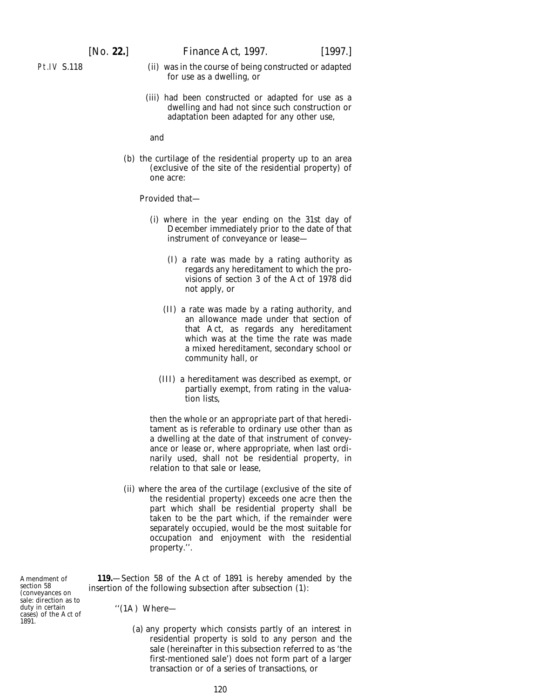- Pt.IV S.118
- (ii) was in the course of being constructed or adapted for use as a dwelling, or
- (iii) had been constructed or adapted for use as a dwelling and had not since such construction or adaptation been adapted for any other use,

and

(*b*) the curtilage of the residential property up to an area (exclusive of the site of the residential property) of one acre:

Provided that—

- (i) where in the year ending on the 31st day of December immediately prior to the date of that instrument of conveyance or lease—
	- (I) a rate was made by a rating authority as regards any hereditament to which the provisions of section 3 of the Act of 1978 did not apply, or
	- (II) a rate was made by a rating authority, and an allowance made under that section of that Act, as regards any hereditament which was at the time the rate was made a mixed hereditament, secondary school or community hall, or
	- (III) a hereditament was described as exempt, or partially exempt, from rating in the valuation lists,

then the whole or an appropriate part of that hereditament as is referable to ordinary use other than as a dwelling at the date of that instrument of conveyance or lease or, where appropriate, when last ordinarily used, shall not be residential property, in relation to that sale or lease,

(ii) where the area of the curtilage (exclusive of the site of the residential property) exceeds one acre then the part which shall be residential property shall be taken to be the part which, if the remainder were separately occupied, would be the most suitable for occupation and enjoyment with the residential property.''.

Amendment of section 58 (conveyances on sale: direction as to duty in certain cases) of the Act of 1891.

**119.**—Section 58 of the Act of 1891 is hereby amended by the insertion of the following subsection after subsection (1):

''(1A) Where—

(*a*) any property which consists partly of an interest in residential property is sold to any person and the sale (hereinafter in this subsection referred to as 'the first-mentioned sale') does not form part of a larger transaction or of a series of transactions, or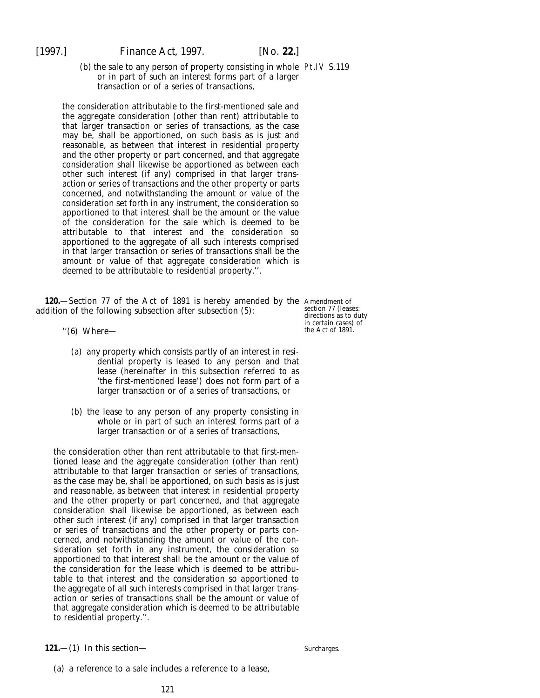(*b*) the sale to any person of property consisting in whole Pt.IV S.119 or in part of such an interest forms part of a larger transaction or of a series of transactions,

the consideration attributable to the first-mentioned sale and the aggregate consideration (other than rent) attributable to that larger transaction or series of transactions, as the case may be, shall be apportioned, on such basis as is just and reasonable, as between that interest in residential property and the other property or part concerned, and that aggregate consideration shall likewise be apportioned as between each other such interest (if any) comprised in that larger transaction or series of transactions and the other property or parts concerned, and notwithstanding the amount or value of the consideration set forth in any instrument, the consideration so apportioned to that interest shall be the amount or the value of the consideration for the sale which is deemed to be attributable to that interest and the consideration so apportioned to the aggregate of all such interests comprised in that larger transaction or series of transactions shall be the amount or value of that aggregate consideration which is deemed to be attributable to residential property.''.

**120.**—Section 77 of the Act of 1891 is hereby amended by the Amendment of addition of the following subsection after subsection (5):

- ''(6) Where—
	- (*a*) any property which consists partly of an interest in residential property is leased to any person and that lease (hereinafter in this subsection referred to as 'the first-mentioned lease') does not form part of a larger transaction or of a series of transactions, or
	- (*b*) the lease to any person of any property consisting in whole or in part of such an interest forms part of a larger transaction or of a series of transactions,

the consideration other than rent attributable to that first-mentioned lease and the aggregate consideration (other than rent) attributable to that larger transaction or series of transactions, as the case may be, shall be apportioned, on such basis as is just and reasonable, as between that interest in residential property and the other property or part concerned, and that aggregate consideration shall likewise be apportioned, as between each other such interest (if any) comprised in that larger transaction or series of transactions and the other property or parts concerned, and notwithstanding the amount or value of the consideration set forth in any instrument, the consideration so apportioned to that interest shall be the amount or the value of the consideration for the lease which is deemed to be attributable to that interest and the consideration so apportioned to the aggregate of all such interests comprised in that larger transaction or series of transactions shall be the amount or value of that aggregate consideration which is deemed to be attributable to residential property.''.

**121.**—(1) In this section—

section 77 (leases: directions as to duty in certain cases) of the Act of 1891.

(*a*) a reference to a sale includes a reference to a lease,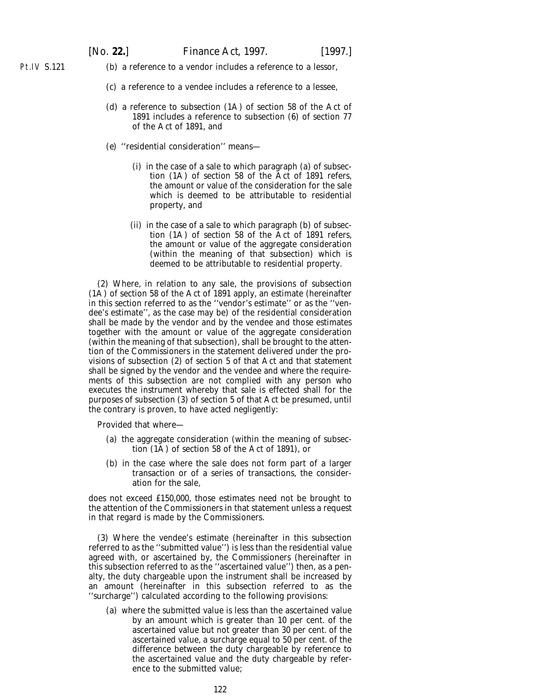Pt.IV S.121

- (*b*) a reference to a vendor includes a reference to a lessor,
	- (*c*) a reference to a vendee includes a reference to a lessee,
	- (*d*) a reference to subsection (1A) of section 58 of the Act of 1891 includes a reference to subsection (6) of section 77 of the Act of 1891, and
	- (*e*) ''residential consideration'' means—
		- (i) in the case of a sale to which paragraph (*a*) of subsection (1A) of section 58 of the Act of 1891 refers, the amount or value of the consideration for the sale which is deemed to be attributable to residential property, and
		- (ii) in the case of a sale to which paragraph (b) of subsection (1A) of section 58 of the Act of 1891 refers, the amount or value of the aggregate consideration (within the meaning of that subsection) which is deemed to be attributable to residential property.

(2) Where, in relation to any sale, the provisions of subsection (1A) of section 58 of the Act of 1891 apply, an estimate (hereinafter in this section referred to as the ''vendor's estimate'' or as the ''vendee's estimate'', as the case may be) of the residential consideration shall be made by the vendor and by the vendee and those estimates together with the amount or value of the aggregate consideration (within the meaning of that subsection), shall be brought to the attention of the Commissioners in the statement delivered under the provisions of subsection (2) of section 5 of that Act and that statement shall be signed by the vendor and the vendee and where the requirements of this subsection are not complied with any person who executes the instrument whereby that sale is effected shall for the purposes of subsection (3) of section 5 of that Act be presumed, until the contrary is proven, to have acted negligently:

Provided that where—

- (*a*) the aggregate consideration (within the meaning of subsection (1A) of section 58 of the Act of 1891), or
- (*b*) in the case where the sale does not form part of a larger transaction or of a series of transactions, the consideration for the sale,

does not exceed £150,000, those estimates need not be brought to the attention of the Commissioners in that statement unless a request in that regard is made by the Commissioners.

(3) Where the vendee's estimate (hereinafter in this subsection referred to as the ''submitted value'') is less than the residential value agreed with, or ascertained by, the Commissioners (hereinafter in this subsection referred to as the ''ascertained value'') then, as a penalty, the duty chargeable upon the instrument shall be increased by an amount (hereinafter in this subsection referred to as the ''surcharge'') calculated according to the following provisions:

(*a*) where the submitted value is less than the ascertained value by an amount which is greater than 10 per cent. of the ascertained value but not greater than 30 per cent. of the ascertained value, a surcharge equal to 50 per cent. of the difference between the duty chargeable by reference to the ascertained value and the duty chargeable by reference to the submitted value;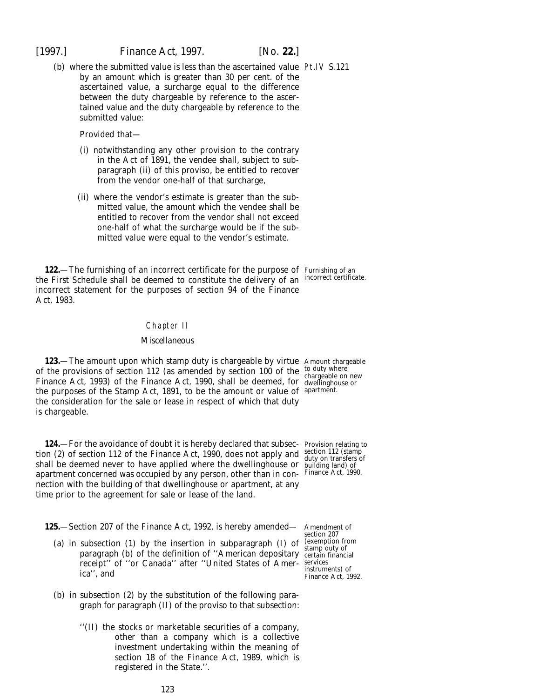(*b*) where the submitted value is less than the ascertained value Pt.IV S.121 by an amount which is greater than 30 per cent. of the ascertained value, a surcharge equal to the difference between the duty chargeable by reference to the ascertained value and the duty chargeable by reference to the submitted value:

Provided that—

- (i) notwithstanding any other provision to the contrary in the Act of 1891, the vendee shall, subject to subparagraph (ii) of this proviso, be entitled to recover from the vendor one-half of that surcharge,
- (ii) where the vendor's estimate is greater than the submitted value, the amount which the vendee shall be entitled to recover from the vendor shall not exceed one-half of what the surcharge would be if the submitted value were equal to the vendor's estimate.

**122.**—The furnishing of an incorrect certificate for the purpose of Furnishing of an the First Schedule shall be deemed to constitute the delivery of an incorrect certificate. incorrect statement for the purposes of section 94 of the Finance Act, 1983.

## Chapter II

#### *Miscellaneous*

**123.**—The amount upon which stamp duty is chargeable by virtue Amount chargeable of the provisions of section 112 (as amended by section 100 of the Finance Act, 1993) of the Finance Act, 1990, shall be deemed, for the purposes of the Stamp Act, 1891, to be the amount or value of apartment. the consideration for the sale or lease in respect of which that duty is chargeable.

to duty where chargeable on new dwellinghouse or

section 112 (stamp duty on transfers of building land) of

**124.**—For the avoidance of doubt it is hereby declared that subsec- Provision relating to tion (2) of section 112 of the Finance Act, 1990, does not apply and shall be deemed never to have applied where the dwellinghouse or apartment concerned was occupied by any person, other than in con-Finance Act, 1990. nection with the building of that dwellinghouse or apartment, at any time prior to the agreement for sale or lease of the land.

**125.**—Section 207 of the Finance Act, 1992, is hereby amended—

- (*a*) in subsection (1) by the insertion in subparagraph (I) of paragraph (*b*) of the definition of ''American depositary receipt'' of ''or Canada'' after ''United States of America'', and
- (*b*) in subsection (2) by the substitution of the following paragraph for paragraph (II) of the proviso to that subsection:
	- ''(II) the stocks or marketable securities of a company, other than a company which is a collective investment undertaking within the meaning of section 18 of the Finance Act, 1989, which is registered in the State.''.

Amendment of section 207 (exemption from stamp duty of certain financial services instruments) of Finance Act, 1992.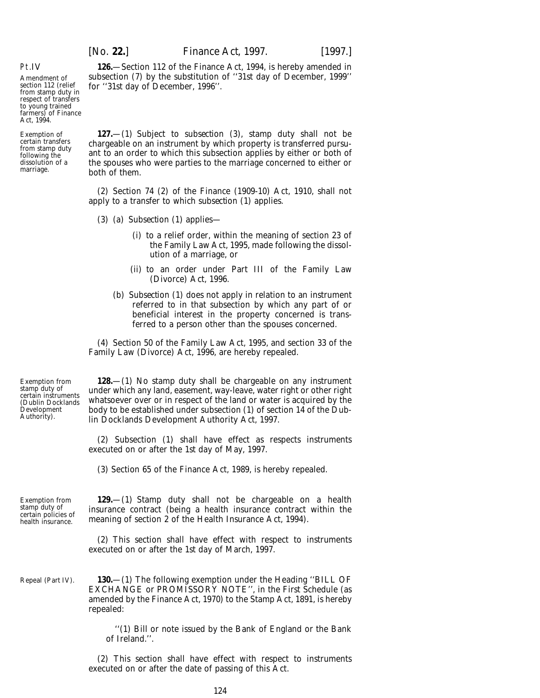**126.**—Section 112 of the Finance Act, 1994, is hereby amended in subsection (7) by the substitution of ''31st day of December, 1999'' for ''31st day of December, 1996''.

# Pt.IV

Amendment of section 112 (relief from stamp duty in respect of transfers to young trained farmers) of Finance Act, 1994.

Exemption of certain transfers from stamp duty following the dissolution of a marriage.

**127.**—(1) Subject to *subsection (3)*, stamp duty shall not be chargeable on an instrument by which property is transferred pursuant to an order to which this subsection applies by either or both of the spouses who were parties to the marriage concerned to either or both of them.

(2) Section 74 (2) of the Finance (1909-10) Act, 1910, shall not apply to a transfer to which *subsection (1)* applies.

- (3) (*a*) *Subsection (1)* applies—
	- (i) to a relief order, within the meaning of section 23 of the Family Law Act, 1995, made following the dissolution of a marriage, or
	- (ii) to an order under Part III of the Family Law (Divorce) Act, 1996.
	- (*b*) *Subsection (1)* does not apply in relation to an instrument referred to in that subsection by which any part of or beneficial interest in the property concerned is transferred to a person other than the spouses concerned.

(4) Section 50 of the Family Law Act, 1995, and section 33 of the Family Law (Divorce) Act, 1996, are hereby repealed.

Exemption from stamp duty of certain instruments (Dublin Docklands Development Authority).

**128.**—(1) No stamp duty shall be chargeable on any instrument under which any land, easement, way-leave, water right or other right whatsoever over or in respect of the land or water is acquired by the body to be established under subsection (1) of section 14 of the Dublin Docklands Development Authority Act, 1997.

(2) Subsection (1) shall have effect as respects instruments executed on or after the 1st day of May, 1997.

(3) Section 65 of the Finance Act, 1989, is hereby repealed.

Exemption from stamp duty of certain policies of health insurance.

**129.**—(1) Stamp duty shall not be chargeable on a health insurance contract (being a health insurance contract within the meaning of section 2 of the Health Insurance Act, 1994).

(2) This section shall have effect with respect to instruments executed on or after the 1st day of March, 1997.

Repeal (*Part IV*).

**130.**—(1) The following exemption under the Heading ''BILL OF EXCHANGE or PROMISSORY NOTE'', in the First Schedule (as amended by the Finance Act, 1970) to the Stamp Act, 1891, is hereby repealed:

''(1) Bill or note issued by the Bank of England or the Bank of Ireland.''.

(2) This section shall have effect with respect to instruments executed on or after the date of passing of this Act.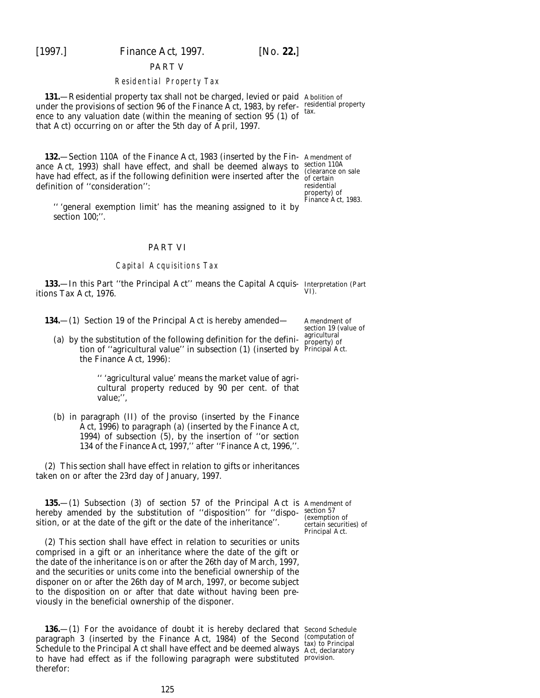[1997.] *Finance Act,* 1997. [*No.* **22.**]

#### PART V

# Residential Property Tax

**131.**—Residential property tax shall not be charged, levied or paid Abolition of under the provisions of section 96 of the Finance Act, 1983, by refer-residential property ence to any valuation date (within the meaning of section 95 (1) of that Act) occurring on or after the 5th day of April, 1997.

**132.**—Section 110A of the Finance Act, 1983 (inserted by the Fin-Amendment of ance Act, 1993) shall have effect, and shall be deemed always to section 110A have had effect, as if the following definition were inserted after the  $\frac{\text{circular area}}{\text{of certain}}$ definition of ''consideration'':

residential property) of Finance Act, 1983.

'' 'general exemption limit' has the meaning assigned to it by section 100;".

# PART VI

# Capital Acquisitions Tax

**133.**—In this Part ''the Principal Act'' means the Capital Acquis-Interpretation (*Part* itions Tax Act, 1976. *VI*).

**134.**—(1) Section 19 of the Principal Act is hereby amended—

(*a*) by the substitution of the following definition for the definition of ''agricultural value'' in subsection (1) (inserted by Principal Act. the Finance Act, 1996):

> '' 'agricultural value' means the market value of agricultural property reduced by 90 per cent. of that value;'',

(*b*) in paragraph (II) of the proviso (inserted by the Finance Act, 1996) to paragraph (*a*) (inserted by the Finance Act, 1994) of subsection (5), by the insertion of ''or *section 134* of the *Finance Act, 1997,*'' after ''Finance Act, 1996,''.

(2) This section shall have effect in relation to gifts or inheritances taken on or after the 23rd day of January, 1997.

**135.**—(1) Subsection (3) of section 57 of the Principal Act is Amendment of hereby amended by the substitution of "disposition" for "dispo- $\frac{\text{section 57}}{\text{(exempti)}}$ sition, or at the date of the gift or the date of the inheritance''.

(2) This section shall have effect in relation to securities or units comprised in a gift or an inheritance where the date of the gift or the date of the inheritance is on or after the 26th day of March, 1997, and the securities or units come into the beneficial ownership of the disponer on or after the 26th day of March, 1997, or become subject to the disposition on or after that date without having been previously in the beneficial ownership of the disponer.

**136.**—(1) For the avoidance of doubt it is hereby declared that Second Schedule paragraph 3 (inserted by the Finance Act, 1984) of the Second (computation of tax) to Principal Schedule to the Principal Act shall have effect and be deemed always Act, declaratory to have had effect as if the following paragraph were substituted provision.therefor:

(exemption of

certain securities) of Principal Act.

Amendment of section 19 (value of agricultural property) of

tax.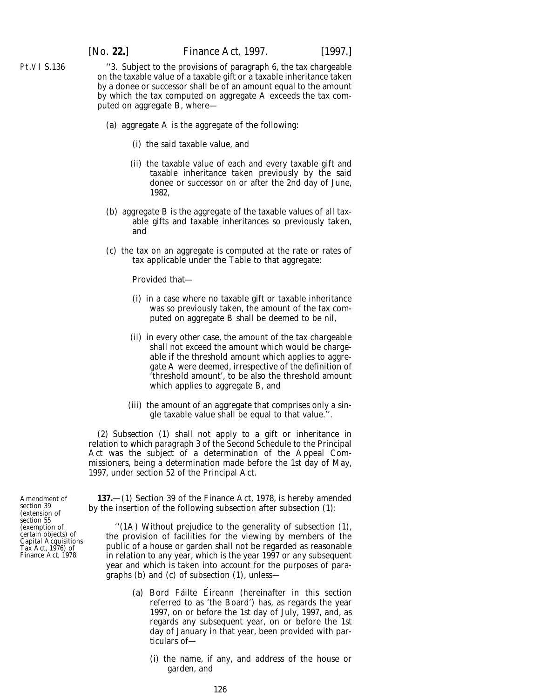Pt.VI S.136

''3. Subject to the provisions of paragraph 6, the tax chargeable on the taxable value of a taxable gift or a taxable inheritance taken by a donee or successor shall be of an amount equal to the amount by which the tax computed on aggregate A exceeds the tax computed on aggregate B, where—

- (*a*) aggregate A is the aggregate of the following:
	- (i) the said taxable value, and
	- (ii) the taxable value of each and every taxable gift and taxable inheritance taken previously by the said donee or successor on or after the 2nd day of June, 1982,
- (*b*) aggregate B is the aggregate of the taxable values of all taxable gifts and taxable inheritances so previously taken, and
- (*c*) the tax on an aggregate is computed at the rate or rates of tax applicable under the Table to that aggregate:

Provided that—

- (i) in a case where no taxable gift or taxable inheritance was so previously taken, the amount of the tax computed on aggregate B shall be deemed to be nil,
- (ii) in every other case, the amount of the tax chargeable shall not exceed the amount which would be chargeable if the threshold amount which applies to aggregate A were deemed, irrespective of the definition of 'threshold amount', to be also the threshold amount which applies to aggregate B, and
- (iii) the amount of an aggregate that comprises only a single taxable value shall be equal to that value.''.

(2) *Subsection (1)* shall not apply to a gift or inheritance in relation to which paragraph 3 of the Second Schedule to the Principal Act was the subject of a determination of the Appeal Commissioners, being a determination made before the 1st day of May, 1997, under section 52 of the Principal Act.

Amendment of section 39 (extension of section 55 (exemption of certain objects) of Capital Acquisitions Tax Act, 1976) of Finance Act, 1978.

**137.**—(1) Section 39 of the Finance Act, 1978, is hereby amended by the insertion of the following subsection after subsection (1):

''(1A) Without prejudice to the generality of subsection (1), the provision of facilities for the viewing by members of the public of a house or garden shall not be regarded as reasonable in relation to any year, which is the year 1997 or any subsequent year and which is taken into account for the purposes of paragraphs (*b*) and (*c*) of subsection (1), unless—

- (a) Bord Fáilte Éireann (hereinafter in this section referred to as 'the Board') has, as regards the year 1997, on or before the 1st day of July, 1997, and, as regards any subsequent year, on or before the 1st day of January in that year, been provided with particulars of—
	- (i) the name, if any, and address of the house or garden, and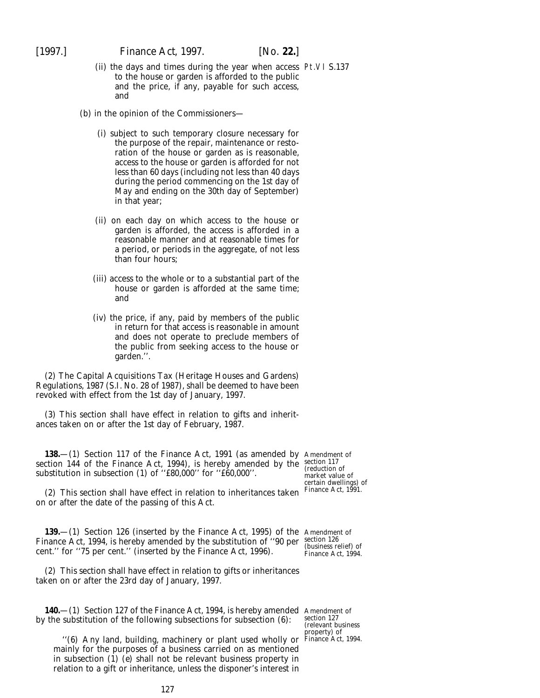- (ii) the days and times during the year when access Pt.VI S.137 to the house or garden is afforded to the public and the price, if any, payable for such access, and
- (*b*) in the opinion of the Commissioners—
	- (i) subject to such temporary closure necessary for the purpose of the repair, maintenance or restoration of the house or garden as is reasonable, access to the house or garden is afforded for not less than 60 days (including not less than 40 days during the period commencing on the 1st day of May and ending on the 30th day of September) in that year;
	- (ii) on each day on which access to the house or garden is afforded, the access is afforded in a reasonable manner and at reasonable times for a period, or periods in the aggregate, of not less than four hours;
	- (iii) access to the whole or to a substantial part of the house or garden is afforded at the same time; and
	- (iv) the price, if any, paid by members of the public in return for that access is reasonable in amount and does not operate to preclude members of the public from seeking access to the house or garden.''.

(2) The Capital Acquisitions Tax (Heritage Houses and Gardens) Regulations, 1987 (S.I. No. 28 of 1987), shall be deemed to have been revoked with effect from the 1st day of January, 1997.

(3) This section shall have effect in relation to gifts and inheritances taken on or after the 1st day of February, 1987.

**138.**—(1) Section 117 of the Finance Act, 1991 (as amended by Amendment of section 144 of the Finance Act, 1994), is hereby amended by the substitution in subsection (1) of ''£80,000'' for ''£60,000''.

(2) This section shall have effect in relation to inheritances taken on or after the date of the passing of this Act.

**139.**—(1) Section 126 (inserted by the Finance Act, 1995) of the Amendment of Finance Act, 1994, is hereby amended by the substitution of "90 per  $\frac{\text{section }126}{\text{functions}}$ cent.'' for ''75 per cent.'' (inserted by the Finance Act, 1996).

(2) This section shall have effect in relation to gifts or inheritances taken on or after the 23rd day of January, 1997.

**140.**—(1) Section 127 of the Finance Act, 1994, is hereby amended Amendment of by the substitution of the following subsections for subsection (6):

''(6) Any land, building, machinery or plant used wholly or Finance Act, 1994.mainly for the purposes of a business carried on as mentioned in subsection (1) (*e*) shall not be relevant business property in relation to a gift or inheritance, unless the disponer's interest in

section 117 (reduction of market value of certain dwellings) of Finance Act, 1991.

(business relief) of Finance Act, 1994.

section 127 (relevant business roperty) of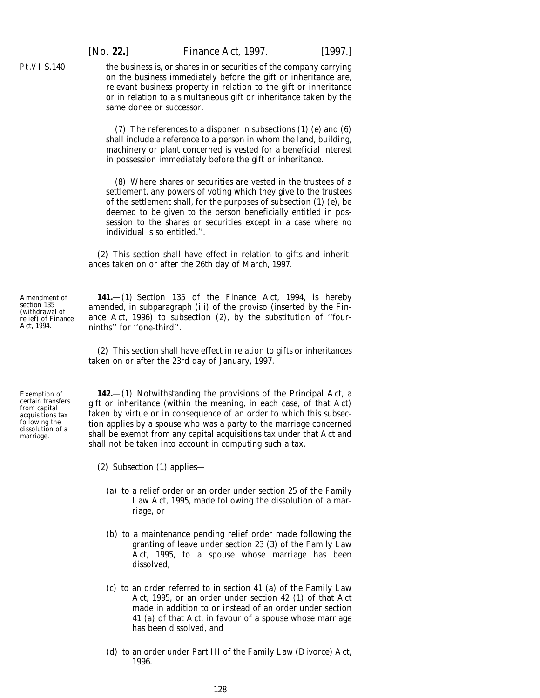[*No.* **22.**] *Finance Act,* 1997. [1997.]

the business is, or shares in or securities of the company carrying on the business immediately before the gift or inheritance are, relevant business property in relation to the gift or inheritance or in relation to a simultaneous gift or inheritance taken by the same donee or successor.

(7) The references to a disponer in subsections (1) (*e*) and (6) shall include a reference to a person in whom the land, building, machinery or plant concerned is vested for a beneficial interest in possession immediately before the gift or inheritance.

(8) Where shares or securities are vested in the trustees of a settlement, any powers of voting which they give to the trustees of the settlement shall, for the purposes of subsection (1) (*e*), be deemed to be given to the person beneficially entitled in possession to the shares or securities except in a case where no individual is so entitled."

(2) This section shall have effect in relation to gifts and inheritances taken on or after the 26th day of March, 1997.

**141.**—(1) Section 135 of the Finance Act, 1994, is hereby amended, in subparagraph (iii) of the proviso (inserted by the Finance Act, 1996) to subsection (2), by the substitution of ''fourninths'' for ''one-third''.

(2) This section shall have effect in relation to gifts or inheritances taken on or after the 23rd day of January, 1997.

**142.**—(1) Notwithstanding the provisions of the Principal Act, a gift or inheritance (within the meaning, in each case, of that Act) taken by virtue or in consequence of an order to which this subsection applies by a spouse who was a party to the marriage concerned shall be exempt from any capital acquisitions tax under that Act and shall not be taken into account in computing such a tax.

- (2) *Subsection (1)* applies—
	- (*a*) to a relief order or an order under section 25 of the Family Law Act, 1995, made following the dissolution of a marriage, or
	- (*b*) to a maintenance pending relief order made following the granting of leave under section 23 (3) of the Family Law Act, 1995, to a spouse whose marriage has been dissolved,
	- (*c*) to an order referred to in section 41 (*a*) of the Family Law Act, 1995, or an order under section 42 (1) of that Act made in addition to or instead of an order under section 41 (*a*) of that Act, in favour of a spouse whose marriage has been dissolved, and
	- (*d*) to an order under Part III of the Family Law (Divorce) Act, 1996.

Amendment of section 135 (withdrawal of relief) of Finance Act, 1994.

Pt.VI S.140

Exemption of certain transfers from capital acquisitions tax following the dissolution of a marriage.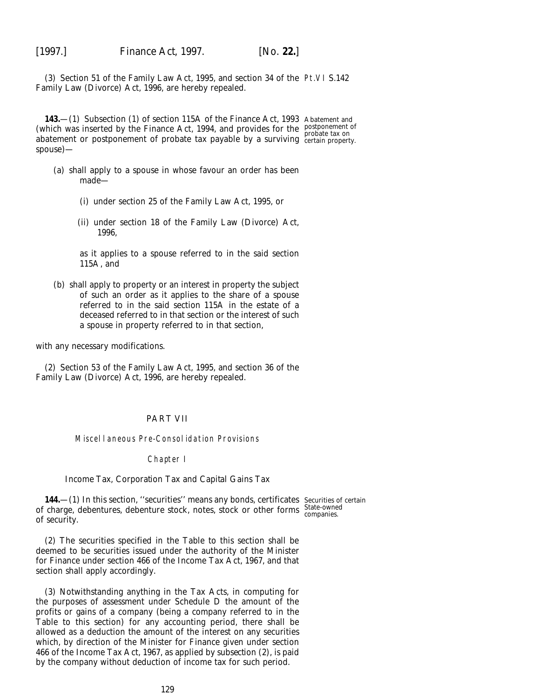(3) Section 51 of the Family Law Act, 1995, and section 34 of the Pt.VI S.142 Family Law (Divorce) Act, 1996, are hereby repealed.

**143.**—(1) Subsection (1) of section 115A of the Finance Act, 1993 Abatement and (which was inserted by the Finance Act, 1994, and provides for the postponement of which was inserted by the 1 martie 7 tet, 1994, and provides for the probate tax on<br>abatement or postponement of probate tax payable by a surviving certain property. spouse)—

- (*a*) shall apply to a spouse in whose favour an order has been made—
	- (i) under section 25 of the Family Law Act, 1995, or
	- (ii) under section 18 of the Family Law (Divorce) Act, 1996,

as it applies to a spouse referred to in the said section 115A, and

(*b*) shall apply to property or an interest in property the subject of such an order as it applies to the share of a spouse referred to in the said section 115A in the estate of a deceased referred to in that section or the interest of such a spouse in property referred to in that section,

with any necessary modifications.

(2) Section 53 of the Family Law Act, 1995, and section 36 of the Family Law (Divorce) Act, 1996, are hereby repealed.

# PART VII

#### Miscellaneous Pre-Consolidation Provisions

#### Chapter I

# *Income Tax, Corporation Tax and Capital Gains Tax*

**144.**—(1) In this section, ''securities'' means any bonds, certificates Securities of certain of charge, debentures, debenture stock, notes, stock or other forms State-owned of security.

(2) The securities specified in the Table to this section shall be deemed to be securities issued under the authority of the Minister for Finance under section 466 of the Income Tax Act, 1967, and that section shall apply accordingly.

(3) Notwithstanding anything in the Tax Acts, in computing for the purposes of assessment under Schedule D the amount of the profits or gains of a company (being a company referred to in the Table to this section) for any accounting period, there shall be allowed as a deduction the amount of the interest on any securities which, by direction of the Minister for Finance given under section 466 of the Income Tax Act, 1967, as applied by *subsection (2)*, is paid by the company without deduction of income tax for such period.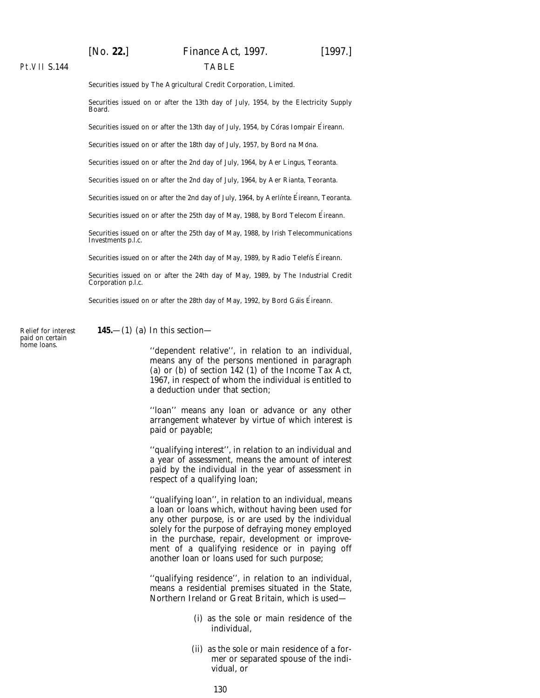# [*No.* **22.**] *Finance Act,* 1997. [1997.] TABLE

# Pt.VII S.144

Securities issued by The Agricultural Credit Corporation, Limited.

Securities issued on or after the 13th day of July, 1954, by the Electricity Supply Board.

Securities issued on or after the 13th day of July, 1954, by Córas Iompair Éireann.

Securities issued on or after the 18th day of July, 1957, by Bord na Móna.

Securities issued on or after the 2nd day of July, 1964, by Aer Lingus, Teoranta.

Securities issued on or after the 2nd day of July, 1964, by Aer Rianta, Teoranta.

Securities issued on or after the 2nd day of July, 1964, by Aerlinte Éireann, Teoranta.

Securities issued on or after the 25th day of May, 1988, by Bord Telecom Eireann.

Securities issued on or after the 25th day of May, 1988, by Irish Telecommunications Investments p.l.c.

Securities issued on or after the 24th day of May, 1989, by Radio Telefís Éireann.

Securities issued on or after the 24th day of May, 1989, by The Industrial Credit Corporation p.l.c.

Securities issued on or after the 28th day of May, 1992, by Bord Gáis Éireann.

Relief for interest paid on certain home loans.

**145.**—(1) (*a*) In this section—

''dependent relative'', in relation to an individual, means any of the persons mentioned in paragraph (*a*) or (*b*) of section 142 (1) of the Income Tax Act, 1967, in respect of whom the individual is entitled to a deduction under that section;

''loan'' means any loan or advance or any other arrangement whatever by virtue of which interest is paid or payable;

''qualifying interest'', in relation to an individual and a year of assessment, means the amount of interest paid by the individual in the year of assessment in respect of a qualifying loan;

''qualifying loan'', in relation to an individual, means a loan or loans which, without having been used for any other purpose, is or are used by the individual solely for the purpose of defraying money employed in the purchase, repair, development or improvement of a qualifying residence or in paying off another loan or loans used for such purpose;

''qualifying residence'', in relation to an individual, means a residential premises situated in the State, Northern Ireland or Great Britain, which is used—

- (i) as the sole or main residence of the individual,
- (ii) as the sole or main residence of a former or separated spouse of the individual, or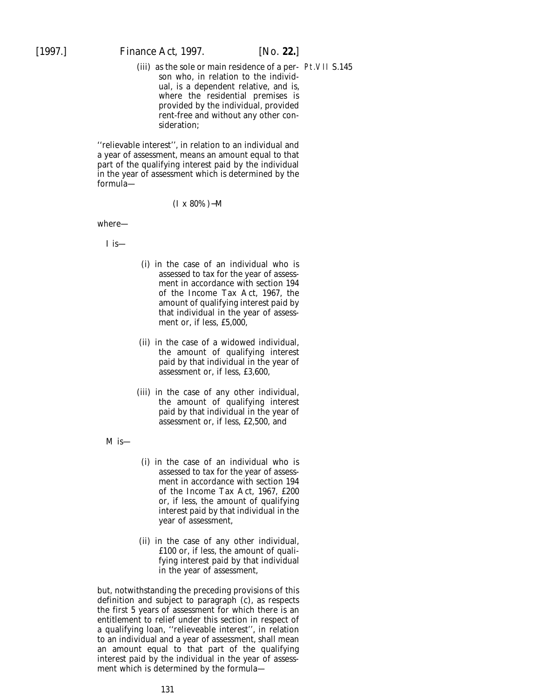(iii) as the sole or main residence of a per-Pt.VII S.145son who, in relation to the individual, is a dependent relative, and is, where the residential premises is provided by the individual, provided rent-free and without any other consideration;

''relievable interest'', in relation to an individual and a year of assessment, means an amount equal to that part of the qualifying interest paid by the individual in the year of assessment which is determined by the formula—

#### (I x 80%)−M

where—

I is—

- (i) in the case of an individual who is assessed to tax for the year of assessment in accordance with section 194 of the Income Tax Act, 1967, the amount of qualifying interest paid by that individual in the year of assessment or, if less, £5,000,
- (ii) in the case of a widowed individual, the amount of qualifying interest paid by that individual in the year of assessment or, if less, £3,600,
- (iii) in the case of any other individual, the amount of qualifying interest paid by that individual in the year of assessment or, if less, £2,500, and

M is—

- (i) in the case of an individual who is assessed to tax for the year of assessment in accordance with section 194 of the Income Tax Act, 1967, £200 or, if less, the amount of qualifying interest paid by that individual in the year of assessment,
- (ii) in the case of any other individual, £100 or, if less, the amount of qualifying interest paid by that individual in the year of assessment,

but, notwithstanding the preceding provisions of this definition and subject to *paragraph (c)*, as respects the first 5 years of assessment for which there is an entitlement to relief under this section in respect of a qualifying loan, ''relieveable interest'', in relation to an individual and a year of assessment, shall mean an amount equal to that part of the qualifying interest paid by the individual in the year of assessment which is determined by the formula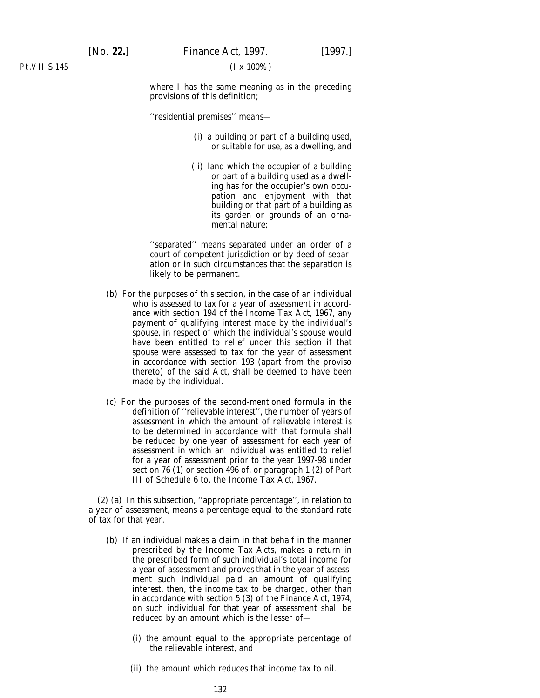Pt.VII S.145

where I has the same meaning as in the preceding provisions of this definition;

''residential premises'' means—

- (i) a building or part of a building used, or suitable for use, as a dwelling, and
- (ii) land which the occupier of a building or part of a building used as a dwelling has for the occupier's own occupation and enjoyment with that building or that part of a building as its garden or grounds of an ornamental nature;

''separated'' means separated under an order of a court of competent jurisdiction or by deed of separation or in such circumstances that the separation is likely to be permanent.

- (*b*) For the purposes of this section, in the case of an individual who is assessed to tax for a year of assessment in accordance with section 194 of the Income Tax Act, 1967, any payment of qualifying interest made by the individual's spouse, in respect of which the individual's spouse would have been entitled to relief under this section if that spouse were assessed to tax for the year of assessment in accordance with section 193 (apart from the proviso thereto) of the said Act, shall be deemed to have been made by the individual.
- (*c*) For the purposes of the second-mentioned formula in the definition of ''relievable interest'', the number of years of assessment in which the amount of relievable interest is to be determined in accordance with that formula shall be reduced by one year of assessment for each year of assessment in which an individual was entitled to relief for a year of assessment prior to the year 1997-98 under section 76 (1) or section 496 of, or paragraph 1 (2) of Part III of Schedule 6 to, the Income Tax Act, 1967.

(2) (*a*) In this subsection, ''appropriate percentage'', in relation to a year of assessment, means a percentage equal to the standard rate of tax for that year.

- (*b*) If an individual makes a claim in that behalf in the manner prescribed by the Income Tax Acts, makes a return in the prescribed form of such individual's total income for a year of assessment and proves that in the year of assessment such individual paid an amount of qualifying interest, then, the income tax to be charged, other than in accordance with section 5 (3) of the Finance Act, 1974, on such individual for that year of assessment shall be reduced by an amount which is the lesser of—
	- (i) the amount equal to the appropriate percentage of the relievable interest, and
	- (ii) the amount which reduces that income tax to nil.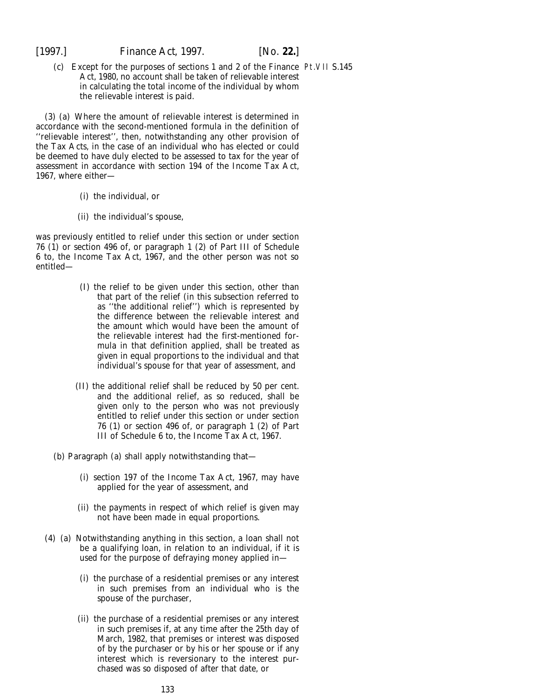(*c*) Except for the purposes of sections 1 and 2 of the Finance Pt.VII S.145Act, 1980, no account shall be taken of relievable interest in calculating the total income of the individual by whom the relievable interest is paid.

(3) (*a*) Where the amount of relievable interest is determined in accordance with the second-mentioned formula in the definition of ''relievable interest'', then, notwithstanding any other provision of the Tax Acts, in the case of an individual who has elected or could be deemed to have duly elected to be assessed to tax for the year of assessment in accordance with section 194 of the Income Tax Act, 1967, where either—

- (i) the individual, or
- (ii) the individual's spouse,

was previously entitled to relief under this section or under section 76 (1) or section 496 of, or paragraph 1 (2) of Part III of Schedule 6 to, the Income Tax Act, 1967, and the other person was not so entitled—

- (I) the relief to be given under this section, other than that part of the relief (in this subsection referred to as ''the additional relief'') which is represented by the difference between the relievable interest and the amount which would have been the amount of the relievable interest had the first-mentioned formula in that definition applied, shall be treated as given in equal proportions to the individual and that individual's spouse for that year of assessment, and
- (II) the additional relief shall be reduced by 50 per cent. and the additional relief, as so reduced, shall be given only to the person who was not previously entitled to relief under this section or under section 76 (1) or section 496 of, or paragraph 1 (2) of Part III of Schedule 6 to, the Income Tax Act, 1967.
- (*b*) *Paragraph (a)* shall apply notwithstanding that—
	- (i) section 197 of the Income Tax Act, 1967, may have applied for the year of assessment, and
	- (ii) the payments in respect of which relief is given may not have been made in equal proportions.
- (4) (*a*) Notwithstanding anything in this section, a loan shall not be a qualifying loan, in relation to an individual, if it is used for the purpose of defraying money applied in—
	- (i) the purchase of a residential premises or any interest in such premises from an individual who is the spouse of the purchaser,
	- (ii) the purchase of a residential premises or any interest in such premises if, at any time after the 25th day of March, 1982, that premises or interest was disposed of by the purchaser or by his or her spouse or if any interest which is reversionary to the interest purchased was so disposed of after that date, or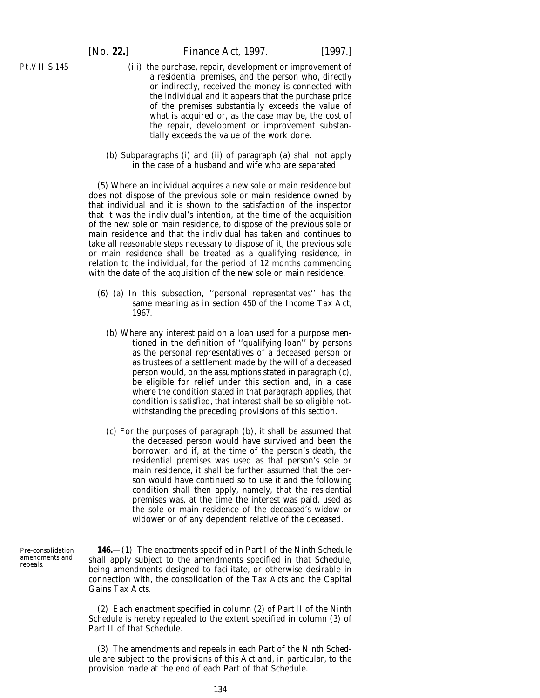Pt.VII S.145

#### [*No.* **22.**] *Finance Act,* 1997. [1997.]

- (iii) the purchase, repair, development or improvement of a residential premises, and the person who, directly or indirectly, received the money is connected with the individual and it appears that the purchase price of the premises substantially exceeds the value of what is acquired or, as the case may be, the cost of the repair, development or improvement substantially exceeds the value of the work done.
- (*b*) *Subparagraphs (i)* and *(ii)* of *paragraph (a)* shall not apply in the case of a husband and wife who are separated.

(5) Where an individual acquires a new sole or main residence but does not dispose of the previous sole or main residence owned by that individual and it is shown to the satisfaction of the inspector that it was the individual's intention, at the time of the acquisition of the new sole or main residence, to dispose of the previous sole or main residence and that the individual has taken and continues to take all reasonable steps necessary to dispose of it, the previous sole or main residence shall be treated as a qualifying residence, in relation to the individual, for the period of 12 months commencing with the date of the acquisition of the new sole or main residence.

- (6) (*a*) In this subsection, ''personal representatives'' has the same meaning as in section 450 of the Income Tax Act, 1967.
	- (*b*) Where any interest paid on a loan used for a purpose mentioned in the definition of ''qualifying loan'' by persons as the personal representatives of a deceased person or as trustees of a settlement made by the will of a deceased person would, on the assumptions stated in *paragraph (c)*, be eligible for relief under this section and, in a case where the condition stated in that paragraph applies, that condition is satisfied, that interest shall be so eligible notwithstanding the preceding provisions of this section.
	- (*c*) For the purposes of *paragraph (b)*, it shall be assumed that the deceased person would have survived and been the borrower; and if, at the time of the person's death, the residential premises was used as that person's sole or main residence, it shall be further assumed that the person would have continued so to use it and the following condition shall then apply, namely, that the residential premises was, at the time the interest was paid, used as the sole or main residence of the deceased's widow or widower or of any dependent relative of the deceased.

**146.**—(1) The enactments specified in *Part I* of the *Ninth Schedule* shall apply subject to the amendments specified in that Schedule, being amendments designed to facilitate, or otherwise desirable in connection with, the consolidation of the Tax Acts and the Capital Gains Tax Acts.

(2) Each enactment specified in *column (2)* of *Part II* of the *Ninth Schedule* is hereby repealed to the extent specified in *column (3)* of *Part II* of that Schedule.

(3) The amendments and repeals in each Part of the *Ninth Schedule* are subject to the provisions of this Act and, in particular, to the provision made at the end of each Part of that Schedule.

Pre-consolidation amendments and repeals.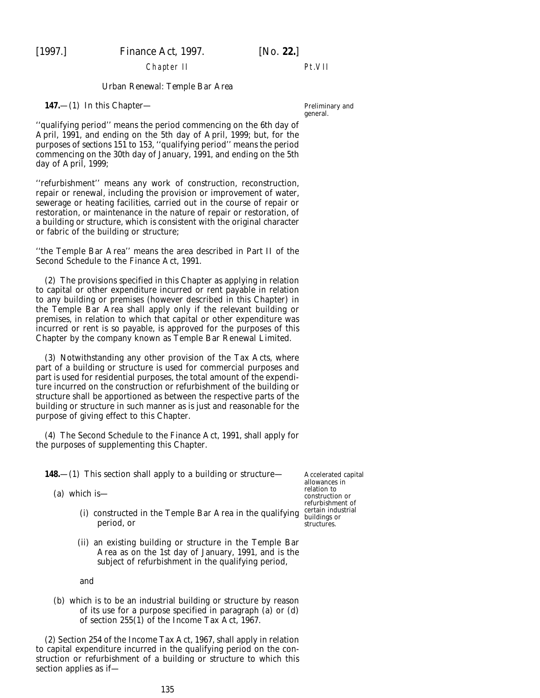Chapter II

# Pt.VII

# *Urban Renewal: Temple Bar Area*

#### **147.**—(1) In this Chapter—

''qualifying period'' means the period commencing on the 6th day of April, 1991, and ending on the 5th day of April, 1999; but, for the purposes of *sections 151* to *153*, ''qualifying period'' means the period commencing on the 30th day of January, 1991, and ending on the 5th day of April, 1999;

''refurbishment'' means any work of construction, reconstruction, repair or renewal, including the provision or improvement of water, sewerage or heating facilities, carried out in the course of repair or restoration, or maintenance in the nature of repair or restoration, of a building or structure, which is consistent with the original character or fabric of the building or structure;

''the Temple Bar Area'' means the area described in Part II of the Second Schedule to the Finance Act, 1991.

(2) The provisions specified in this Chapter as applying in relation to capital or other expenditure incurred or rent payable in relation to any building or premises (however described in this Chapter) in the Temple Bar Area shall apply only if the relevant building or premises, in relation to which that capital or other expenditure was incurred or rent is so payable, is approved for the purposes of this Chapter by the company known as Temple Bar Renewal Limited.

(3) Notwithstanding any other provision of the Tax Acts, where part of a building or structure is used for commercial purposes and part is used for residential purposes, the total amount of the expenditure incurred on the construction or refurbishment of the building or structure shall be apportioned as between the respective parts of the building or structure in such manner as is just and reasonable for the purpose of giving effect to this Chapter.

(4) The Second Schedule to the Finance Act, 1991, shall apply for the purposes of supplementing this Chapter.

**148.**—(1) This section shall apply to a building or structure—

(*a*) which is—

- (i) constructed in the Temple Bar Area in the qualifying certain industrial period, or
- (ii) an existing building or structure in the Temple Bar Area as on the 1st day of January, 1991, and is the subject of refurbishment in the qualifying period,

and

(*b*) which is to be an industrial building or structure by reason of its use for a purpose specified in paragraph (*a*) or (*d*) of section 255(1) of the Income Tax Act, 1967.

(2) Section 254 of the Income Tax Act, 1967, shall apply in relation to capital expenditure incurred in the qualifying period on the construction or refurbishment of a building or structure to which this section applies as if—

Preliminary and general.

Accelerated capital allowances in relation to construction or refurbishment of structures.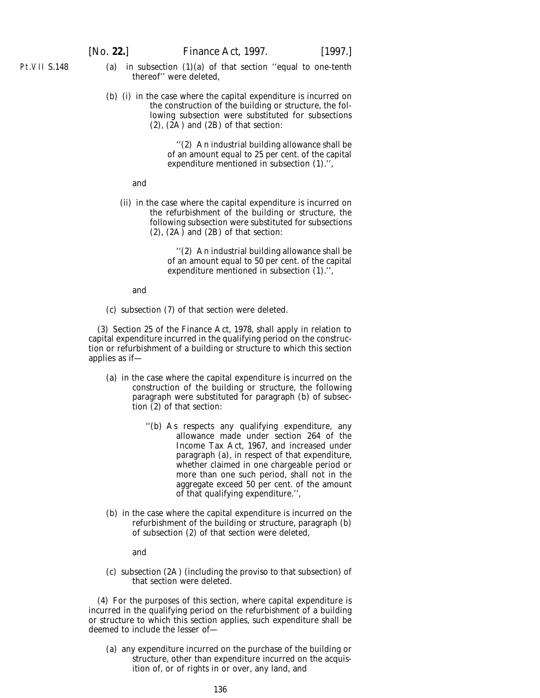- Pt.VII S.148
- (*a*) in subsection (1)(*a*) of that section ''equal to one-tenth thereof'' were deleted,
- (*b*) (i) in the case where the capital expenditure is incurred on the construction of the building or structure, the following subsection were substituted for subsections (2), (2A) and (2B) of that section:

''(2) An industrial building allowance shall be of an amount equal to 25 per cent. of the capital expenditure mentioned in subsection (1).'',

#### and

(ii) in the case where the capital expenditure is incurred on the refurbishment of the building or structure, the following subsection were substituted for subsections (2), (2A) and (2B) of that section:

> ''(2) An industrial building allowance shall be of an amount equal to 50 per cent. of the capital expenditure mentioned in subsection (1).'',

and

(*c*) subsection (7) of that section were deleted.

(3) Section 25 of the Finance Act, 1978, shall apply in relation to capital expenditure incurred in the qualifying period on the construction or refurbishment of a building or structure to which this section applies as if—

- (*a*) in the case where the capital expenditure is incurred on the construction of the building or structure, the following paragraph were substituted for paragraph (*b*) of subsection (2) of that section:
	- ''(*b*) As respects any qualifying expenditure, any allowance made under section 264 of the Income Tax Act, 1967, and increased under paragraph (*a*), in respect of that expenditure, whether claimed in one chargeable period or more than one such period, shall not in the aggregate exceed 50 per cent. of the amount of that qualifying expenditure.'',
- (*b*) in the case where the capital expenditure is incurred on the refurbishment of the building or structure, paragraph (*b*) of subsection (2) of that section were deleted,

and

(*c*) subsection (2A) (including the proviso to that subsection) of that section were deleted.

(4) For the purposes of this section, where capital expenditure is incurred in the qualifying period on the refurbishment of a building or structure to which this section applies, such expenditure shall be deemed to include the lesser of—

(*a*) any expenditure incurred on the purchase of the building or structure, other than expenditure incurred on the acquisition of, or of rights in or over, any land, and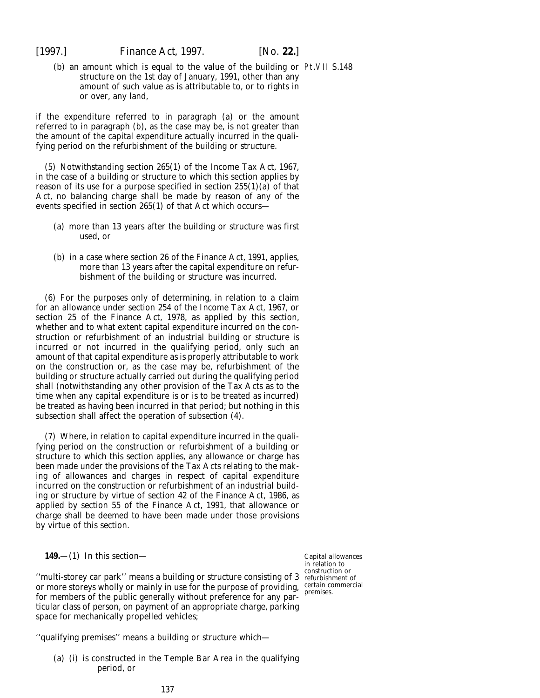(*b*) an amount which is equal to the value of the building or Pt.VII S.148 structure on the 1st day of January, 1991, other than any amount of such value as is attributable to, or to rights in or over, any land,

if the expenditure referred to in *paragraph (a)* or the amount referred to in *paragraph (b)*, as the case may be, is not greater than the amount of the capital expenditure actually incurred in the qualifying period on the refurbishment of the building or structure.

(5) Notwithstanding section 265(1) of the Income Tax Act, 1967, in the case of a building or structure to which this section applies by reason of its use for a purpose specified in section 255(1)(*a*) of that Act, no balancing charge shall be made by reason of any of the events specified in section 265(1) of that Act which occurs—

- (*a*) more than 13 years after the building or structure was first used, or
- (*b*) in a case where section 26 of the Finance Act, 1991, applies, more than 13 years after the capital expenditure on refurbishment of the building or structure was incurred.

(6) For the purposes only of determining, in relation to a claim for an allowance under section 254 of the Income Tax Act, 1967, or section 25 of the Finance Act, 1978, as applied by this section, whether and to what extent capital expenditure incurred on the construction or refurbishment of an industrial building or structure is incurred or not incurred in the qualifying period, only such an amount of that capital expenditure as is properly attributable to work on the construction or, as the case may be, refurbishment of the building or structure actually carried out during the qualifying period shall (notwithstanding any other provision of the Tax Acts as to the time when any capital expenditure is or is to be treated as incurred) be treated as having been incurred in that period; but nothing in this subsection shall affect the operation of *subsection (4)*.

(7) Where, in relation to capital expenditure incurred in the qualifying period on the construction or refurbishment of a building or structure to which this section applies, any allowance or charge has been made under the provisions of the Tax Acts relating to the making of allowances and charges in respect of capital expenditure incurred on the construction or refurbishment of an industrial building or structure by virtue of section 42 of the Finance Act, 1986, as applied by section 55 of the Finance Act, 1991, that allowance or charge shall be deemed to have been made under those provisions by virtue of this section.

**149.**—(1) In this section—

''multi-storey car park'' means a building or structure consisting of 3 refurbishment of or more storeys wholly or mainly in use for the purpose of providing, certain commercial for members of the public generally without preference for any particular class of person, on payment of an appropriate charge, parking space for mechanically propelled vehicles;

Capital allowances in relation to construction or premises.

''qualifying premises'' means a building or structure which—

(*a*) (i) is constructed in the Temple Bar Area in the qualifying period, or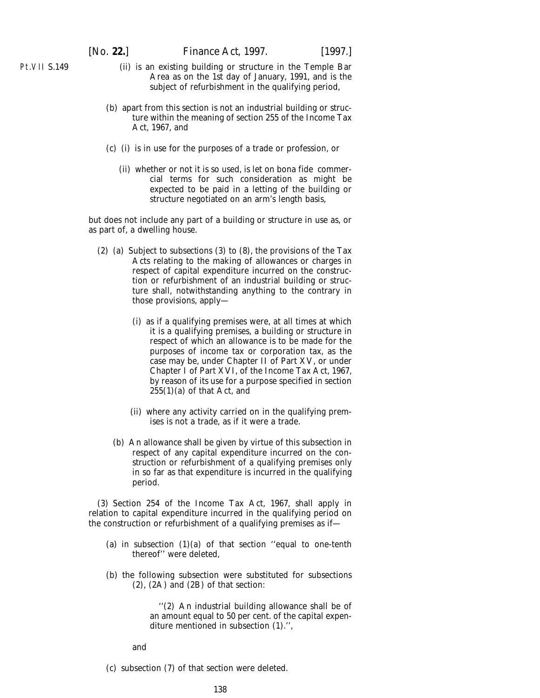Pt.VII S.149

- (ii) is an existing building or structure in the Temple Bar Area as on the 1st day of January, 1991, and is the subject of refurbishment in the qualifying period,
- (*b*) apart from this section is not an industrial building or structure within the meaning of section 255 of the Income Tax Act, 1967, and
- (*c*) (i) is in use for the purposes of a trade or profession, or
	- (ii) whether or not it is so used, is let on *bona fide* commercial terms for such consideration as might be expected to be paid in a letting of the building or structure negotiated on an arm's length basis,

but does not include any part of a building or structure in use as, or as part of, a dwelling house.

- (2) (*a*) Subject to *subsections (3)* to *(8),* the provisions of the Tax Acts relating to the making of allowances or charges in respect of capital expenditure incurred on the construction or refurbishment of an industrial building or structure shall, notwithstanding anything to the contrary in those provisions, apply—
	- (i) as if a qualifying premises were, at all times at which it is a qualifying premises, a building or structure in respect of which an allowance is to be made for the purposes of income tax or corporation tax, as the case may be, under Chapter II of Part XV, or under Chapter I of Part XVI, of the Income Tax Act, 1967, by reason of its use for a purpose specified in section 255(1)(*a*) of that Act, and
	- (ii) where any activity carried on in the qualifying premises is not a trade, as if it were a trade.
	- (*b*) An allowance shall be given by virtue of this subsection in respect of any capital expenditure incurred on the construction or refurbishment of a qualifying premises only in so far as that expenditure is incurred in the qualifying period.

(3) Section 254 of the Income Tax Act, 1967, shall apply in relation to capital expenditure incurred in the qualifying period on the construction or refurbishment of a qualifying premises as if—

- (*a*) in subsection  $(1)(a)$  of that section "equal to one-tenth thereof'' were deleted,
- (*b*) the following subsection were substituted for subsections (2), (2A) and (2B) of that section:

''(2) An industrial building allowance shall be of an amount equal to 50 per cent. of the capital expenditure mentioned in subsection (1).'',

and

(*c*) subsection (7) of that section were deleted.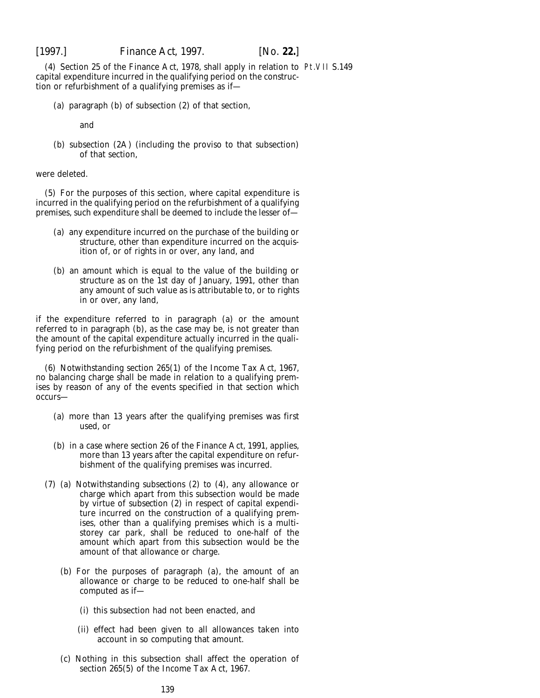(4) Section 25 of the Finance Act, 1978, shall apply in relation to Pt.VII S.149capital expenditure incurred in the qualifying period on the construction or refurbishment of a qualifying premises as if—

(*a*) paragraph (*b*) of subsection (2) of that section,

and

(*b*) subsection (2A) (including the proviso to that subsection) of that section,

were deleted.

(5) For the purposes of this section, where capital expenditure is incurred in the qualifying period on the refurbishment of a qualifying premises, such expenditure shall be deemed to include the lesser of—

- (*a*) any expenditure incurred on the purchase of the building or structure, other than expenditure incurred on the acquisition of, or of rights in or over, any land, and
- (*b*) an amount which is equal to the value of the building or structure as on the 1st day of January, 1991, other than any amount of such value as is attributable to, or to rights in or over, any land,

if the expenditure referred to in *paragraph (a)* or the amount referred to in *paragraph* (b), as the case may be, is not greater than the amount of the capital expenditure actually incurred in the qualifying period on the refurbishment of the qualifying premises.

(6) Notwithstanding section 265(1) of the Income Tax Act, 1967, no balancing charge shall be made in relation to a qualifying premises by reason of any of the events specified in that section which occurs—

- (*a*) more than 13 years after the qualifying premises was first used, or
- (*b*) in a case where section 26 of the Finance Act, 1991, applies, more than 13 years after the capital expenditure on refurbishment of the qualifying premises was incurred.
- (7) (*a*) Notwithstanding *subsections (2)* to *(4)*, any allowance or charge which apart from this subsection would be made by virtue of *subsection (2)* in respect of capital expenditure incurred on the construction of a qualifying premises, other than a qualifying premises which is a multistorey car park, shall be reduced to one-half of the amount which apart from this subsection would be the amount of that allowance or charge.
	- (*b*) For the purposes of *paragraph (a)*, the amount of an allowance or charge to be reduced to one-half shall be computed as if—
		- (i) this subsection had not been enacted, and
		- (ii) effect had been given to all allowances taken into account in so computing that amount.
	- (*c*) Nothing in this subsection shall affect the operation of section 265(5) of the Income Tax Act, 1967.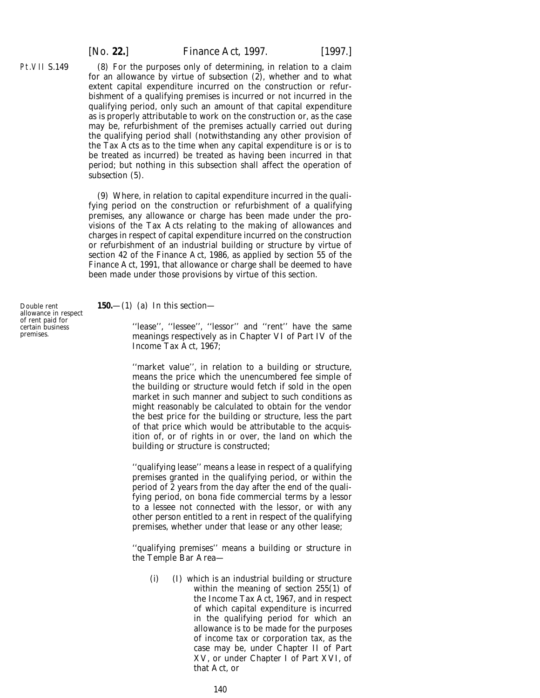[*No.* **22.**] *Finance Act,* 1997. [1997.]

(8) For the purposes only of determining, in relation to a claim for an allowance by virtue of *subsection (2),* whether and to what extent capital expenditure incurred on the construction or refurbishment of a qualifying premises is incurred or not incurred in the qualifying period, only such an amount of that capital expenditure as is properly attributable to work on the construction or, as the case may be, refurbishment of the premises actually carried out during the qualifying period shall (notwithstanding any other provision of the Tax Acts as to the time when any capital expenditure is or is to be treated as incurred) be treated as having been incurred in that period; but nothing in this subsection shall affect the operation of *subsection (5)*.

(9) Where, in relation to capital expenditure incurred in the qualifying period on the construction or refurbishment of a qualifying premises, any allowance or charge has been made under the provisions of the Tax Acts relating to the making of allowances and charges in respect of capital expenditure incurred on the construction or refurbishment of an industrial building or structure by virtue of section 42 of the Finance Act, 1986, as applied by section 55 of the Finance Act, 1991, that allowance or charge shall be deemed to have been made under those provisions by virtue of this section.

**150.**—(1) (*a*) In this section—

"lease", "lessee", "lessor" and "rent" have the same meanings respectively as in Chapter VI of Part IV of the Income Tax Act, 1967;

''market value'', in relation to a building or structure, means the price which the unencumbered fee simple of the building or structure would fetch if sold in the open market in such manner and subject to such conditions as might reasonably be calculated to obtain for the vendor the best price for the building or structure, less the part of that price which would be attributable to the acquisition of, or of rights in or over, the land on which the building or structure is constructed;

''qualifying lease'' means a lease in respect of a qualifying premises granted in the qualifying period, or within the period of 2 years from the day after the end of the qualifying period, on *bona fide* commercial terms by a lessor to a lessee not connected with the lessor, or with any other person entitled to a rent in respect of the qualifying premises, whether under that lease or any other lease;

''qualifying premises'' means a building or structure in the Temple Bar Area—

(i) (I) which is an industrial building or structure within the meaning of section 255(1) of the Income Tax Act, 1967, and in respect of which capital expenditure is incurred in the qualifying period for which an allowance is to be made for the purposes of income tax or corporation tax, as the case may be, under Chapter II of Part XV, or under Chapter I of Part XVI, of that Act, or

Double rent allowance in respect of rent paid for certain business premises.

Pt.VII S.149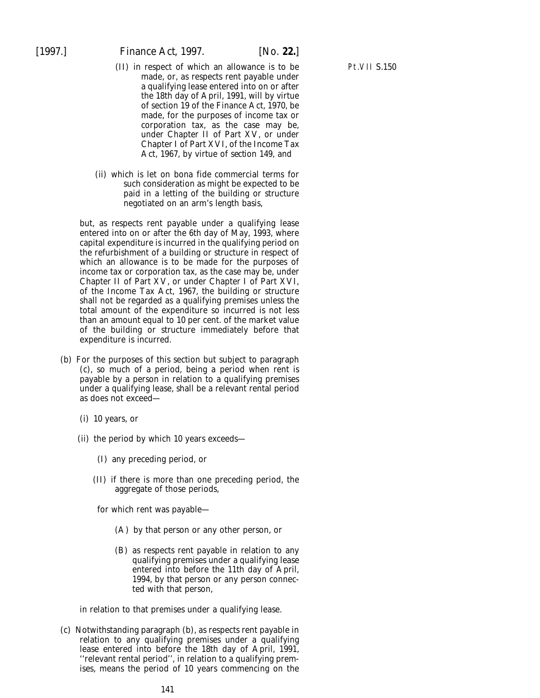- (II) in respect of which an allowance is to be made, or, as respects rent payable under a qualifying lease entered into on or after the 18th day of April, 1991, will by virtue of section 19 of the Finance Act, 1970, be made, for the purposes of income tax or corporation tax, as the case may be, under Chapter II of Part XV, or under Chapter I of Part XVI, of the Income Tax Act, 1967, by virtue of *section 149,* and
- (ii) which is let on *bona fide* commercial terms for such consideration as might be expected to be paid in a letting of the building or structure negotiated on an arm's length basis,

but, as respects rent payable under a qualifying lease entered into on or after the 6th day of May, 1993, where capital expenditure is incurred in the qualifying period on the refurbishment of a building or structure in respect of which an allowance is to be made for the purposes of income tax or corporation tax, as the case may be, under Chapter II of Part XV, or under Chapter I of Part XVI, of the Income Tax Act, 1967, the building or structure shall not be regarded as a qualifying premises unless the total amount of the expenditure so incurred is not less than an amount equal to 10 per cent. of the market value of the building or structure immediately before that expenditure is incurred.

- (*b*) For the purposes of this section but subject to *paragraph (c),* so much of a period, being a period when rent is payable by a person in relation to a qualifying premises under a qualifying lease, shall be a relevant rental period as does not exceed—
	- (i) 10 years, or
	- (ii) the period by which 10 years exceeds—
		- (I) any preceding period, or
		- (II) if there is more than one preceding period, the aggregate of those periods,

for which rent was payable—

- (A) by that person or any other person, or
- (B) as respects rent payable in relation to any qualifying premises under a qualifying lease entered into before the 11th day of April, 1994, by that person or any person connected with that person,

in relation to that premises under a qualifying lease.

(*c*) Notwithstanding *paragraph (b),* as respects rent payable in relation to any qualifying premises under a qualifying lease entered into before the 18th day of April, 1991, ''relevant rental period'', in relation to a qualifying premises, means the period of 10 years commencing on the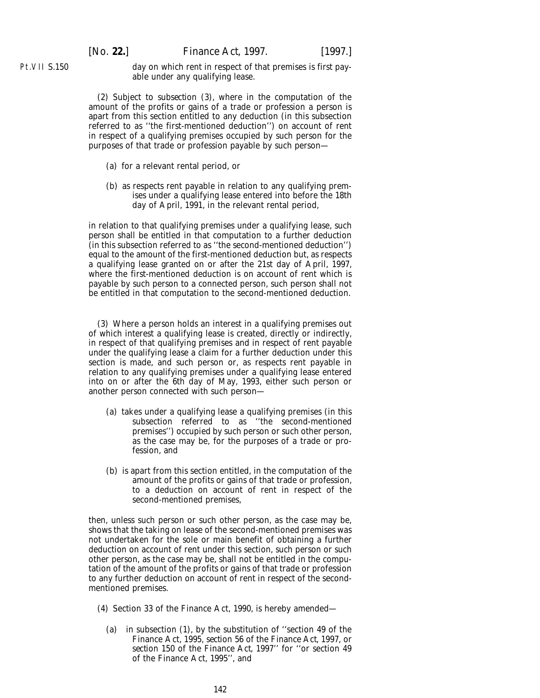Pt.VII S.150

[*No.* **22.**] *Finance Act,* 1997. [1997.]

day on which rent in respect of that premises is first payable under any qualifying lease.

(2) Subject to *subsection (3)*, where in the computation of the amount of the profits or gains of a trade or profession a person is apart from this section entitled to any deduction (in this subsection referred to as ''the first-mentioned deduction'') on account of rent in respect of a qualifying premises occupied by such person for the purposes of that trade or profession payable by such person—

- (*a*) for a relevant rental period, or
- (*b*) as respects rent payable in relation to any qualifying premises under a qualifying lease entered into before the 18th day of April, 1991, in the relevant rental period,

in relation to that qualifying premises under a qualifying lease, such person shall be entitled in that computation to a further deduction (in this subsection referred to as ''the second-mentioned deduction'') equal to the amount of the first-mentioned deduction but, as respects a qualifying lease granted on or after the 21st day of April, 1997, where the first-mentioned deduction is on account of rent which is payable by such person to a connected person, such person shall not be entitled in that computation to the second-mentioned deduction.

(3) Where a person holds an interest in a qualifying premises out of which interest a qualifying lease is created, directly or indirectly, in respect of that qualifying premises and in respect of rent payable under the qualifying lease a claim for a further deduction under this section is made, and such person or, as respects rent payable in relation to any qualifying premises under a qualifying lease entered into on or after the 6th day of May, 1993, either such person or another person connected with such person—

- (*a*) takes under a qualifying lease a qualifying premises (in this subsection referred to as ''the second-mentioned premises'') occupied by such person or such other person, as the case may be, for the purposes of a trade or profession, and
- (*b*) is apart from this section entitled, in the computation of the amount of the profits or gains of that trade or profession, to a deduction on account of rent in respect of the second-mentioned premises,

then, unless such person or such other person, as the case may be, shows that the taking on lease of the second-mentioned premises was not undertaken for the sole or main benefit of obtaining a further deduction on account of rent under this section, such person or such other person, as the case may be, shall not be entitled in the computation of the amount of the profits or gains of that trade or profession to any further deduction on account of rent in respect of the secondmentioned premises.

- (4) Section 33 of the Finance Act, 1990, is hereby amended—
	- (*a*) in subsection (1), by the substitution of ''section 49 of the Finance Act, 1995, *section 56* of the *Finance Act, 1997*, or *section 150* of the *Finance Act, 1997*'' for ''or section 49 of the Finance Act, 1995'', and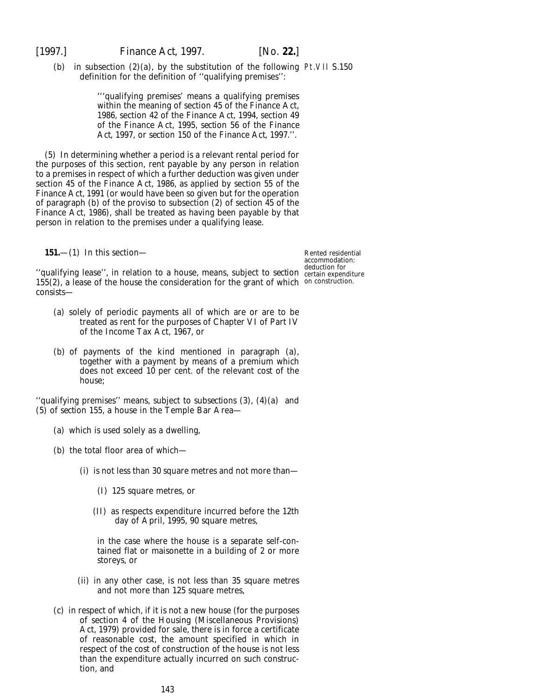(b) in subsection  $(2)(a)$ , by the substitution of the following Pt.VII S.150 definition for the definition of ''qualifying premises'':

> '''qualifying premises' means a qualifying premises within the meaning of section 45 of the Finance Act, 1986, section 42 of the Finance Act, 1994, section 49 of the Finance Act, 1995, *section 56* of the *Finance Act, 1997*, or *section 150* of the *Finance Act, 1997*.''.

(5) In determining whether a period is a relevant rental period for the purposes of this section, rent payable by any person in relation to a premises in respect of which a further deduction was given under section 45 of the Finance Act, 1986, as applied by section 55 of the Finance Act, 1991 (or would have been so given but for the operation of paragraph (*b*) of the proviso to subsection (2) of section 45 of the Finance Act, 1986), shall be treated as having been payable by that person in relation to the premises under a qualifying lease.

**151.**—(1) In this section—

Rented residential accommodation: deduction for

''qualifying lease'', in relation to a house, means, subject to *section* certain expenditure 155(2), a lease of the house the consideration for the grant of which on construction. consists—

- (*a*) solely of periodic payments all of which are or are to be treated as rent for the purposes of Chapter VI of Part IV of the Income Tax Act, 1967, or
- (*b*) of payments of the kind mentioned in *paragraph (a)*, together with a payment by means of a premium which does not exceed 10 per cent. of the relevant cost of the house;

''qualifying premises'' means, subject to *subsections (3), (4)(a)* and *(5)* of *section 155*, a house in the Temple Bar Area—

- (*a*) which is used solely as a dwelling,
- (*b*) the total floor area of which—
	- (i) is not less than 30 square metres and not more than—
		- (I) 125 square metres, or
		- (II) as respects expenditure incurred before the 12th day of April, 1995, 90 square metres,

in the case where the house is a separate self-contained flat or maisonette in a building of 2 or more storeys, or

- (ii) in any other case, is not less than 35 square metres and not more than 125 square metres,
- (*c*) in respect of which, if it is not a new house (for the purposes of section 4 of the Housing (Miscellaneous Provisions) Act, 1979) provided for sale, there is in force a certificate of reasonable cost, the amount specified in which in respect of the cost of construction of the house is not less than the expenditure actually incurred on such construction, and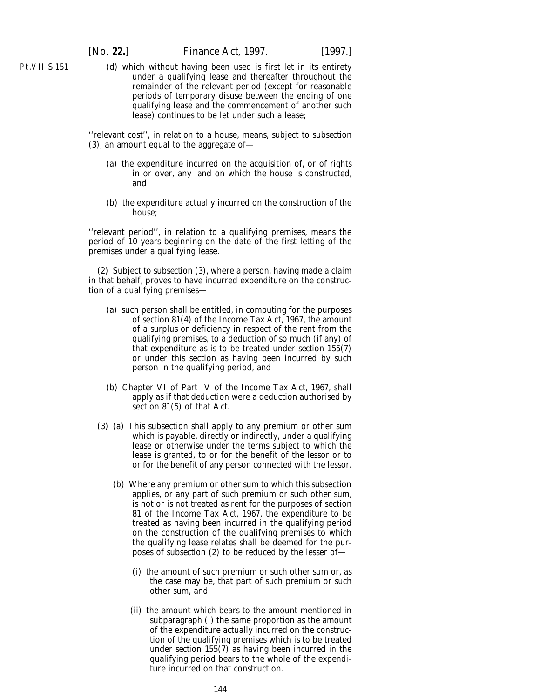Pt.VII S.151

(*d*) which without having been used is first let in its entirety under a qualifying lease and thereafter throughout the remainder of the relevant period (except for reasonable periods of temporary disuse between the ending of one qualifying lease and the commencement of another such lease) continues to be let under such a lease;

''relevant cost'', in relation to a house, means, subject to *subsection (3)*, an amount equal to the aggregate of—

- (*a*) the expenditure incurred on the acquisition of, or of rights in or over, any land on which the house is constructed, and
- (*b*) the expenditure actually incurred on the construction of the house;

''relevant period'', in relation to a qualifying premises, means the period of 10 years beginning on the date of the first letting of the premises under a qualifying lease.

(2) Subject to *subsection (3)*, where a person, having made a claim in that behalf, proves to have incurred expenditure on the construction of a qualifying premises—

- (*a*) such person shall be entitled, in computing for the purposes of section 81(4) of the Income Tax Act, 1967, the amount of a surplus or deficiency in respect of the rent from the qualifying premises, to a deduction of so much (if any) of that expenditure as is to be treated under *section 155(7)* or under this section as having been incurred by such person in the qualifying period, and
- (*b*) Chapter VI of Part IV of the Income Tax Act, 1967, shall apply as if that deduction were a deduction authorised by section 81(5) of that Act.
- (3) (*a*) This subsection shall apply to any premium or other sum which is payable, directly or indirectly, under a qualifying lease or otherwise under the terms subject to which the lease is granted, to or for the benefit of the lessor or to or for the benefit of any person connected with the lessor.
	- (*b*) Where any premium or other sum to which this subsection applies, or any part of such premium or such other sum, is not or is not treated as rent for the purposes of section 81 of the Income Tax Act, 1967, the expenditure to be treated as having been incurred in the qualifying period on the construction of the qualifying premises to which the qualifying lease relates shall be deemed for the purposes of *subsection (2)* to be reduced by the lesser of-
		- (i) the amount of such premium or such other sum or, as the case may be, that part of such premium or such other sum, and
		- (ii) the amount which bears to the amount mentioned in *subparagraph (i)* the same proportion as the amount of the expenditure actually incurred on the construction of the qualifying premises which is to be treated under *section 155(7)* as having been incurred in the qualifying period bears to the whole of the expenditure incurred on that construction.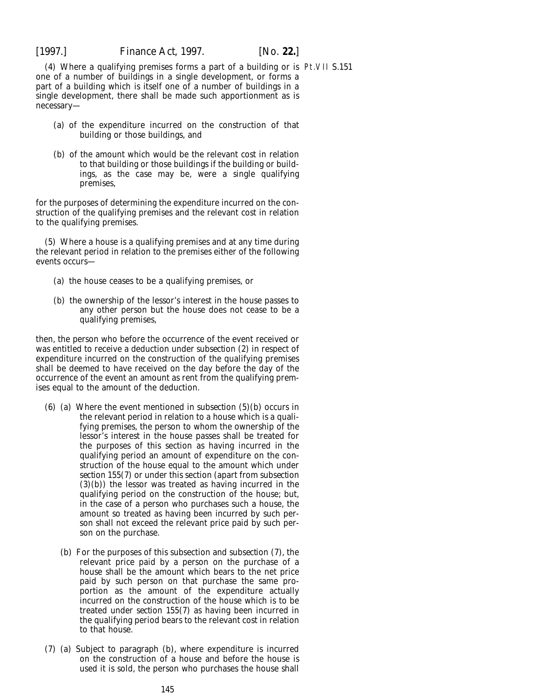(4) Where a qualifying premises forms a part of a building or is Pt.VII S.151one of a number of buildings in a single development, or forms a part of a building which is itself one of a number of buildings in a single development, there shall be made such apportionment as is necessary—

- (*a*) of the expenditure incurred on the construction of that building or those buildings, and
- (*b*) of the amount which would be the relevant cost in relation to that building or those buildings if the building or buildings, as the case may be, were a single qualifying premises,

for the purposes of determining the expenditure incurred on the construction of the qualifying premises and the relevant cost in relation to the qualifying premises.

(5) Where a house is a qualifying premises and at any time during the relevant period in relation to the premises either of the following events occurs—

- (*a*) the house ceases to be a qualifying premises, or
- (*b*) the ownership of the lessor's interest in the house passes to any other person but the house does not cease to be a qualifying premises,

then, the person who before the occurrence of the event received or was entitled to receive a deduction under *subsection (2)* in respect of expenditure incurred on the construction of the qualifying premises shall be deemed to have received on the day before the day of the occurrence of the event an amount as rent from the qualifying premises equal to the amount of the deduction.

- (6) (*a*) Where the event mentioned in *subsection (5)(b)* occurs in the relevant period in relation to a house which is a qualifying premises, the person to whom the ownership of the lessor's interest in the house passes shall be treated for the purposes of this section as having incurred in the qualifying period an amount of expenditure on the construction of the house equal to the amount which under *section 155(7)* or under this section (apart from *subsection (3)(b)*) the lessor was treated as having incurred in the qualifying period on the construction of the house; but, in the case of a person who purchases such a house, the amount so treated as having been incurred by such person shall not exceed the relevant price paid by such person on the purchase.
	- (*b*) For the purposes of this subsection and *subsection (7)*, the relevant price paid by a person on the purchase of a house shall be the amount which bears to the net price paid by such person on that purchase the same proportion as the amount of the expenditure actually incurred on the construction of the house which is to be treated under *section 155(7)* as having been incurred in the qualifying period bears to the relevant cost in relation to that house.
- (7) (*a*) Subject to *paragraph (b)*, where expenditure is incurred on the construction of a house and before the house is used it is sold, the person who purchases the house shall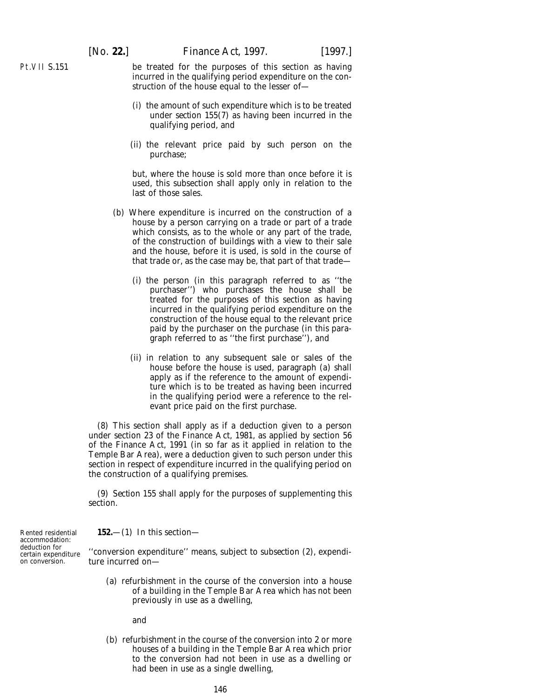Pt.VII S.151

be treated for the purposes of this section as having incurred in the qualifying period expenditure on the construction of the house equal to the lesser of—

- (i) the amount of such expenditure which is to be treated under *section 155(7)* as having been incurred in the qualifying period, and
- (ii) the relevant price paid by such person on the purchase;

but, where the house is sold more than once before it is used, this subsection shall apply only in relation to the last of those sales.

- (*b*) Where expenditure is incurred on the construction of a house by a person carrying on a trade or part of a trade which consists, as to the whole or any part of the trade, of the construction of buildings with a view to their sale and the house, before it is used, is sold in the course of that trade or, as the case may be, that part of that trade—
	- (i) the person (in this paragraph referred to as ''the purchaser'') who purchases the house shall be treated for the purposes of this section as having incurred in the qualifying period expenditure on the construction of the house equal to the relevant price paid by the purchaser on the purchase (in this paragraph referred to as ''the first purchase''), and
	- (ii) in relation to any subsequent sale or sales of the house before the house is used, *paragraph (a)* shall apply as if the reference to the amount of expenditure which is to be treated as having been incurred in the qualifying period were a reference to the relevant price paid on the first purchase.

(8) This section shall apply as if a deduction given to a person under section 23 of the Finance Act, 1981, as applied by section 56 of the Finance Act, 1991 (in so far as it applied in relation to the Temple Bar Area), were a deduction given to such person under this section in respect of expenditure incurred in the qualifying period on the construction of a qualifying premises.

(9) *Section 155* shall apply for the purposes of supplementing this section.

**152.**—(1) In this section—

Rented residential accommodation: deduction for certain expenditure on conversion.

''conversion expenditure'' means, subject to *subsection (2)*, expenditure incurred on—

(*a*) refurbishment in the course of the conversion into a house of a building in the Temple Bar Area which has not been previously in use as a dwelling,

and

(*b*) refurbishment in the course of the conversion into 2 or more houses of a building in the Temple Bar Area which prior to the conversion had not been in use as a dwelling or had been in use as a single dwelling,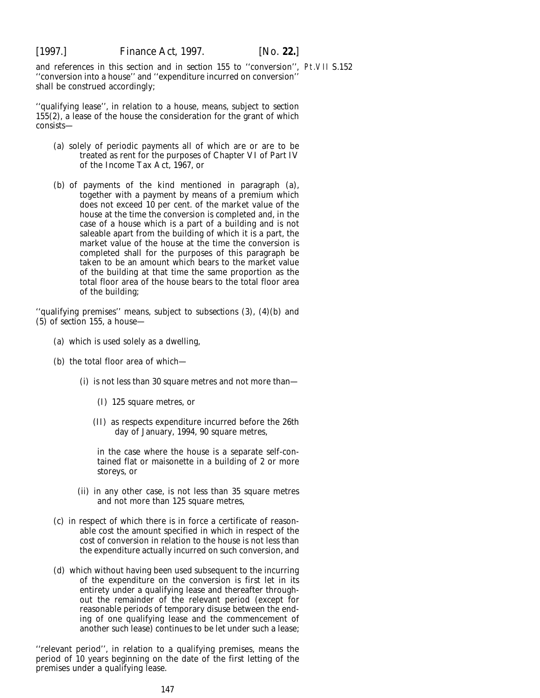and references in this section and in *section 155* to ''conversion'', Pt.VII S.152''conversion into a house'' and ''expenditure incurred on conversion'' shall be construed accordingly;

''qualifying lease'', in relation to a house, means, subject to *section 155(2)*, a lease of the house the consideration for the grant of which consists—

- (*a*) solely of periodic payments all of which are or are to be treated as rent for the purposes of Chapter VI of Part IV of the Income Tax Act, 1967, or
- (*b*) of payments of the kind mentioned in *paragraph (a)*, together with a payment by means of a premium which does not exceed 10 per cent. of the market value of the house at the time the conversion is completed and, in the case of a house which is a part of a building and is not saleable apart from the building of which it is a part, the market value of the house at the time the conversion is completed shall for the purposes of this paragraph be taken to be an amount which bears to the market value of the building at that time the same proportion as the total floor area of the house bears to the total floor area of the building;

''qualifying premises'' means, subject to *subsections (3), (4)(b)* and *(5)* of *section 155*, a house—

- (*a*) which is used solely as a dwelling,
- (*b*) the total floor area of which—
	- (i) is not less than 30 square metres and not more than—
		- (I) 125 square metres, or
		- (II) as respects expenditure incurred before the 26th day of January, 1994, 90 square metres,

in the case where the house is a separate self-contained flat or maisonette in a building of 2 or more storeys, or

- (ii) in any other case, is not less than 35 square metres and not more than 125 square metres,
- (*c*) in respect of which there is in force a certificate of reasonable cost the amount specified in which in respect of the cost of conversion in relation to the house is not less than the expenditure actually incurred on such conversion, and
- (*d*) which without having been used subsequent to the incurring of the expenditure on the conversion is first let in its entirety under a qualifying lease and thereafter throughout the remainder of the relevant period (except for reasonable periods of temporary disuse between the ending of one qualifying lease and the commencement of another such lease) continues to be let under such a lease;

''relevant period'', in relation to a qualifying premises, means the period of 10 years beginning on the date of the first letting of the premises under a qualifying lease.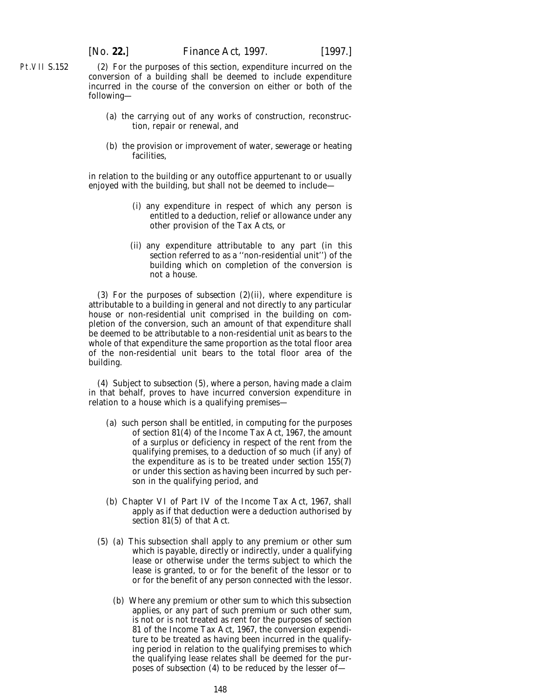(2) For the purposes of this section, expenditure incurred on the conversion of a building shall be deemed to include expenditure incurred in the course of the conversion on either or both of the following—

- (*a*) the carrying out of any works of construction, reconstruction, repair or renewal, and
- (*b*) the provision or improvement of water, sewerage or heating facilities,

in relation to the building or any outoffice appurtenant to or usually enjoyed with the building, but shall not be deemed to include—

- (i) any expenditure in respect of which any person is entitled to a deduction, relief or allowance under any other provision of the Tax Acts, or
- (ii) any expenditure attributable to any part (in this section referred to as a ''non-residential unit'') of the building which on completion of the conversion is not a house.

(3) For the purposes of *subsection (2)(ii)*, where expenditure is attributable to a building in general and not directly to any particular house or non-residential unit comprised in the building on completion of the conversion, such an amount of that expenditure shall be deemed to be attributable to a non-residential unit as bears to the whole of that expenditure the same proportion as the total floor area of the non-residential unit bears to the total floor area of the building.

(4) Subject to *subsection (5)*, where a person, having made a claim in that behalf, proves to have incurred conversion expenditure in relation to a house which is a qualifying premises—

- (*a*) such person shall be entitled, in computing for the purposes of section 81(4) of the Income Tax Act, 1967, the amount of a surplus or deficiency in respect of the rent from the qualifying premises, to a deduction of so much (if any) of the expenditure as is to be treated under *section 155(7)* or under this section as having been incurred by such person in the qualifying period, and
- (*b*) Chapter VI of Part IV of the Income Tax Act, 1967, shall apply as if that deduction were a deduction authorised by section 81(5) of that Act.
- (5) (*a*) This subsection shall apply to any premium or other sum which is payable, directly or indirectly, under a qualifying lease or otherwise under the terms subject to which the lease is granted, to or for the benefit of the lessor or to or for the benefit of any person connected with the lessor.
	- (*b*) Where any premium or other sum to which this subsection applies, or any part of such premium or such other sum, is not or is not treated as rent for the purposes of section 81 of the Income Tax Act, 1967, the conversion expenditure to be treated as having been incurred in the qualifying period in relation to the qualifying premises to which the qualifying lease relates shall be deemed for the purposes of *subsection* (4) to be reduced by the lesser of-

Pt.VII S.152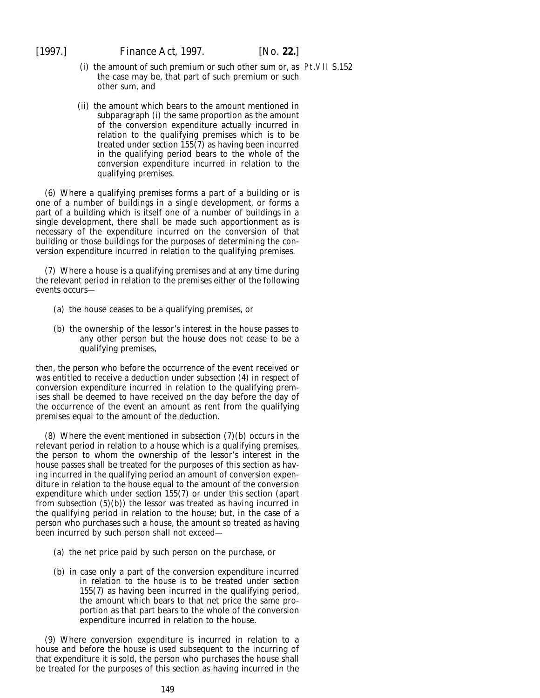- (i) the amount of such premium or such other sum or, as Pt.VII S.152the case may be, that part of such premium or such other sum, and
- (ii) the amount which bears to the amount mentioned in *subparagraph (i)* the same proportion as the amount of the conversion expenditure actually incurred in relation to the qualifying premises which is to be treated under *section 155(7)* as having been incurred in the qualifying period bears to the whole of the conversion expenditure incurred in relation to the qualifying premises.

(6) Where a qualifying premises forms a part of a building or is one of a number of buildings in a single development, or forms a part of a building which is itself one of a number of buildings in a single development, there shall be made such apportionment as is necessary of the expenditure incurred on the conversion of that building or those buildings for the purposes of determining the conversion expenditure incurred in relation to the qualifying premises.

(7) Where a house is a qualifying premises and at any time during the relevant period in relation to the premises either of the following events occurs—

- (*a*) the house ceases to be a qualifying premises, or
- (*b*) the ownership of the lessor's interest in the house passes to any other person but the house does not cease to be a qualifying premises,

then, the person who before the occurrence of the event received or was entitled to receive a deduction under *subsection (4)* in respect of conversion expenditure incurred in relation to the qualifying premises shall be deemed to have received on the day before the day of the occurrence of the event an amount as rent from the qualifying premises equal to the amount of the deduction.

(8) Where the event mentioned in *subsection (7)(b)* occurs in the relevant period in relation to a house which is a qualifying premises, the person to whom the ownership of the lessor's interest in the house passes shall be treated for the purposes of this section as having incurred in the qualifying period an amount of conversion expenditure in relation to the house equal to the amount of the conversion expenditure which under *section 155(7)* or under this section (apart from *subsection (5)(b)*) the lessor was treated as having incurred in the qualifying period in relation to the house; but, in the case of a person who purchases such a house, the amount so treated as having been incurred by such person shall not exceed—

- (*a*) the net price paid by such person on the purchase, or
- (*b*) in case only a part of the conversion expenditure incurred in relation to the house is to be treated under *section 155(7)* as having been incurred in the qualifying period, the amount which bears to that net price the same proportion as that part bears to the whole of the conversion expenditure incurred in relation to the house.

(9) Where conversion expenditure is incurred in relation to a house and before the house is used subsequent to the incurring of that expenditure it is sold, the person who purchases the house shall be treated for the purposes of this section as having incurred in the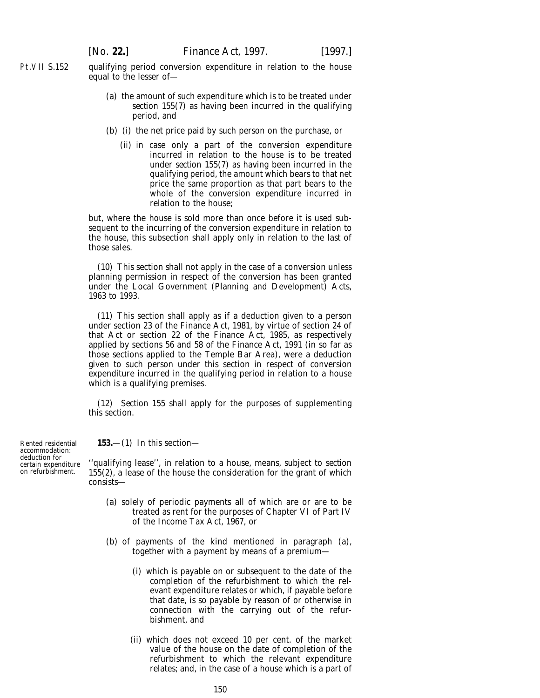Pt.VII S.152 qualifying period conversion expenditure in relation to the house equal to the lesser of—

- (*a*) the amount of such expenditure which is to be treated under *section 155(7)* as having been incurred in the qualifying period, and
- (*b*) (i) the net price paid by such person on the purchase, or
	- (ii) in case only a part of the conversion expenditure incurred in relation to the house is to be treated under *section 155(7)* as having been incurred in the qualifying period, the amount which bears to that net price the same proportion as that part bears to the whole of the conversion expenditure incurred in relation to the house;

but, where the house is sold more than once before it is used subsequent to the incurring of the conversion expenditure in relation to the house, this subsection shall apply only in relation to the last of those sales.

(10) This section shall not apply in the case of a conversion unless planning permission in respect of the conversion has been granted under the Local Government (Planning and Development) Acts, 1963 to 1993.

(11) This section shall apply as if a deduction given to a person under section 23 of the Finance Act, 1981, by virtue of section 24 of that Act or section 22 of the Finance Act, 1985, as respectively applied by sections 56 and 58 of the Finance Act, 1991 (in so far as those sections applied to the Temple Bar Area), were a deduction given to such person under this section in respect of conversion expenditure incurred in the qualifying period in relation to a house which is a qualifying premises.

(12) *Section 155* shall apply for the purposes of supplementing this section.

Rented residential accommodation: deduction for certain expenditure on refurbishment.

**153.**—(1) In this section—

''qualifying lease'', in relation to a house, means, subject to *section 155(2)*, a lease of the house the consideration for the grant of which consists—

- (*a*) solely of periodic payments all of which are or are to be treated as rent for the purposes of Chapter VI of Part IV of the Income Tax Act, 1967, or
- (*b*) of payments of the kind mentioned in *paragraph (a)*, together with a payment by means of a premium—
	- (i) which is payable on or subsequent to the date of the completion of the refurbishment to which the relevant expenditure relates or which, if payable before that date, is so payable by reason of or otherwise in connection with the carrying out of the refurbishment, and
	- (ii) which does not exceed 10 per cent. of the market value of the house on the date of completion of the refurbishment to which the relevant expenditure relates; and, in the case of a house which is a part of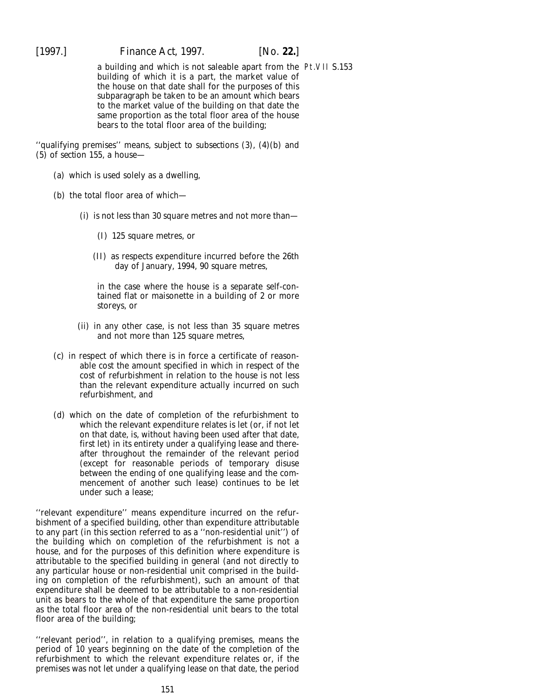[1997.] *Finance Act,* 1997. [*No.* **22.**]

a building and which is not saleable apart from the Pt.VII S.153building of which it is a part, the market value of the house on that date shall for the purposes of this subparagraph be taken to be an amount which bears to the market value of the building on that date the same proportion as the total floor area of the house bears to the total floor area of the building;

''qualifying premises'' means, subject to *subsections (3), (4)(b)* and *(5)* of *section 155*, a house—

- (*a*) which is used solely as a dwelling,
- (*b*) the total floor area of which—
	- (i) is not less than 30 square metres and not more than—
		- (I) 125 square metres, or
		- (II) as respects expenditure incurred before the 26th day of January, 1994, 90 square metres,

in the case where the house is a separate self-contained flat or maisonette in a building of 2 or more storeys, or

- (ii) in any other case, is not less than 35 square metres and not more than 125 square metres,
- (*c*) in respect of which there is in force a certificate of reasonable cost the amount specified in which in respect of the cost of refurbishment in relation to the house is not less than the relevant expenditure actually incurred on such refurbishment, and
- (*d*) which on the date of completion of the refurbishment to which the relevant expenditure relates is let (or, if not let on that date, is, without having been used after that date, first let) in its entirety under a qualifying lease and thereafter throughout the remainder of the relevant period (except for reasonable periods of temporary disuse between the ending of one qualifying lease and the commencement of another such lease) continues to be let under such a lease;

''relevant expenditure'' means expenditure incurred on the refurbishment of a specified building, other than expenditure attributable to any part (in this section referred to as a ''non-residential unit'') of the building which on completion of the refurbishment is not a house, and for the purposes of this definition where expenditure is attributable to the specified building in general (and not directly to any particular house or non-residential unit comprised in the building on completion of the refurbishment), such an amount of that expenditure shall be deemed to be attributable to a non-residential unit as bears to the whole of that expenditure the same proportion as the total floor area of the non-residential unit bears to the total floor area of the building;

''relevant period'', in relation to a qualifying premises, means the period of 10 years beginning on the date of the completion of the refurbishment to which the relevant expenditure relates or, if the premises was not let under a qualifying lease on that date, the period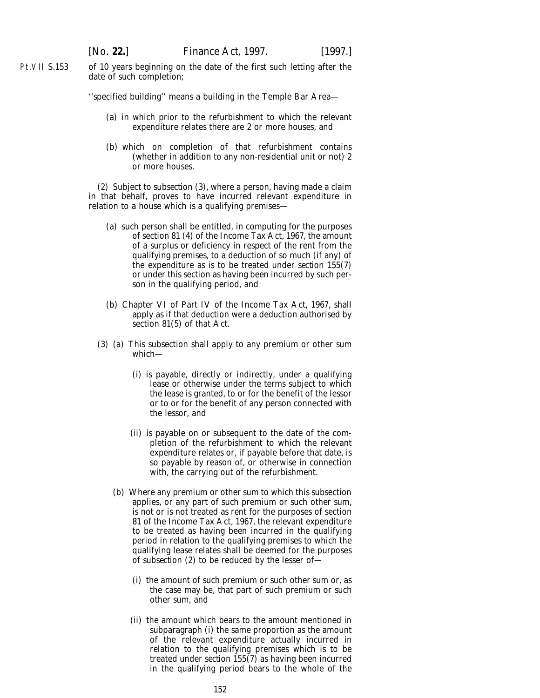Pt.VII S.153 of 10 years beginning on the date of the first such letting after the date of such completion;

''specified building'' means a building in the Temple Bar Area—

- (*a*) in which prior to the refurbishment to which the relevant expenditure relates there are 2 or more houses, and
- (*b*) which on completion of that refurbishment contains (whether in addition to any non-residential unit or not) 2 or more houses.

(2) Subject to *subsection (3)*, where a person, having made a claim in that behalf, proves to have incurred relevant expenditure in relation to a house which is a qualifying premises—

- (*a*) such person shall be entitled, in computing for the purposes of section 81 (4) of the Income Tax Act, 1967, the amount of a surplus or deficiency in respect of the rent from the qualifying premises, to a deduction of so much (if any) of the expenditure as is to be treated under *section 155(7)* or under this section as having been incurred by such person in the qualifying period, and
- (*b*) Chapter VI of Part IV of the Income Tax Act, 1967, shall apply as if that deduction were a deduction authorised by section 81(5) of that Act.
- (3) (*a*) This subsection shall apply to any premium or other sum which—
	- (i) is payable, directly or indirectly, under a qualifying lease or otherwise under the terms subject to which the lease is granted, to or for the benefit of the lessor or to or for the benefit of any person connected with the lessor, and
	- (ii) is payable on or subsequent to the date of the completion of the refurbishment to which the relevant expenditure relates or, if payable before that date, is so payable by reason of, or otherwise in connection with, the carrying out of the refurbishment.
	- (*b*) Where any premium or other sum to which this subsection applies, or any part of such premium or such other sum, is not or is not treated as rent for the purposes of section 81 of the Income Tax Act, 1967, the relevant expenditure to be treated as having been incurred in the qualifying period in relation to the qualifying premises to which the qualifying lease relates shall be deemed for the purposes of *subsection (2)* to be reduced by the lesser of—
		- (i) the amount of such premium or such other sum or, as the case may be, that part of such premium or such other sum, and
		- (ii) the amount which bears to the amount mentioned in *subparagraph (i)* the same proportion as the amount of the relevant expenditure actually incurred in relation to the qualifying premises which is to be treated under *section 155(7)* as having been incurred in the qualifying period bears to the whole of the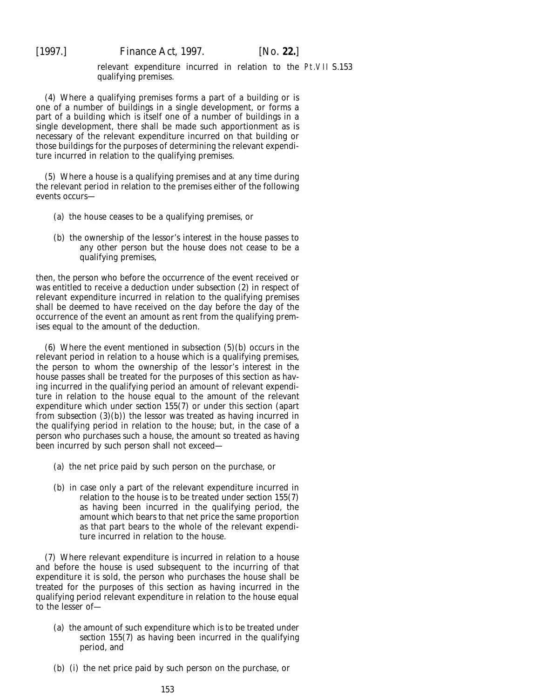relevant expenditure incurred in relation to the Pt.VII S.153qualifying premises.

(4) Where a qualifying premises forms a part of a building or is one of a number of buildings in a single development, or forms a part of a building which is itself one of a number of buildings in a single development, there shall be made such apportionment as is necessary of the relevant expenditure incurred on that building or those buildings for the purposes of determining the relevant expenditure incurred in relation to the qualifying premises.

(5) Where a house is a qualifying premises and at any time during the relevant period in relation to the premises either of the following events occurs—

- (*a*) the house ceases to be a qualifying premises, or
- (*b*) the ownership of the lessor's interest in the house passes to any other person but the house does not cease to be a qualifying premises,

then, the person who before the occurrence of the event received or was entitled to receive a deduction under *subsection (2)* in respect of relevant expenditure incurred in relation to the qualifying premises shall be deemed to have received on the day before the day of the occurrence of the event an amount as rent from the qualifying premises equal to the amount of the deduction.

(6) Where the event mentioned in *subsection (5)(b)* occurs in the relevant period in relation to a house which is a qualifying premises, the person to whom the ownership of the lessor's interest in the house passes shall be treated for the purposes of this section as having incurred in the qualifying period an amount of relevant expenditure in relation to the house equal to the amount of the relevant expenditure which under *section 155(7)* or under this section (apart from *subsection (3)(b)*) the lessor was treated as having incurred in the qualifying period in relation to the house; but, in the case of a person who purchases such a house, the amount so treated as having been incurred by such person shall not exceed—

- (*a*) the net price paid by such person on the purchase, or
- (*b*) in case only a part of the relevant expenditure incurred in relation to the house is to be treated under *section 155(7)* as having been incurred in the qualifying period, the amount which bears to that net price the same proportion as that part bears to the whole of the relevant expenditure incurred in relation to the house.

(7) Where relevant expenditure is incurred in relation to a house and before the house is used subsequent to the incurring of that expenditure it is sold, the person who purchases the house shall be treated for the purposes of this section as having incurred in the qualifying period relevant expenditure in relation to the house equal to the lesser of—

- (*a*) the amount of such expenditure which is to be treated under *section 155(7)* as having been incurred in the qualifying period, and
- (*b*) (i) the net price paid by such person on the purchase, or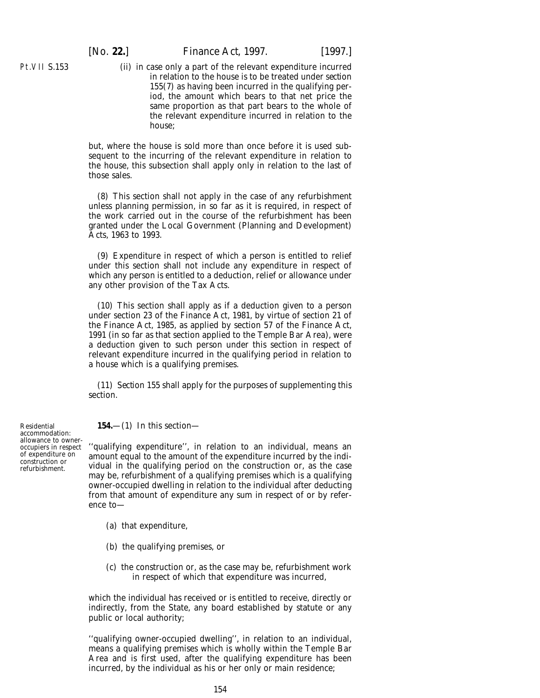Pt.VII S.153

(ii) in case only a part of the relevant expenditure incurred in relation to the house is to be treated under *section 155(7)* as having been incurred in the qualifying period, the amount which bears to that net price the same proportion as that part bears to the whole of the relevant expenditure incurred in relation to the house;

but, where the house is sold more than once before it is used subsequent to the incurring of the relevant expenditure in relation to the house, this subsection shall apply only in relation to the last of those sales.

(8) This section shall not apply in the case of any refurbishment unless planning permission, in so far as it is required, in respect of the work carried out in the course of the refurbishment has been granted under the Local Government (Planning and Development) Acts, 1963 to 1993.

(9) Expenditure in respect of which a person is entitled to relief under this section shall not include any expenditure in respect of which any person is entitled to a deduction, relief or allowance under any other provision of the Tax Acts.

(10) This section shall apply as if a deduction given to a person under section 23 of the Finance Act, 1981, by virtue of section 21 of the Finance Act, 1985, as applied by section 57 of the Finance Act, 1991 (in so far as that section applied to the Temple Bar Area), were a deduction given to such person under this section in respect of relevant expenditure incurred in the qualifying period in relation to a house which is a qualifying premises.

(11) *Section 155* shall apply for the purposes of supplementing this section.

**154.**—(1) In this section—

''qualifying expenditure'', in relation to an individual, means an amount equal to the amount of the expenditure incurred by the individual in the qualifying period on the construction or, as the case may be, refurbishment of a qualifying premises which is a qualifying owner-occupied dwelling in relation to the individual after deducting from that amount of expenditure any sum in respect of or by reference to—

- (*a*) that expenditure,
- (*b*) the qualifying premises, or
- (*c*) the construction or, as the case may be, refurbishment work in respect of which that expenditure was incurred,

which the individual has received or is entitled to receive, directly or indirectly, from the State, any board established by statute or any public or local authority;

''qualifying owner-occupied dwelling'', in relation to an individual, means a qualifying premises which is wholly within the Temple Bar Area and is first used, after the qualifying expenditure has been incurred, by the individual as his or her only or main residence;

Residential accommodation: allowance to owneroccupiers in respect of expenditure on construction or refurbishment.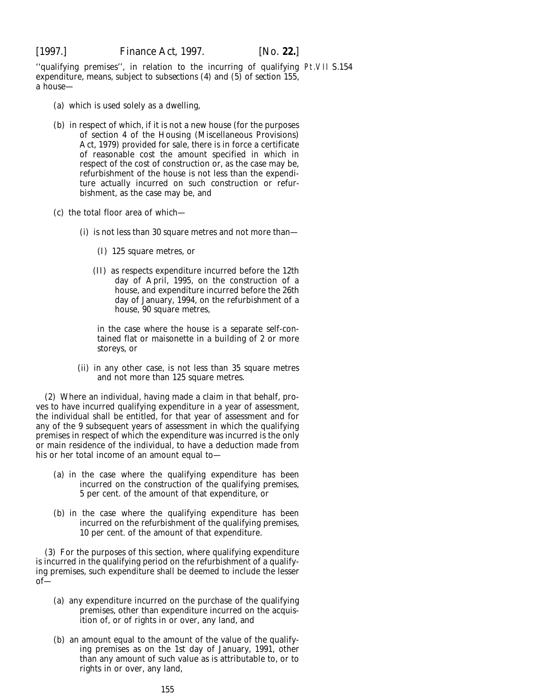''qualifying premises'', in relation to the incurring of qualifying Pt.VII S.154expenditure, means, subject to *subsections (4)* and *(5)* of *section 155*, a house—

- (*a*) which is used solely as a dwelling,
- (*b*) in respect of which, if it is not a new house (for the purposes of section 4 of the Housing (Miscellaneous Provisions) Act, 1979) provided for sale, there is in force a certificate of reasonable cost the amount specified in which in respect of the cost of construction or, as the case may be, refurbishment of the house is not less than the expenditure actually incurred on such construction or refurbishment, as the case may be, and
- (*c*) the total floor area of which—
	- (i) is not less than 30 square metres and not more than—
		- (I) 125 square metres, or
		- (II) as respects expenditure incurred before the 12th day of April, 1995, on the construction of a house, and expenditure incurred before the 26th day of January, 1994, on the refurbishment of a house, 90 square metres,

in the case where the house is a separate self-contained flat or maisonette in a building of 2 or more storeys, or

(ii) in any other case, is not less than 35 square metres and not more than 125 square metres.

(2) Where an individual, having made a claim in that behalf, proves to have incurred qualifying expenditure in a year of assessment, the individual shall be entitled, for that year of assessment and for any of the 9 subsequent years of assessment in which the qualifying premises in respect of which the expenditure was incurred is the only or main residence of the individual, to have a deduction made from his or her total income of an amount equal to—

- (*a*) in the case where the qualifying expenditure has been incurred on the construction of the qualifying premises, 5 per cent. of the amount of that expenditure, or
- (*b*) in the case where the qualifying expenditure has been incurred on the refurbishment of the qualifying premises, 10 per cent. of the amount of that expenditure.

(3) For the purposes of this section, where qualifying expenditure is incurred in the qualifying period on the refurbishment of a qualifying premises, such expenditure shall be deemed to include the lesser of—

- (*a*) any expenditure incurred on the purchase of the qualifying premises, other than expenditure incurred on the acquisition of, or of rights in or over, any land, and
- (*b*) an amount equal to the amount of the value of the qualifying premises as on the 1st day of January, 1991, other than any amount of such value as is attributable to, or to rights in or over, any land,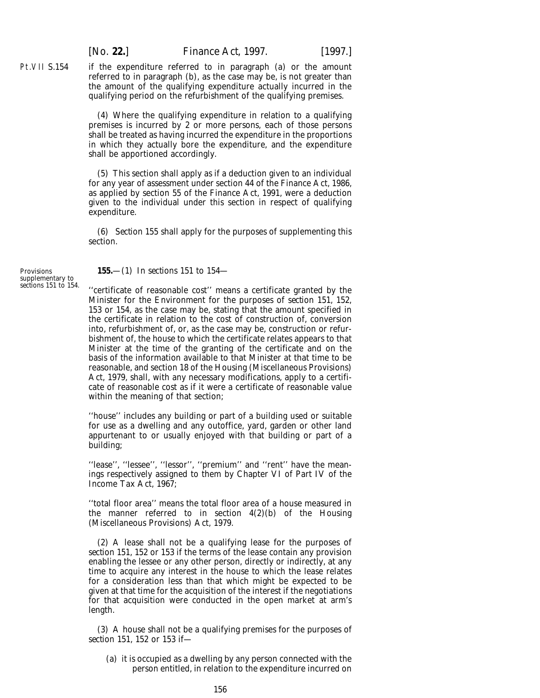if the expenditure referred to in *paragraph (a)* or the amount referred to in *paragraph (b)*, as the case may be, is not greater than the amount of the qualifying expenditure actually incurred in the qualifying period on the refurbishment of the qualifying premises.

(4) Where the qualifying expenditure in relation to a qualifying premises is incurred by 2 or more persons, each of those persons shall be treated as having incurred the expenditure in the proportions in which they actually bore the expenditure, and the expenditure shall be apportioned accordingly.

(5) This section shall apply as if a deduction given to an individual for any year of assessment under section 44 of the Finance Act, 1986, as applied by section 55 of the Finance Act, 1991, were a deduction given to the individual under this section in respect of qualifying expenditure.

(6) *Section 155* shall apply for the purposes of supplementing this section.

**Provisions** supplementary to *sections 151* to *154*.

Pt.VII S.154

**155.**—(1) In *sections 151* to *154*—

''certificate of reasonable cost'' means a certificate granted by the Minister for the Environment for the purposes of *section 151*, *152*, *153* or *154*, as the case may be, stating that the amount specified in the certificate in relation to the cost of construction of, conversion into, refurbishment of, or, as the case may be, construction or refurbishment of, the house to which the certificate relates appears to that Minister at the time of the granting of the certificate and on the basis of the information available to that Minister at that time to be reasonable, and section 18 of the Housing (Miscellaneous Provisions) Act, 1979, shall, with any necessary modifications, apply to a certificate of reasonable cost as if it were a certificate of reasonable value within the meaning of that section;

''house'' includes any building or part of a building used or suitable for use as a dwelling and any outoffice, yard, garden or other land appurtenant to or usually enjoyed with that building or part of a building;

"lease", "lessee", "lessor", "premium" and "rent" have the meanings respectively assigned to them by Chapter VI of Part IV of the Income Tax Act, 1967;

''total floor area'' means the total floor area of a house measured in the manner referred to in section  $4(2)(b)$  of the Housing (Miscellaneous Provisions) Act, 1979.

(2) A lease shall not be a qualifying lease for the purposes of *section 151*, *152* or *153* if the terms of the lease contain any provision enabling the lessee or any other person, directly or indirectly, at any time to acquire any interest in the house to which the lease relates for a consideration less than that which might be expected to be given at that time for the acquisition of the interest if the negotiations for that acquisition were conducted in the open market at arm's length.

(3) A house shall not be a qualifying premises for the purposes of *section 151*, *152* or *153* if—

(*a*) it is occupied as a dwelling by any person connected with the person entitled, in relation to the expenditure incurred on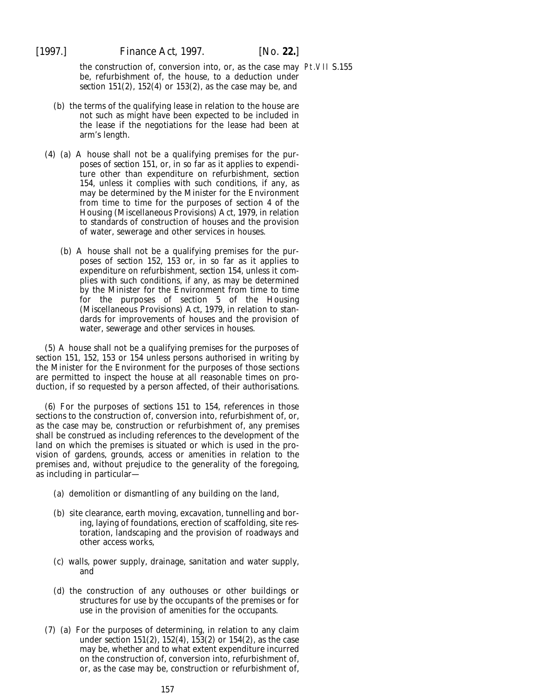the construction of, conversion into, or, as the case may Pt.VII S.155be, refurbishment of, the house, to a deduction under *section 151(2)*, *152(4)* or *153(2)*, as the case may be, and

- (*b*) the terms of the qualifying lease in relation to the house are not such as might have been expected to be included in the lease if the negotiations for the lease had been at arm's length.
- (4) (*a*) A house shall not be a qualifying premises for the purposes of *section 151*, or, in so far as it applies to expenditure other than expenditure on refurbishment, *section 154*, unless it complies with such conditions, if any, as may be determined by the Minister for the Environment from time to time for the purposes of section 4 of the Housing (Miscellaneous Provisions) Act, 1979, in relation to standards of construction of houses and the provision of water, sewerage and other services in houses.
	- (*b*) A house shall not be a qualifying premises for the purposes of *section 152*, *153* or, in so far as it applies to expenditure on refurbishment, *section 154*, unless it complies with such conditions, if any, as may be determined by the Minister for the Environment from time to time for the purposes of section 5 of the Housing (Miscellaneous Provisions) Act, 1979, in relation to standards for improvements of houses and the provision of water, sewerage and other services in houses.

(5) A house shall not be a qualifying premises for the purposes of *section 151*, *152*, *153* or *154* unless persons authorised in writing by the Minister for the Environment for the purposes of those sections are permitted to inspect the house at all reasonable times on production, if so requested by a person affected, of their authorisations.

(6) For the purposes of *sections 151* to *154*, references in those sections to the construction of, conversion into, refurbishment of, or, as the case may be, construction or refurbishment of, any premises shall be construed as including references to the development of the land on which the premises is situated or which is used in the provision of gardens, grounds, access or amenities in relation to the premises and, without prejudice to the generality of the foregoing, as including in particular—

- (*a*) demolition or dismantling of any building on the land,
- (*b*) site clearance, earth moving, excavation, tunnelling and boring, laying of foundations, erection of scaffolding, site restoration, landscaping and the provision of roadways and other access works,
- (*c*) walls, power supply, drainage, sanitation and water supply, and
- (*d*) the construction of any outhouses or other buildings or structures for use by the occupants of the premises or for use in the provision of amenities for the occupants.
- (7) (*a*) For the purposes of determining, in relation to any claim under *section 151(2), 152(4), 153(2)* or *154(2)*, as the case may be, whether and to what extent expenditure incurred on the construction of, conversion into, refurbishment of, or, as the case may be, construction or refurbishment of,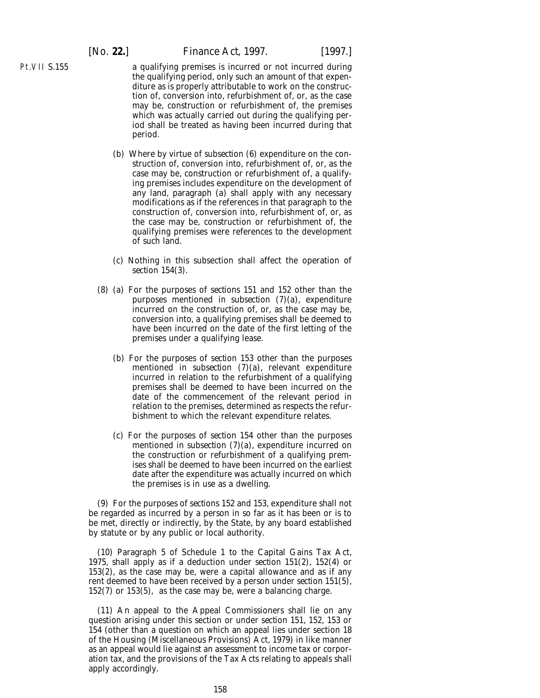Pt.VII S.155

- a qualifying premises is incurred or not incurred during the qualifying period, only such an amount of that expenditure as is properly attributable to work on the construction of, conversion into, refurbishment of, or, as the case may be, construction or refurbishment of, the premises which was actually carried out during the qualifying period shall be treated as having been incurred during that period.
- (*b*) Where by virtue of *subsection (6)* expenditure on the construction of, conversion into, refurbishment of, or, as the case may be, construction or refurbishment of, a qualifying premises includes expenditure on the development of any land, *paragraph (a)* shall apply with any necessary modifications as if the references in that paragraph to the construction of, conversion into, refurbishment of, or, as the case may be, construction or refurbishment of, the qualifying premises were references to the development of such land.
- (*c*) Nothing in this subsection shall affect the operation of *section 154(3).*
- (8) (*a*) For the purposes of *sections 151* and *152* other than the purposes mentioned in *subsection (7)(a)*, expenditure incurred on the construction of, or, as the case may be, conversion into, a qualifying premises shall be deemed to have been incurred on the date of the first letting of the premises under a qualifying lease.
	- (*b*) For the purposes of *section 153* other than the purposes mentioned in *subsection (7)(a)*, relevant expenditure incurred in relation to the refurbishment of a qualifying premises shall be deemed to have been incurred on the date of the commencement of the relevant period in relation to the premises, determined as respects the refurbishment to which the relevant expenditure relates.
	- (*c*) For the purposes of *section 154* other than the purposes mentioned in *subsection (7)(a)*, expenditure incurred on the construction or refurbishment of a qualifying premises shall be deemed to have been incurred on the earliest date after the expenditure was actually incurred on which the premises is in use as a dwelling.

(9) For the purposes of *sections 152* and *153*, expenditure shall not be regarded as incurred by a person in so far as it has been or is to be met, directly or indirectly, by the State, by any board established by statute or by any public or local authority.

(10) Paragraph 5 of Schedule 1 to the Capital Gains Tax Act, 1975, shall apply as if a deduction under *section 151(2)*, *152(4)* or *153(2)*, as the case may be, were a capital allowance and as if any rent deemed to have been received by a person under *section 151(5), 152(7)* or *153(5)*, as the case may be, were a balancing charge.

(11) An appeal to the Appeal Commissioners shall lie on any question arising under this section or under *section 151*, *152*, *153* or *154* (other than a question on which an appeal lies under section 18 of the Housing (Miscellaneous Provisions) Act, 1979) in like manner as an appeal would lie against an assessment to income tax or corporation tax, and the provisions of the Tax Acts relating to appeals shall apply accordingly.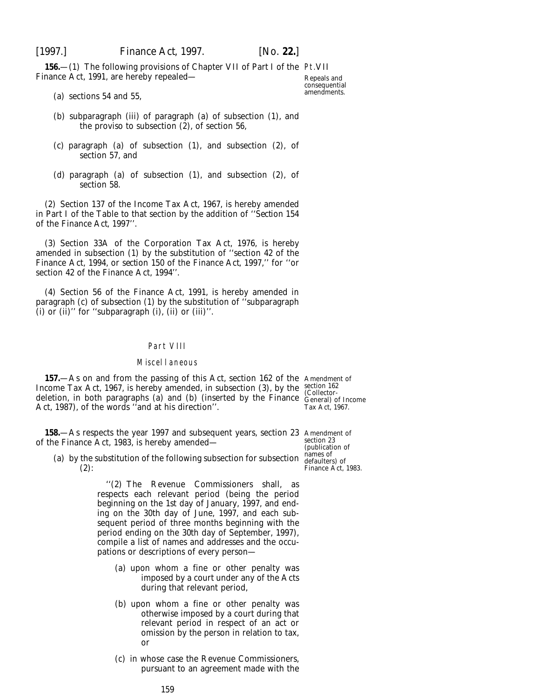156 – (1) The following provisions of Chapter VII of Part I of the Pt. VII Finance Act, 1991, are hereby repealed—

Repeals and consequential amendments.

- (*a*) sections 54 and 55,
- (*b*) subparagraph (iii) of paragraph (*a*) of subsection (1), and the proviso to subsection (2), of section 56,
- (*c*) paragraph (*a*) of subsection (1), and subsection (2), of section 57, and
- (*d*) paragraph (*a*) of subsection (1), and subsection (2), of section 58.

(2) Section 137 of the Income Tax Act, 1967, is hereby amended in Part I of the Table to that section by the addition of ''*Section 154* of the *Finance Act, 1997*''.

(3) Section 33A of the Corporation Tax Act, 1976, is hereby amended in subsection (1) by the substitution of ''section 42 of the Finance Act, 1994, or *section 150* of the *Finance Act, 1997*,'' for ''or section 42 of the Finance Act, 1994''.

(4) Section 56 of the Finance Act, 1991, is hereby amended in paragraph (*c*) of subsection (1) by the substitution of ''subparagraph (i) or (ii)" for "subparagraph  $(i)$ ,  $(ii)$  or  $(iii)$ ".

### Part VIII

### Miscellaneous

**157.**—As on and from the passing of this Act, section 162 of the Amendment of Income Tax Act, 1967, is hereby amended, in subsection (3), by the deletion, in both paragraphs (*a*) and (*b*) (inserted by the Finance Act, 1987), of the words ''and at his direction''.

section 162 (Collector-General) of Income Tax Act, 1967.

**158.**—As respects the year 1997 and subsequent years, section 23 Amendment of of the Finance Act, 1983, is hereby amended—

(*a*) by the substitution of the following subsection for subsection  $(2)$ :

> ''(2) The Revenue Commissioners shall, as respects each relevant period (being the period beginning on the 1st day of January, 1997, and ending on the 30th day of June, 1997, and each subsequent period of three months beginning with the period ending on the 30th day of September, 1997), compile a list of names and addresses and the occupations or descriptions of every person—

- (*a*) upon whom a fine or other penalty was imposed by a court under any of the Acts during that relevant period,
- (*b*) upon whom a fine or other penalty was otherwise imposed by a court during that relevant period in respect of an act or omission by the person in relation to tax, or
- (*c*) in whose case the Revenue Commissioners, pursuant to an agreement made with the

section 23 (publication of names of defaulters) of Finance Act, 1983.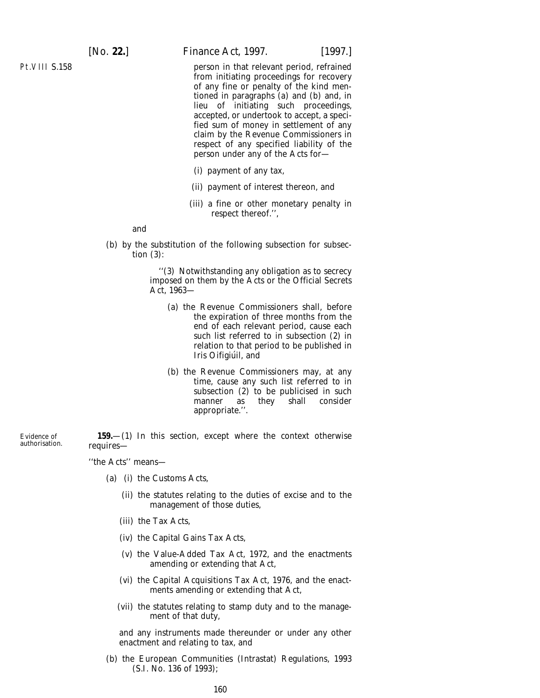Pt.VIII S.158

Evidence of authorisation. [*No.* **22.**] *Finance Act,* 1997. [1997.]

person in that relevant period, refrained from initiating proceedings for recovery of any fine or penalty of the kind mentioned in paragraphs (*a*) and (*b*) and, in lieu of initiating such proceedings, accepted, or undertook to accept, a specified sum of money in settlement of any claim by the Revenue Commissioners in respect of any specified liability of the person under any of the Acts for—

- (i) payment of any tax,
- (ii) payment of interest thereon, and
- (iii) a fine or other monetary penalty in respect thereof.'',

and

(*b*) by the substitution of the following subsection for subsection (3):

> ''(3) Notwithstanding any obligation as to secrecy imposed on them by the Acts or the Official Secrets Act, 1963—

- (*a*) the Revenue Commissioners shall, before the expiration of three months from the end of each relevant period, cause each such list referred to in subsection (2) in relation to that period to be published in *Iris Oifigiu´il,* and
- (*b*) the Revenue Commissioners may, at any time, cause any such list referred to in subsection (2) to be publicised in such manner as they shall consider appropriate.''.

**159.**—(1) In this section, except where the context otherwise requires—

''the Acts'' means—

- (*a*) (i) the Customs Acts,
	- (ii) the statutes relating to the duties of excise and to the management of those duties,
	- (iii) the Tax Acts,
	- (iv) the Capital Gains Tax Acts,
	- (v) the Value-Added Tax Act, 1972, and the enactments amending or extending that Act,
	- (vi) the Capital Acquisitions Tax Act, 1976, and the enactments amending or extending that Act,
	- (vii) the statutes relating to stamp duty and to the management of that duty,

and any instruments made thereunder or under any other enactment and relating to tax, and

(*b*) the European Communities (Intrastat) Regulations, 1993 (S.I. No. 136 of 1993);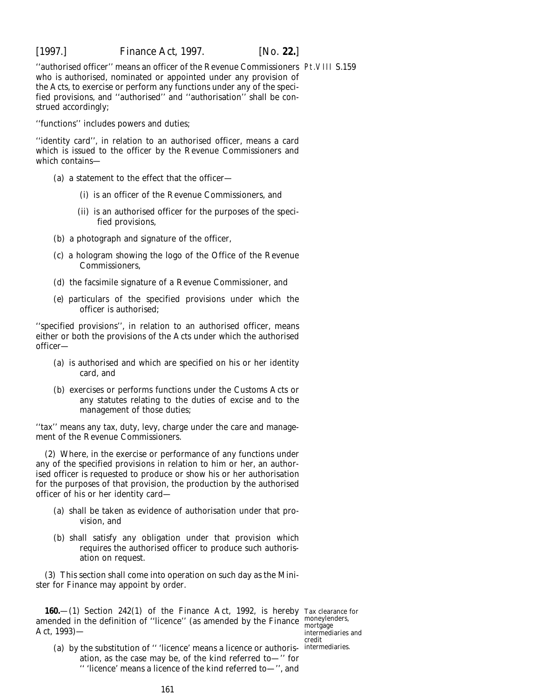"authorised officer" means an officer of the Revenue Commissioners Pt.VIII S.159 who is authorised, nominated or appointed under any provision of the Acts, to exercise or perform any functions under any of the specified provisions, and ''authorised'' and ''authorisation'' shall be construed accordingly;

''functions'' includes powers and duties;

''identity card'', in relation to an authorised officer, means a card which is issued to the officer by the Revenue Commissioners and which contains—

- (*a*) a statement to the effect that the officer—
	- (i) is an officer of the Revenue Commissioners, and
	- (ii) is an authorised officer for the purposes of the specified provisions,
- (*b*) a photograph and signature of the officer,
- (*c*) a hologram showing the logo of the Office of the Revenue Commissioners,
- (*d*) the facsimile signature of a Revenue Commissioner, and
- (*e*) particulars of the specified provisions under which the officer is authorised;

''specified provisions'', in relation to an authorised officer, means either or both the provisions of the Acts under which the authorised officer—

- (*a*) is authorised and which are specified on his or her identity card, and
- (*b*) exercises or performs functions under the Customs Acts or any statutes relating to the duties of excise and to the management of those duties;

''tax'' means any tax, duty, levy, charge under the care and management of the Revenue Commissioners.

(2) Where, in the exercise or performance of any functions under any of the specified provisions in relation to him or her, an authorised officer is requested to produce or show his or her authorisation for the purposes of that provision, the production by the authorised officer of his or her identity card—

- (*a*) shall be taken as evidence of authorisation under that provision, and
- (*b*) shall satisfy any obligation under that provision which requires the authorised officer to produce such authorisation on request.

(3) This section shall come into operation on such day as the Minister for Finance may appoint by order.

**160.**—(1) Section 242(1) of the Finance Act, 1992, is hereby Tax clearance for amended in the definition of "licence" (as amended by the Finance  $\frac{\text{money} }{\text{mort} 290}$ Act, 1993)—

(a) by the substitution of "'licence' means a licence or authoris-intermediaries. ation, as the case may be, of the kind referred to—'' for '' 'licence' means a licence of the kind referred to—'', and

mortgage intermediaries and credit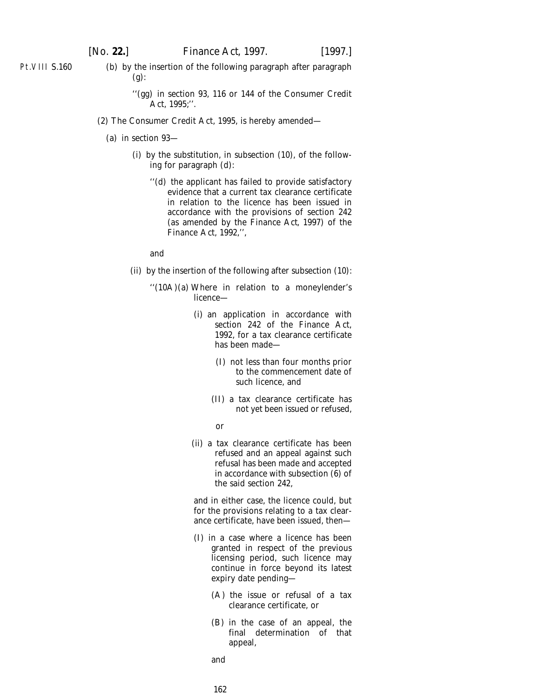Pt.VIII S.160

(*b*) by the insertion of the following paragraph after paragraph (*g*):

- (2) The Consumer Credit Act, 1995, is hereby amended—
	- (*a*) in section 93—
		- (i) by the substitution, in subsection (10), of the following for paragraph (*d*):
			- ''(*d*) the applicant has failed to provide satisfactory evidence that a current tax clearance certificate in relation to the licence has been issued in accordance with the provisions of section 242 (as amended by the *Finance Act, 1997*) of the Finance Act, 1992,'',

and

- (ii) by the insertion of the following after subsection (10):
	- ''(10A)(*a*) Where in relation to a moneylender's licence—
		- (i) an application in accordance with section 242 of the Finance Act, 1992, for a tax clearance certificate has been made—
			- (I) not less than four months prior to the commencement date of such licence, and
			- (II) a tax clearance certificate has not yet been issued or refused,
			- or
		- (ii) a tax clearance certificate has been refused and an appeal against such refusal has been made and accepted in accordance with subsection  $(6)$  of the said section 242,

and in either case, the licence could, but for the provisions relating to a tax clearance certificate, have been issued, then—

- (I) in a case where a licence has been granted in respect of the previous licensing period, such licence may continue in force beyond its latest expiry date pending—
	- (A) the issue or refusal of a tax clearance certificate, or
	- (B) in the case of an appeal, the final determination of that appeal,

and

162

<sup>&#</sup>x27;'(*gg*) in section 93, 116 or 144 of the Consumer Credit Act, 1995;''.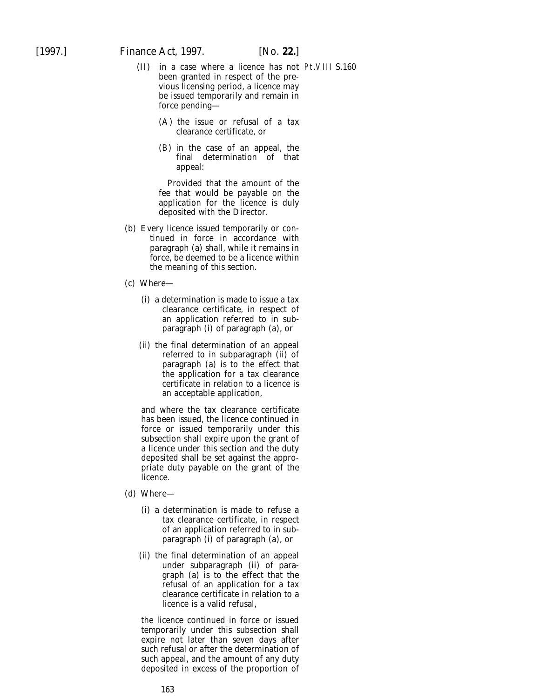- (II) in a case where a licence has not Pt.VIII S.160been granted in respect of the previous licensing period, a licence may be issued temporarily and remain in force pending—
	- (A) the issue or refusal of a tax clearance certificate, or
	- (B) in the case of an appeal, the final determination of that appeal:

Provided that the amount of the fee that would be payable on the application for the licence is duly deposited with the Director.

- (*b*) Every licence issued temporarily or continued in force in accordance with paragraph (*a*) shall, while it remains in force, be deemed to be a licence within the meaning of this section.
- (*c*) Where—
	- (i) a determination is made to issue a tax clearance certificate, in respect of an application referred to in subparagraph (i) of paragraph (*a*), or
	- (ii) the final determination of an appeal referred to in subparagraph (ii) of paragraph (*a*) is to the effect that the application for a tax clearance certificate in relation to a licence is an acceptable application,

and where the tax clearance certificate has been issued, the licence continued in force or issued temporarily under this subsection shall expire upon the grant of a licence under this section and the duty deposited shall be set against the appropriate duty payable on the grant of the licence.

- (*d*) Where—
	- (i) a determination is made to refuse a tax clearance certificate, in respect of an application referred to in subparagraph (i) of paragraph (*a*), or
	- (ii) the final determination of an appeal under subparagraph (ii) of paragraph (*a*) is to the effect that the refusal of an application for a tax clearance certificate in relation to a licence is a valid refusal,

the licence continued in force or issued temporarily under this subsection shall expire not later than seven days after such refusal or after the determination of such appeal, and the amount of any duty deposited in excess of the proportion of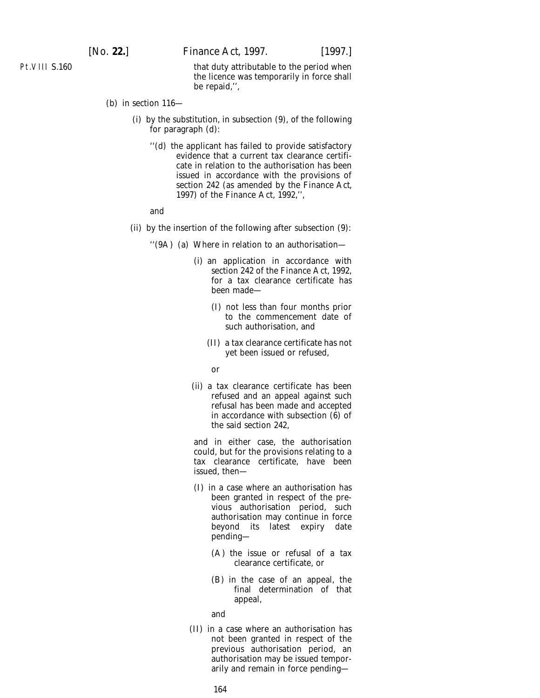Pt.VIII S.160

that duty attributable to the period when the licence was temporarily in force shall be repaid,'',

- (*b*) in section 116—
	- (i) by the substitution, in subsection (9), of the following for paragraph (*d*):
		- ''(*d*) the applicant has failed to provide satisfactory evidence that a current tax clearance certificate in relation to the authorisation has been issued in accordance with the provisions of section 242 (as amended by the *Finance Act, 1997*) of the Finance Act, 1992,'',

and

- (ii) by the insertion of the following after subsection (9):
	- ''(9A) (*a*) Where in relation to an authorisation—
		- (i) an application in accordance with section 242 of the Finance Act, 1992, for a tax clearance certificate has been made—
			- (I) not less than four months prior to the commencement date of such authorisation, and
			- (II) a tax clearance certificate has not yet been issued or refused,

or

(ii) a tax clearance certificate has been refused and an appeal against such refusal has been made and accepted in accordance with subsection  $(\hat{6})$  of the said section 242,

and in either case, the authorisation could, but for the provisions relating to a tax clearance certificate, have been issued, then—

- (I) in a case where an authorisation has been granted in respect of the previous authorisation period, such authorisation may continue in force beyond its latest expiry date pending—
	- (A) the issue or refusal of a tax clearance certificate, or
	- (B) in the case of an appeal, the final determination of that appeal,

and

(II) in a case where an authorisation has not been granted in respect of the previous authorisation period, an authorisation may be issued temporarily and remain in force pending—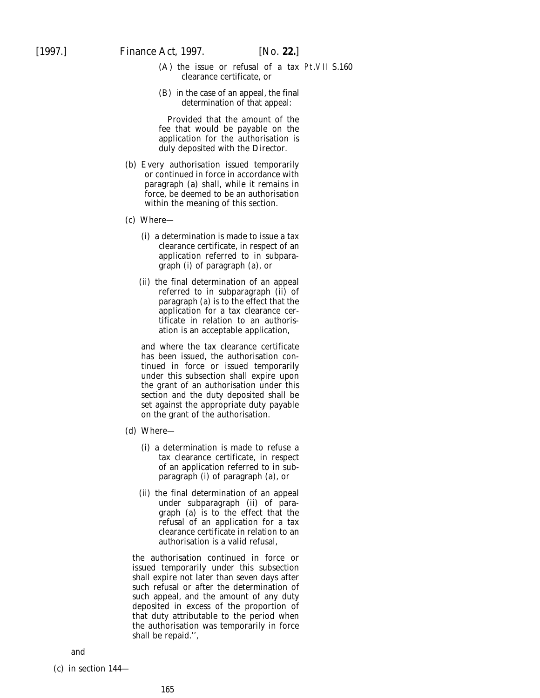- (A) the issue or refusal of a tax Pt.VII S.160clearance certificate, or
- (B) in the case of an appeal, the final determination of that appeal:

Provided that the amount of the fee that would be payable on the application for the authorisation is duly deposited with the Director.

- (*b*) Every authorisation issued temporarily or continued in force in accordance with paragraph (*a*) shall, while it remains in force, be deemed to be an authorisation within the meaning of this section.
- (*c*) Where—
	- (i) a determination is made to issue a tax clearance certificate, in respect of an application referred to in subparagraph (i) of paragraph (*a*), or
	- (ii) the final determination of an appeal referred to in subparagraph (ii) of paragraph (*a*) is to the effect that the application for a tax clearance certificate in relation to an authorisation is an acceptable application,

and where the tax clearance certificate has been issued, the authorisation continued in force or issued temporarily under this subsection shall expire upon the grant of an authorisation under this section and the duty deposited shall be set against the appropriate duty payable on the grant of the authorisation.

- (*d*) Where—
	- (i) a determination is made to refuse a tax clearance certificate, in respect of an application referred to in subparagraph (i) of paragraph (*a*), or
	- (ii) the final determination of an appeal under subparagraph (ii) of paragraph (*a*) is to the effect that the refusal of an application for a tax clearance certificate in relation to an authorisation is a valid refusal,

the authorisation continued in force or issued temporarily under this subsection shall expire not later than seven days after such refusal or after the determination of such appeal, and the amount of any duty deposited in excess of the proportion of that duty attributable to the period when the authorisation was temporarily in force shall be repaid.'',

### and

(*c*) in section 144—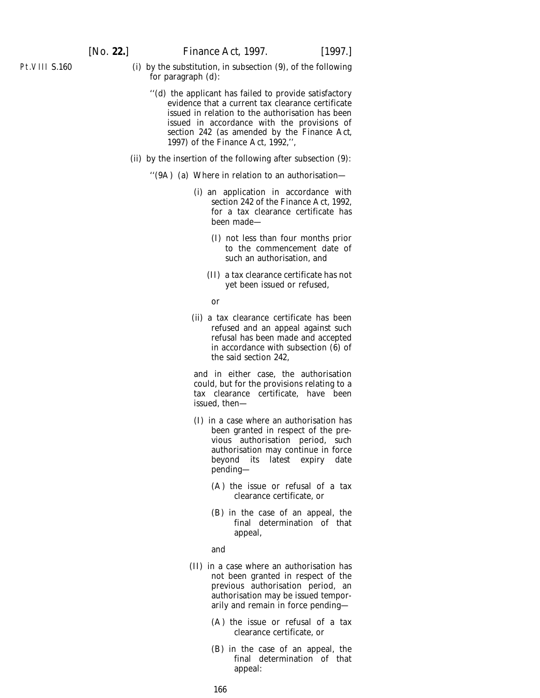- (i) by the substitution, in subsection (9), of the following for paragraph (*d*):
	- ''(*d*) the applicant has failed to provide satisfactory evidence that a current tax clearance certificate issued in relation to the authorisation has been issued in accordance with the provisions of section 242 (as amended by the *Finance Act, 1997*) of the Finance Act, 1992,'',
- (ii) by the insertion of the following after subsection (9):
	- ''(9A) (*a*) Where in relation to an authorisation—
		- (i) an application in accordance with section 242 of the Finance Act, 1992, for a tax clearance certificate has been made—
			- (I) not less than four months prior to the commencement date of such an authorisation, and
			- (II) a tax clearance certificate has not yet been issued or refused,

or

(ii) a tax clearance certificate has been refused and an appeal against such refusal has been made and accepted in accordance with subsection (6) of the said section 242,

and in either case, the authorisation could, but for the provisions relating to a tax clearance certificate, have been issued, then—

- (I) in a case where an authorisation has been granted in respect of the previous authorisation period, such authorisation may continue in force beyond its latest expiry date pending—
	- (A) the issue or refusal of a tax clearance certificate, or
	- (B) in the case of an appeal, the final determination of that appeal,

and

- (II) in a case where an authorisation has not been granted in respect of the previous authorisation period, an authorisation may be issued temporarily and remain in force pending—
	- (A) the issue or refusal of a tax clearance certificate, or
	- (B) in the case of an appeal, the final determination of that appeal: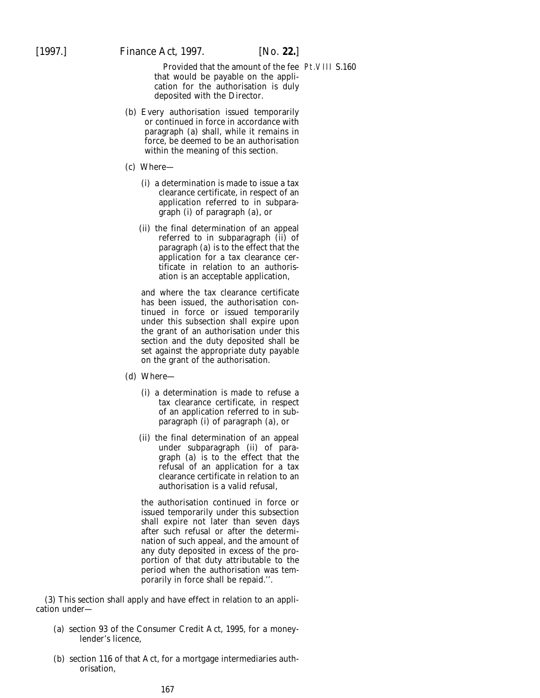Provided that the amount of the fee Pt.VIII S.160that would be payable on the application for the authorisation is duly deposited with the Director.

- (*b*) Every authorisation issued temporarily or continued in force in accordance with paragraph (*a*) shall, while it remains in force, be deemed to be an authorisation within the meaning of this section.
- (*c*) Where—
	- (i) a determination is made to issue a tax clearance certificate, in respect of an application referred to in subparagraph (i) of paragraph (*a*), or
	- (ii) the final determination of an appeal referred to in subparagraph (ii) of paragraph (*a*) is to the effect that the application for a tax clearance certificate in relation to an authorisation is an acceptable application,

and where the tax clearance certificate has been issued, the authorisation continued in force or issued temporarily under this subsection shall expire upon the grant of an authorisation under this section and the duty deposited shall be set against the appropriate duty payable on the grant of the authorisation.

- (*d*) Where—
	- (i) a determination is made to refuse a tax clearance certificate, in respect of an application referred to in subparagraph (i) of paragraph (*a*), or
	- (ii) the final determination of an appeal under subparagraph (ii) of paragraph (*a*) is to the effect that the refusal of an application for a tax clearance certificate in relation to an authorisation is a valid refusal,

the authorisation continued in force or issued temporarily under this subsection shall expire not later than seven days after such refusal or after the determination of such appeal, and the amount of any duty deposited in excess of the proportion of that duty attributable to the period when the authorisation was temporarily in force shall be repaid.''.

(3) This section shall apply and have effect in relation to an application under—

- (*a*) section 93 of the Consumer Credit Act, 1995, for a moneylender's licence,
- (*b*) section 116 of that Act, for a mortgage intermediaries authorisation,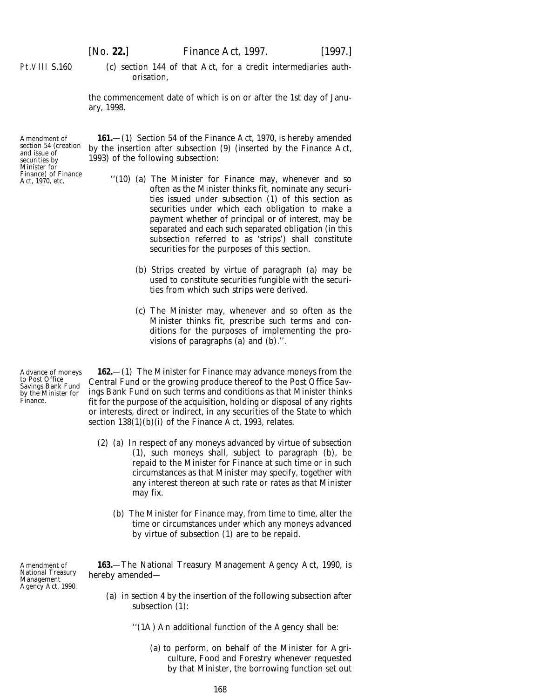Pt.VIII S.160

(*c*) section 144 of that Act, for a credit intermediaries authorisation,

the commencement date of which is on or after the 1st day of January, 1998.

Amendment of section 54 (creation and issue of securities by Minister for Finance) of Finance Act, 1970, etc.

Advance of moneys to Post Office Savings Bank Fund by the Minister for

Finance.

**161.**—(1) Section 54 of the Finance Act, 1970, is hereby amended by the insertion after subsection (9) (inserted by the Finance Act, 1993) of the following subsection:

- ''(10) (*a*) The Minister for Finance may, whenever and so often as the Minister thinks fit, nominate any securities issued under subsection (1) of this section as securities under which each obligation to make a payment whether of principal or of interest, may be separated and each such separated obligation (in this subsection referred to as 'strips') shall constitute securities for the purposes of this section.
	- (*b*) Strips created by virtue of paragraph (*a*) may be used to constitute securities fungible with the securities from which such strips were derived.
	- (*c*) The Minister may, whenever and so often as the Minister thinks fit, prescribe such terms and conditions for the purposes of implementing the provisions of paragraphs (*a*) and (*b*).''.

**162.**—(1) The Minister for Finance may advance moneys from the Central Fund or the growing produce thereof to the Post Office Savings Bank Fund on such terms and conditions as that Minister thinks fit for the purpose of the acquisition, holding or disposal of any rights or interests, direct or indirect, in any securities of the State to which section  $138(1)(b)(i)$  of the Finance Act, 1993, relates.

- (2) (*a*) In respect of any moneys advanced by virtue of *subsection (1)*, such moneys shall, subject to *paragraph (b)*, be repaid to the Minister for Finance at such time or in such circumstances as that Minister may specify, together with any interest thereon at such rate or rates as that Minister may fix.
	- (*b*) The Minister for Finance may, from time to time, alter the time or circumstances under which any moneys advanced by virtue of *subsection (1)* are to be repaid.

Amendment of National Treasury Management Agency Act, 1990.

**163.**—The National Treasury Management Agency Act, 1990, is hereby amended—

- (*a*) in section 4 by the insertion of the following subsection after subsection (1):
	- ''(1A) An additional function of the Agency shall be:
		- (*a*) to perform, on behalf of the Minister for Agriculture, Food and Forestry whenever requested by that Minister, the borrowing function set out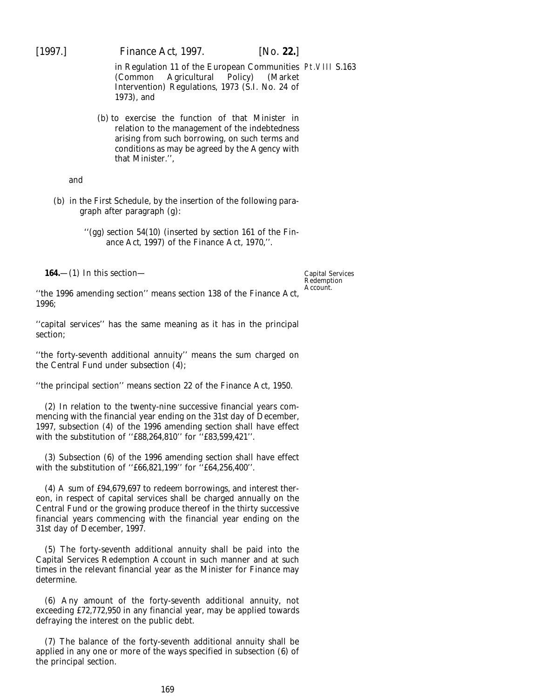[1997.] *Finance Act,* 1997. [*No.* **22.**]

in Regulation 11 of the European Communities Pt.VIII S.163 (Common Agricultural Policy) (Market Intervention) Regulations, 1973 (S.I. No. 24 of 1973), and

(*b*) to exercise the function of that Minister in relation to the management of the indebtedness arising from such borrowing, on such terms and conditions as may be agreed by the Agency with that Minister.'',

and

(*b*) in the First Schedule, by the insertion of the following paragraph after paragraph (*g*):

> ''(*gg*) section 54(10) (inserted by *section 161* of the *Finance Act, 1997*) of the Finance Act, 1970,''.

**164.**—(1) In this section—

Capital Services Redemption Account.

''the 1996 amending section'' means section 138 of the Finance Act, 1996;

''capital services'' has the same meaning as it has in the principal section;

''the forty-seventh additional annuity'' means the sum charged on the Central Fund under *subsection (4)*;

''the principal section'' means section 22 of the Finance Act, 1950.

(2) In relation to the twenty-nine successive financial years commencing with the financial year ending on the 31st day of December, 1997, subsection (4) of the 1996 amending section shall have effect with the substitution of ''£88,264,810'' for ''£83,599,421''.

(3) Subsection (6) of the 1996 amending section shall have effect with the substitution of ''£66,821,199'' for ''£64,256,400''.

(4) A sum of £94,679,697 to redeem borrowings, and interest thereon, in respect of capital services shall be charged annually on the Central Fund or the growing produce thereof in the thirty successive financial years commencing with the financial year ending on the 31st day of December, 1997.

(5) The forty-seventh additional annuity shall be paid into the Capital Services Redemption Account in such manner and at such times in the relevant financial year as the Minister for Finance may determine.

(6) Any amount of the forty-seventh additional annuity, not exceeding £72,772,950 in any financial year, may be applied towards defraying the interest on the public debt.

(7) The balance of the forty-seventh additional annuity shall be applied in any one or more of the ways specified in subsection (6) of the principal section.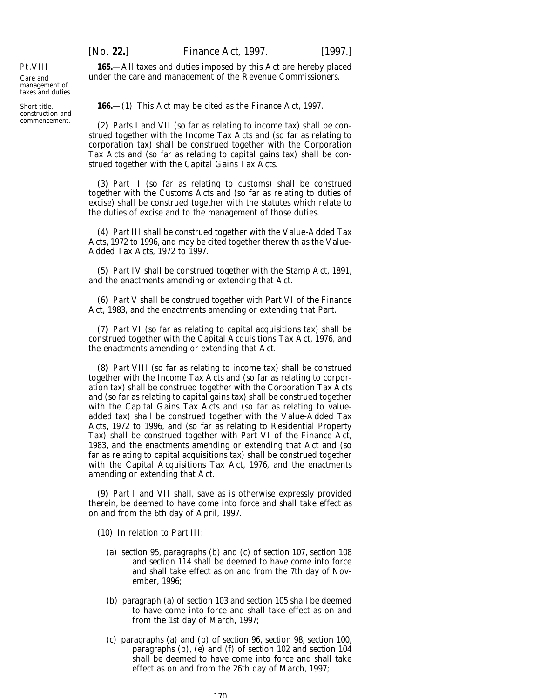[*No.* **22.**] *Finance Act,* 1997. [1997.] **165.**—All taxes and duties imposed by this Act are hereby placed

Pt.VIII

Care and management of taxes and duties.

Short title, construction and commencement.

**166.**—(1) This Act may be cited as the Finance Act, 1997.

under the care and management of the Revenue Commissioners.

(2) *Parts I* and *VII* (so far as relating to income tax) shall be construed together with the Income Tax Acts and (so far as relating to corporation tax) shall be construed together with the Corporation Tax Acts and (so far as relating to capital gains tax) shall be construed together with the Capital Gains Tax Acts.

(3) *Part II* (so far as relating to customs) shall be construed together with the Customs Acts and (so far as relating to duties of excise) shall be construed together with the statutes which relate to the duties of excise and to the management of those duties.

(4) *Part III* shall be construed together with the Value-Added Tax Acts, 1972 to 1996, and may be cited together therewith as the Value-Added Tax Acts, 1972 to 1997.

(5) *Part IV* shall be construed together with the Stamp Act, 1891, and the enactments amending or extending that Act.

(6) *Part V* shall be construed together with Part VI of the Finance Act, 1983, and the enactments amending or extending that Part.

(7) *Part VI* (so far as relating to capital acquisitions tax) shall be construed together with the Capital Acquisitions Tax Act, 1976, and the enactments amending or extending that Act.

(8) *Part VIII* (so far as relating to income tax) shall be construed together with the Income Tax Acts and (so far as relating to corporation tax) shall be construed together with the Corporation Tax Acts and (so far as relating to capital gains tax) shall be construed together with the Capital Gains Tax Acts and (so far as relating to valueadded tax) shall be construed together with the Value-Added Tax Acts, 1972 to 1996, and (so far as relating to Residential Property Tax) shall be construed together with Part VI of the Finance Act, 1983, and the enactments amending or extending that Act and (so far as relating to capital acquisitions tax) shall be construed together with the Capital Acquisitions Tax Act, 1976, and the enactments amending or extending that Act.

(9) *Part I* and *VII* shall, save as is otherwise expressly provided therein, be deemed to have come into force and shall take effect as on and from the 6th day of April, 1997.

(10) In relation to *Part III*:

- (*a*) *section 95*, paragraphs (*b*) and *(c)* of *section 107*, *section 108* and *section 114* shall be deemed to have come into force and shall take effect as on and from the 7th day of November, 1996;
- (*b*) *paragraph (a)* of *section 103* and *section 105* shall be deemed to have come into force and shall take effect as on and from the 1st day of March, 1997;
- (*c*) *paragraphs (a)* and *(b)* of *section 96*, *section 98*, *section 100*, *paragraphs (b)*, *(e)* and *(f)* of *section 102* and *section 104* shall be deemed to have come into force and shall take effect as on and from the 26th day of March, 1997;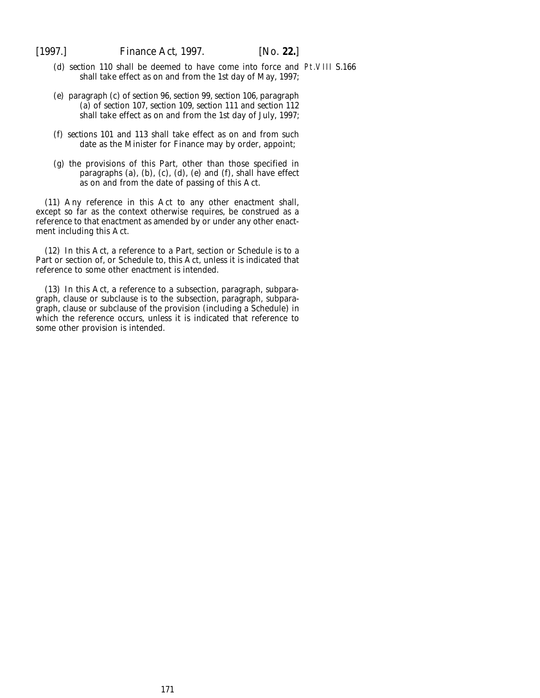- (*d*) *section 110* shall be deemed to have come into force and Pt.VIII S.166shall take effect as on and from the 1st day of May, 1997;
- (*e*) *paragraph (c)* of *section 96*, *section 99*, *section 106*, *paragraph (a)* of *section 107*, *section 109*, *section 111* and *section 112* shall take effect as on and from the 1st day of July, 1997;
- (*f*) *sections 101* and *113* shall take effect as on and from such date as the Minister for Finance may by order, appoint;
- (*g*) the provisions of this Part, other than those specified in *paragraphs (a)*, *(b)*, *(c)*, *(d)*, *(e)* and *(f)*, shall have effect as on and from the date of passing of this Act.

(11) Any reference in this Act to any other enactment shall, except so far as the context otherwise requires, be construed as a reference to that enactment as amended by or under any other enactment including this Act.

(12) In this Act, a reference to a Part, section or Schedule is to a Part or section of, or Schedule to, this Act, unless it is indicated that reference to some other enactment is intended.

(13) In this Act, a reference to a subsection, paragraph, subparagraph, clause or subclause is to the subsection, paragraph, subparagraph, clause or subclause of the provision (including a Schedule) in which the reference occurs, unless it is indicated that reference to some other provision is intended.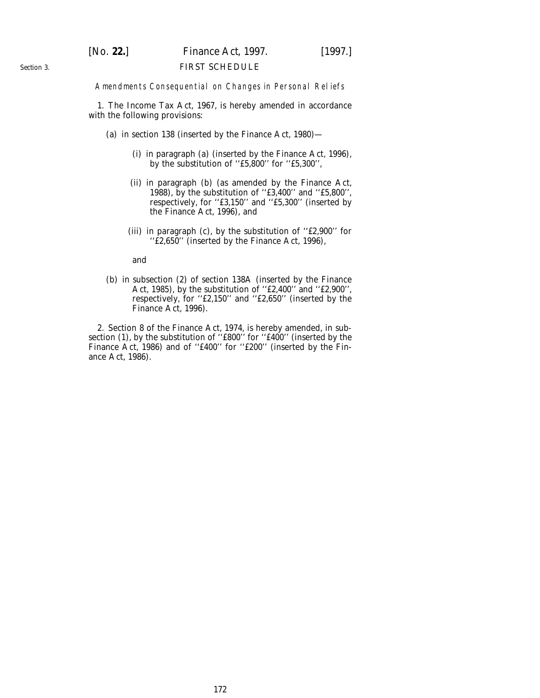# [*No.* **22.**] *Finance Act,* 1997. [1997.]

### FIRST SCHEDULE

Amendments Consequential on Changes in Personal Reliefs

1. The Income Tax Act, 1967, is hereby amended in accordance with the following provisions:

- (*a*) in section 138 (inserted by the Finance Act, 1980)—
	- (i) in paragraph (*a*) (inserted by the Finance Act, 1996), by the substitution of ''£5,800'' for ''£5,300'',
	- (ii) in paragraph (*b*) (as amended by the Finance Act, 1988), by the substitution of ''£3,400'' and ''£5,800'', respectively, for ''£3,150'' and ''£5,300'' (inserted by the Finance Act, 1996), and
	- (iii) in paragraph (*c*), by the substitution of ''£2,900'' for ''£2,650'' (inserted by the Finance Act, 1996),

and

(*b*) in subsection (2) of section 138A (inserted by the Finance Act, 1985), by the substitution of ''£2,400'' and ''£2,900'', respectively, for ''£2,150'' and ''£2,650'' (inserted by the Finance Act, 1996).

2. Section 8 of the Finance Act, 1974, is hereby amended, in subsection (1), by the substitution of ''£800'' for ''£400'' (inserted by the Finance Act, 1986) and of "£400" for "£200" (inserted by the Finance Act, 1986).

*Section 3*.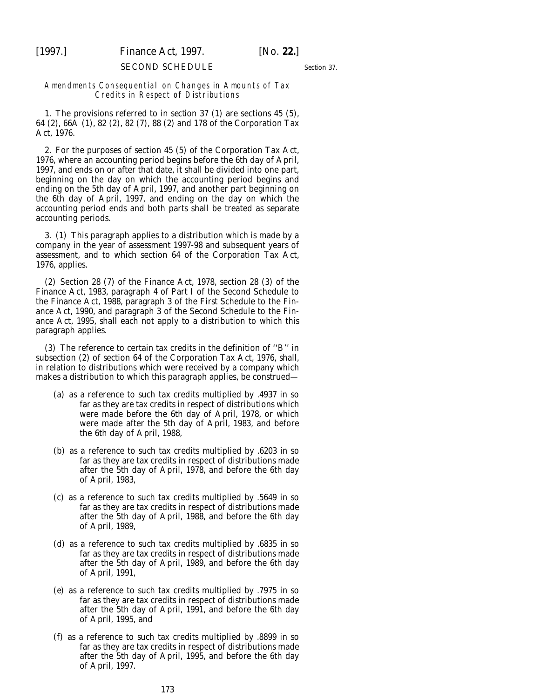[1997.] *Finance Act,* 1997. [*No.* **22.**]

### SECOND SCHEDULE

*Section 37*.

### Amendments Consequential on Changes in Amounts of Tax Credits in Respect of Distributions

1. The provisions referred to in *section 37 (1)* are sections 45 (5), 64 (2), 66A (1), 82 (2), 82 (7), 88 (2) and 178 of the Corporation Tax Act, 1976.

2. For the purposes of section 45 (5) of the Corporation Tax Act, 1976, where an accounting period begins before the 6th day of April, 1997, and ends on or after that date, it shall be divided into one part, beginning on the day on which the accounting period begins and ending on the 5th day of April, 1997, and another part beginning on the 6th day of April, 1997, and ending on the day on which the accounting period ends and both parts shall be treated as separate accounting periods.

3. (1) This paragraph applies to a distribution which is made by a company in the year of assessment 1997-98 and subsequent years of assessment, and to which section 64 of the Corporation Tax Act, 1976, applies.

(2) Section 28 (7) of the Finance Act, 1978, section 28 (3) of the Finance Act, 1983, paragraph 4 of Part I of the Second Schedule to the Finance Act, 1988, paragraph 3 of the First Schedule to the Finance Act, 1990, and paragraph 3 of the Second Schedule to the Finance Act, 1995, shall each not apply to a distribution to which this paragraph applies.

(3) The reference to certain tax credits in the definition of ''B'' in subsection (2) of section 64 of the Corporation Tax Act, 1976, shall, in relation to distributions which were received by a company which makes a distribution to which this paragraph applies, be construed—

- (*a*) as a reference to such tax credits multiplied by .4937 in so far as they are tax credits in respect of distributions which were made before the 6th day of April, 1978, or which were made after the 5th day of April, 1983, and before the 6th day of April, 1988,
- (*b*) as a reference to such tax credits multiplied by .6203 in so far as they are tax credits in respect of distributions made after the 5th day of April, 1978, and before the 6th day of April, 1983,
- (*c*) as a reference to such tax credits multiplied by .5649 in so far as they are tax credits in respect of distributions made after the 5th day of April, 1988, and before the 6th day of April, 1989,
- (*d*) as a reference to such tax credits multiplied by .6835 in so far as they are tax credits in respect of distributions made after the 5th day of April, 1989, and before the 6th day of April, 1991,
- (*e*) as a reference to such tax credits multiplied by .7975 in so far as they are tax credits in respect of distributions made after the 5th day of April, 1991, and before the 6th day of April, 1995, and
- (*f*) as a reference to such tax credits multiplied by .8899 in so far as they are tax credits in respect of distributions made after the 5th day of April, 1995, and before the 6th day of April, 1997.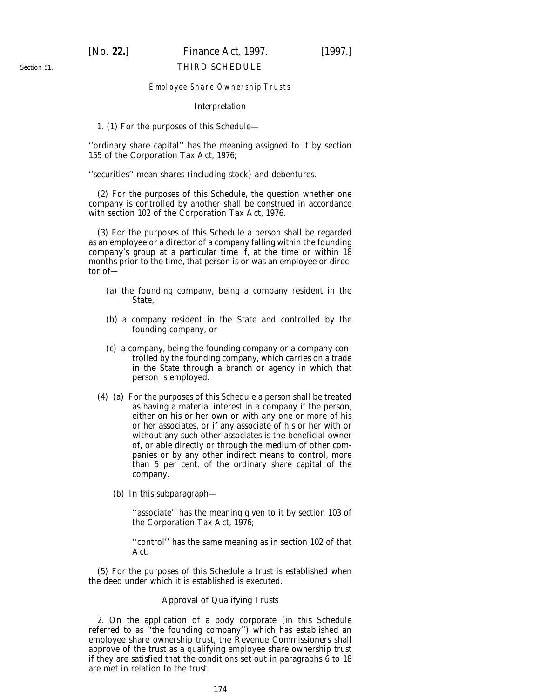## [*No.* **22.**] *Finance Act,* 1997. [1997.]

### THIRD SCHEDULE

### Employee Share Ownership Trusts

### *Interpretation*

1. (1) For the purposes of this Schedule—

''ordinary share capital'' has the meaning assigned to it by section 155 of the Corporation Tax Act, 1976;

''securities'' mean shares (including stock) and debentures.

(2) For the purposes of this Schedule, the question whether one company is controlled by another shall be construed in accordance with section 102 of the Corporation Tax Act, 1976.

(3) For the purposes of this Schedule a person shall be regarded as an employee or a director of a company falling within the founding company's group at a particular time if, at the time or within 18 months prior to the time, that person is or was an employee or director of—

- (*a*) the founding company, being a company resident in the State,
- (*b*) a company resident in the State and controlled by the founding company, or
- (*c*) a company, being the founding company or a company controlled by the founding company, which carries on a trade in the State through a branch or agency in which that person is employed.
- (4) (*a*) For the purposes of this Schedule a person shall be treated as having a material interest in a company if the person, either on his or her own or with any one or more of his or her associates, or if any associate of his or her with or without any such other associates is the beneficial owner of, or able directly or through the medium of other companies or by any other indirect means to control, more than 5 per cent. of the ordinary share capital of the company.
	- (*b*) In this subparagraph—

"associate" has the meaning given to it by section 103 of the Corporation Tax Act, 1976;

''control'' has the same meaning as in section 102 of that Act.

(5) For the purposes of this Schedule a trust is established when the deed under which it is established is executed.

### *Approval of Qualifying Trusts*

2. On the application of a body corporate (in this Schedule referred to as ''the founding company'') which has established an employee share ownership trust, the Revenue Commissioners shall approve of the trust as a qualifying employee share ownership trust if they are satisfied that the conditions set out in *paragraphs 6* to *18* are met in relation to the trust.

*Section 51*.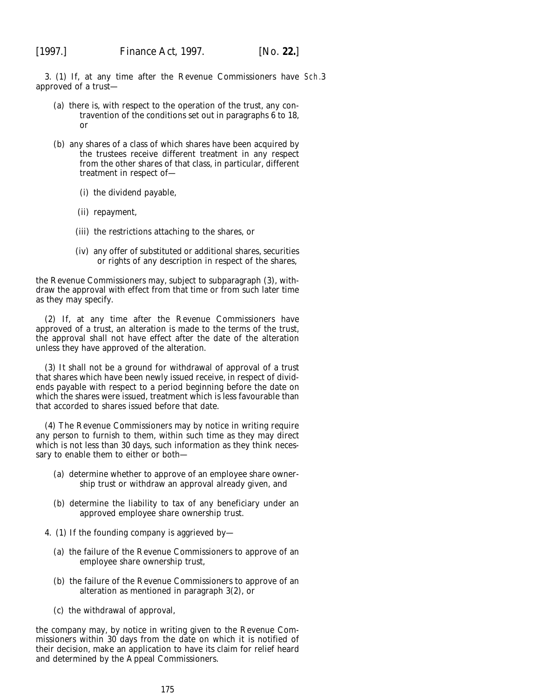3. (1) If, at any time after the Revenue Commissioners have Sch.3approved of a trust—

- (*a*) there is, with respect to the operation of the trust, any contravention of the conditions set out in *paragraphs 6* to *18*, or
- (*b*) any shares of a class of which shares have been acquired by the trustees receive different treatment in any respect from the other shares of that class, in particular, different treatment in respect of—
	- (i) the dividend payable,
	- (ii) repayment,
	- (iii) the restrictions attaching to the shares, or
	- (iv) any offer of substituted or additional shares, securities or rights of any description in respect of the shares,

the Revenue Commissioners may, subject to *subparagraph (3)*, withdraw the approval with effect from that time or from such later time as they may specify.

(2) If, at any time after the Revenue Commissioners have approved of a trust, an alteration is made to the terms of the trust, the approval shall not have effect after the date of the alteration unless they have approved of the alteration.

(3) It shall not be a ground for withdrawal of approval of a trust that shares which have been newly issued receive, in respect of dividends payable with respect to a period beginning before the date on which the shares were issued, treatment which is less favourable than that accorded to shares issued before that date.

(4) The Revenue Commissioners may by notice in writing require any person to furnish to them, within such time as they may direct which is not less than 30 days, such information as they think necessary to enable them to either or both—

- (*a*) determine whether to approve of an employee share ownership trust or withdraw an approval already given, and
- (*b*) determine the liability to tax of any beneficiary under an approved employee share ownership trust.
- 4. (1) If the founding company is aggrieved by—
	- (*a*) the failure of the Revenue Commissioners to approve of an employee share ownership trust,
	- (*b*) the failure of the Revenue Commissioners to approve of an alteration as mentioned in *paragraph 3(2)*, or
	- (*c*) the withdrawal of approval,

the company may, by notice in writing given to the Revenue Commissioners within 30 days from the date on which it is notified of their decision, make an application to have its claim for relief heard and determined by the Appeal Commissioners.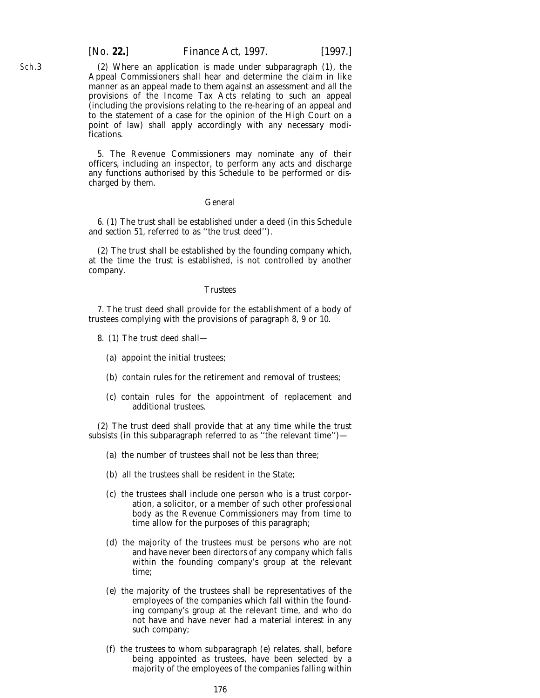[*No.* **22.**] *Finance Act,* 1997. [1997.]

(2) Where an application is made under *subparagraph (1)*, the Appeal Commissioners shall hear and determine the claim in like manner as an appeal made to them against an assessment and all the provisions of the Income Tax Acts relating to such an appeal (including the provisions relating to the re-hearing of an appeal and to the statement of a case for the opinion of the High Court on a point of law) shall apply accordingly with any necessary modifications.

5. The Revenue Commissioners may nominate any of their officers, including an inspector, to perform any acts and discharge any functions authorised by this Schedule to be performed or discharged by them.

### *General*

6. (1) The trust shall be established under a deed (in this Schedule and *section 51*, referred to as ''the trust deed'').

(2) The trust shall be established by the founding company which, at the time the trust is established, is not controlled by another company.

### *Trustees*

7. The trust deed shall provide for the establishment of a body of trustees complying with the provisions of *paragraph 8, 9* or *10*.

- 8. (1) The trust deed shall—
	- (*a*) appoint the initial trustees;
	- (*b*) contain rules for the retirement and removal of trustees;
	- (*c*) contain rules for the appointment of replacement and additional trustees.

(2) The trust deed shall provide that at any time while the trust subsists (in this subparagraph referred to as "the relevant time")-

- (*a*) the number of trustees shall not be less than three;
- (*b*) all the trustees shall be resident in the State;
- (*c*) the trustees shall include one person who is a trust corporation, a solicitor, or a member of such other professional body as the Revenue Commissioners may from time to time allow for the purposes of this paragraph;
- (*d*) the majority of the trustees must be persons who are not and have never been directors of any company which falls within the founding company's group at the relevant time;
- (*e*) the majority of the trustees shall be representatives of the employees of the companies which fall within the founding company's group at the relevant time, and who do not have and have never had a material interest in any such company;
- (*f*) the trustees to whom *subparagraph (e)* relates, shall, before being appointed as trustees, have been selected by a majority of the employees of the companies falling within

Sch.3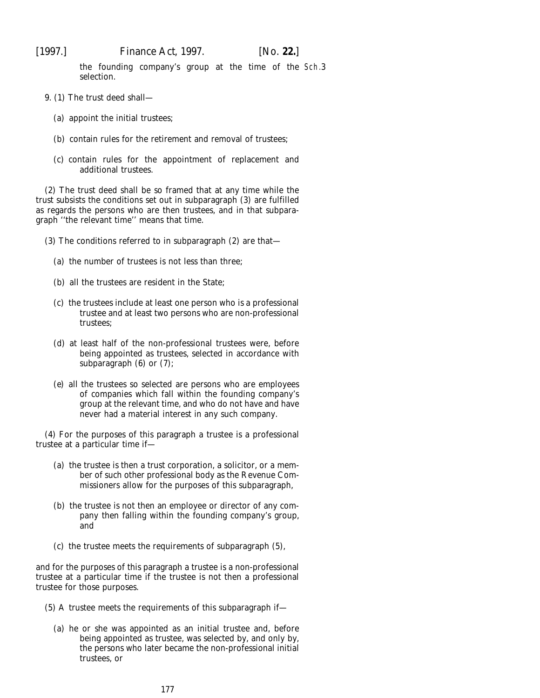the founding company's group at the time of the Sch.3selection.

- 9. (1) The trust deed shall—
	- (*a*) appoint the initial trustees;
	- (*b*) contain rules for the retirement and removal of trustees;
	- (*c*) contain rules for the appointment of replacement and additional trustees.

(2) The trust deed shall be so framed that at any time while the trust subsists the conditions set out in *subparagraph (3)* are fulfilled as regards the persons who are then trustees, and in that subparagraph ''the relevant time'' means that time.

- (3) The conditions referred to in *subparagraph (2)* are that—
	- (*a*) the number of trustees is not less than three;
	- (*b*) all the trustees are resident in the State;
	- (*c*) the trustees include at least one person who is a professional trustee and at least two persons who are non-professional trustees;
	- (*d*) at least half of the non-professional trustees were, before being appointed as trustees, selected in accordance with *subparagraph (6)* or *(7)*;
	- (*e*) all the trustees so selected are persons who are employees of companies which fall within the founding company's group at the relevant time, and who do not have and have never had a material interest in any such company.

(4) For the purposes of this paragraph a trustee is a professional trustee at a particular time if—

- (*a*) the trustee is then a trust corporation, a solicitor, or a member of such other professional body as the Revenue Commissioners allow for the purposes of this subparagraph,
- (*b*) the trustee is not then an employee or director of any company then falling within the founding company's group, and
- (*c*) the trustee meets the requirements of *subparagraph (5)*,

and for the purposes of this paragraph a trustee is a non-professional trustee at a particular time if the trustee is not then a professional trustee for those purposes.

- (5) A trustee meets the requirements of this subparagraph if—
	- (*a*) he or she was appointed as an initial trustee and, before being appointed as trustee, was selected by, and only by, the persons who later became the non-professional initial trustees, or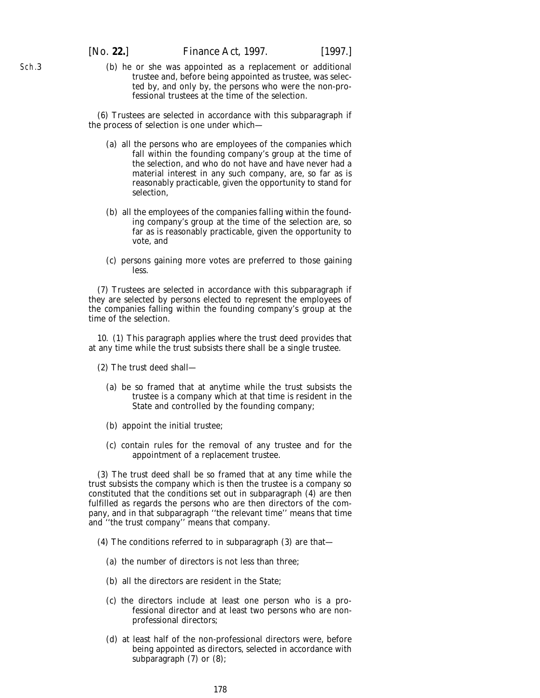Sch.3

(*b*) he or she was appointed as a replacement or additional trustee and, before being appointed as trustee, was selected by, and only by, the persons who were the non-professional trustees at the time of the selection.

(6) Trustees are selected in accordance with this subparagraph if the process of selection is one under which—

- (*a*) all the persons who are employees of the companies which fall within the founding company's group at the time of the selection, and who do not have and have never had a material interest in any such company, are, so far as is reasonably practicable, given the opportunity to stand for selection,
- (*b*) all the employees of the companies falling within the founding company's group at the time of the selection are, so far as is reasonably practicable, given the opportunity to vote, and
- (*c*) persons gaining more votes are preferred to those gaining less.

(7) Trustees are selected in accordance with this subparagraph if they are selected by persons elected to represent the employees of the companies falling within the founding company's group at the time of the selection.

10. (1) This paragraph applies where the trust deed provides that at any time while the trust subsists there shall be a single trustee.

- (2) The trust deed shall—
	- (*a*) be so framed that at anytime while the trust subsists the trustee is a company which at that time is resident in the State and controlled by the founding company;
	- (*b*) appoint the initial trustee;
	- (*c*) contain rules for the removal of any trustee and for the appointment of a replacement trustee.

(3) The trust deed shall be so framed that at any time while the trust subsists the company which is then the trustee is a company so constituted that the conditions set out in *subparagraph (4)* are then fulfilled as regards the persons who are then directors of the company, and in that subparagraph ''the relevant time'' means that time and ''the trust company'' means that company.

- (4) The conditions referred to in *subparagraph (3)* are that—
	- (*a*) the number of directors is not less than three;
	- (*b*) all the directors are resident in the State;
	- (*c*) the directors include at least one person who is a professional director and at least two persons who are nonprofessional directors;
	- (*d*) at least half of the non-professional directors were, before being appointed as directors, selected in accordance with *subparagraph (7)* or *(8)*;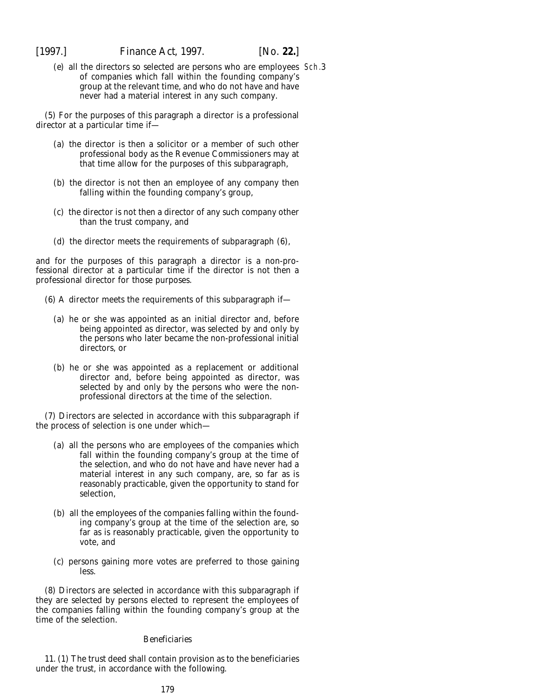(*e*) all the directors so selected are persons who are employees Sch.3of companies which fall within the founding company's group at the relevant time, and who do not have and have never had a material interest in any such company.

(5) For the purposes of this paragraph a director is a professional director at a particular time if—

- (*a*) the director is then a solicitor or a member of such other professional body as the Revenue Commissioners may at that time allow for the purposes of this subparagraph,
- (*b*) the director is not then an employee of any company then falling within the founding company's group,
- (*c*) the director is not then a director of any such company other than the trust company, and
- (*d*) the director meets the requirements of *subparagraph (6)*,

and for the purposes of this paragraph a director is a non-professional director at a particular time if the director is not then a professional director for those purposes.

- (6) A director meets the requirements of this subparagraph if—
	- (*a*) he or she was appointed as an initial director and, before being appointed as director, was selected by and only by the persons who later became the non-professional initial directors, or
	- (*b*) he or she was appointed as a replacement or additional director and, before being appointed as director, was selected by and only by the persons who were the nonprofessional directors at the time of the selection.

(7) Directors are selected in accordance with this subparagraph if the process of selection is one under which—

- (*a*) all the persons who are employees of the companies which fall within the founding company's group at the time of the selection, and who do not have and have never had a material interest in any such company, are, so far as is reasonably practicable, given the opportunity to stand for selection,
- (*b*) all the employees of the companies falling within the founding company's group at the time of the selection are, so far as is reasonably practicable, given the opportunity to vote, and
- (*c*) persons gaining more votes are preferred to those gaining less.

(8) Directors are selected in accordance with this subparagraph if they are selected by persons elected to represent the employees of the companies falling within the founding company's group at the time of the selection.

### *Beneficiaries*

11. (1) The trust deed shall contain provision as to the beneficiaries under the trust, in accordance with the following.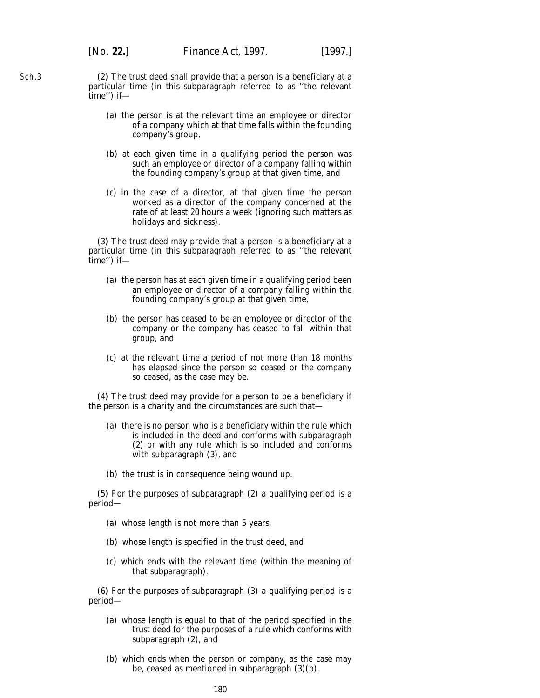(2) The trust deed shall provide that a person is a beneficiary at a particular time (in this subparagraph referred to as ''the relevant time'') if—

- (*a*) the person is at the relevant time an employee or director of a company which at that time falls within the founding company's group,
- (*b*) at each given time in a qualifying period the person was such an employee or director of a company falling within the founding company's group at that given time, and
- (*c*) in the case of a director, at that given time the person worked as a director of the company concerned at the rate of at least 20 hours a week (ignoring such matters as holidays and sickness).

(3) The trust deed may provide that a person is a beneficiary at a particular time (in this subparagraph referred to as ''the relevant time'') if—

- (*a*) the person has at each given time in a qualifying period been an employee or director of a company falling within the founding company's group at that given time,
- (*b*) the person has ceased to be an employee or director of the company or the company has ceased to fall within that group, and
- (*c*) at the relevant time a period of not more than 18 months has elapsed since the person so ceased or the company so ceased, as the case may be.

(4) The trust deed may provide for a person to be a beneficiary if the person is a charity and the circumstances are such that—

- (*a*) there is no person who is a beneficiary within the rule which is included in the deed and conforms with *subparagraph (2)* or with any rule which is so included and conforms with *subparagraph (3)*, and
- (*b*) the trust is in consequence being wound up.

(5) For the purposes of *subparagraph (2)* a qualifying period is a period—

- (*a*) whose length is not more than 5 years,
- (*b*) whose length is specified in the trust deed, and
- (*c*) which ends with the relevant time (within the meaning of that subparagraph).

(6) For the purposes of *subparagraph (3)* a qualifying period is a period—

- (*a*) whose length is equal to that of the period specified in the trust deed for the purposes of a rule which conforms with *subparagraph (2)*, and
- (*b*) which ends when the person or company, as the case may be, ceased as mentioned in *subparagraph (3)(b)*.

Sch.3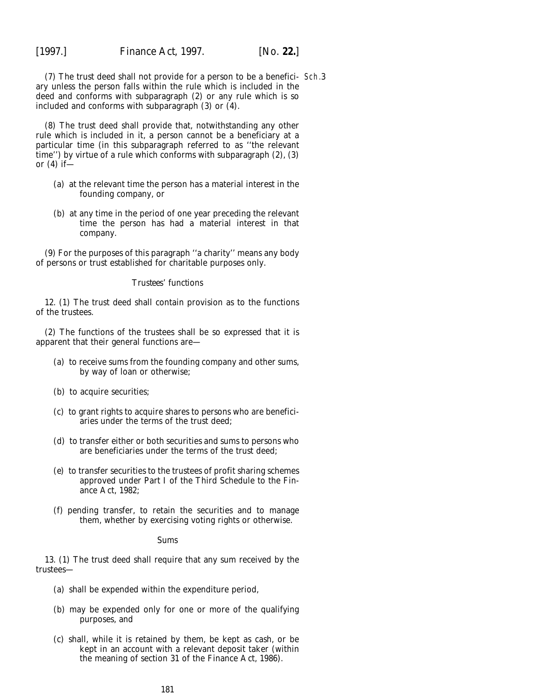(7) The trust deed shall not provide for a person to be a benefici-Sch.3ary unless the person falls within the rule which is included in the deed and conforms with *subparagraph (2)* or any rule which is so included and conforms with *subparagraph (3)* or *(4)*.

(8) The trust deed shall provide that, notwithstanding any other rule which is included in it, a person cannot be a beneficiary at a particular time (in this subparagraph referred to as ''the relevant time'') by virtue of a rule which conforms with *subparagraph (2)*, *(3)* or *(4)* if—

- (*a*) at the relevant time the person has a material interest in the founding company, or
- (*b*) at any time in the period of one year preceding the relevant time the person has had a material interest in that company.

(9) For the purposes of this paragraph ''a charity'' means any body of persons or trust established for charitable purposes only.

### *Trustees' functions*

12. (1) The trust deed shall contain provision as to the functions of the trustees.

(2) The functions of the trustees shall be so expressed that it is apparent that their general functions are—

- (*a*) to receive sums from the founding company and other sums, by way of loan or otherwise;
- (*b*) to acquire securities;
- (*c*) to grant rights to acquire shares to persons who are beneficiaries under the terms of the trust deed;
- (*d*) to transfer either or both securities and sums to persons who are beneficiaries under the terms of the trust deed;
- (*e*) to transfer securities to the trustees of profit sharing schemes approved under Part I of the Third Schedule to the Finance Act, 1982;
- (*f*) pending transfer, to retain the securities and to manage them, whether by exercising voting rights or otherwise.

#### *Sums*

13. (1) The trust deed shall require that any sum received by the trustees—

- (*a*) shall be expended within the expenditure period,
- (*b*) may be expended only for one or more of the qualifying purposes, and
- (*c*) shall, while it is retained by them, be kept as cash, or be kept in an account with a relevant deposit taker (within the meaning of section 31 of the Finance Act, 1986).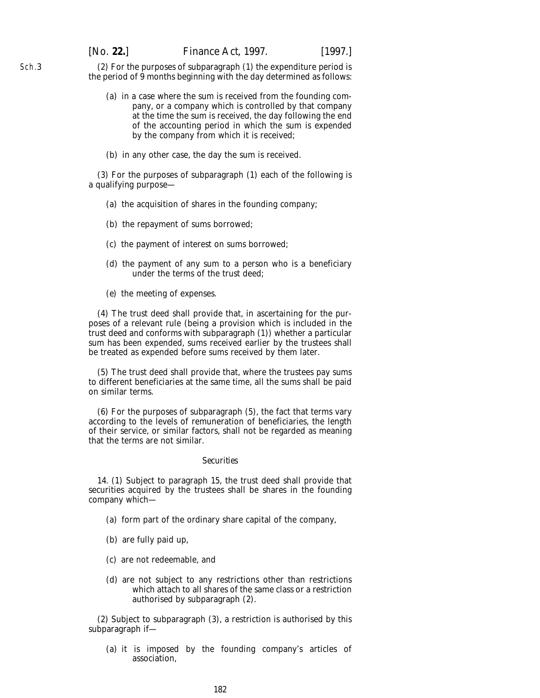(2) For the purposes of *subparagraph (1)* the expenditure period is the period of 9 months beginning with the day determined as follows:

- (*a*) in a case where the sum is received from the founding company, or a company which is controlled by that company at the time the sum is received, the day following the end of the accounting period in which the sum is expended by the company from which it is received;
- (*b*) in any other case, the day the sum is received.

(3) For the purposes of *subparagraph (1)* each of the following is a qualifying purpose—

- (*a*) the acquisition of shares in the founding company;
- (*b*) the repayment of sums borrowed;
- (*c*) the payment of interest on sums borrowed;
- (*d*) the payment of any sum to a person who is a beneficiary under the terms of the trust deed;
- (*e*) the meeting of expenses.

(4) The trust deed shall provide that, in ascertaining for the purposes of a relevant rule (being a provision which is included in the trust deed and conforms with *subparagraph (1)*) whether a particular sum has been expended, sums received earlier by the trustees shall be treated as expended before sums received by them later.

(5) The trust deed shall provide that, where the trustees pay sums to different beneficiaries at the same time, all the sums shall be paid on similar terms.

(6) For the purposes of *subparagraph (5)*, the fact that terms vary according to the levels of remuneration of beneficiaries, the length of their service, or similar factors, shall not be regarded as meaning that the terms are not similar.

### *Securities*

14. (1) Subject to *paragraph 15*, the trust deed shall provide that securities acquired by the trustees shall be shares in the founding company which—

- (*a*) form part of the ordinary share capital of the company,
- (*b*) are fully paid up,
- (*c*) are not redeemable, and
- (*d*) are not subject to any restrictions other than restrictions which attach to all shares of the same class or a restriction authorised by *subparagraph (2)*.

(2) Subject to *subparagraph (3)*, a restriction is authorised by this subparagraph if—

(*a*) it is imposed by the founding company's articles of association,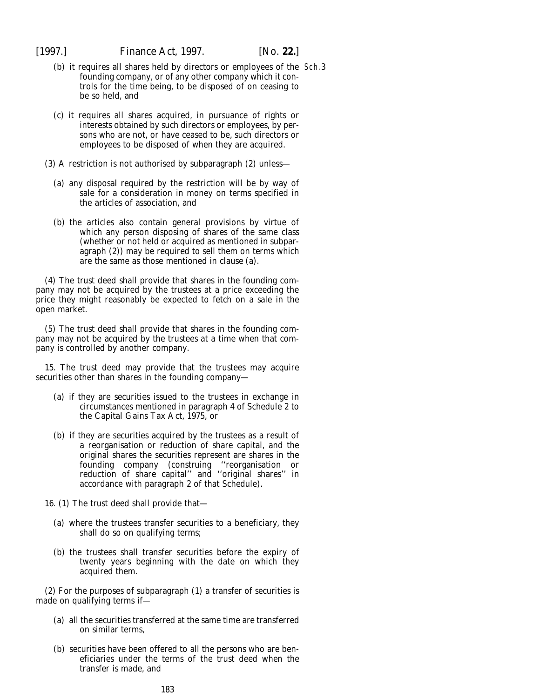- (*b*) it requires all shares held by directors or employees of the Sch.3founding company, or of any other company which it controls for the time being, to be disposed of on ceasing to be so held, and
- (*c*) it requires all shares acquired, in pursuance of rights or interests obtained by such directors or employees, by persons who are not, or have ceased to be, such directors or employees to be disposed of when they are acquired.
- (3) A restriction is not authorised by *subparagraph (2)* unless—
	- (*a*) any disposal required by the restriction will be by way of sale for a consideration in money on terms specified in the articles of association, and
	- (*b*) the articles also contain general provisions by virtue of which any person disposing of shares of the same class (whether or not held or acquired as mentioned in *subparagraph (2)*) may be required to sell them on terms which are the same as those mentioned in *clause (a)*.

(4) The trust deed shall provide that shares in the founding company may not be acquired by the trustees at a price exceeding the price they might reasonably be expected to fetch on a sale in the open market.

(5) The trust deed shall provide that shares in the founding company may not be acquired by the trustees at a time when that company is controlled by another company.

15. The trust deed may provide that the trustees may acquire securities other than shares in the founding company—

- (*a*) if they are securities issued to the trustees in exchange in circumstances mentioned in paragraph 4 of Schedule 2 to the Capital Gains Tax Act, 1975, or
- (*b*) if they are securities acquired by the trustees as a result of a reorganisation or reduction of share capital, and the original shares the securities represent are shares in the founding company (construing ''reorganisation or reduction of share capital'' and ''original shares'' in accordance with paragraph 2 of that Schedule).
- 16. (1) The trust deed shall provide that—
	- (*a*) where the trustees transfer securities to a beneficiary, they shall do so on qualifying terms;
	- (*b*) the trustees shall transfer securities before the expiry of twenty years beginning with the date on which they acquired them.

(2) For the purposes of *subparagraph (1)* a transfer of securities is made on qualifying terms if—

- (*a*) all the securities transferred at the same time are transferred on similar terms,
- (*b*) securities have been offered to all the persons who are beneficiaries under the terms of the trust deed when the transfer is made, and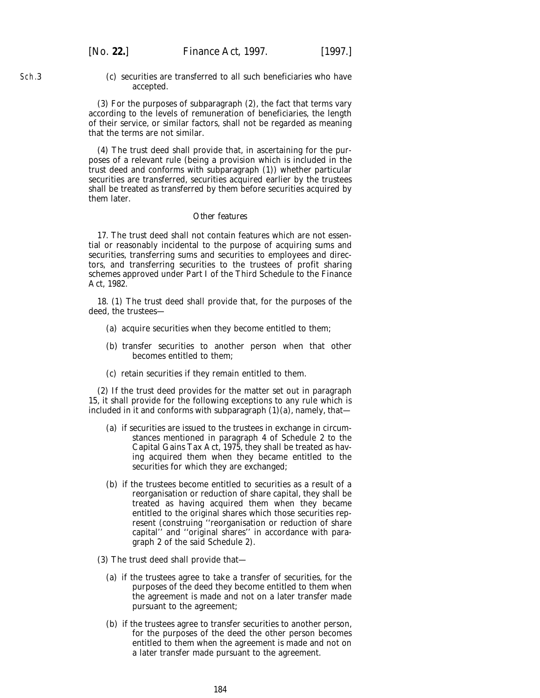Sch.3

(*c*) securities are transferred to all such beneficiaries who have accepted.

(3) For the purposes of *subparagraph (2)*, the fact that terms vary according to the levels of remuneration of beneficiaries, the length of their service, or similar factors, shall not be regarded as meaning that the terms are not similar.

(4) The trust deed shall provide that, in ascertaining for the purposes of a relevant rule (being a provision which is included in the trust deed and conforms with *subparagraph (1)*) whether particular securities are transferred, securities acquired earlier by the trustees shall be treated as transferred by them before securities acquired by them later.

### *Other features*

17. The trust deed shall not contain features which are not essential or reasonably incidental to the purpose of acquiring sums and securities, transferring sums and securities to employees and directors, and transferring securities to the trustees of profit sharing schemes approved under Part I of the Third Schedule to the Finance Act, 1982.

18. (1) The trust deed shall provide that, for the purposes of the deed, the trustees—

- (*a*) acquire securities when they become entitled to them;
- (*b*) transfer securities to another person when that other becomes entitled to them;
- (*c*) retain securities if they remain entitled to them.

(2) If the trust deed provides for the matter set out in *paragraph 15*, it shall provide for the following exceptions to any rule which is included in it and conforms with *subparagraph (1)(a)*, namely, that—

- (*a*) if securities are issued to the trustees in exchange in circumstances mentioned in paragraph 4 of Schedule 2 to the Capital Gains Tax Act, 1975, they shall be treated as having acquired them when they became entitled to the securities for which they are exchanged;
- (*b*) if the trustees become entitled to securities as a result of a reorganisation or reduction of share capital, they shall be treated as having acquired them when they became entitled to the original shares which those securities represent (construing ''reorganisation or reduction of share capital'' and ''original shares'' in accordance with paragraph 2 of the said Schedule 2).
- (3) The trust deed shall provide that—
	- (*a*) if the trustees agree to take a transfer of securities, for the purposes of the deed they become entitled to them when the agreement is made and not on a later transfer made pursuant to the agreement;
	- (*b*) if the trustees agree to transfer securities to another person, for the purposes of the deed the other person becomes entitled to them when the agreement is made and not on a later transfer made pursuant to the agreement.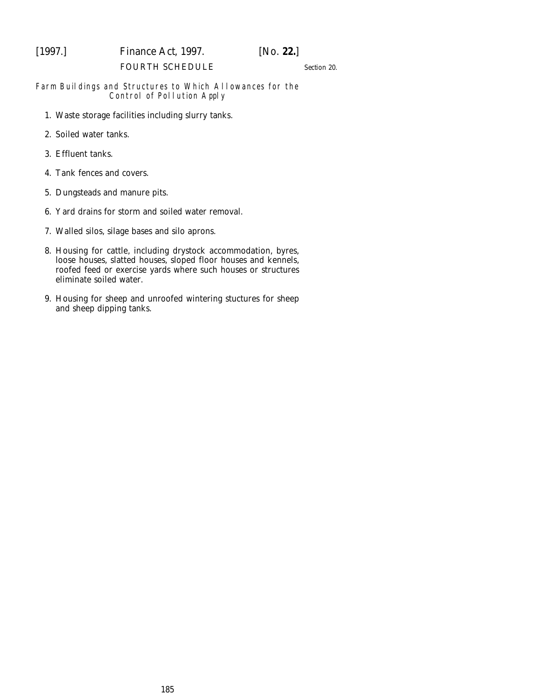# [1997.] *Finance Act,* 1997. [*No.* **22.**]

### FOURTH SCHEDULE

*Section 20*.

### Farm Buildings and Structures to Which Allowances for the Control of Pollution Apply

- 1. Waste storage facilities including slurry tanks.
- 2. Soiled water tanks.
- 3. Effluent tanks.
- 4. Tank fences and covers.
- 5. Dungsteads and manure pits.
- 6. Yard drains for storm and soiled water removal.
- 7. Walled silos, silage bases and silo aprons.
- 8. Housing for cattle, including drystock accommodation, byres, loose houses, slatted houses, sloped floor houses and kennels, roofed feed or exercise yards where such houses or structures eliminate soiled water.
- 9. Housing for sheep and unroofed wintering stuctures for sheep and sheep dipping tanks.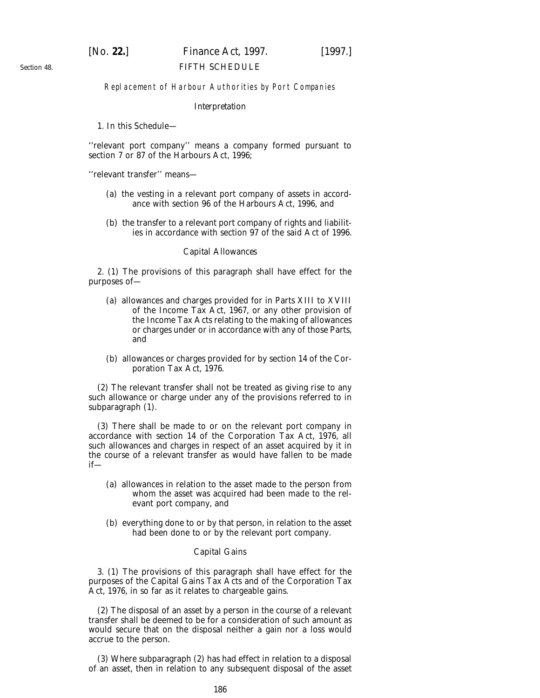### [*No.* **22.**] *Finance Act,* 1997. [1997.] FIFTH SCHEDULE

### Replacement of Harbour Authorities by Port Companies

#### *Interpretation*

1. In this Schedule—

''relevant port company'' means a company formed pursuant to section 7 or 87 of the Harbours Act, 1996;

''relevant transfer'' means—

- (*a*) the vesting in a relevant port company of assets in accordance with section 96 of the Harbours Act, 1996, and
- (*b*) the transfer to a relevant port company of rights and liabilities in accordance with section 97 of the said Act of 1996.

### *Capital Allowances*

2. (1) The provisions of this paragraph shall have effect for the purposes of—

- (*a*) allowances and charges provided for in Parts XIII to XVIII of the Income Tax Act, 1967, or any other provision of the Income Tax Acts relating to the making of allowances or charges under or in accordance with any of those Parts, and
- (*b*) allowances or charges provided for by section 14 of the Corporation Tax Act, 1976.

(2) The relevant transfer shall not be treated as giving rise to any such allowance or charge under any of the provisions referred to in *subparagraph (1)*.

(3) There shall be made to or on the relevant port company in accordance with section 14 of the Corporation Tax Act, 1976, all such allowances and charges in respect of an asset acquired by it in the course of a relevant transfer as would have fallen to be made if—

- (*a*) allowances in relation to the asset made to the person from whom the asset was acquired had been made to the relevant port company, and
- (*b*) everything done to or by that person, in relation to the asset had been done to or by the relevant port company.

### *Capital Gains*

3. (1) The provisions of this paragraph shall have effect for the purposes of the Capital Gains Tax Acts and of the Corporation Tax Act, 1976, in so far as it relates to chargeable gains.

(2) The disposal of an asset by a person in the course of a relevant transfer shall be deemed to be for a consideration of such amount as would secure that on the disposal neither a gain nor a loss would accrue to the person.

(3) Where *subparagraph (2)* has had effect in relation to a disposal of an asset, then in relation to any subsequent disposal of the asset

*Section 48*.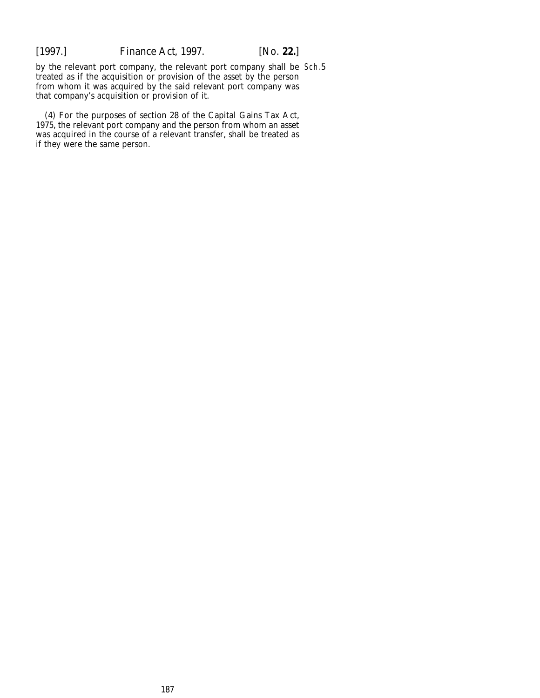by the relevant port company, the relevant port company shall be Sch.5treated as if the acquisition or provision of the asset by the person from whom it was acquired by the said relevant port company was that company's acquisition or provision of it.

(4) For the purposes of section 28 of the Capital Gains Tax Act, 1975, the relevant port company and the person from whom an asset was acquired in the course of a relevant transfer, shall be treated as if they were the same person.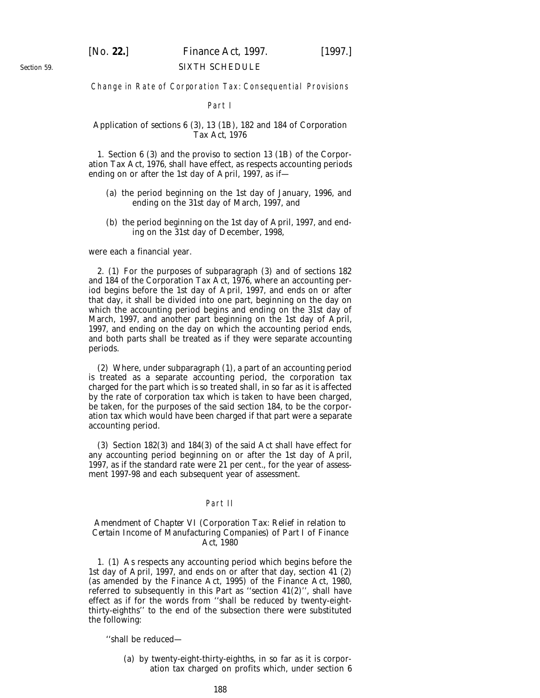### SIXTH SCHEDULE

### Change in Rate of Corporation Tax: Consequential Provisions

#### Part I

### *Application of sections 6 (3), 13 (1B), 182 and 184 of Corporation Tax Act, 1976*

1. Section 6 (3) and the proviso to section 13 (1B) of the Corporation Tax Act, 1976, shall have effect, as respects accounting periods ending on or after the 1st day of April, 1997, as if—

- (*a*) the period beginning on the 1st day of January, 1996, and ending on the 31st day of March, 1997, and
- (*b*) the period beginning on the 1st day of April, 1997, and ending on the 31st day of December, 1998,

were each a financial year.

2. (1) For the purposes of *subparagraph (3)* and of sections 182 and 184 of the Corporation Tax Act, 1976, where an accounting period begins before the 1st day of April, 1997, and ends on or after that day, it shall be divided into one part, beginning on the day on which the accounting period begins and ending on the 31st day of March, 1997, and another part beginning on the 1st day of April, 1997, and ending on the day on which the accounting period ends, and both parts shall be treated as if they were separate accounting periods.

(2) Where, under *subparagraph (1)*, a part of an accounting period is treated as a separate accounting period, the corporation tax charged for the part which is so treated shall, in so far as it is affected by the rate of corporation tax which is taken to have been charged, be taken, for the purposes of the said section 184, to be the corporation tax which would have been charged if that part were a separate accounting period.

(3) Section 182(3) and 184(3) of the said Act shall have effect for any accounting period beginning on or after the 1st day of April, 1997, as if the standard rate were 21 per cent., for the year of assessment 1997-98 and each subsequent year of assessment.

### Part II

### *Amendment of Chapter VI (Corporation Tax: Relief in relation to Certain Income of Manufacturing Companies) of Part I of Finance Act, 1980*

1. (1) As respects any accounting period which begins before the 1st day of April, 1997, and ends on or after that day, section 41 (2) (as amended by the Finance Act, 1995) of the Finance Act, 1980, referred to subsequently in this Part as ''section 41(2)'', shall have effect as if for the words from ''shall be reduced by twenty-eightthirty-eighths'' to the end of the subsection there were substituted the following:

''shall be reduced—

(*a*) by twenty-eight-thirty-eighths, in so far as it is corporation tax charged on profits which, under section 6

*Section 59*.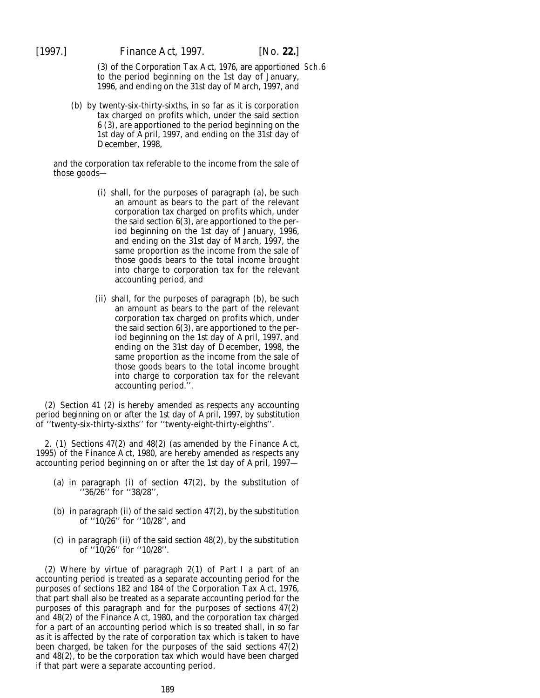(3) of the Corporation Tax Act, 1976, are apportioned Sch.6to the period beginning on the 1st day of January, 1996, and ending on the 31st day of March, 1997, and

(*b*) by twenty-six-thirty-sixths, in so far as it is corporation tax charged on profits which, under the said section 6 (3), are apportioned to the period beginning on the 1st day of April, 1997, and ending on the 31st day of December, 1998,

and the corporation tax referable to the income from the sale of those goods—

- (i) shall, for the purposes of paragraph (*a*), be such an amount as bears to the part of the relevant corporation tax charged on profits which, under the said section 6(3), are apportioned to the period beginning on the 1st day of January, 1996, and ending on the 31st day of March, 1997, the same proportion as the income from the sale of those goods bears to the total income brought into charge to corporation tax for the relevant accounting period, and
- (ii) shall, for the purposes of paragraph (*b*), be such an amount as bears to the part of the relevant corporation tax charged on profits which, under the said section 6(3), are apportioned to the period beginning on the 1st day of April, 1997, and ending on the 31st day of December, 1998, the same proportion as the income from the sale of those goods bears to the total income brought into charge to corporation tax for the relevant accounting period.''.

(2) Section 41 (2) is hereby amended as respects any accounting period beginning on or after the 1st day of April, 1997, by substitution of ''twenty-six-thirty-sixths'' for ''twenty-eight-thirty-eighths''.

2. (1) Sections 47(2) and 48(2) (as amended by the Finance Act, 1995) of the Finance Act, 1980, are hereby amended as respects any accounting period beginning on or after the 1st day of April, 1997—

- (*a*) in paragraph (i) of section 47(2), by the substitution of ''36/26'' for ''38/28'',
- (*b*) in paragraph (ii) of the said section 47(2), by the substitution of ''10/26'' for ''10/28'', and
- (*c*) in paragraph (ii) of the said section 48(2), by the substitution of ''10/26'' for ''10/28''.

(2) Where by virtue of *paragraph 2(1)* of *Part I* a part of an accounting period is treated as a separate accounting period for the purposes of sections 182 and 184 of the Corporation Tax Act, 1976, that part shall also be treated as a separate accounting period for the purposes of this paragraph and for the purposes of sections 47(2) and 48(2) of the Finance Act, 1980, and the corporation tax charged for a part of an accounting period which is so treated shall, in so far as it is affected by the rate of corporation tax which is taken to have been charged, be taken for the purposes of the said sections 47(2) and 48(2), to be the corporation tax which would have been charged if that part were a separate accounting period.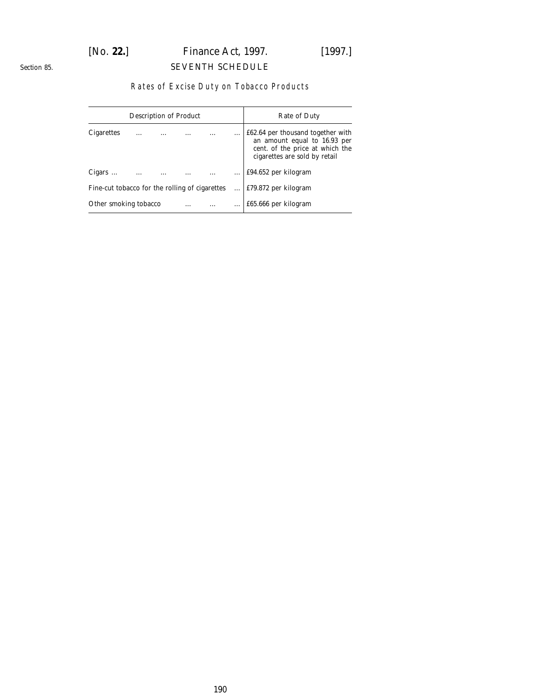## [*No.* **22.**] *Finance Act,* 1997. [1997.] SEVENTH SCHEDULE

### *Section 85*.

### Rates of Excise Duty on Tobacco Products

|                                                | <b>Description of Product</b> |   | Rate of Duty |  |   |                                                                                                                                       |  |  |
|------------------------------------------------|-------------------------------|---|--------------|--|---|---------------------------------------------------------------------------------------------------------------------------------------|--|--|
| <b>Cigarettes</b>                              |                               | . |              |  | . | £62.64 per thousand together with<br>an amount equal to 16.93 per<br>cent. of the price at which the<br>cigarettes are sold by retail |  |  |
| Cigars $\dots$                                 | $\cdots$                      |   |              |  |   | £94.652 per kilogram                                                                                                                  |  |  |
| Fine-cut tobacco for the rolling of cigarettes |                               |   |              |  |   | £79.872 per kilogram                                                                                                                  |  |  |
| Other smoking tobacco<br>.                     |                               |   |              |  |   | £65.666 per kilogram                                                                                                                  |  |  |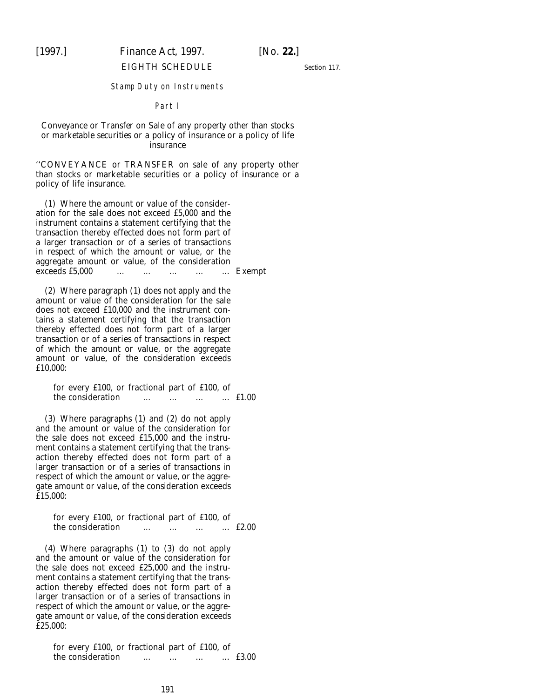## [1997.] *Finance Act,* 1997. [*No.* **22.**]

#### EIGHTH SCHEDULE

*Section 117*.

#### Stamp Duty on Instruments

#### Part I

### *Conveyance or Transfer on Sale of any property other than stocks or marketable securities or a policy of insurance or a policy of life insurance*

''CONVEYANCE or TRANSFER on sale of any property other than stocks or marketable securities or a policy of insurance or a policy of life insurance.

(1) Where the amount or value of the consideration for the sale does not exceed £5,000 and the instrument contains a statement certifying that the transaction thereby effected does not form part of a larger transaction or of a series of transactions in respect of which the amount or value, or the aggregate amount or value, of the consideration exceeds £5,000 ... ... ... ... ... Exempt

(2) Where paragraph (1) does not apply and the amount or value of the consideration for the sale does not exceed £10,000 and the instrument contains a statement certifying that the transaction thereby effected does not form part of a larger transaction or of a series of transactions in respect of which the amount or value, or the aggregate amount or value, of the consideration exceeds £10.000:

for every £100, or fractional part of £100, of<br>the consideration  $\cdots$   $\cdots$   $\cdots$   $\cdots$  £1.00 the consideration … … …

(3) Where paragraphs (1) and (2) do not apply and the amount or value of the consideration for the sale does not exceed £15,000 and the instrument contains a statement certifying that the transaction thereby effected does not form part of a larger transaction or of a series of transactions in respect of which the amount or value, or the aggregate amount or value, of the consideration exceeds £15,000:

for every £100, or fractional part of £100, of the consideration … … … … £2.00

(4) Where paragraphs (1) to (3) do not apply and the amount or value of the consideration for the sale does not exceed £25,000 and the instrument contains a statement certifying that the transaction thereby effected does not form part of a larger transaction or of a series of transactions in respect of which the amount or value, or the aggregate amount or value, of the consideration exceeds £25,000:

for every £100, or fractional part of £100, of<br>the consideration  $\cdots$   $\cdots$   $\cdots$   $\cdots$  £3.00 the consideration … … …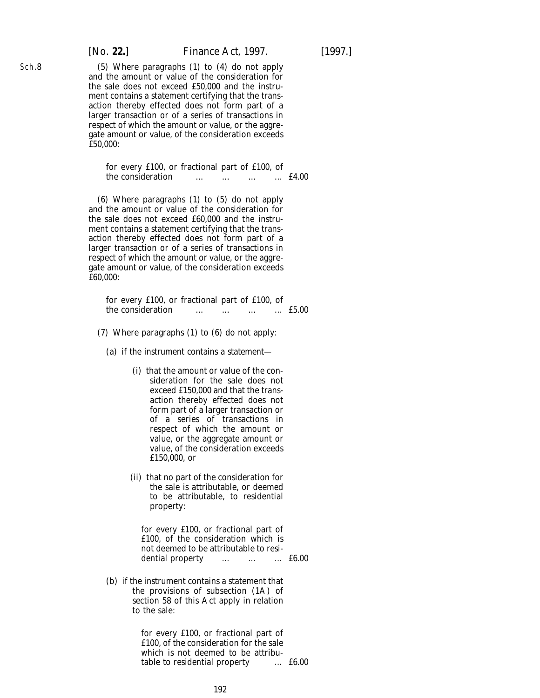(5) Where paragraphs (1) to (4) do not apply and the amount or value of the consideration for the sale does not exceed £50,000 and the instrument contains a statement certifying that the transaction thereby effected does not form part of a larger transaction or of a series of transactions in respect of which the amount or value, or the aggregate amount or value, of the consideration exceeds  $E$ 50.000:

for every £100, or fractional part of £100, of the consideration … … … … £4.00

(6) Where paragraphs (1) to (5) do not apply and the amount or value of the consideration for the sale does not exceed £60,000 and the instrument contains a statement certifying that the transaction thereby effected does not form part of a larger transaction or of a series of transactions in respect of which the amount or value, or the aggregate amount or value, of the consideration exceeds £60,000:

|                   |  | for every £100, or fractional part of £100, of |                      |          |               |
|-------------------|--|------------------------------------------------|----------------------|----------|---------------|
| the consideration |  | $\cdots$                                       | $\ddot{\phantom{0}}$ | $\cdots$ | $\dots$ £5.00 |

- (7) Where paragraphs (1) to (6) do not apply:
	- (*a*) if the instrument contains a statement—
		- (i) that the amount or value of the consideration for the sale does not exceed £150,000 and that the transaction thereby effected does not form part of a larger transaction or of a series of transactions in respect of which the amount or value, or the aggregate amount or value, of the consideration exceeds £150,000, or
		- (ii) that no part of the consideration for the sale is attributable, or deemed to be attributable, to residential property:

for every £100, or fractional part of £100, of the consideration which is not deemed to be attributable to residential property … … … £6.00

(*b*) if the instrument contains a statement that the provisions of subsection (1A) of section 58 of this Act apply in relation to the sale:

> for every £100, or fractional part of £100, of the consideration for the sale which is not deemed to be attribu-<br>table to residential property ... £6.00 table to residential property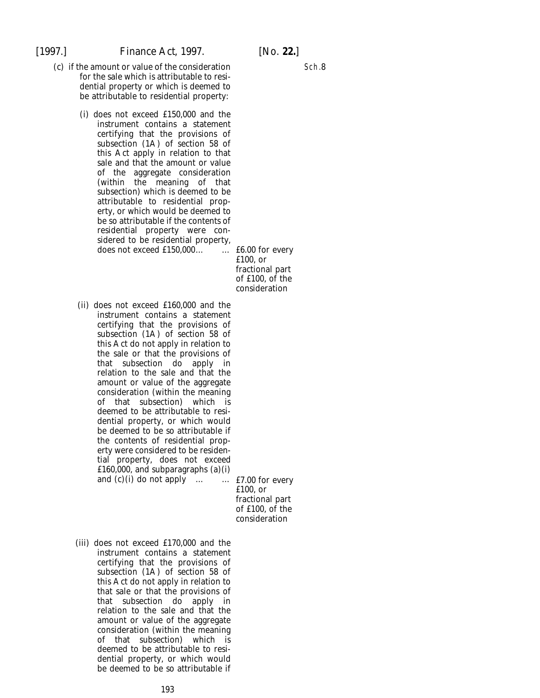- (*c*) if the amount or value of the consideration for the sale which is attributable to residential property or which is deemed to be attributable to residential property:
	- (i) does not exceed £150,000 and the instrument contains a statement certifying that the provisions of subsection (1A) of section 58 of this Act apply in relation to that sale and that the amount or value of the aggregate consideration (within the meaning of that subsection) which is deemed to be attributable to residential property, or which would be deemed to be so attributable if the contents of residential property were considered to be residential property, does not exceed £150,000… … £6.00 for every

£100, or fractional part of £100, of the consideration

(ii) does not exceed £160,000 and the instrument contains a statement certifying that the provisions of subsection (1A) of section 58 of this Act do not apply in relation to the sale or that the provisions of that subsection do apply in relation to the sale and that the amount or value of the aggregate consideration (within the meaning of that subsection) which is deemed to be attributable to residential property, or which would be deemed to be so attributable if the contents of residential property were considered to be residential property, does not exceed £160,000, and subparagraphs (*a*)(i) and  $(c)$  (i) do not apply ...  $\ldots$  **...** £7.00 for every

£100, or fractional part of £100, of the consideration

(iii) does not exceed £170,000 and the instrument contains a statement certifying that the provisions of subsection (1A) of section 58 of this Act do not apply in relation to that sale or that the provisions of that subsection do apply in relation to the sale and that the amount or value of the aggregate consideration (within the meaning of that subsection) which is deemed to be attributable to residential property, or which would be deemed to be so attributable if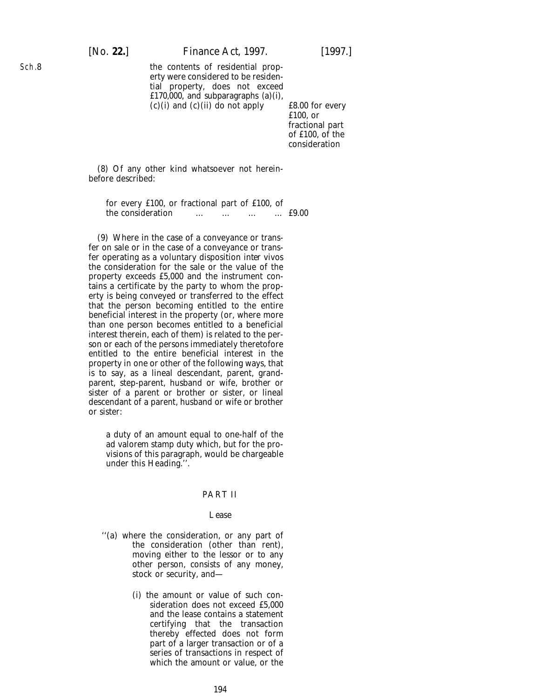### [*No.* **22.**] *Finance Act,* 1997. [1997.]

the contents of residential property were considered to be residential property, does not exceed £170,000, and subparagraphs (*a*)(i),  $(c)$  (i) and  $(c)$  (ii) do not apply  $\qquad \qquad$  £8.00 for every

£100, or fractional part of £100, of the consideration

(8) Of any other kind whatsoever not hereinbefore described:

for every £100, or fractional part of £100, of the consideration … … … … £9.00

(9) Where in the case of a conveyance or transfer on sale or in the case of a conveyance or transfer operating as a voluntary disposition *inter vivos* the consideration for the sale or the value of the property exceeds £5,000 and the instrument contains a certificate by the party to whom the property is being conveyed or transferred to the effect that the person becoming entitled to the entire beneficial interest in the property (or, where more than one person becomes entitled to a beneficial interest therein, each of them) is related to the person or each of the persons immediately theretofore entitled to the entire beneficial interest in the property in one or other of the following ways, that is to say, as a lineal descendant, parent, grandparent, step-parent, husband or wife, brother or sister of a parent or brother or sister, or lineal descendant of a parent, husband or wife or brother or sister:

a duty of an amount equal to one-half of the *ad valorem* stamp duty which, but for the provisions of this paragraph, would be chargeable under this Heading.''.

### PART II

#### *Lease*

- ''(*a*) where the consideration, or any part of the consideration (other than rent), moving either to the lessor or to any other person, consists of any money, stock or security, and—
	- (i) the amount or value of such consideration does not exceed £5,000 and the lease contains a statement certifying that the transaction thereby effected does not form part of a larger transaction or of a series of transactions in respect of which the amount or value, or the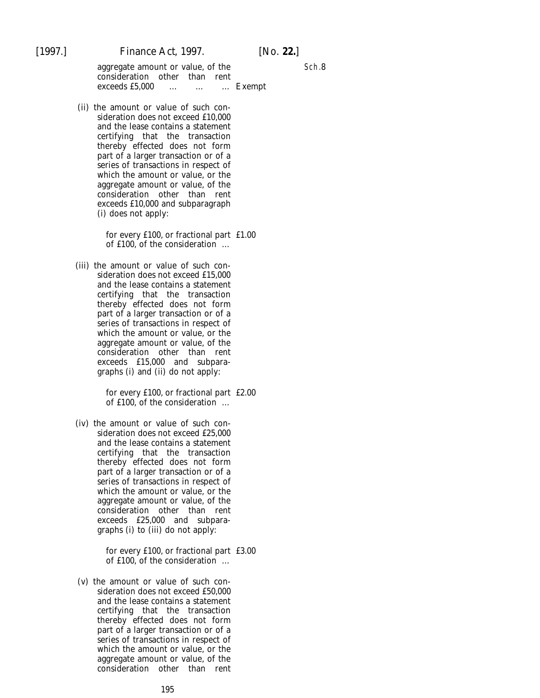aggregate amount or value, of the consideration other than rent exceeds £5,000 … … … Exempt

(ii) the amount or value of such consideration does not exceed £10,000 and the lease contains a statement certifying that the transaction thereby effected does not form part of a larger transaction or of a series of transactions in respect of which the amount or value, or the aggregate amount or value, of the consideration other than rent exceeds £10,000 and subparagraph (i) does not apply:

> for every £100, or fractional part £1.00 of £100, of the consideration …

(iii) the amount or value of such consideration does not exceed £15,000 and the lease contains a statement certifying that the transaction thereby effected does not form part of a larger transaction or of a series of transactions in respect of which the amount or value, or the aggregate amount or value, of the consideration other than rent exceeds £15,000 and subparagraphs (i) and (ii) do not apply:

> for every £100, or fractional part £2.00 of £100, of the consideration …

(iv) the amount or value of such consideration does not exceed £25,000 and the lease contains a statement certifying that the transaction thereby effected does not form part of a larger transaction or of a series of transactions in respect of which the amount or value, or the aggregate amount or value, of the consideration other than rent exceeds £25,000 and subparagraphs (i) to (iii) do not apply:

> for every £100, or fractional part £3.00 of £100, of the consideration …

(v) the amount or value of such consideration does not exceed £50,000 and the lease contains a statement certifying that the transaction thereby effected does not form part of a larger transaction or of a series of transactions in respect of which the amount or value, or the aggregate amount or value, of the consideration other than rent

Sch.8

195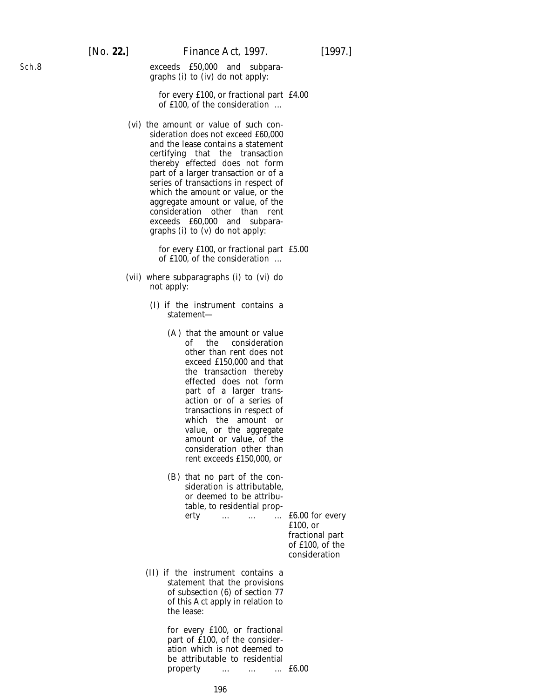exceeds £50,000 and subparagraphs (i) to (iv) do not apply:

for every £100, or fractional part £4.00 of £100, of the consideration …

(vi) the amount or value of such consideration does not exceed £60,000 and the lease contains a statement certifying that the transaction thereby effected does not form part of a larger transaction or of a series of transactions in respect of which the amount or value, or the aggregate amount or value, of the consideration other than rent exceeds £60,000 and subparagraphs (i) to (v) do not apply:

> for every £100, or fractional part £5.00 of £100, of the consideration …

- (vii) where subparagraphs (i) to (vi) do not apply:
	- (I) if the instrument contains a statement—
		- (A) that the amount or value of the consideration other than rent does not exceed £150,000 and that the transaction thereby effected does not form part of a larger transaction or of a series of transactions in respect of which the amount or value, or the aggregate amount or value, of the consideration other than rent exceeds £150,000, or
		- (B) that no part of the consideration is attributable, or deemed to be attributable, to residential prop-

erty … … … £6.00 for every £100, or fractional part of £100, of the consideration

(II) if the instrument contains a statement that the provisions of subsection (6) of section 77 of this Act apply in relation to the lease:

> for every £100, or fractional part of £100, of the consideration which is not deemed to be attributable to residential property … … … £6.00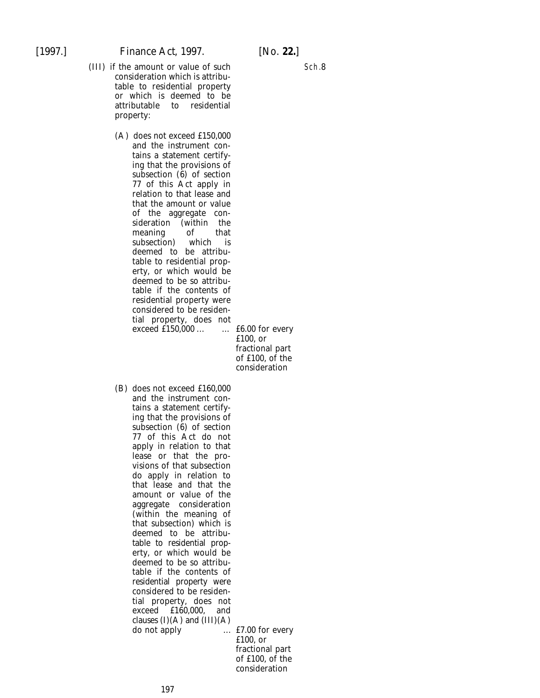- (III) if the amount or value of such consideration which is attributable to residential property or which is deemed to be attributable property:
	- (A) does not exceed £150,000 and the instrument contains a statement certifying that the provisions of subsection  $(6)$  of section 77 of this Act apply in relation to that lease and that the amount or value of the aggregate consideration (within the<br>meaning of that meaning of<br>subsection) which subsection) which is deemed to be attributable to residential property, or which would be deemed to be so attributable if the contents of residential property were considered to be residential property, does not exceed £150,000 ... … £6.00 for every

£100, or fractional part of £100, of the consideration

(B) does not exceed £160,000 and the instrument contains a statement certifying that the provisions of subsection  $(\hat{6})$  of section 77 of this Act do not apply in relation to that lease or that the provisions of that subsection do apply in relation to that lease and that the amount or value of the aggregate consideration (within the meaning of that subsection) which is deemed to be attributable to residential property, or which would be deemed to be so attributable if the contents of residential property were considered to be residential property, does not exceed £160,000, and clauses  $(I)(A)$  and  $(III)(A)$ do not apply ... £7.00 for every

£100, or fractional part of £100, of the consideration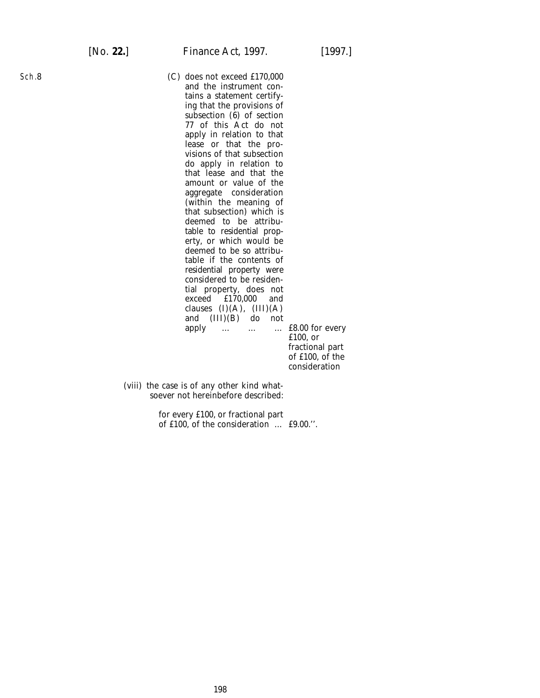(C) does not exceed £170,000 and the instrument contains a statement certifying that the provisions of subsection  $(\hat{6})$  of section 77 of this Act do not apply in relation to that lease or that the provisions of that subsection do apply in relation to that lease and that the amount or value of the aggregate consideration (within the meaning of that subsection) which is deemed to be attributable to residential property, or which would be deemed to be so attributable if the contents of residential property were considered to be residential property, does not exceed £170,000 and clauses  $(I)(A)$ ,  $(III)(A)$ and (III)(B) do not apply … … … £8.00 for every

£100, or fractional part of £100, of the consideration

(viii) the case is of any other kind whatsoever not hereinbefore described:

> for every £100, or fractional part of £100, of the consideration … £9.00.''.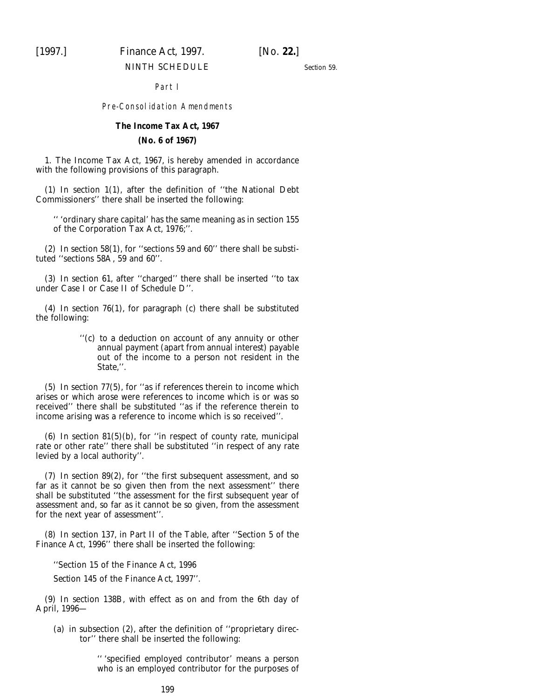## [1997.] *Finance Act,* 1997. [*No.* **22.**]

### NINTH SCHEDULE

*Section 59*.

### Part I

### Pre-Consolidation Amendments

### **The Income Tax Act, 1967 (No. 6 of 1967)**

1. The Income Tax Act, 1967, is hereby amended in accordance with the following provisions of this paragraph.

(1) In section 1(1), after the definition of ''the National Debt Commissioners'' there shall be inserted the following:

'' 'ordinary share capital' has the same meaning as in section 155 of the Corporation Tax Act, 1976;''.

(2) In section 58(1), for ''sections 59 and 60'' there shall be substituted ''sections 58A, 59 and 60''.

(3) In section 61, after ''charged'' there shall be inserted ''to tax under Case I or Case II of Schedule D''.

(4) In section 76(1), for paragraph (*c*) there shall be substituted the following:

> ''(*c*) to a deduction on account of any annuity or other annual payment (apart from annual interest) payable out of the income to a person not resident in the State,''.

(5) In section 77(5), for ''as if references therein to income which arises or which arose were references to income which is or was so received'' there shall be substituted ''as if the reference therein to income arising was a reference to income which is so received''.

(6) In section 81(5)(*b*), for ''in respect of county rate, municipal rate or other rate'' there shall be substituted ''in respect of any rate levied by a local authority''.

(7) In section 89(2), for ''the first subsequent assessment, and so far as it cannot be so given then from the next assessment'' there shall be substituted ''the assessment for the first subsequent year of assessment and, so far as it cannot be so given, from the assessment for the next year of assessment''.

(8) In section 137, in Part II of the Table, after ''Section 5 of the Finance Act, 1996'' there shall be inserted the following:

''Section 15 of the Finance Act, 1996

*Section 145* of the *Finance Act, 1997*''.

(9) In section 138B, with effect as on and from the 6th day of April, 1996—

(*a*) in subsection (2), after the definition of ''proprietary director'' there shall be inserted the following:

> '' 'specified employed contributor' means a person who is an employed contributor for the purposes of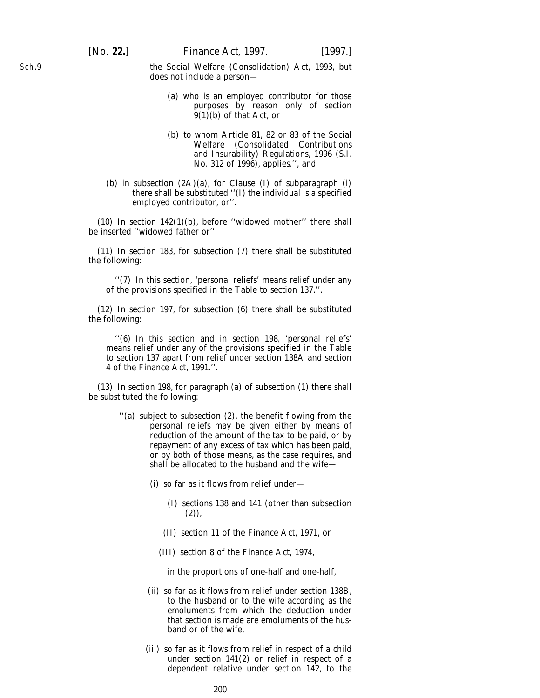the Social Welfare (Consolidation) Act, 1993, but does not include a person—

- (*a*) who is an employed contributor for those purposes by reason only of section  $9(1)$ (*b*) of that Act, or
- (*b*) to whom Article 81, 82 or 83 of the Social Welfare (Consolidated Contributions and Insurability) Regulations, 1996 (S.I. No. 312 of 1996), applies.'', and
- (*b*) in subsection (2A)(*a*), for Clause (I) of subparagraph (i) there shall be substituted ''(I) the individual is a specified employed contributor, or''.

(10) In section 142(1)(*b*), before ''widowed mother'' there shall be inserted ''widowed father or''.

(11) In section 183, for subsection (7) there shall be substituted the following:

''(7) In this section, 'personal reliefs' means relief under any of the provisions specified in the Table to section 137.''.

(12) In section 197, for subsection (6) there shall be substituted the following:

''(6) In this section and in section 198, 'personal reliefs' means relief under any of the provisions specified in the Table to section 137 apart from relief under section 138A and section 4 of the Finance Act, 1991.''.

(13) In section 198, for paragraph (*a*) of subsection (1) there shall be substituted the following:

- ''(*a*) subject to subsection (2), the benefit flowing from the personal reliefs may be given either by means of reduction of the amount of the tax to be paid, or by repayment of any excess of tax which has been paid, or by both of those means, as the case requires, and shall be allocated to the husband and the wife—
	- (i) so far as it flows from relief under—
		- (I) sections 138 and 141 (other than subsection (2)),
		- (II) section 11 of the Finance Act, 1971, or
		- (III) section 8 of the Finance Act, 1974,

in the proportions of one-half and one-half,

- (ii) so far as it flows from relief under section 138B, to the husband or to the wife according as the emoluments from which the deduction under that section is made are emoluments of the husband or of the wife,
- (iii) so far as it flows from relief in respect of a child under section 141(2) or relief in respect of a dependent relative under section 142, to the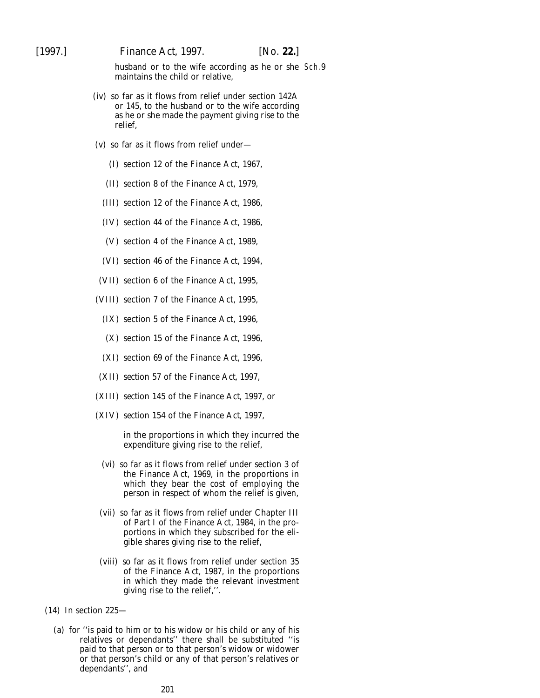husband or to the wife according as he or she Sch.9maintains the child or relative,

- (iv) so far as it flows from relief under section 142A or 145, to the husband or to the wife according as he or she made the payment giving rise to the relief,
- (v) so far as it flows from relief under—
	- (I) section 12 of the Finance Act, 1967,
	- (II) section 8 of the Finance Act, 1979,
	- (III) section 12 of the Finance Act, 1986,
	- (IV) section 44 of the Finance Act, 1986,
	- (V) section 4 of the Finance Act, 1989,
	- (VI) section 46 of the Finance Act, 1994,
- (VII) section 6 of the Finance Act, 1995,
- (VIII) section 7 of the Finance Act, 1995,
	- (IX) section 5 of the Finance Act, 1996,
	- (X) section 15 of the Finance Act, 1996,
	- (XI) section 69 of the Finance Act, 1996,
- (XII) *section 57* of the *Finance Act, 1997*,
- (XIII) *section 145* of the *Finance Act, 1997*, or
- (XIV) *section 154* of the *Finance Act, 1997*,

in the proportions in which they incurred the expenditure giving rise to the relief,

- (vi) so far as it flows from relief under section 3 of the Finance Act, 1969, in the proportions in which they bear the cost of employing the person in respect of whom the relief is given,
- (vii) so far as it flows from relief under Chapter III of Part I of the Finance Act, 1984, in the proportions in which they subscribed for the eligible shares giving rise to the relief,
- (viii) so far as it flows from relief under section 35 of the Finance Act, 1987, in the proportions in which they made the relevant investment giving rise to the relief,''.

### (14) In section 225—

(*a*) for ''is paid to him or to his widow or his child or any of his relatives or dependants'' there shall be substituted ''is paid to that person or to that person's widow or widower or that person's child or any of that person's relatives or dependants'', and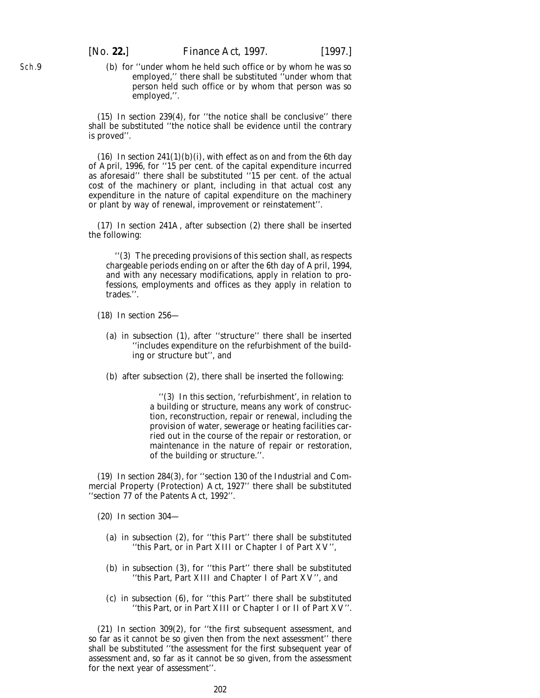(*b*) for ''under whom he held such office or by whom he was so employed,'' there shall be substituted ''under whom that person held such office or by whom that person was so employed,''.

(15) In section 239(4), for ''the notice shall be conclusive'' there shall be substituted ''the notice shall be evidence until the contrary is proved''.

(16) In section  $241(1)(b)(i)$ , with effect as on and from the 6th day of April, 1996, for ''15 per cent. of the capital expenditure incurred as aforesaid'' there shall be substituted ''15 per cent. of the actual cost of the machinery or plant, including in that actual cost any expenditure in the nature of capital expenditure on the machinery or plant by way of renewal, improvement or reinstatement''.

(17) In section 241A, after subsection (2) there shall be inserted the following:

''(3) The preceding provisions of this section shall, as respects chargeable periods ending on or after the 6th day of April, 1994, and with any necessary modifications, apply in relation to professions, employments and offices as they apply in relation to trades.''.

(18) In section 256—

- (*a*) in subsection (1), after ''structure'' there shall be inserted ''includes expenditure on the refurbishment of the building or structure but'', and
- (*b*) after subsection (2), there shall be inserted the following:

''(3) In this section, 'refurbishment', in relation to a building or structure, means any work of construction, reconstruction, repair or renewal, including the provision of water, sewerage or heating facilities carried out in the course of the repair or restoration, or maintenance in the nature of repair or restoration, of the building or structure.''.

(19) In section 284(3), for ''section 130 of the Industrial and Commercial Property (Protection) Act, 1927'' there shall be substituted ''section 77 of the Patents Act, 1992''.

(20) In section 304—

- (*a*) in subsection (2), for ''this Part'' there shall be substituted ''this Part, or in Part XIII or Chapter I of Part XV'',
- (*b*) in subsection (3), for ''this Part'' there shall be substituted ''this Part, Part XIII and Chapter I of Part XV'', and
- (*c*) in subsection (6), for ''this Part'' there shall be substituted ''this Part, or in Part XIII or Chapter I or II of Part XV''.

(21) In section 309(2), for ''the first subsequent assessment, and so far as it cannot be so given then from the next assessment'' there shall be substituted ''the assessment for the first subsequent year of assessment and, so far as it cannot be so given, from the assessment for the next year of assessment''.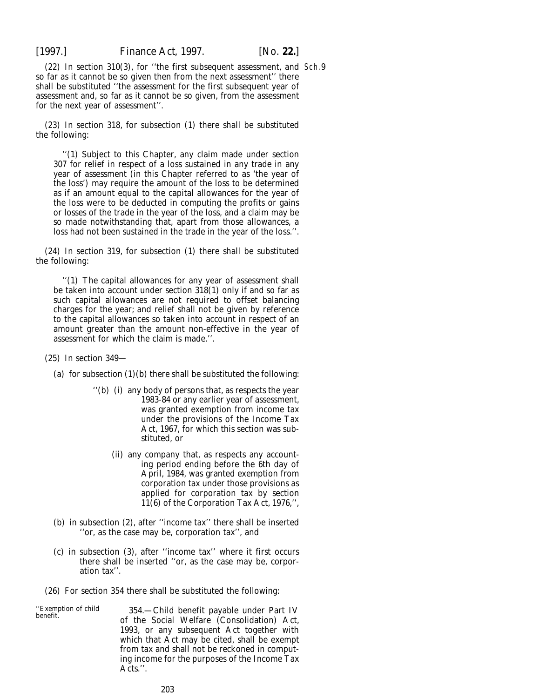(22) In section 310(3), for ''the first subsequent assessment, and Sch.9so far as it cannot be so given then from the next assessment'' there shall be substituted ''the assessment for the first subsequent year of assessment and, so far as it cannot be so given, from the assessment for the next year of assessment''.

(23) In section 318, for subsection (1) there shall be substituted the following:

''(1) Subject to this Chapter, any claim made under section 307 for relief in respect of a loss sustained in any trade in any year of assessment (in this Chapter referred to as 'the year of the loss') may require the amount of the loss to be determined as if an amount equal to the capital allowances for the year of the loss were to be deducted in computing the profits or gains or losses of the trade in the year of the loss, and a claim may be so made notwithstanding that, apart from those allowances, a loss had not been sustained in the trade in the year of the loss.''.

(24) In section 319, for subsection (1) there shall be substituted the following:

''(1) The capital allowances for any year of assessment shall be taken into account under section 318(1) only if and so far as such capital allowances are not required to offset balancing charges for the year; and relief shall not be given by reference to the capital allowances so taken into account in respect of an amount greater than the amount non-effective in the year of assessment for which the claim is made.''.

(25) In section 349—

(*a*) for subsection  $(1)(b)$  there shall be substituted the following:

- ''(*b*) (i) any body of persons that, as respects the year 1983-84 or any earlier year of assessment, was granted exemption from income tax under the provisions of the Income Tax Act, 1967, for which this section was substituted, or
	- (ii) any company that, as respects any accounting period ending before the 6th day of April, 1984, was granted exemption from corporation tax under those provisions as applied for corporation tax by section 11(6) of the Corporation Tax Act, 1976,'',
- (*b*) in subsection (2), after ''income tax'' there shall be inserted ''or, as the case may be, corporation tax'', and
- (*c*) in subsection (3), after ''income tax'' where it first occurs there shall be inserted ''or, as the case may be, corporation tax''.
- (26) For section 354 there shall be substituted the following:

''Exemption of child 354.—Child benefit payable under Part IV benefit. of the Social Welfare (Consolidation) Act, 1993, or any subsequent Act together with which that Act may be cited, shall be exempt from tax and shall not be reckoned in computing income for the purposes of the Income Tax Acts.''.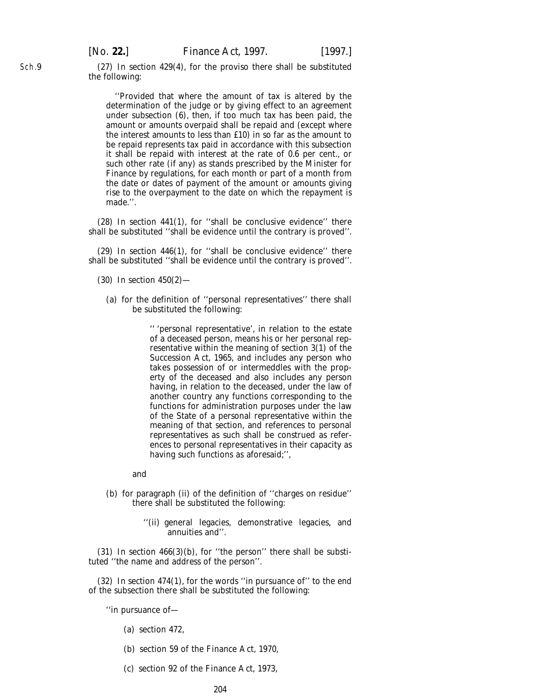(27) In section 429(4), for the proviso there shall be substituted the following:

''Provided that where the amount of tax is altered by the determination of the judge or by giving effect to an agreement under subsection (6), then, if too much tax has been paid, the amount or amounts overpaid shall be repaid and (except where the interest amounts to less than £10) in so far as the amount to be repaid represents tax paid in accordance with this subsection it shall be repaid with interest at the rate of 0.6 per cent., or such other rate (if any) as stands prescribed by the Minister for Finance by regulations, for each month or part of a month from the date or dates of payment of the amount or amounts giving rise to the overpayment to the date on which the repayment is made.''.

(28) In section 441(1), for ''shall be conclusive evidence'' there shall be substituted ''shall be evidence until the contrary is proved''.

(29) In section 446(1), for ''shall be conclusive evidence'' there shall be substituted ''shall be evidence until the contrary is proved''.

- (30) In section 450(2)—
	- (*a*) for the definition of ''personal representatives'' there shall be substituted the following:

'' 'personal representative', in relation to the estate of a deceased person, means his or her personal representative within the meaning of section 3(1) of the Succession Act, 1965, and includes any person who takes possession of or intermeddles with the property of the deceased and also includes any person having, in relation to the deceased, under the law of another country any functions corresponding to the functions for administration purposes under the law of the State of a personal representative within the meaning of that section, and references to personal representatives as such shall be construed as references to personal representatives in their capacity as having such functions as aforesaid;'',

and

- (*b*) for paragraph (ii) of the definition of ''charges on residue'' there shall be substituted the following:
	- ''(ii) general legacies, demonstrative legacies, and annuities and''.

(31) In section  $466(3)(b)$ , for "the person" there shall be substituted ''the name and address of the person''.

(32) In section 474(1), for the words ''in pursuance of'' to the end of the subsection there shall be substituted the following:

''in pursuance of—

- (*a*) section 472,
- (*b*) section 59 of the Finance Act, 1970,
- (*c*) section 92 of the Finance Act, 1973,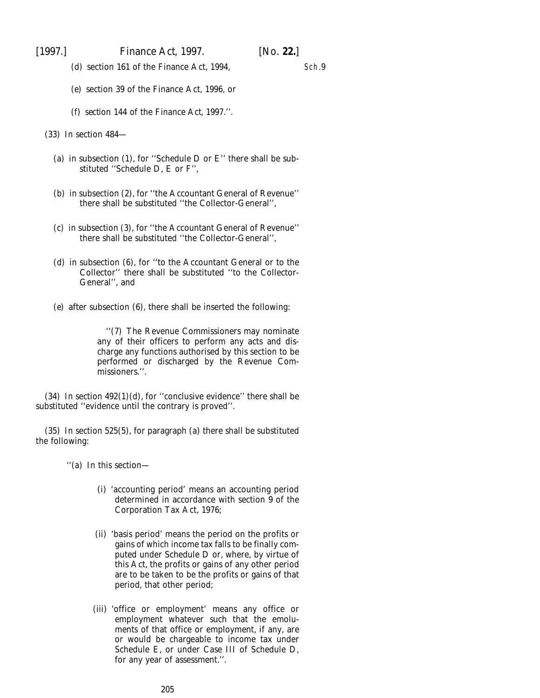[1997.] *Finance Act,* 1997. [*No.* **22.**]

(*d*) section 161 of the Finance Act, 1994,

Sch.9

- (*e*) section 39 of the Finance Act, 1996, or
- (*f*) *section 144* of the *Finance Act, 1997*.''.

(33) In section 484—

- (*a*) in subsection (1), for ''Schedule D or E'' there shall be substituted ''Schedule D, E or F'',
- (*b*) in subsection (2), for ''the Accountant General of Revenue'' there shall be substituted ''the Collector-General'',
- (*c*) in subsection (3), for ''the Accountant General of Revenue'' there shall be substituted ''the Collector-General'',
- (*d*) in subsection (6), for ''to the Accountant General or to the Collector'' there shall be substituted ''to the Collector-General'', and
- (*e*) after subsection (6), there shall be inserted the following:

''(7) The Revenue Commissioners may nominate any of their officers to perform any acts and discharge any functions authorised by this section to be performed or discharged by the Revenue Commissioners.''.

(34) In section  $492(1)(d)$ , for "conclusive evidence" there shall be substituted ''evidence until the contrary is proved''.

(35) In section 525(5), for paragraph (*a*) there shall be substituted the following:

''(*a*) In this section—

- (i) 'accounting period' means an accounting period determined in accordance with section 9 of the Corporation Tax Act, 1976;
- (ii) 'basis period' means the period on the profits or gains of which income tax falls to be finally computed under Schedule D or, where, by virtue of this Act, the profits or gains of any other period are to be taken to be the profits or gains of that period, that other period;
- (iii) 'office or employment' means any office or employment whatever such that the emoluments of that office or employment, if any, are or would be chargeable to income tax under Schedule E, or under Case III of Schedule D, for any year of assessment.''.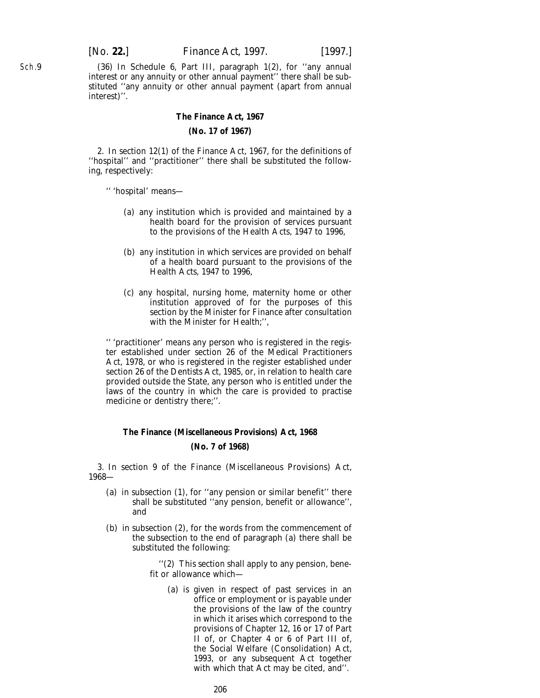(36) In Schedule 6, Part III, paragraph 1(2), for ''any annual interest or any annuity or other annual payment'' there shall be substituted ''any annuity or other annual payment (apart from annual interest)''.

### **The Finance Act, 1967 (No. 17 of 1967)**

2. In section 12(1) of the Finance Act, 1967, for the definitions of ''hospital'' and ''practitioner'' there shall be substituted the following, respectively:

- '' 'hospital' means—
	- (*a*) any institution which is provided and maintained by a health board for the provision of services pursuant to the provisions of the Health Acts, 1947 to 1996,
	- (*b*) any institution in which services are provided on behalf of a health board pursuant to the provisions of the Health Acts, 1947 to 1996,
	- (*c*) any hospital, nursing home, maternity home or other institution approved of for the purposes of this section by the Minister for Finance after consultation with the Minister for Health;'',

'' 'practitioner' means any person who is registered in the register established under section 26 of the Medical Practitioners Act, 1978, or who is registered in the register established under section 26 of the Dentists Act, 1985, or, in relation to health care provided outside the State, any person who is entitled under the laws of the country in which the care is provided to practise medicine or dentistry there;''.

### **The Finance (Miscellaneous Provisions) Act, 1968 (No. 7 of 1968)**

3. In section 9 of the Finance (Miscellaneous Provisions) Act, 1968—

- (*a*) in subsection (1), for ''any pension or similar benefit'' there shall be substituted ''any pension, benefit or allowance'', and
- (*b*) in subsection (2), for the words from the commencement of the subsection to the end of paragraph (*a*) there shall be substituted the following:

''(2) This section shall apply to any pension, benefit or allowance which—

(*a*) is given in respect of past services in an office or employment or is payable under the provisions of the law of the country in which it arises which correspond to the provisions of Chapter 12, 16 or 17 of Part II of, or Chapter 4 or 6 of Part III of, the Social Welfare (Consolidation) Act, 1993, or any subsequent Act together with which that Act may be cited, and''.

206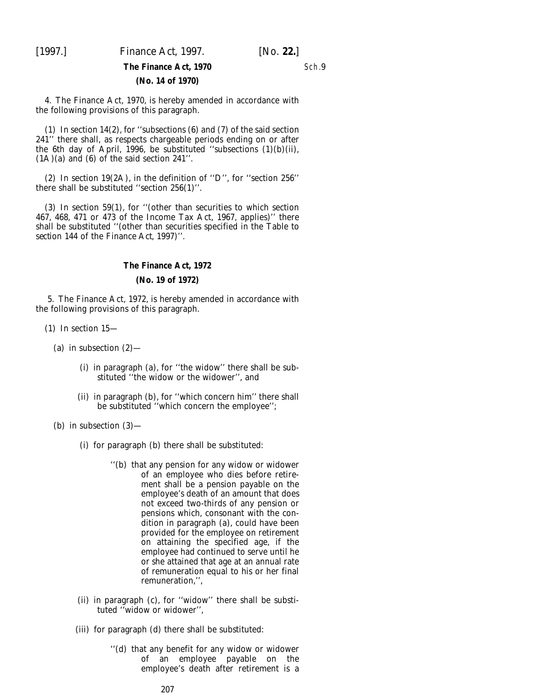[1997.] *Finance Act,* 1997. [*No.* **22.**]

Sch.9

### **The Finance Act, 1970 (No. 14 of 1970)**

4. The Finance Act, 1970, is hereby amended in accordance with the following provisions of this paragraph.

(1) In section 14(2), for ''subsections (6) and (7) of the said section 241'' there shall, as respects chargeable periods ending on or after the 6th day of April, 1996, be substituted ''subsections (1)(*b*)(ii),  $(1A)(a)$  and  $(6)$  of the said section 241".

(2) In section 19(2A), in the definition of ''D'', for ''section 256'' there shall be substituted ''section 256(1)''.

(3) In section 59(1), for ''(other than securities to which section 467, 468, 471 or 473 of the Income Tax Act, 1967, applies)'' there shall be substituted ''(other than securities specified in the Table to *section 144* of the *Finance Act, 1997*)''.

## **The Finance Act, 1972**

### **(No. 19 of 1972)**

5. The Finance Act, 1972, is hereby amended in accordance with the following provisions of this paragraph.

- (1) In section 15—
	- (*a*) in subsection (2)—
		- (i) in paragraph (*a*), for ''the widow'' there shall be substituted ''the widow or the widower'', and
		- (ii) in paragraph (*b*), for ''which concern him'' there shall be substituted ''which concern the employee'';

(*b*) in subsection (3)—

- (i) for paragraph (*b*) there shall be substituted:
	- ''(*b*) that any pension for any widow or widower of an employee who dies before retirement shall be a pension payable on the employee's death of an amount that does not exceed two-thirds of any pension or pensions which, consonant with the condition in paragraph (*a*), could have been provided for the employee on retirement on attaining the specified age, if the employee had continued to serve until he or she attained that age at an annual rate of remuneration equal to his or her final remuneration,'',
- (ii) in paragraph (*c*), for ''widow'' there shall be substituted ''widow or widower'',
- (iii) for paragraph (*d*) there shall be substituted:
	- ''(*d*) that any benefit for any widow or widower of an employee payable on the employee's death after retirement is a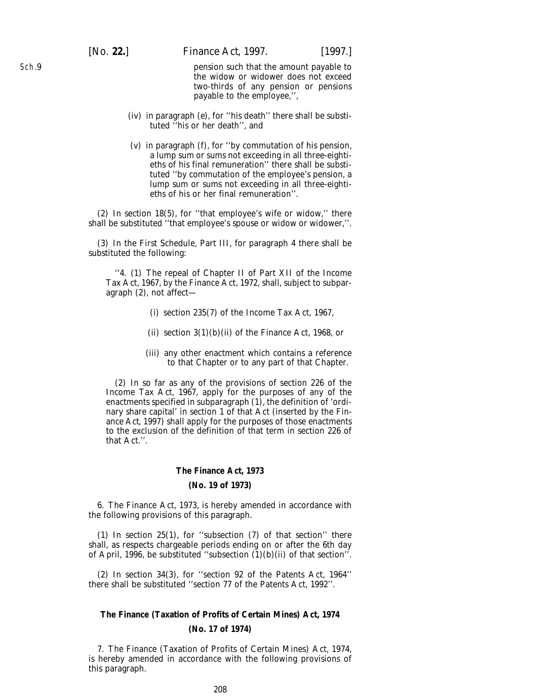[*No.* **22.**] *Finance Act,* 1997. [1997.]

pension such that the amount payable to the widow or widower does not exceed two-thirds of any pension or pensions payable to the employee,'',

- (iv) in paragraph (*e*), for ''his death'' there shall be substituted ''his or her death'', and
- (v) in paragraph (*f*), for ''by commutation of his pension, a lump sum or sums not exceeding in all three-eightieths of his final remuneration'' there shall be substituted ''by commutation of the employee's pension, a lump sum or sums not exceeding in all three-eightieths of his or her final remuneration''.

(2) In section 18(5), for ''that employee's wife or widow,'' there shall be substituted ''that employee's spouse or widow or widower,''.

(3) In the First Schedule, Part III, for paragraph 4 there shall be substituted the following:

''4. (1) The repeal of Chapter II of Part XII of the Income Tax Act, 1967, by the Finance Act, 1972, shall, subject to subparagraph (2), not affect—

- (i) section 235(7) of the Income Tax Act, 1967,
- (ii) section  $3(1)(b)(ii)$  of the Finance Act, 1968, or
- (iii) any other enactment which contains a reference to that Chapter or to any part of that Chapter.

(2) In so far as any of the provisions of section 226 of the Income Tax Act, 1967, apply for the purposes of any of the enactments specified in subparagraph (1), the definition of 'ordinary share capital' in section 1 of that Act (inserted by the *Finance Act, 1997*) shall apply for the purposes of those enactments to the exclusion of the definition of that term in section 226 of that Act.''.

### **The Finance Act, 1973**

#### **(No. 19 of 1973)**

6. The Finance Act, 1973, is hereby amended in accordance with the following provisions of this paragraph.

(1) In section 25(1), for ''subsection (7) of that section'' there shall, as respects chargeable periods ending on or after the 6th day of April, 1996, be substituted ''subsection (1)(*b*)(ii) of that section''.

(2) In section 34(3), for ''section 92 of the Patents Act, 1964'' there shall be substituted ''section 77 of the Patents Act, 1992''.

### **The Finance (Taxation of Profits of Certain Mines) Act, 1974 (No. 17 of 1974)**

7. The Finance (Taxation of Profits of Certain Mines) Act, 1974, is hereby amended in accordance with the following provisions of this paragraph.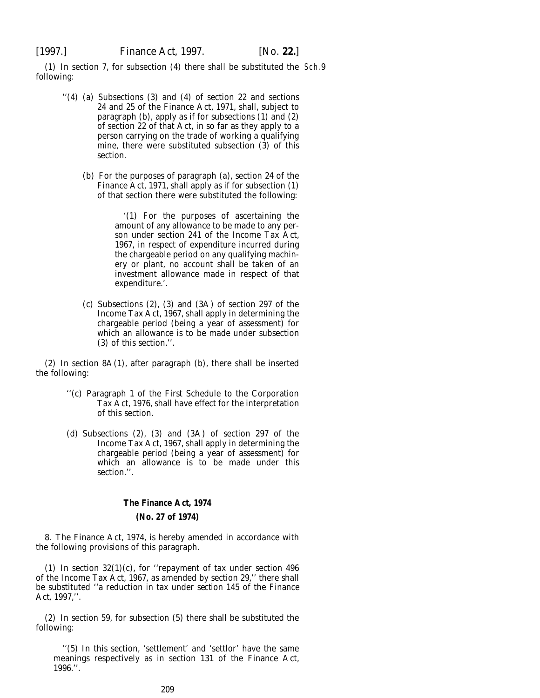(1) In section 7, for subsection (4) there shall be substituted the Sch.9following:

- ''(4) (*a*) Subsections (3) and (4) of section 22 and sections 24 and 25 of the Finance Act, 1971, shall, subject to paragraph (*b*), apply as if for subsections (1) and (2) of section 22 of that Act, in so far as they apply to a person carrying on the trade of working a qualifying mine, there were substituted subsection (3) of this section.
	- (*b*) For the purposes of paragraph (*a*), section 24 of the Finance Act, 1971, shall apply as if for subsection (1) of that section there were substituted the following:

'(1) For the purposes of ascertaining the amount of any allowance to be made to any person under section 241 of the Income Tax Act, 1967, in respect of expenditure incurred during the chargeable period on any qualifying machinery or plant, no account shall be taken of an investment allowance made in respect of that expenditure.'.

(*c*) Subsections (2), (3) and (3A) of section 297 of the Income Tax Act, 1967, shall apply in determining the chargeable period (being a year of assessment) for which an allowance is to be made under subsection (3) of this section.''.

(2) In section 8A(1), after paragraph (*b*), there shall be inserted the following:

- ''(*c*) Paragraph 1 of the First Schedule to the Corporation Tax Act, 1976, shall have effect for the interpretation of this section.
- (*d*) Subsections (2), (3) and (3A) of section 297 of the Income Tax Act, 1967, shall apply in determining the chargeable period (being a year of assessment) for which an allowance is to be made under this section.''.

#### **The Finance Act, 1974**

#### **(No. 27 of 1974)**

8. The Finance Act, 1974, is hereby amended in accordance with the following provisions of this paragraph.

(1) In section 32(1)(*c*), for ''repayment of tax under section 496 of the Income Tax Act, 1967, as amended by section 29,'' there shall be substituted ''a reduction in tax under *section 145* of the *Finance Act, 1997*,''.

(2) In section 59, for subsection (5) there shall be substituted the following:

''(5) In this section, 'settlement' and 'settlor' have the same meanings respectively as in section 131 of the Finance Act, 1996.''.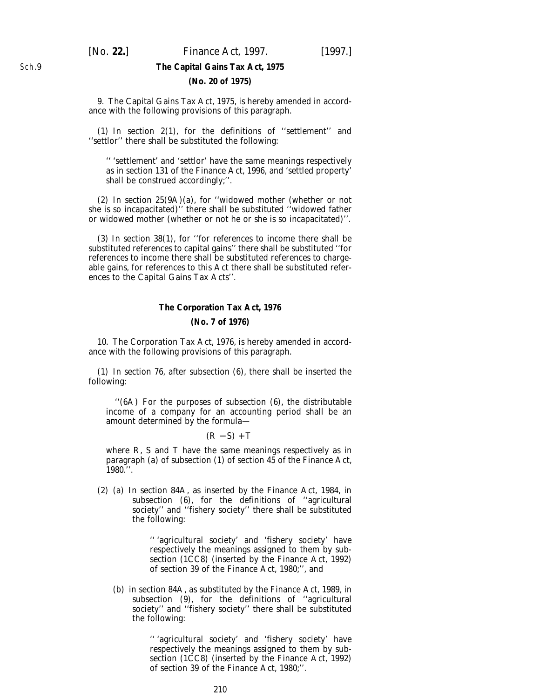### **The Capital Gains Tax Act, 1975**

### **(No. 20 of 1975)**

9. The Capital Gains Tax Act, 1975, is hereby amended in accordance with the following provisions of this paragraph.

(1) In section 2(1), for the definitions of ''settlement'' and ''settlor'' there shall be substituted the following:

'' 'settlement' and 'settlor' have the same meanings respectively as in section 131 of the Finance Act, 1996, and 'settled property' shall be construed accordingly;''.

(2) In section 25(9A)(*a*), for ''widowed mother (whether or not she is so incapacitated)'' there shall be substituted ''widowed father or widowed mother (whether or not he or she is so incapacitated)''.

(3) In section 38(1), for ''for references to income there shall be substituted references to capital gains'' there shall be substituted ''for references to income there shall be substituted references to chargeable gains, for references to this Act there shall be substituted references to the Capital Gains Tax Acts''.

### **The Corporation Tax Act, 1976 (No. 7 of 1976)**

10. The Corporation Tax Act, 1976, is hereby amended in accordance with the following provisions of this paragraph.

(1) In section 76, after subsection (6), there shall be inserted the following:

''(6A) For the purposes of subsection (6), the distributable income of a company for an accounting period shall be an amount determined by the formula—

 $(R - S) + T$ 

where R, S and T have the same meanings respectively as in paragraph (*a*) of subsection (1) of section 45 of the Finance Act, 1980.''.

(2) (*a*) In section 84A, as inserted by the Finance Act, 1984, in subsection (6), for the definitions of ''agricultural society'' and ''fishery society'' there shall be substituted the following:

> '' 'agricultural society' and 'fishery society' have respectively the meanings assigned to them by subsection (1CC8) (inserted by the Finance Act, 1992) of section 39 of the Finance Act, 1980;'', and

(*b*) in section 84A, as substituted by the Finance Act, 1989, in subsection (9), for the definitions of ''agricultural society'' and ''fishery society'' there shall be substituted the following:

> '' 'agricultural society' and 'fishery society' have respectively the meanings assigned to them by subsection (1CC8) (inserted by the Finance Act, 1992) of section 39 of the Finance Act, 1980;''.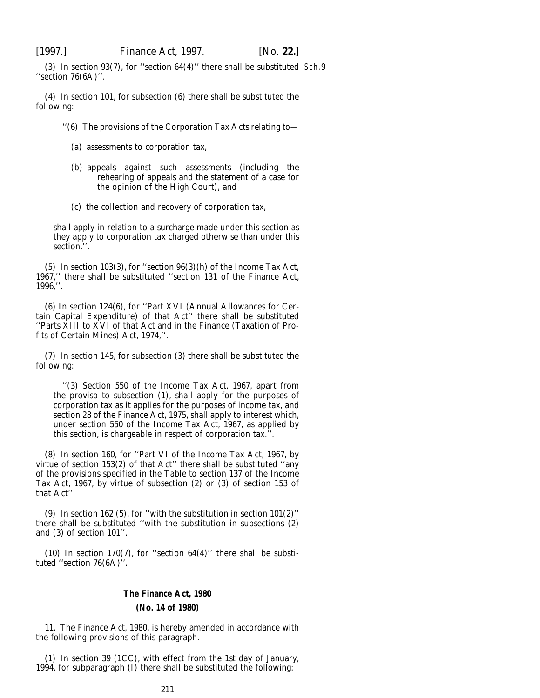(3) In section 93(7), for ''section 64(4)'' there shall be substituted Sch.9''section 76(6A)''.

(4) In section 101, for subsection (6) there shall be substituted the following:

''(6) The provisions of the Corporation Tax Acts relating to—

- (*a*) assessments to corporation tax,
- (*b*) appeals against such assessments (including the rehearing of appeals and the statement of a case for the opinion of the High Court), and
- (*c*) the collection and recovery of corporation tax,

shall apply in relation to a surcharge made under this section as they apply to corporation tax charged otherwise than under this section.''.

(5) In section 103(3), for ''section 96(3)(*h*) of the Income Tax Act, 1967,'' there shall be substituted ''section 131 of the Finance Act, 1996,''.

(6) In section 124(6), for ''Part XVI (Annual Allowances for Certain Capital Expenditure) of that Act'' there shall be substituted ''Parts XIII to XVI of that Act and in the Finance (Taxation of Profits of Certain Mines) Act, 1974,''.

(7) In section 145, for subsection (3) there shall be substituted the following:

''(3) Section 550 of the Income Tax Act, 1967, apart from the proviso to subsection (1), shall apply for the purposes of corporation tax as it applies for the purposes of income tax, and section 28 of the Finance Act, 1975, shall apply to interest which, under section 550 of the Income Tax Act, 1967, as applied by this section, is chargeable in respect of corporation tax.''.

(8) In section 160, for ''Part VI of the Income Tax Act, 1967, by virtue of section 153(2) of that Act'' there shall be substituted ''any of the provisions specified in the Table to section 137 of the Income Tax Act, 1967, by virtue of subsection (2) or (3) of section 153 of that Act''.

(9) In section 162 (5), for ''with the substitution in section 101(2)'' there shall be substituted ''with the substitution in subsections (2) and (3) of section 101''.

 $(10)$  In section 170(7), for "section 64(4)" there shall be substituted ''section 76(6A)''.

### **The Finance Act, 1980 (No. 14 of 1980)**

11. The Finance Act, 1980, is hereby amended in accordance with the following provisions of this paragraph.

(1) In section 39 (1CC), with effect from the 1st day of January, 1994, for subparagraph (I) there shall be substituted the following: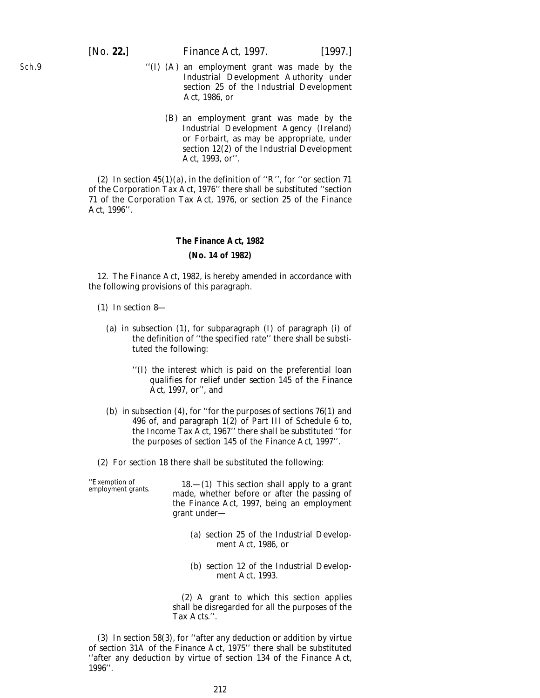- ''(I) (A) an employment grant was made by the Industrial Development Authority under section 25 of the Industrial Development Act, 1986, or
	- (B) an employment grant was made by the Industrial Development Agency (Ireland) or Forbairt, as may be appropriate, under section 12(2) of the Industrial Development Act, 1993, or''.

(2) In section  $45(1)(a)$ , in the definition of "R", for "or section 71 of the Corporation Tax Act, 1976'' there shall be substituted ''section 71 of the Corporation Tax Act, 1976, or section 25 of the Finance Act, 1996''.

#### **The Finance Act, 1982**

#### **(No. 14 of 1982)**

12. The Finance Act, 1982, is hereby amended in accordance with the following provisions of this paragraph.

- (1) In section 8—
	- (*a*) in subsection (1), for subparagraph (I) of paragraph (i) of the definition of ''the specified rate'' there shall be substituted the following:
		- ''(I) the interest which is paid on the preferential loan qualifies for relief under *section 145* of the *Finance Act, 1997*, or'', and
	- (*b*) in subsection (4), for ''for the purposes of sections 76(1) and 496 of, and paragraph 1(2) of Part III of Schedule 6 to, the Income Tax Act, 1967'' there shall be substituted ''for the purposes of *section 145* of the *Finance Act, 1997*''.
- (2) For section 18 there shall be substituted the following:

''Exemption of 18.—(1) This section shall apply to a grant employment grants. made, whether before or after the passing of the *Finance Act, 1997*, being an employment grant under—

- (*a*) section 25 of the Industrial Development Act, 1986, or
- (*b*) section 12 of the Industrial Development Act, 1993.

(2) A grant to which this section applies shall be disregarded for all the purposes of the Tax Acts.''.

(3) In section 58(3), for ''after any deduction or addition by virtue of section 31A of the Finance Act, 1975'' there shall be substituted ''after any deduction by virtue of section 134 of the Finance Act, 1996''.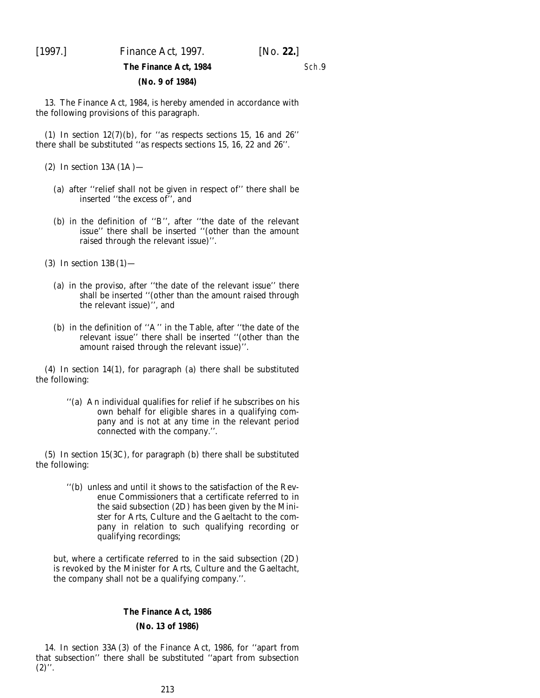[1997.] *Finance Act,* 1997. [*No.* **22.**]

### Sch.9

### **The Finance Act, 1984 (No. 9 of 1984)**

13. The Finance Act, 1984, is hereby amended in accordance with the following provisions of this paragraph.

(1) In section  $12(7)(b)$ , for "as respects sections 15, 16 and 26" there shall be substituted ''as respects sections 15, 16, 22 and 26''.

 $(2)$  In section  $13A(1A)$ —

- (*a*) after ''relief shall not be given in respect of'' there shall be inserted ''the excess of'', and
- (*b*) in the definition of ''B'', after ''the date of the relevant issue'' there shall be inserted ''(other than the amount raised through the relevant issue)''.

(3) In section 13B(1)—

- (*a*) in the proviso, after ''the date of the relevant issue'' there shall be inserted ''(other than the amount raised through the relevant issue)'', and
- (*b*) in the definition of ''A'' in the Table, after ''the date of the relevant issue'' there shall be inserted ''(other than the amount raised through the relevant issue)''.

(4) In section 14(1), for paragraph (*a*) there shall be substituted the following:

> ''(*a*) An individual qualifies for relief if he subscribes on his own behalf for eligible shares in a qualifying company and is not at any time in the relevant period connected with the company.''.

(5) In section 15(3C), for paragraph (*b*) there shall be substituted the following:

> ''(*b*) unless and until it shows to the satisfaction of the Revenue Commissioners that a certificate referred to in the said subsection (2D) has been given by the Minister for Arts, Culture and the Gaeltacht to the company in relation to such qualifying recording or qualifying recordings;

but, where a certificate referred to in the said subsection (2D) is revoked by the Minister for Arts, Culture and the Gaeltacht, the company shall not be a qualifying company.''.

### **The Finance Act, 1986**

### **(No. 13 of 1986)**

14. In section 33A(3) of the Finance Act, 1986, for ''apart from that subsection'' there shall be substituted ''apart from subsection  $(2)$ ".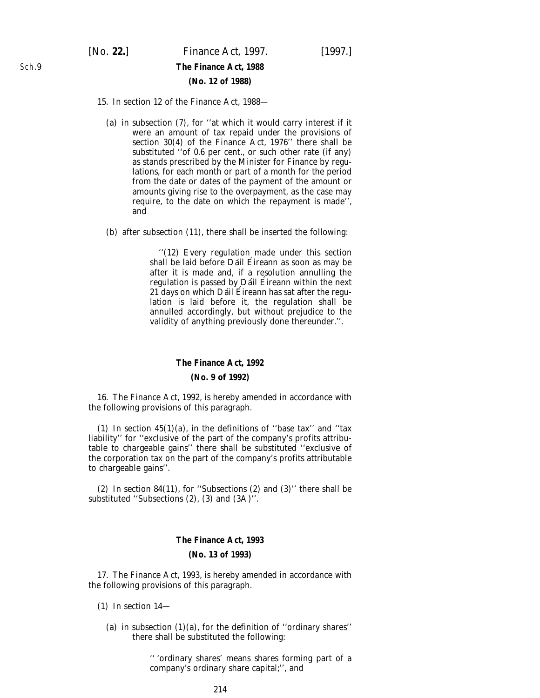[*No.* **22.**] *Finance Act,* 1997. [1997.] **The Finance Act, 1988 (No. 12 of 1988)**

### 15. In section 12 of the Finance Act, 1988—

- (*a*) in subsection (7), for ''at which it would carry interest if it were an amount of tax repaid under the provisions of section 30(4) of the Finance Act, 1976'' there shall be substituted ''of 0.6 per cent., or such other rate (if any) as stands prescribed by the Minister for Finance by regulations, for each month or part of a month for the period from the date or dates of the payment of the amount or amounts giving rise to the overpayment, as the case may require, to the date on which the repayment is made'', and
- (*b*) after subsection (11), there shall be inserted the following:

''(12) Every regulation made under this section shall be laid before Dáil Éireann as soon as may be after it is made and, if a resolution annulling the regulation is passed by Dáil Éireann within the next  $21$  days on which Dáil Éireann has sat after the regulation is laid before it, the regulation shall be annulled accordingly, but without prejudice to the validity of anything previously done thereunder.''.

#### **The Finance Act, 1992**

### **(No. 9 of 1992)**

16. The Finance Act, 1992, is hereby amended in accordance with the following provisions of this paragraph.

(1) In section  $45(1)(a)$ , in the definitions of "base tax" and "tax" liability'' for ''exclusive of the part of the company's profits attributable to chargeable gains'' there shall be substituted ''exclusive of the corporation tax on the part of the company's profits attributable to chargeable gains''.

(2) In section 84(11), for ''Subsections (2) and (3)'' there shall be substituted ''Subsections (2), (3) and (3A)''.

### **The Finance Act, 1993 (No. 13 of 1993)**

17. The Finance Act, 1993, is hereby amended in accordance with the following provisions of this paragraph.

- (1) In section 14—
	- (*a*) in subsection  $(1)(a)$ , for the definition of "ordinary shares" there shall be substituted the following:

'' 'ordinary shares' means shares forming part of a company's ordinary share capital;'', and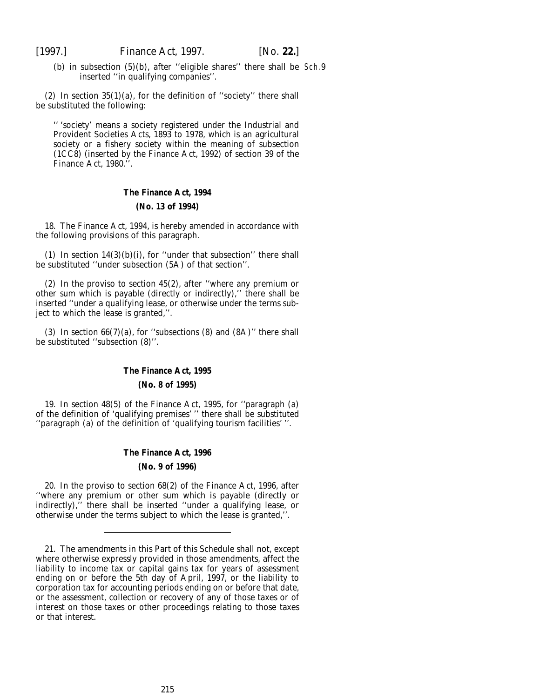(b) in subsection  $(5)(b)$ , after "eligible shares" there shall be Sch.9 inserted ''in qualifying companies''.

(2) In section  $35(1)(a)$ , for the definition of "society" there shall be substituted the following:

'' 'society' means a society registered under the Industrial and Provident Societies Acts, 1893 to 1978, which is an agricultural society or a fishery society within the meaning of subsection (1CC8) (inserted by the Finance Act, 1992) of section 39 of the Finance Act, 1980.''.

### **The Finance Act, 1994 (No. 13 of 1994)**

18. The Finance Act, 1994, is hereby amended in accordance with the following provisions of this paragraph.

(1) In section  $14(3)(b)(i)$ , for "under that subsection" there shall be substituted ''under subsection (5A) of that section''.

(2) In the proviso to section 45(2), after ''where any premium or other sum which is payable (directly or indirectly),'' there shall be inserted ''under a qualifying lease, or otherwise under the terms subject to which the lease is granted,''.

(3) In section  $66(7)(a)$ , for "subsections (8) and  $(8A)$ " there shall be substituted ''subsection (8)''.

#### **The Finance Act, 1995**

#### **(No. 8 of 1995)**

19. In section 48(5) of the Finance Act, 1995, for ''paragraph (*a*) of the definition of 'qualifying premises' '' there shall be substituted ''paragraph (*a*) of the definition of 'qualifying tourism facilities' ''.

### **The Finance Act, 1996 (No. 9 of 1996)**

20. In the proviso to section 68(2) of the Finance Act, 1996, after ''where any premium or other sum which is payable (directly or indirectly),'' there shall be inserted ''under a qualifying lease, or otherwise under the terms subject to which the lease is granted,''.

<sup>21.</sup> The amendments in this Part of this Schedule shall not, except where otherwise expressly provided in those amendments, affect the liability to income tax or capital gains tax for years of assessment ending on or before the 5th day of April, 1997, or the liability to corporation tax for accounting periods ending on or before that date, or the assessment, collection or recovery of any of those taxes or of interest on those taxes or other proceedings relating to those taxes or that interest.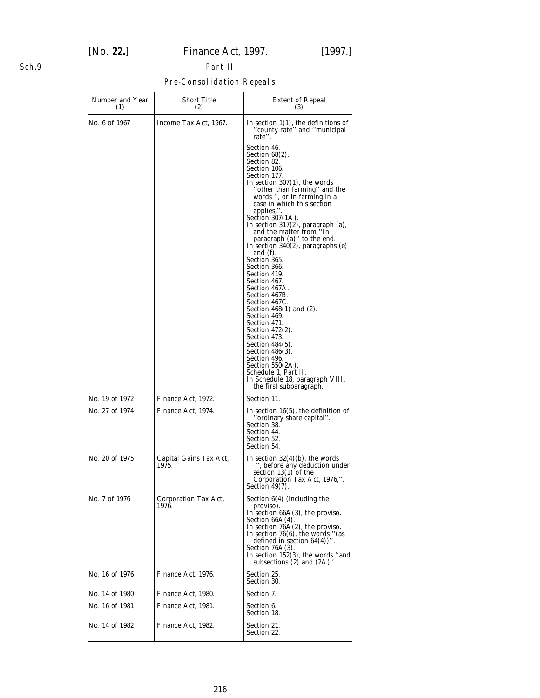## [*No.* **22.**] *Finance Act,* 1997. [1997.]

### Sch.9

## Part II Pre-Consolidation Repeals

| Number and Year<br>(1)           | <b>Short Title</b><br>(2)                | <b>Extent of Repeal</b><br>(3)                                                                                                                                                                                                                                                                                          |
|----------------------------------|------------------------------------------|-------------------------------------------------------------------------------------------------------------------------------------------------------------------------------------------------------------------------------------------------------------------------------------------------------------------------|
| No. 6 of 1967                    | Income Tax Act, 1967.                    | In section $1(1)$ , the definitions of<br>"county rate" and "municipal<br>rate".                                                                                                                                                                                                                                        |
|                                  |                                          | Section 46.<br>Section 68(2).<br>Section 82.<br>Section 106.                                                                                                                                                                                                                                                            |
|                                  |                                          | Section 177.<br>In section $307(1)$ , the words<br>"other than farming" and the<br>words ", or in farming in a<br>case in which this section                                                                                                                                                                            |
|                                  |                                          | applies,".<br>Section $307(1A)$ .<br>In section 317(2), paragraph (a),<br>and the matter from "In<br>paragraph $(a)$ " to the end.<br>In section 340(2), paragraphs $(e)$                                                                                                                                               |
|                                  |                                          | and $(f)$ .<br>Section 365.<br>Section 366.                                                                                                                                                                                                                                                                             |
|                                  |                                          | Section 419.<br>Section 467.<br>Section 467A.<br>Section 467B.                                                                                                                                                                                                                                                          |
|                                  |                                          | Section 467C.<br>Section 468(1) and (2).<br>Section 469.<br>Section 471.                                                                                                                                                                                                                                                |
|                                  |                                          | Section 472(2).<br>Section 473.<br>Section $484(5)$ .<br>Section 486(3).<br>Section 496.<br>Section 550(2A).                                                                                                                                                                                                            |
|                                  |                                          | Schedule 1, Part II.<br>In Schedule 18, paragraph VIII,<br>the first subparagraph.                                                                                                                                                                                                                                      |
| No. 19 of 1972<br>No. 27 of 1974 | Finance Act, 1972.<br>Finance Act, 1974. | Section 11.<br>In section $16(5)$ , the definition of<br>"ordinary share capital".<br>Section 38.<br>Section 44.<br>Section 52.<br>Section 54.                                                                                                                                                                          |
| No. 20 of 1975                   | Capital Gains Tax Act,<br>1975.          | In section $32(4)(b)$ , the words<br>', before any deduction under<br>section 13(1) of the<br>Corporation Tax Act, 1976,".<br>Section $49(7)$ .                                                                                                                                                                         |
| No. 7 of 1976                    | Corporation Tax Act,<br>1976.            | Section $6(4)$ (including the<br>proviso).<br>In section $66A(3)$ , the proviso.<br>Section $66A(4)$ .<br>In section $76A(2)$ , the proviso.<br>In section $76(6)$ , the words "(as<br>defined in section $64(4)$ )".<br>Section $76A(3)$ .<br>In section $152(3)$ , the words "and"<br>subsections $(2)$ and $(2A)$ ". |
| No. 16 of 1976                   | Finance Act, 1976.                       | Section 25.<br>Section 30.                                                                                                                                                                                                                                                                                              |
| No. 14 of 1980                   | Finance Act, 1980.                       | Section 7.                                                                                                                                                                                                                                                                                                              |
| No. 16 of 1981                   | Finance Act, 1981.                       | Section 6.<br>Section 18.                                                                                                                                                                                                                                                                                               |
| No. 14 of 1982                   | Finance Act, 1982.                       | Section 21.<br>Section 22.                                                                                                                                                                                                                                                                                              |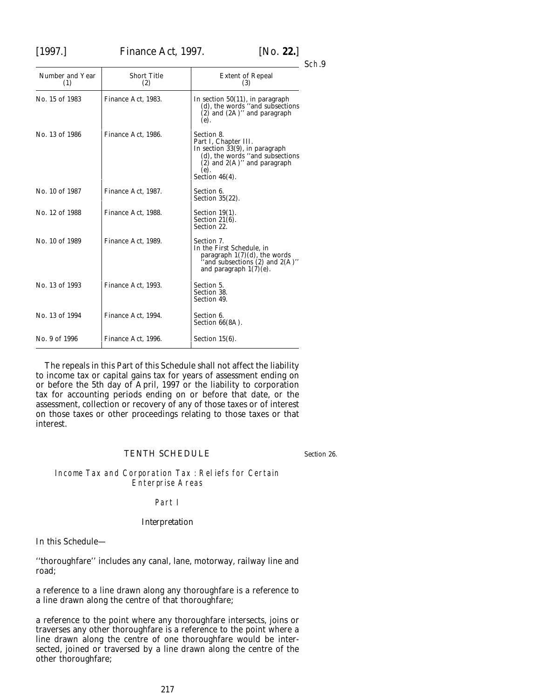# [1997.] *Finance Act,* 1997. [*No.* **22.**]

| Number and Year<br>(1) | <b>Short Title</b><br>(2) | <b>Extent of Repeal</b><br>(3)                                                                                                                                                  |
|------------------------|---------------------------|---------------------------------------------------------------------------------------------------------------------------------------------------------------------------------|
| No. 15 of 1983         | Finance Act, 1983.        | In section $50(11)$ , in paragraph<br>$(d)$ , the words "and subsections"<br>$(2)$ and $(2A)$ " and paragraph<br>(e).                                                           |
| No. 13 of 1986         | Finance Act, 1986.        | Section 8.<br>Part I, Chapter III.<br>In section $33(9)$ , in paragraph<br>$(d)$ , the words "and subsections"<br>$(2)$ and $2(A)$ " and paragraph<br>(e).<br>Section $46(4)$ . |
| No. 10 of 1987         | Finance Act, 1987.        | Section 6.<br>Section $35(22)$ .                                                                                                                                                |
| No. 12 of 1988         | Finance Act. 1988.        | Section $19(1)$ .<br>Section $21(6)$ .<br>Section 22.                                                                                                                           |
| No. 10 of 1989         | Finance Act, 1989.        | Section 7.<br>In the First Schedule, in<br>paragraph $1(7)(d)$ , the words<br>and subsections $(2)$ and $2(A)$ "<br>and paragraph $1(7)(e)$ .                                   |
| No. 13 of 1993         | Finance Act, 1993.        | Section 5.<br>Section 38.<br>Section 49.                                                                                                                                        |
| No. 13 of 1994         | Finance Act. 1994.        | Section 6.<br>Section $66(8A)$ .                                                                                                                                                |
| No. 9 of 1996          | Finance Act, 1996.        | Section $15(6)$ .                                                                                                                                                               |

The repeals in this Part of this Schedule shall not affect the liability to income tax or capital gains tax for years of assessment ending on or before the 5th day of April, 1997 or the liability to corporation tax for accounting periods ending on or before that date, or the assessment, collection or recovery of any of those taxes or of interest on those taxes or other proceedings relating to those taxes or that interest.

## TENTH SCHEDULE

*Section 26*.

### Income Tax and Corporation Tax : Reliefs for Certain Enterprise Areas

#### Part I

## *Interpretation*

In this Schedule—

''thoroughfare'' includes any canal, lane, motorway, railway line and road;

a reference to a line drawn along any thoroughfare is a reference to a line drawn along the centre of that thoroughfare;

a reference to the point where any thoroughfare intersects, joins or traverses any other thoroughfare is a reference to the point where a line drawn along the centre of one thoroughfare would be intersected, joined or traversed by a line drawn along the centre of the other thoroughfare;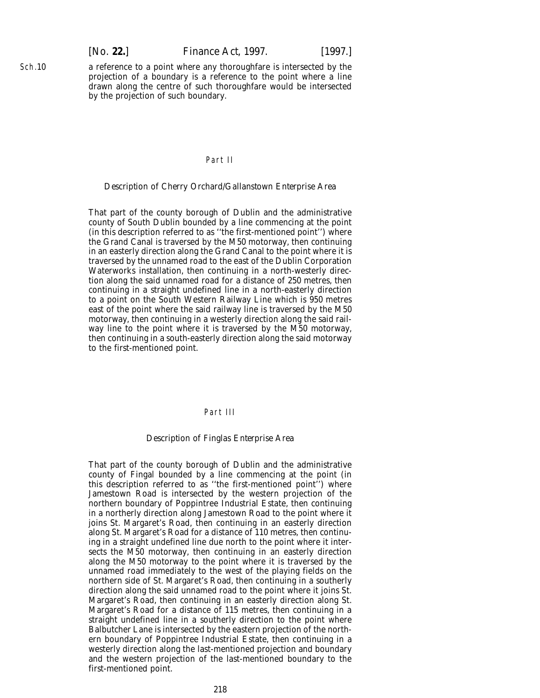Sch.10

a reference to a point where any thoroughfare is intersected by the projection of a boundary is a reference to the point where a line drawn along the centre of such thoroughfare would be intersected by the projection of such boundary.

### Part II

#### *Description of Cherry Orchard/Gallanstown Enterprise Area*

That part of the county borough of Dublin and the administrative county of South Dublin bounded by a line commencing at the point (in this description referred to as ''the first-mentioned point'') where the Grand Canal is traversed by the M50 motorway, then continuing in an easterly direction along the Grand Canal to the point where it is traversed by the unnamed road to the east of the Dublin Corporation Waterworks installation, then continuing in a north-westerly direction along the said unnamed road for a distance of 250 metres, then continuing in a straight undefined line in a north-easterly direction to a point on the South Western Railway Line which is 950 metres east of the point where the said railway line is traversed by the M50 motorway, then continuing in a westerly direction along the said railway line to the point where it is traversed by the M50 motorway, then continuing in a south-easterly direction along the said motorway to the first-mentioned point.

## Part III

### *Description of Finglas Enterprise Area*

That part of the county borough of Dublin and the administrative county of Fingal bounded by a line commencing at the point (in this description referred to as ''the first-mentioned point'') where Jamestown Road is intersected by the western projection of the northern boundary of Poppintree Industrial Estate, then continuing in a northerly direction along Jamestown Road to the point where it joins St. Margaret's Road, then continuing in an easterly direction along St. Margaret's Road for a distance of 110 metres, then continuing in a straight undefined line due north to the point where it intersects the M50 motorway, then continuing in an easterly direction along the M50 motorway to the point where it is traversed by the unnamed road immediately to the west of the playing fields on the northern side of St. Margaret's Road, then continuing in a southerly direction along the said unnamed road to the point where it joins St. Margaret's Road, then continuing in an easterly direction along St. Margaret's Road for a distance of 115 metres, then continuing in a straight undefined line in a southerly direction to the point where Balbutcher Lane is intersected by the eastern projection of the northern boundary of Poppintree Industrial Estate, then continuing in a westerly direction along the last-mentioned projection and boundary and the western projection of the last-mentioned boundary to the first-mentioned point.